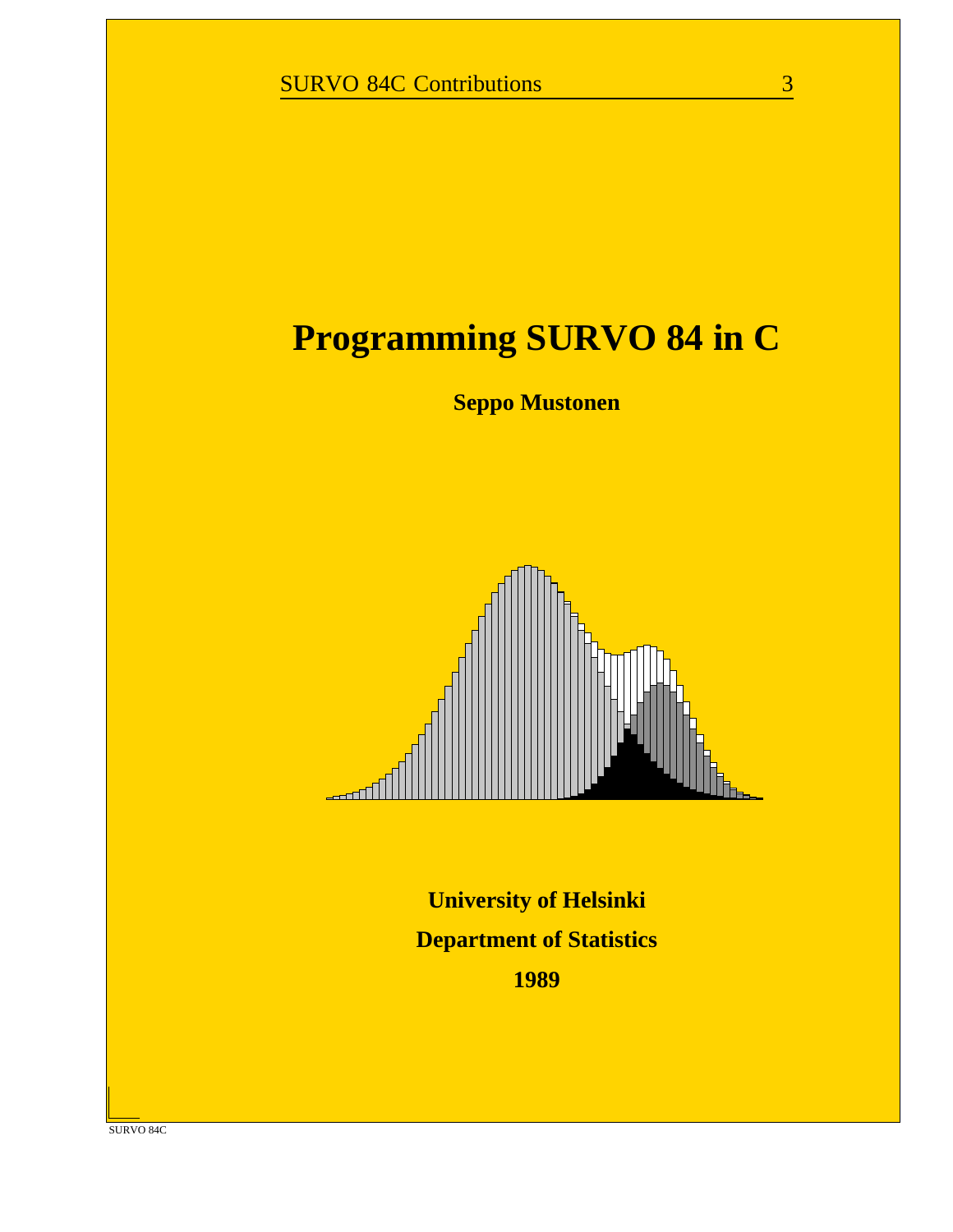# **Programming SURVO 84 in C**

**Seppo Mustonen**



**University of Helsinki Department of Statistics 1989**

SURVO 84C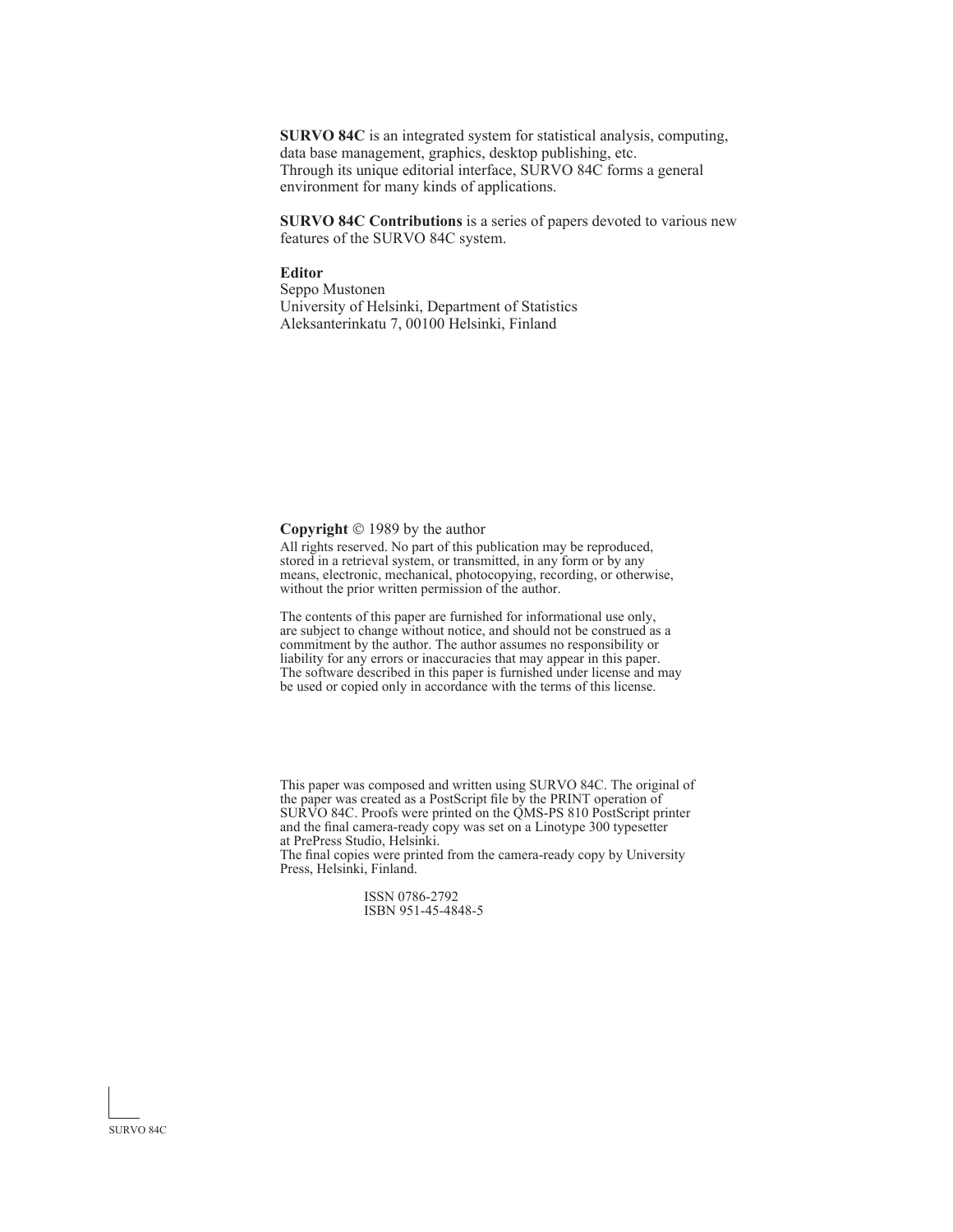**SURVO 84C** is an integrated system for statistical analysis, computing, data base management, graphics, desktop publishing, etc. Through its unique editorial interface, SURVO 84C forms a general environment for many kinds of applications.

**SURVO 84C Contributions** is a series of papers devoted to various new features of the SURVO 84C system.

#### **Editor**

Seppo Mustonen University of Helsinki, Department of Statistics Aleksanterinkatu 7, 00100 Helsinki, Finland

**Copyright** © 1989 by the author

All rights reserved. No part of this publication may be reproduced, stored in a retrieval system, or transmitted, in any form or by any means, electronic, mechanical, photocopying, recording, or otherwise, without the prior written permission of the author.

The contents of this paper are furnished for informational use only, are subject to change without notice, and should not be construed as a commitment by the author. The author assumes no responsibility or liability for any errors or inaccuracies that may appear in this paper. The software described in this paper is furnished under license and may be used or copied only in accordance with the terms of this license.

This paper was composed and written using SURVO 84C. The original of the paper was created as a PostScript file by the PRINT operation of SURVO 84C. Proofs were printed on the QMS-PS 810 PostScript printer and the final camera-ready copy was set on a Linotype 300 typesetter at PrePress Studio, Helsinki.

The final copies were printed from the camera-ready copy by University Press, Helsinki, Finland.

> ISSN 0786-2792 ISBN 951-45-4848-5

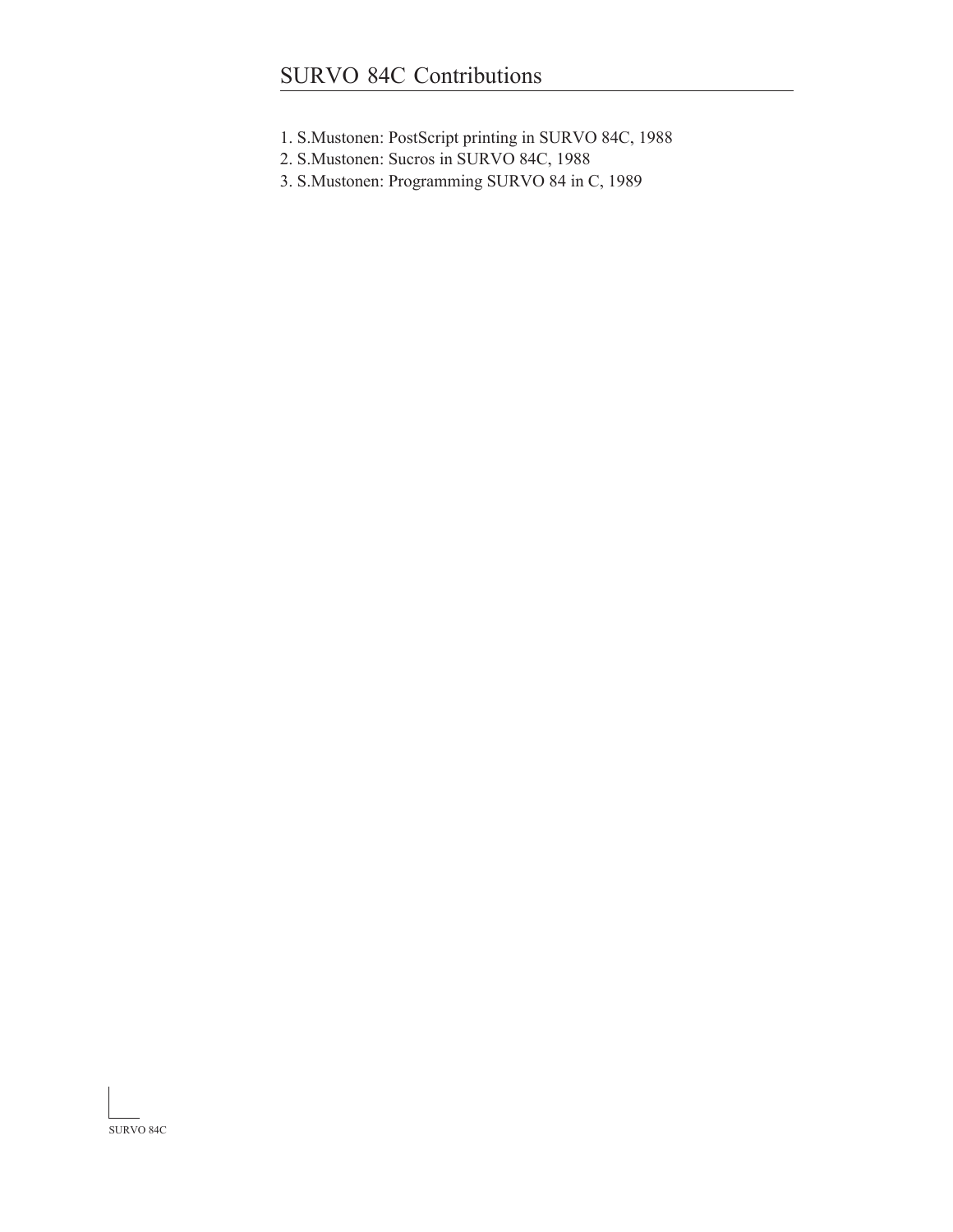- 1. S.Mustonen: PostScript printing in SURVO 84C, 1988
- 2. S.Mustonen: Sucros in SURVO 84C, 1988
- 3. S.Mustonen: Programming SURVO 84 in C, 1989

SURVO 84C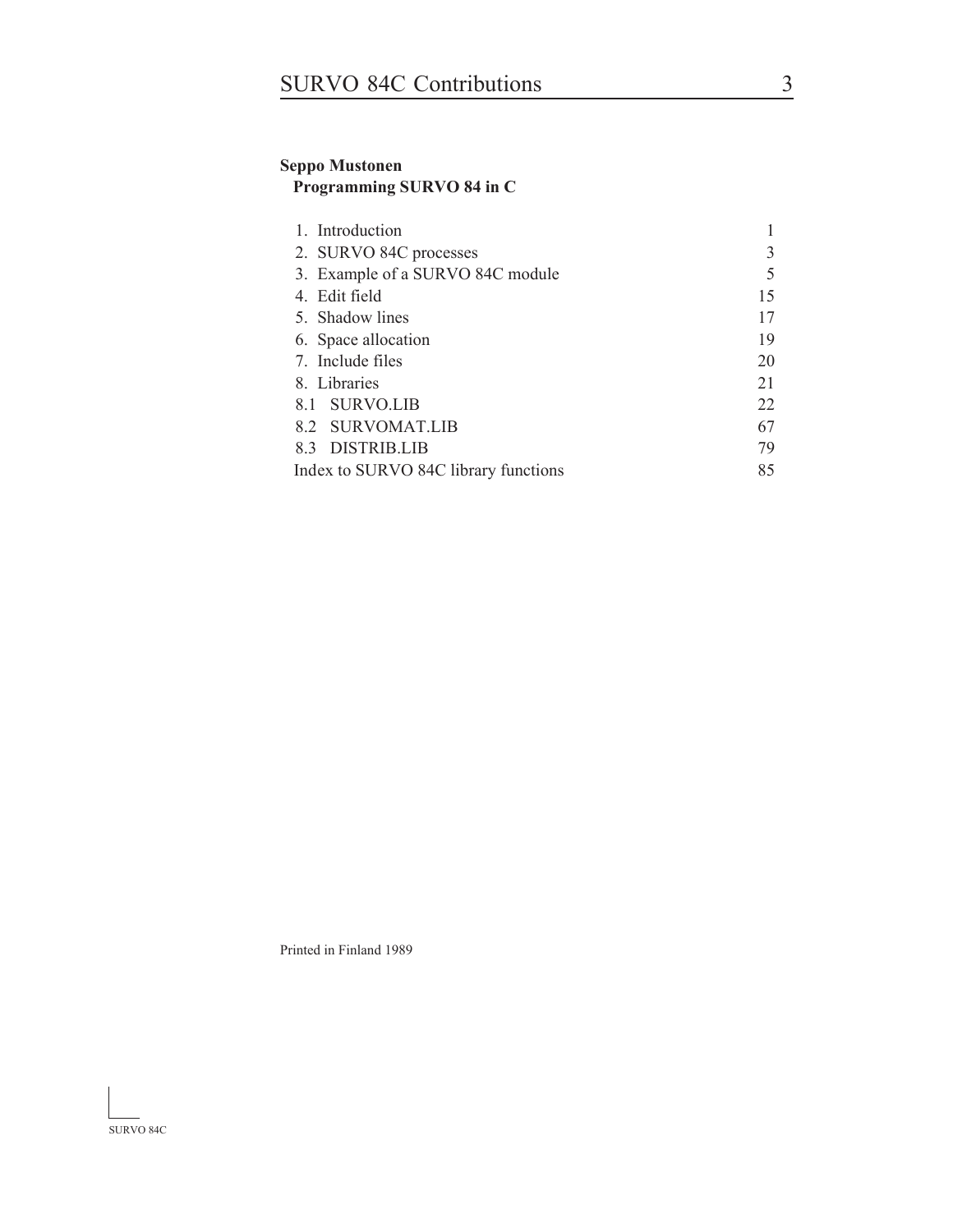### **Seppo Mustonen Programming SURVO 84 in C**

| 1. Introduction                      |    |
|--------------------------------------|----|
| 2. SURVO 84C processes               |    |
| 3. Example of a SURVO 84C module     |    |
| 4. Edit field                        | 15 |
| 5. Shadow lines                      | 17 |
| 6. Space allocation                  | 19 |
| 7. Include files                     | 20 |
| 8. Libraries                         | 21 |
| 8.1 SURVO.LIB                        | 22 |
| 8.2 SURVOMAT.LIB                     | 67 |
| 8.3 DISTRIB.LIB                      | 79 |
| Index to SURVO 84C library functions | 85 |

Printed in Finland 1989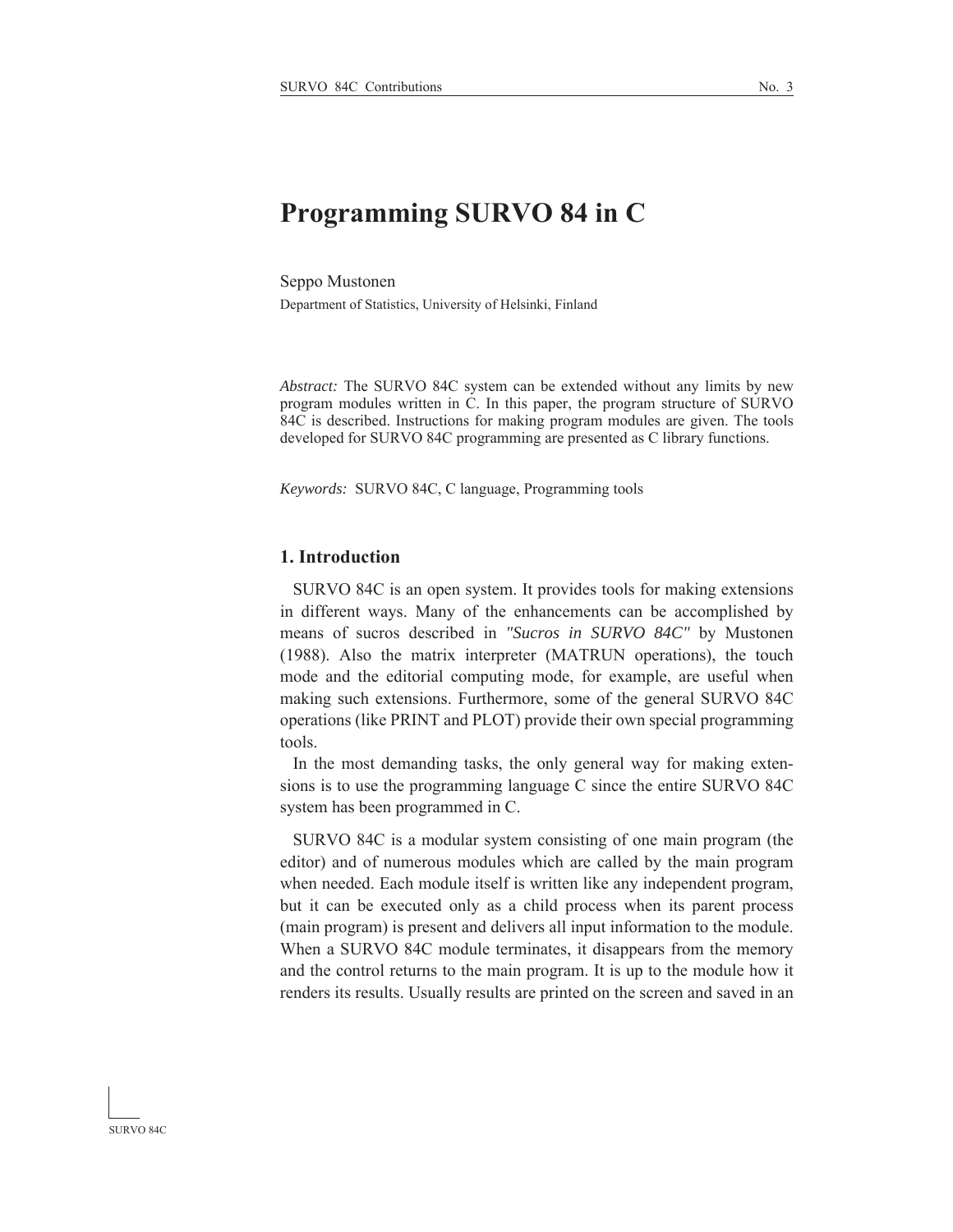# **Programming SURVO 84 in C**

Seppo Mustonen Department of Statistics, University of Helsinki, Finland

*Abstract:* The SURVO 84C system can be extended without any limits by new program modules written in C. In this paper, the program structure of SURVO 84C is described. Instructions for making program modules are given. The tools developed for SURVO 84C programming are presented as C library functions.

*Keywords:* SURVO 84C, C language, Programming tools

### **1. Introduction**

 SURVO 84C is an open system. It provides tools for making extensions in different ways. Many of the enhancements can be accomplished by means of sucros described in *"Sucros in SURVO 84C"* by Mustonen (1988). Also the matrix interpreter (MATRUN operations), the touch mode and the editorial computing mode, for example, are useful when making such extensions. Furthermore, some of the general SURVO 84C operations (like PRINT and PLOT) provide their own special programming tools.

 In the most demanding tasks, the only general way for making extensions is to use the programming language C since the entire SURVO 84C system has been programmed in C.

 SURVO 84C is a modular system consisting of one main program (the editor) and of numerous modules which are called by the main program when needed. Each module itself is written like any independent program, but it can be executed only as a child process when its parent process (main program) is present and delivers all input information to the module. When a SURVO 84C module terminates, it disappears from the memory and the control returns to the main program. It is up to the module how it renders its results. Usually results are printed on the screen and saved in an

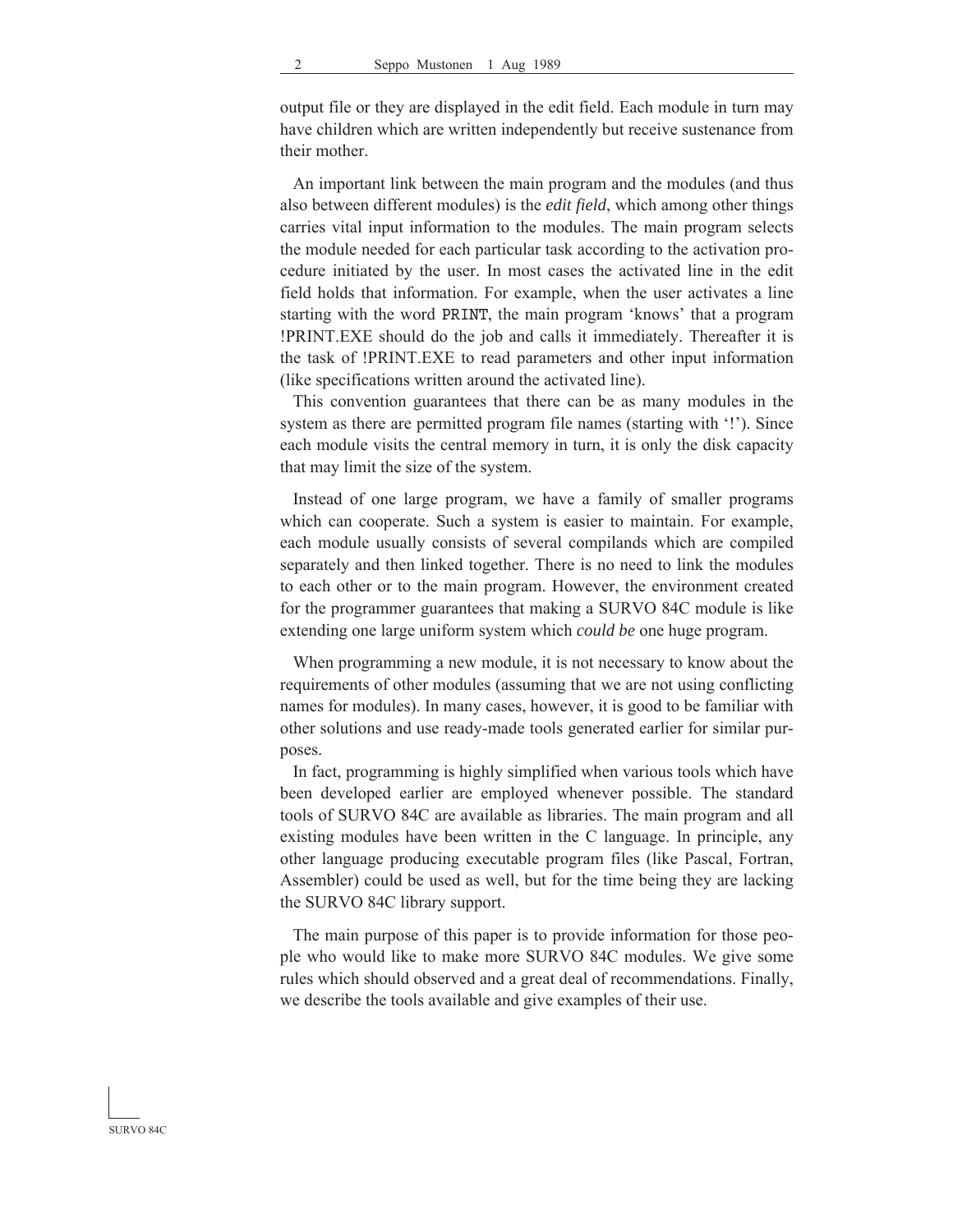output file or they are displayed in the edit field. Each module in turn may have children which are written independently but receive sustenance from their mother.

 An important link between the main program and the modules (and thus also between different modules) is the *edit field*, which among other things carries vital input information to the modules. The main program selects the module needed for each particular task according to the activation procedure initiated by the user. In most cases the activated line in the edit field holds that information. For example, when the user activates a line starting with the word PRINT, the main program 'knows' that a program !PRINT.EXE should do the job and calls it immediately. Thereafter it is the task of !PRINT.EXE to read parameters and other input information (like specifications written around the activated line).

 This convention guarantees that there can be as many modules in the system as there are permitted program file names (starting with '!'). Since each module visits the central memory in turn, it is only the disk capacity that may limit the size of the system.

 Instead of one large program, we have a family of smaller programs which can cooperate. Such a system is easier to maintain. For example, each module usually consists of several compilands which are compiled separately and then linked together. There is no need to link the modules to each other or to the main program. However, the environment created for the programmer guarantees that making a SURVO 84C module is like extending one large uniform system which *could be* one huge program.

 When programming a new module, it is not necessary to know about the requirements of other modules (assuming that we are not using conflicting names for modules). In many cases, however, it is good to be familiar with other solutions and use ready-made tools generated earlier for similar purposes.

 In fact, programming is highly simplified when various tools which have been developed earlier are employed whenever possible. The standard tools of SURVO 84C are available as libraries. The main program and all existing modules have been written in the C language. In principle, any other language producing executable program files (like Pascal, Fortran, Assembler) could be used as well, but for the time being they are lacking the SURVO 84C library support.

 The main purpose of this paper is to provide information for those people who would like to make more SURVO 84C modules. We give some rules which should observed and a great deal of recommendations. Finally, we describe the tools available and give examples of their use.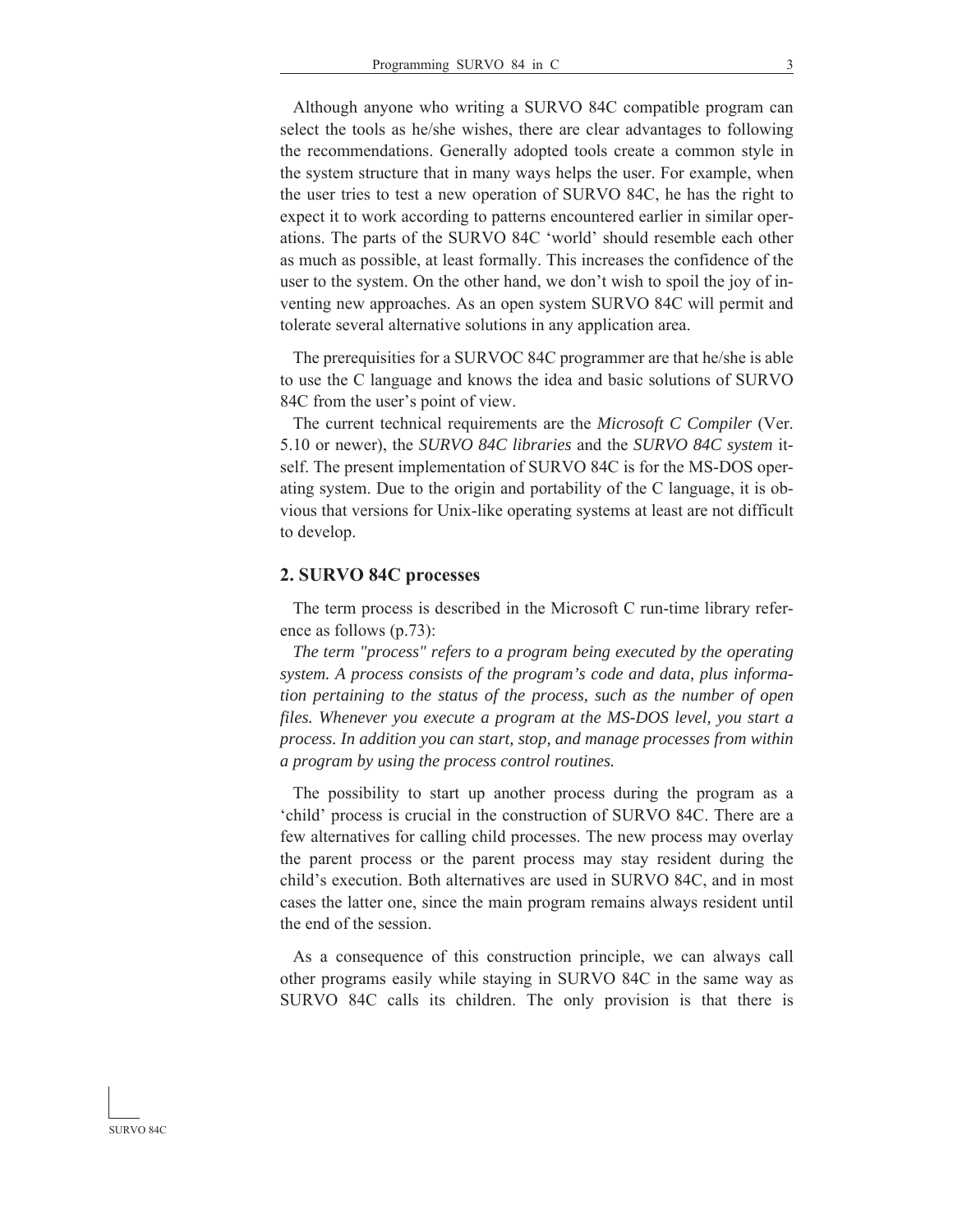Although anyone who writing a SURVO 84C compatible program can select the tools as he/she wishes, there are clear advantages to following the recommendations. Generally adopted tools create a common style in the system structure that in many ways helps the user. For example, when the user tries to test a new operation of SURVO 84C, he has the right to expect it to work according to patterns encountered earlier in similar operations. The parts of the SURVO 84C 'world' should resemble each other as much as possible, at least formally. This increases the confidence of the user to the system. On the other hand, we don't wish to spoil the joy of inventing new approaches. As an open system SURVO 84C will permit and tolerate several alternative solutions in any application area.

 The prerequisities for a SURVOC 84C programmer are that he/she is able to use the C language and knows the idea and basic solutions of SURVO 84C from the user's point of view.

 The current technical requirements are the *Microsoft C Compiler* (Ver. 5.10 or newer), the *SURVO 84C libraries* and the *SURVO 84C system* itself. The present implementation of SURVO 84C is for the MS-DOS operating system. Due to the origin and portability of the C language, it is obvious that versions for Unix-like operating systems at least are not difficult to develop.

#### **2. SURVO 84C processes**

 The term process is described in the Microsoft C run-time library reference as follows (p.73):

*The term "process" refers to a program being executed by the operating system. A process consists of the program's code and data, plus information pertaining to the status of the process, such as the number of open files. Whenever you execute a program at the MS-DOS level, you start a process. In addition you can start, stop, and manage processes from within a program by using the process control routines.*

 The possibility to start up another process during the program as a 'child' process is crucial in the construction of SURVO 84C. There are a few alternatives for calling child processes. The new process may overlay the parent process or the parent process may stay resident during the child's execution. Both alternatives are used in SURVO 84C, and in most cases the latter one, since the main program remains always resident until the end of the session.

 As a consequence of this construction principle, we can always call other programs easily while staying in SURVO 84C in the same way as SURVO 84C calls its children. The only provision is that there is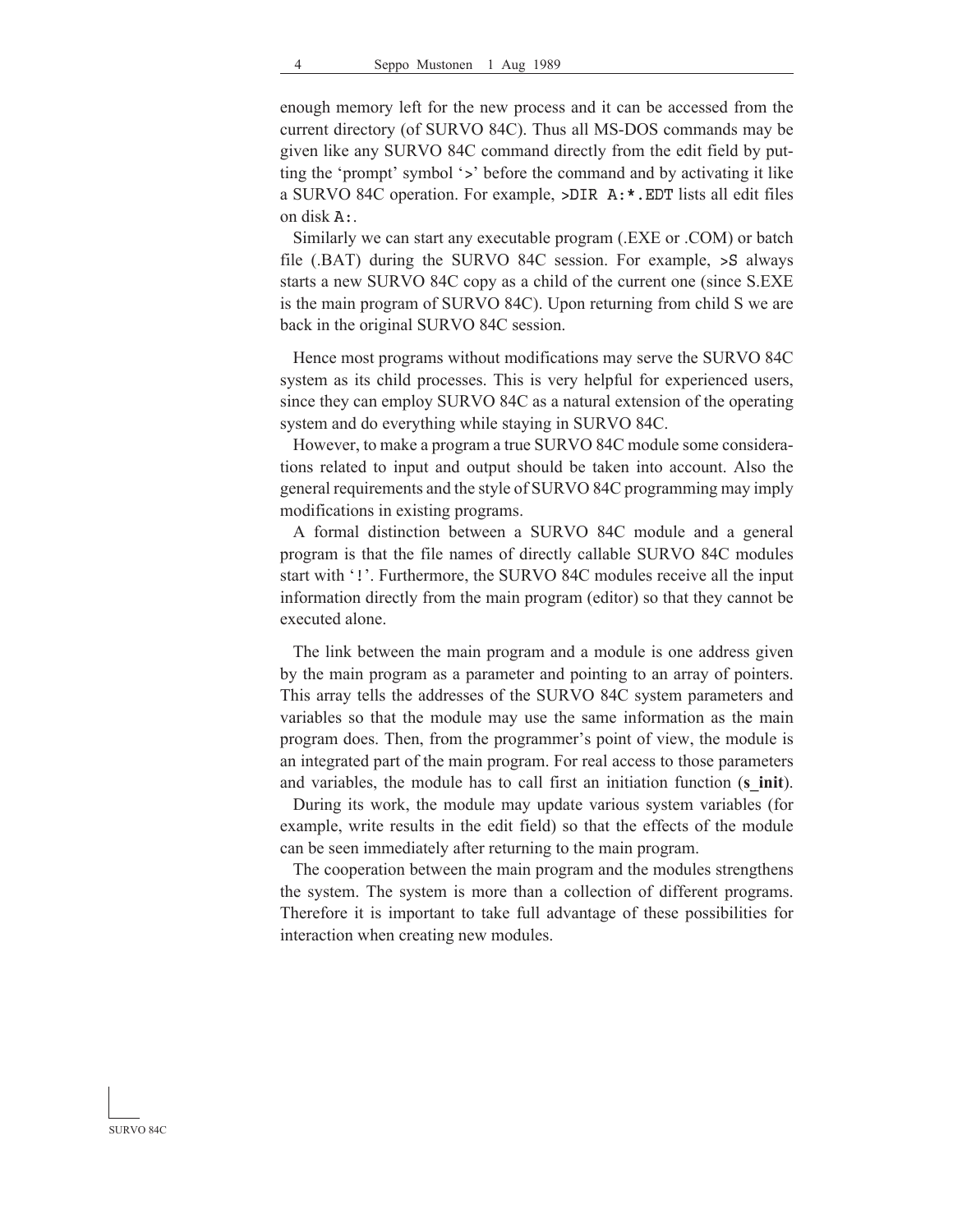enough memory left for the new process and it can be accessed from the current directory (of SURVO 84C). Thus all MS-DOS commands may be given like any SURVO 84C command directly from the edit field by putting the 'prompt' symbol '>' before the command and by activating it like a SURVO 84C operation. For example,  $>$ DIR  $A$ : \*. EDT lists all edit files on disk A:.

 Similarly we can start any executable program (.EXE or .COM) or batch file (.BAT) during the SURVO 84C session. For example, >S always starts a new SURVO 84C copy as a child of the current one (since S.EXE is the main program of SURVO 84C). Upon returning from child S we are back in the original SURVO 84C session.

 Hence most programs without modifications may serve the SURVO 84C system as its child processes. This is very helpful for experienced users, since they can employ SURVO 84C as a natural extension of the operating system and do everything while staying in SURVO 84C.

 However, to make a program a true SURVO 84C module some considerations related to input and output should be taken into account. Also the general requirements and the style of SURVO 84C programming may imply modifications in existing programs.

 A formal distinction between a SURVO 84C module and a general program is that the file names of directly callable SURVO 84C modules start with '!'. Furthermore, the SURVO 84C modules receive all the input information directly from the main program (editor) so that they cannot be executed alone.

 The link between the main program and a module is one address given by the main program as a parameter and pointing to an array of pointers. This array tells the addresses of the SURVO 84C system parameters and variables so that the module may use the same information as the main program does. Then, from the programmer's point of view, the module is an integrated part of the main program. For real access to those parameters and variables, the module has to call first an initiation function (**s\_init**).

 During its work, the module may update various system variables (for example, write results in the edit field) so that the effects of the module can be seen immediately after returning to the main program.

 The cooperation between the main program and the modules strengthens the system. The system is more than a collection of different programs. Therefore it is important to take full advantage of these possibilities for interaction when creating new modules.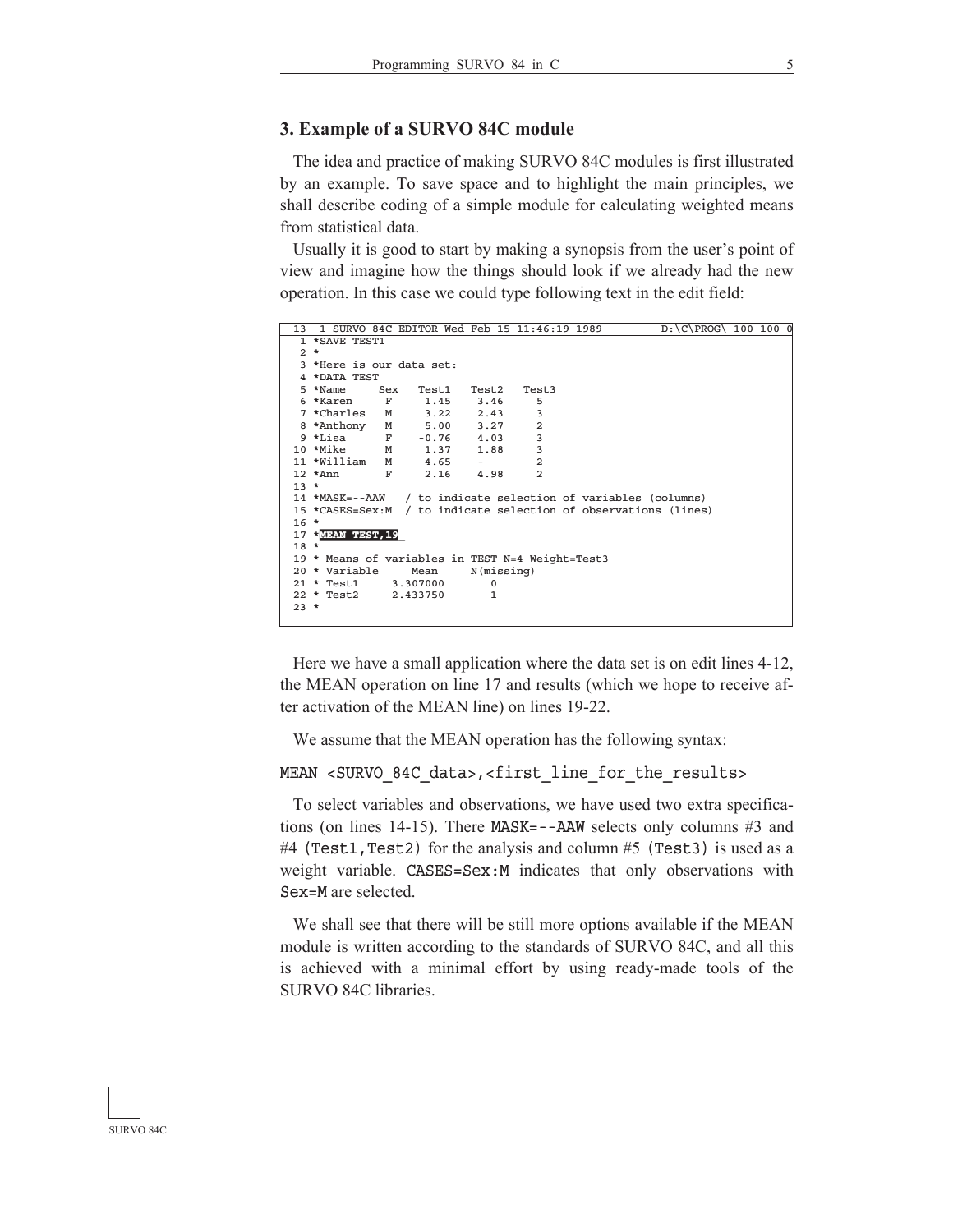### **3. Example of a SURVO 84C module**

 The idea and practice of making SURVO 84C modules is first illustrated by an example. To save space and to highlight the main principles, we shall describe coding of a simple module for calculating weighted means from statistical data.

 Usually it is good to start by making a synopsis from the user's point of view and imagine how the things should look if we already had the new operation. In this case we could type following text in the edit field:

```
13 1 SURVO 84C EDITOR Wed Feb 15 11:46:19 1989 D:\C\PROG\ 100 100 0
   1 *SAVE TEST1
   2 *
   3 *Here is our data set:
   4 *DATA TEST
   5 *Name Sex Test1 Test2 Test3
   6 *Karen F 1.45 3.46 5
   7 *Charles M 3.22 2.43 3
  8 *Anthony
   9 *Lisa F -0.76 4.03 3
  10 *Mike M 1.37 1.88 3
 11 *William M 4.65 - 2<br>12 *Ann F 2.16 4.98 2
  12 *Ann F 2.16 4.98 2
  13 *
 14 *MASK=--AAW / to indicate selection of variables (columns)
 15 *CASES=Sex:M / to indicate selection of observations (lines)
  16 *
  17 *MEAN TEST,19_
  18 *
 19 * Means of variables in TEST N=4 Weight=Test3<br>20 * Variable Mean N(missing)
 20 * Variable Mean N(mi)<br>21 * Test1 3.307000 0
 21 * Test1 22 * Test2 2.433750 1
  23 *
L
```
 Here we have a small application where the data set is on edit lines 4-12, the MEAN operation on line 17 and results (which we hope to receive after activation of the MEAN line) on lines 19-22.

We assume that the MEAN operation has the following syntax:

```
MEAN <SURVO 84C data>,<first line for the results>
```
 To select variables and observations, we have used two extra specifications (on lines 14-15). There  $MASK = -AAW$  selects only columns #3 and #4 (Test1, Test2) for the analysis and column #5 (Test3) is used as a weight variable. CASES=Sex:M indicates that only observations with Sex=M are selected.

 We shall see that there will be still more options available if the MEAN module is written according to the standards of SURVO 84C, and all this is achieved with a minimal effort by using ready-made tools of the SURVO 84C libraries.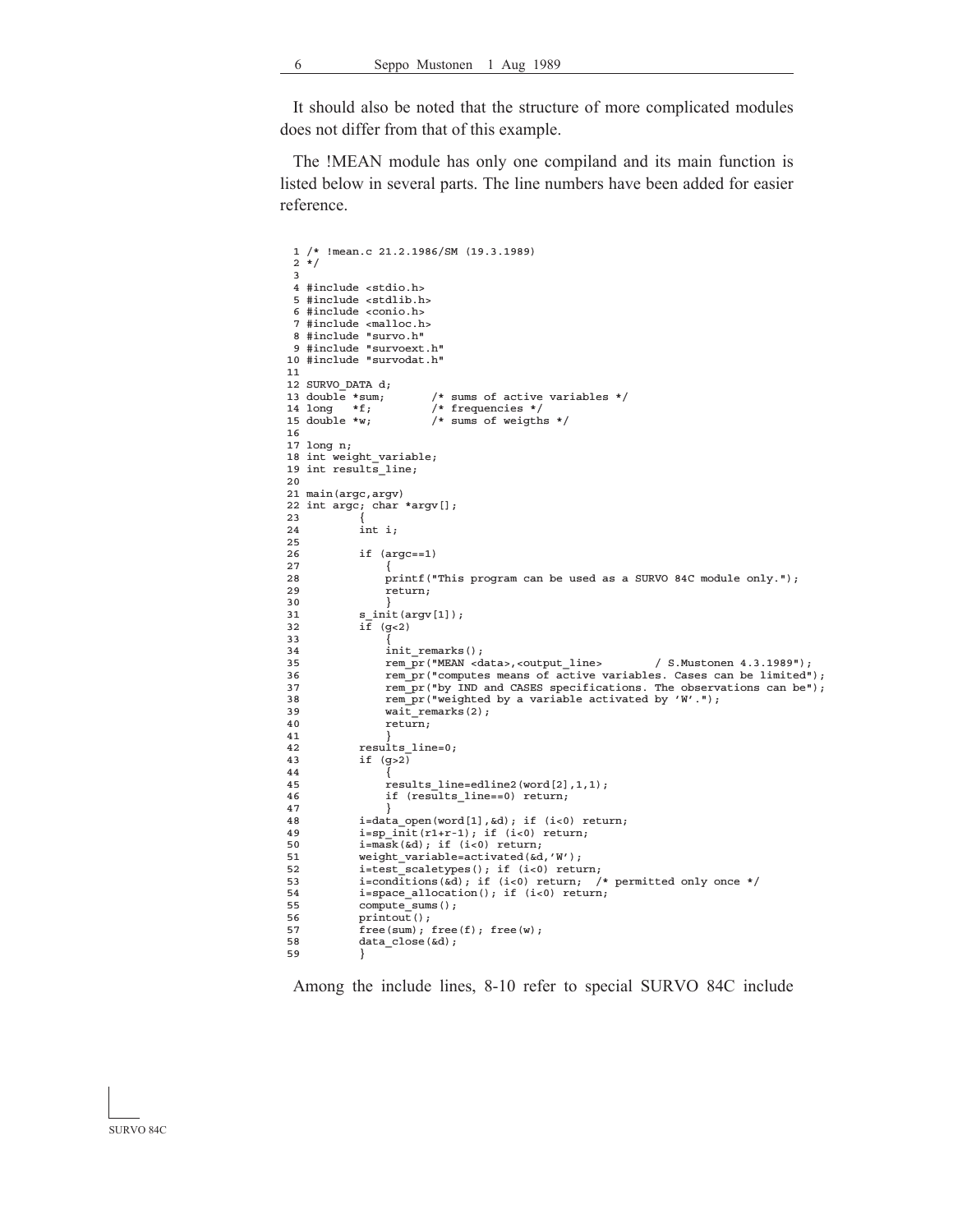It should also be noted that the structure of more complicated modules does not differ from that of this example.

 The !MEAN module has only one compiland and its main function is listed below in several parts. The line numbers have been added for easier reference.

```
 1 /* !mean.c 21.2.1986/SM (19.3.1989)
  2 * / 3
   4 #include <stdio.h>
   5 #include <stdlib.h>
   6 #include <conio.h>
   7 #include <malloc.h>
   8 #include "survo.h"
  9 #include "survoext.h"
 10 #include "survodat.h"
 11
12 SURVO_DATA d;<br>13 double *sum;<br>14 long *f;
                            /* sums of active variables */
14 long *f; /* frequencies */<br>15 double *w; /* sums of weigth
                            /* sums of weigths */ 16
 17 long n;
18 int weight variable;
19 int results line;
 20
21 main(argc, argy)
 22 int argc; char *argv[];
\frac{23}{24}int i;\frac{25}{26}if (argc==1)27<br>
28<br>
p
28 printf("This program can be used as a SURVO 84C module only.");<br>29 return:
                   return;
\begin{array}{c} 30 \\ 31 \end{array} 31 s_init(argv[1]);
 32 if (g<2)
 33 {
 34 init_remarks();
 35 rem_pr("MEAN <data>,<output_line> / S.Mustonen 4.3.1989");
 36 rem_pr("computes means of active variables. Cases can be limited");
 37 rem_pr("by IND and CASES specifications. The observations can be");
 38 rem_pr("weighted by a variable activated by 'W'.");
39 wait_remarks(2);<br>40 return;
                   return;\begin{array}{c} 41 \\ 42 \end{array}42 results_line=0;<br>43 if (q>2)if (g>2)44<br>
45<br>
\frac{1}{10}45 results_line=edline2(word[2],1,1);<br>46 if (results_line==0) return;
                   if (results_line==0) return;
\begin{array}{c} 4\,7 \\ 4\,8 \end{array}48 i=data\_open(word[1], \&d); if (i<0) return;<br>49 i=sp init(r1+r-1); if (i<0) return;49 i=sp\_init(r1+r-1); if (i<0) return;<br>50 i=mask(kd); if (i<0) return;50 i=mask(&d); if (i<0) return;<br>51 weight_variable=activated(&d
51 weight_variable=activated(&d,'W');<br>52 i=test scaletypes(); if (i<0) retu
 52 i=test_scaletypes(); if (i<0) return;
 53 i=conditions(&d); if (i<0) return; /* permitted only once */
54 i=space_allocation(); if (i<0) return;<br>55 compute sums():
              compute_sums();
 56 printout();
57 r = (sum); free(f); free(w);<br>58 data close(od):
              data_close(&d);
 59 }
```
Among the include lines, 8-10 refer to special SURVO 84C include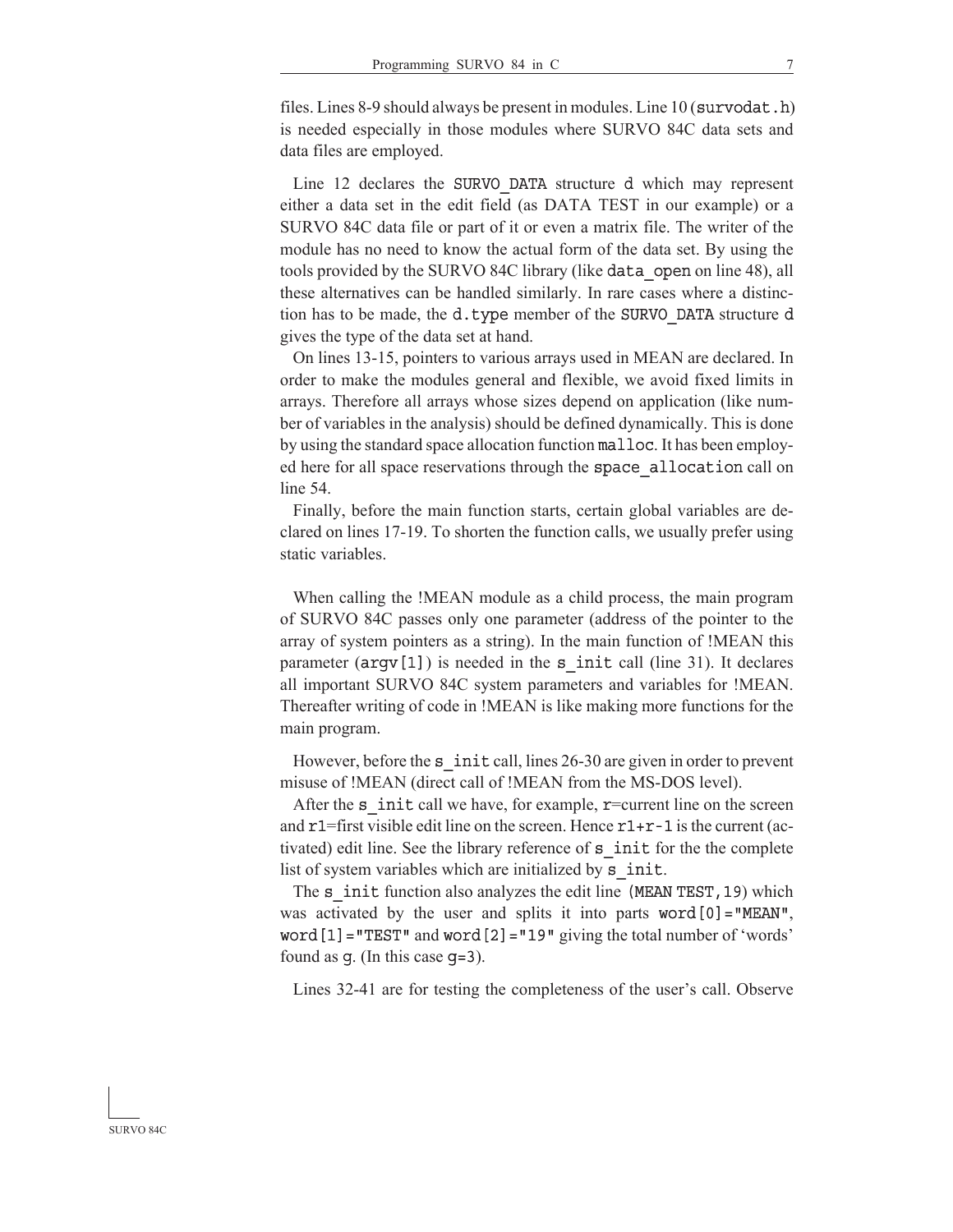files. Lines 8-9 should always be present in modules. Line  $10$  (survodat.h) is needed especially in those modules where SURVO 84C data sets and data files are employed.

Line 12 declares the SURVO DATA structure d which may represent either a data set in the edit field (as DATA TEST in our example) or a SURVO 84C data file or part of it or even a matrix file. The writer of the module has no need to know the actual form of the data set. By using the tools provided by the SURVO 84C library (like data open on line 48), all these alternatives can be handled similarly. In rare cases where a distinction has to be made, the d.type member of the SURVO DATA structure d gives the type of the data set at hand.

 On lines 13-15, pointers to various arrays used in MEAN are declared. In order to make the modules general and flexible, we avoid fixed limits in arrays. Therefore all arrays whose sizes depend on application (like number of variables in the analysis) should be defined dynamically. This is done by using the standard space allocation function malloc. It has been employed here for all space reservations through the space allocation call on line 54.

 Finally, before the main function starts, certain global variables are declared on lines 17-19. To shorten the function calls, we usually prefer using static variables.

 When calling the !MEAN module as a child process, the main program of SURVO 84C passes only one parameter (address of the pointer to the array of system pointers as a string). In the main function of !MEAN this parameter  $(\text{argv}[1])$  is needed in the s init call (line 31). It declares all important SURVO 84C system parameters and variables for !MEAN. Thereafter writing of code in !MEAN is like making more functions for the main program.

However, before the s init call, lines 26-30 are given in order to prevent misuse of !MEAN (direct call of !MEAN from the MS-DOS level).

After the  $s$  init call we have, for example, r=current line on the screen and  $r1$ =first visible edit line on the screen. Hence  $r1+r-1$  is the current (activated) edit line. See the library reference of s\_init for the the complete list of system variables which are initialized by s\_init.

The s init function also analyzes the edit line (MEAN TEST, 19) which was activated by the user and splits it into parts word $[0]$ ="MEAN",  $word[1] = "TEST"$  and  $word[2] = "19"$  giving the total number of 'words' found as g. (In this case g=3).

Lines 32-41 are for testing the completeness of the user's call. Observe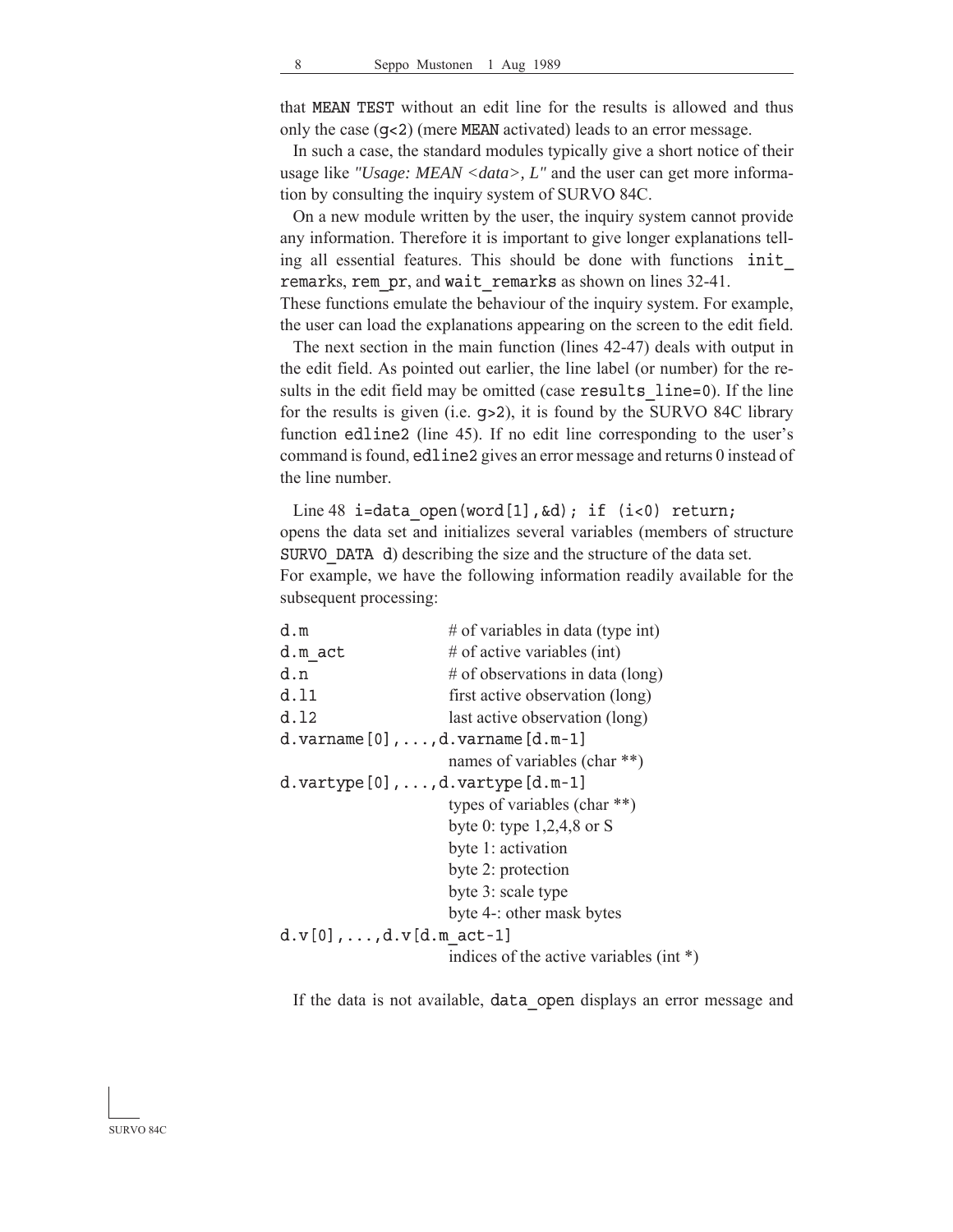that MEAN TEST without an edit line for the results is allowed and thus only the case (g<2) (mere MEAN activated) leads to an error message.

 In such a case, the standard modules typically give a short notice of their usage like *"Usage: MEAN <data>, L"* and the user can get more information by consulting the inquiry system of SURVO 84C.

 On a new module written by the user, the inquiry system cannot provide any information. Therefore it is important to give longer explanations telling all essential features. This should be done with functions init\_ remarks, rem\_pr, and wait\_remarks as shown on lines 32-41. These functions emulate the behaviour of the inquiry system. For example,

the user can load the explanations appearing on the screen to the edit field.

 The next section in the main function (lines 42-47) deals with output in the edit field. As pointed out earlier, the line label (or number) for the results in the edit field may be omitted (case results line=0). If the line for the results is given (i.e. g>2), it is found by the SURVO 84C library function edline2 (line 45). If no edit line corresponding to the user's command is found, edline2 gives an error message and returns 0 instead of the line number.

Line 48 i=data open(word[1],  $\&d$ ); if (i<0) return; opens the data set and initializes several variables (members of structure SURVO DATA d) describing the size and the structure of the data set. For example, we have the following information readily available for the subsequent processing:

| # of variables in data (type int)                          |
|------------------------------------------------------------|
| # of active variables (int)                                |
| # of observations in data (long)                           |
| first active observation (long)                            |
| last active observation (long)                             |
| d.varname $[0]$ ,,d.varname $[d.m-1]$                      |
| names of variables (char **)                               |
| $d.\texttt{vartype}[0], \ldots, d.\texttt{vartype}[d.m-1]$ |
| types of variables (char $**$ )                            |
| byte 0: type $1,2,4,8$ or S                                |
| byte 1: activation                                         |
| byte 2: protection                                         |
| byte 3: scale type                                         |
| byte 4-: other mask bytes                                  |
| $d.v[0], \ldots, d.v[d.m act-1]$                           |
| indices of the active variables (int $*)$                  |
|                                                            |

If the data is not available, data open displays an error message and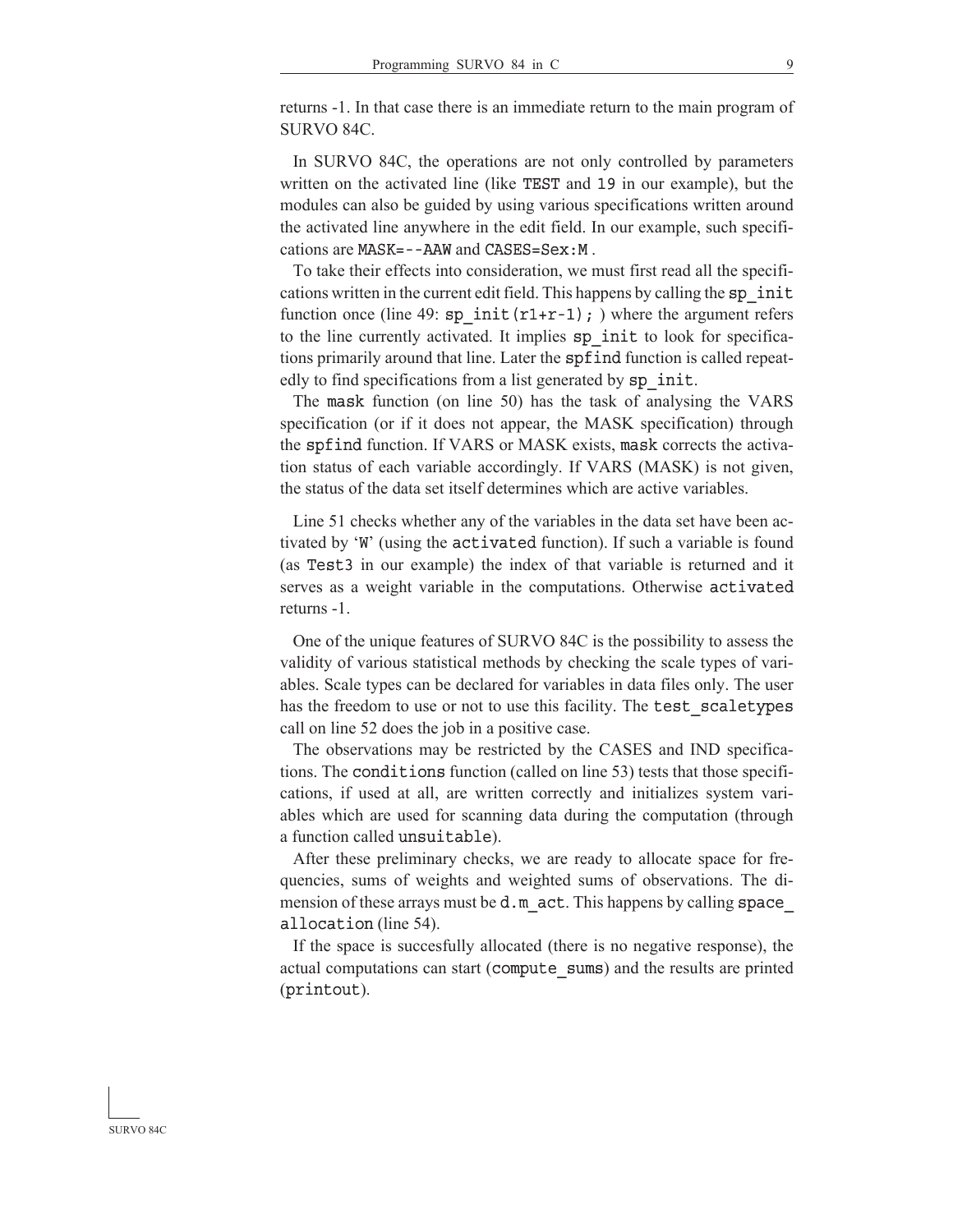returns -1. In that case there is an immediate return to the main program of SURVO 84C.

 In SURVO 84C, the operations are not only controlled by parameters written on the activated line (like TEST and 19 in our example), but the modules can also be guided by using various specifications written around the activated line anywhere in the edit field. In our example, such specifications are  $MASK = -AAW$  and  $CASES = Sex : M$ .

 To take their effects into consideration, we must first read all the specifications written in the current edit field. This happens by calling the sp\_init function once (line 49:  $sp\ init(r1+r-1)$ ; ) where the argument refers to the line currently activated. It implies sp\_init to look for specifications primarily around that line. Later the spfind function is called repeatedly to find specifications from a list generated by sp\_init.

 The mask function (on line 50) has the task of analysing the VARS specification (or if it does not appear, the MASK specification) through the spfind function. If VARS or MASK exists, mask corrects the activation status of each variable accordingly. If VARS (MASK) is not given, the status of the data set itself determines which are active variables.

 Line 51 checks whether any of the variables in the data set have been activated by 'W' (using the activated tivated function). If such a variable is found (as Test3 in our example) the index of that variable is returned and it serves as a weight variable in the computations. Otherwise activated returns -1.

 One of the unique features of SURVO 84C is the possibility to assess the validity of various statistical methods by checking the scale types of variables. Scale types can be declared for variables in data files only. The user has the freedom to use or not to use this facility. The test scaletypes call on line 52 does the job in a positive case.

 The observations may be restricted by the CASES and IND specifications. The conditions function (called on line 53) tests that those specifications, if used at all, are written correctly and initializes system variables which are used for scanning data during the computation (through a function called unsuitable).

 After these preliminary checks, we are ready to allocate space for frequencies, sums of weights and weighted sums of observations. The dimension of these arrays must be  $d \cdot m$  act. This happens by calling space allocation (line 54).

 If the space is succesfully allocated (there is no negative response), the actual computations can start (compute sums) and the results are printed  $(printout)$ .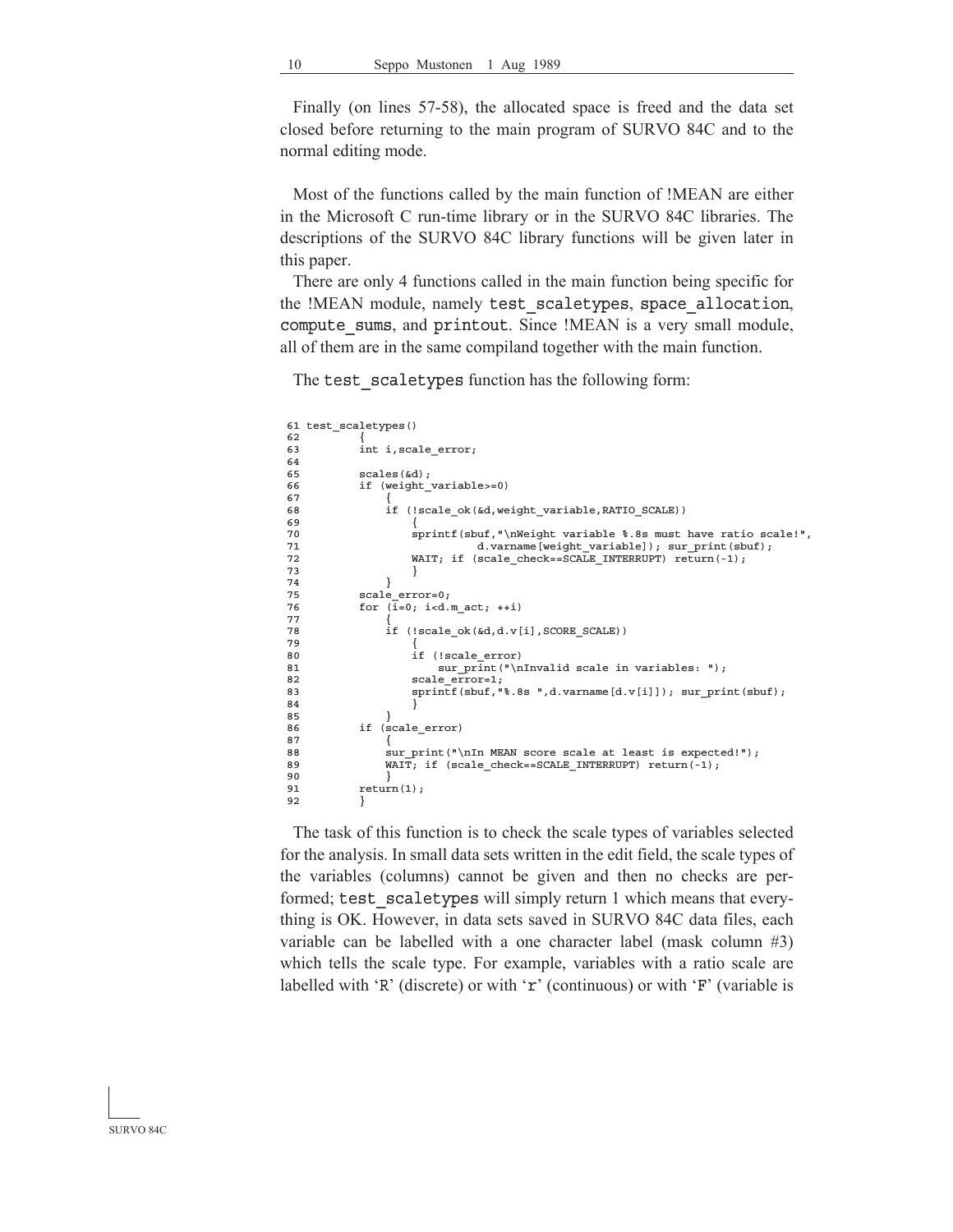Finally (on lines 57-58), the allocated space is freed and the data set closed before returning to the main program of SURVO 84C and to the normal editing mode.

 Most of the functions called by the main function of !MEAN are either in the Microsoft C run-time library or in the SURVO 84C libraries. The descriptions of the SURVO 84C library functions will be given later in this paper.

 There are only 4 functions called in the main function being specific for the !MEAN module, namely test scaletypes, space allocation, compute sums, and printout. Since !MEAN is a very small module, all of them are in the same compiland together with the main function.

The test scaletypes function has the following form:

```
 61 test_scaletypes()
 62 {
 63 int i,scale_error;
 64
 65 scales(&d);
 66 if (weight_variable>=0)
\frac{67}{68}if (!scale ok(&d,weight variable,RATIO SCALE))
 69 {
70 sprintf(sbuf, "\nWeight variable $.8s must have ratio scale!",<br>71 d. varname [weight variable]): sur print(sbuf):
71 d.varname[weight_variable]); sur_print(sbuf);<br>72 MAIT: if (scale check==SCALE INTERRUPT) return(-1);
72 WAIT; if (scale_check==SCALE_INTERRUPT) return(-1);<br>73
 73 }
 74 }
75 \begin{array}{ccc} \text{scale\_error=0;} \\ \text{for} & \text{if=0:} \text{} \text{if} \end{array}for (\overline{i}=0; i<d.m_act; ++i)\frac{77}{78}if (!scale_ok(&d,d.v[i],SCORE_SCALE))
 79 {
                    if (!scale error)
81 sur_print("\nInvalid scale in variables: ");
82 scale error=1;
83 sprintf(sbuf, "%.8s ",d.varname[d.v[i]]); sur_print(sbuf);
 84 }
 85 }
 86 if (scale_error)
 87 {
88 sur print("\nIn MEAN score scale at least is expected!");
89 WAIT; if (scale check==SCALE INTERRUPT) return(-1);
90 }<br>91 returi
            return(1); 92 }
```
 The task of this function is to check the scale types of variables selected for the analysis. In small data sets written in the edit field, the scale types of the variables (columns) cannot be given and then no checks are performed; test scaletypes will simply return 1 which means that everything is OK. However, in data sets saved in SURVO 84C data files, each variable can be labelled with a one character label (mask column #3) which tells the scale type. For example, variables with a ratio scale are labelled with 'R' (discrete) or with 'r' (continuous) or with 'F' (variable is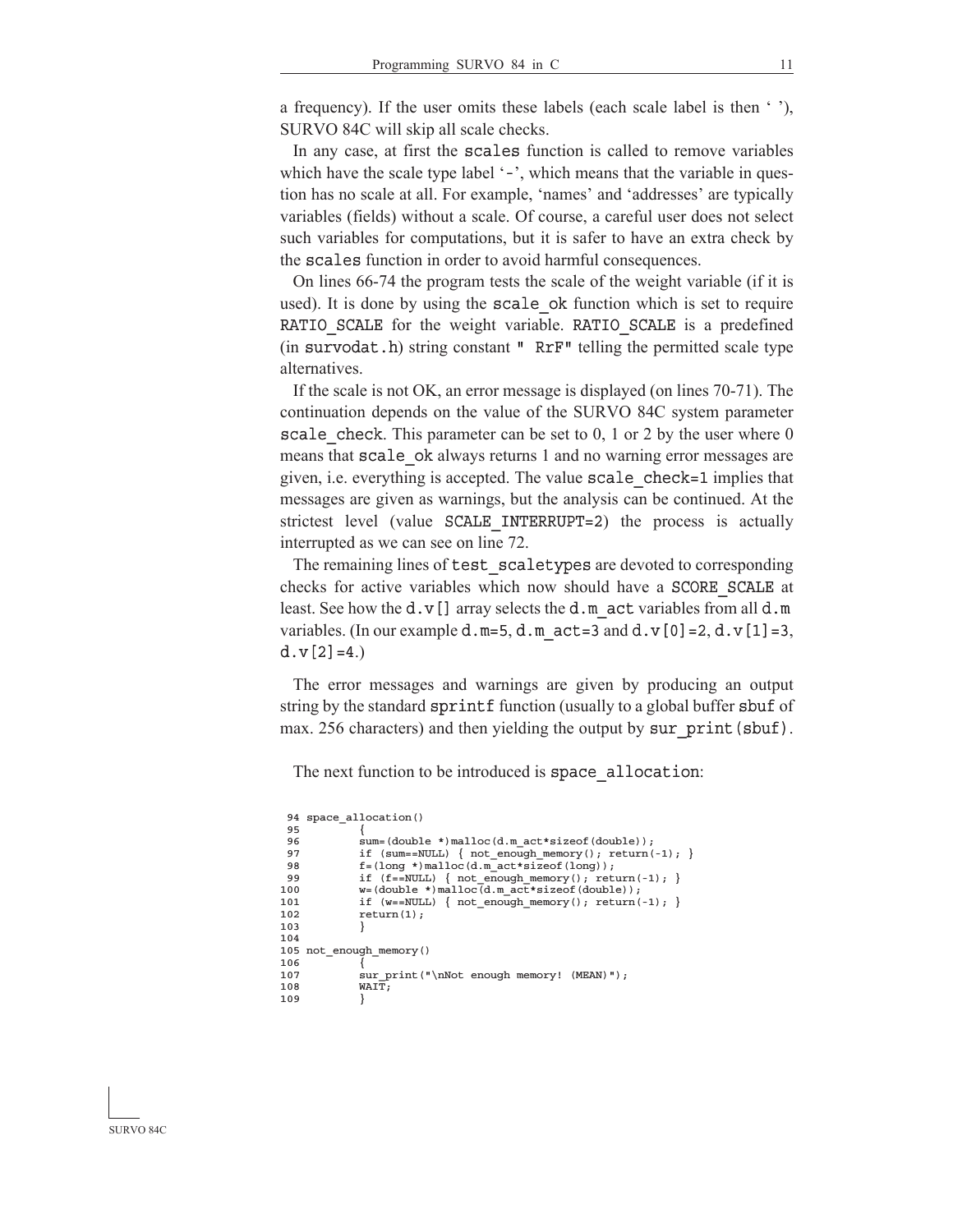a frequency). If the user omits these labels (each scale label is then ' '), SURVO 84C will skip all scale checks.

 In any case, at first the scales function is called to remove variables which have the scale type label '-', which means that the variable in question has no scale at all. For example, 'names' and 'addresses' are typically variables (fields) without a scale. Of course, a careful user does not select such variables for computations, but it is safer to have an extra check by the scales function in order to avoid harmful consequences.

 On lines 66-74 the program tests the scale of the weight variable (if it is used). It is done by using the scale\_ok function which is set to require RATIO SCALE for the weight variable. RATIO SCALE is a predefined (in survodat.h) string constant "  $RrF''$  telling the permitted scale type alternatives.

 If the scale is not OK, an error message is displayed (on lines 70-71). The continuation depends on the value of the SURVO 84C system parameter scale check. This parameter can be set to  $0, 1$  or 2 by the user where  $0$ means that scale ok always returns 1 and no warning error messages are given, i.e. everything is accepted. The value scale check=1 implies that messages are given as warnings, but the analysis can be continued. At the strictest level (value SCALE INTERRUPT=2) the process is actually interrupted as we can see on line 72.

The remaining lines of test scaletypes are devoted to corresponding checks for active variables which now should have a SCORE SCALE at least. See how the d.v[] array selects the d.m act variables from all d.m variables. (In our example d.m=5, d.m  $act=3$  and d.v[0]=2, d.v[1]=3,  $d.v[2]=4.$ 

 The error messages and warnings are given by producing an output string by the standard sprintf function (usually to a global buffer sbuf of max. 256 characters) and then yielding the output by sur  $print(sbuf)$ .

The next function to be introduced is space allocation:

```
 94 space_allocation()
 95 \frac{1}{2} \frac{1}{2}96 sum=(double *)malloc(d.m_act*sizeof(double));<br>97 if (sum==NULL) { not enough memory(); return(
                 if (sum==NULL) { not_enough_memory(); return(-1); }
 98 f=(\text{long}^*)\text{mall}\text{col}(\text{d}.\text{m}\text{act}^*\text{s}i\text{zerof}(\text{long}));<br>99 if (f=-\text{NULL}) { not enough memory(); reti
99 if (f==NULL) { not_enough_memory(); return(-1); }<br>100 w=(double *)malloc(d.m act*sizeof(double));
                 w = (double *) \text{ malloc}(d.m.act*sizeof(double));101 if (w==NULL) { not_enough_memory(); return(-1); } <br>102 return(1);
                 return(1);103 }
104
105 not_enough_memory()
106 {
107 sur_print("\nNot enough memory! (MEAN)");
108 WAIT;
109 }
```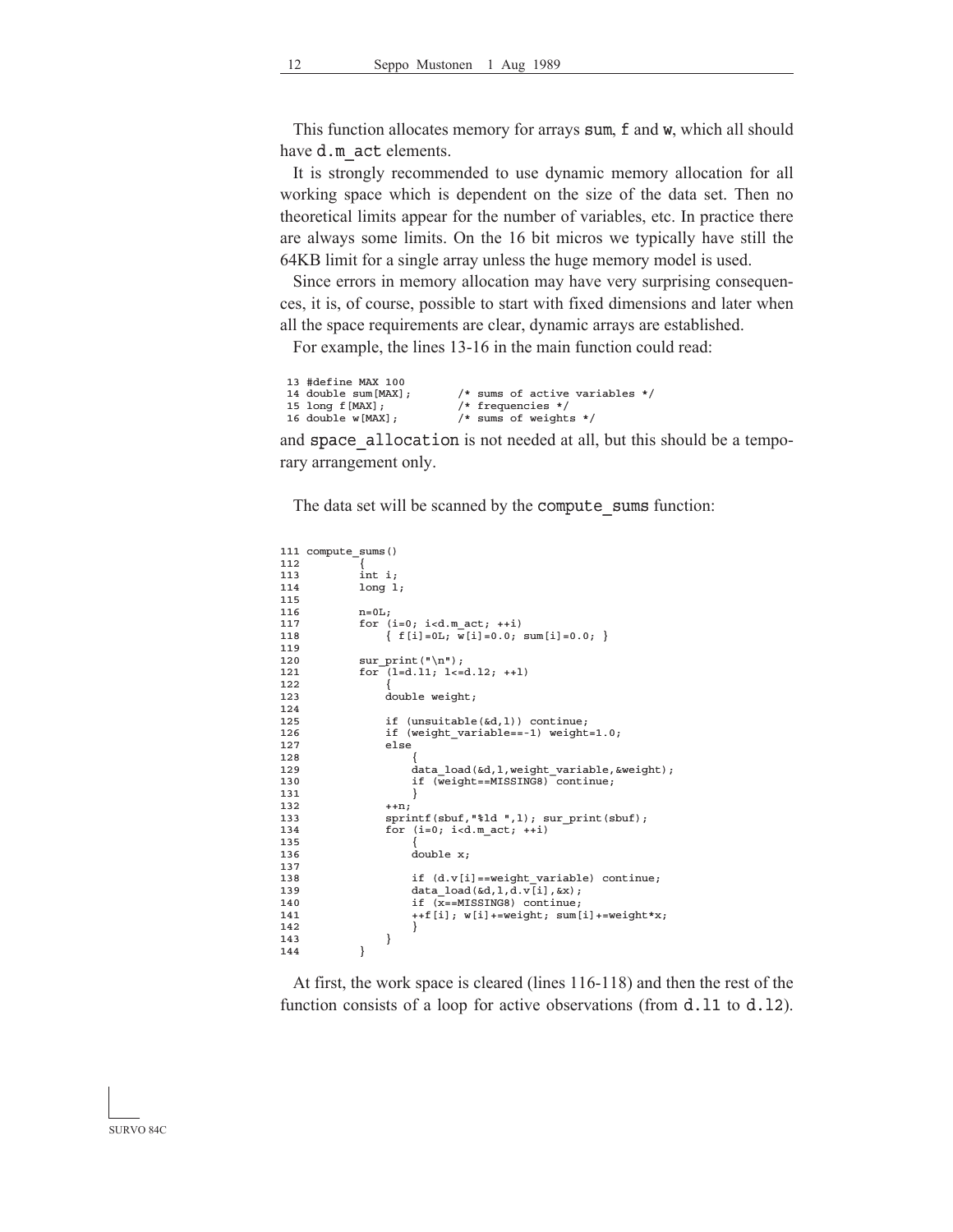This function allocates memory for arrays sum, f and w, which all should have d.m act elements.

 It is strongly recommended to use dynamic memory allocation for all working space which is dependent on the size of the data set. Then no theoretical limits appear for the number of variables, etc. In practice there are always some limits. On the 16 bit micros we typically have still the 64KB limit for a single array unless the huge memory model is used.

 Since errors in memory allocation may have very surprising consequences, it is, of course, possible to start with fixed dimensions and later when all the space requirements are clear, dynamic arrays are established.

For example, the lines 13-16 in the main function could read:

```
13 #define MAX 100<br>14 double sum[MAX];
14 double sum[MAX]; \qquad /* sums of active variables */<br>15 long f[MAX]; \qquad /* frequencies */
15 long f[MAX]; \frac{1}{2} /* frequencies */<br>16 double w[MAX]; \frac{1}{2} /* sums of weight
                                                1.14 double weights */
```
and space allocation is not needed at all, but this should be a temporary arrangement only.

The data set will be scanned by the compute sums function:

```
111 compute_sums()
\begin{array}{c} 112 \\ 113 \end{array}113 int i;<br>114 1 ong 1
               1ong 1;
115<br>116
116 n=0L;
117 for (i=0; i<d.m.act; ++i)<br>118 {f[i]=0.L; w[i]=0.0;}\{ f[i]=0, i \overline{w[i]}=0.0; \text{ sum}[i]=0.0; \}119
120 \text{sur\_print}(\sqrt[n]{n});
121 for (l=d.11; l<d.12; ++1)122 {
123 double weight;
124
125 if (unsuitable(&d, 1)) continue;
126 if (weight_variable==-1) weight=1.0;
127 else
128<br>129
                          data load(&d,l,weight_variable, &weight);
130 if (\overline{\text{weight}} == \text{MISSING8}) continue;<br>131 }
131 }
132 ++n;<br>133 spri
133 sprintf(sbuf, "$1d ", 1); sur_print(sbuf);<br>134 for (i=0; i < d \text{ m act}: +i)for (i=0; i<d.m.act; ++i)135<br>136
                          double x;137<br>138
138 if (d.v[i] == weight\_variable) continue;<br>139 data load (d.l.d.v[i]. (x);
139 data\_load(kd, l, d, v[i], kx);<br>140 if (x == MISSING8) continue;140 \text{if } (\overline{x} == \text{MISSING8}) \text{ continue; }<br>141 ++\text{f} \text{ [i]} \cdot \text{w} \text{ [i]} += \text{weight; sum}141 ++f[i]; w[i]+=weight; sum[i]+=weight*x;
142 }
\begin{array}{c} 143 \\ 144 \end{array} }
144 }
```
 At first, the work space is cleared (lines 116-118) and then the rest of the function consists of a loop for active observations (from  $d.11$  to  $d.12$ ).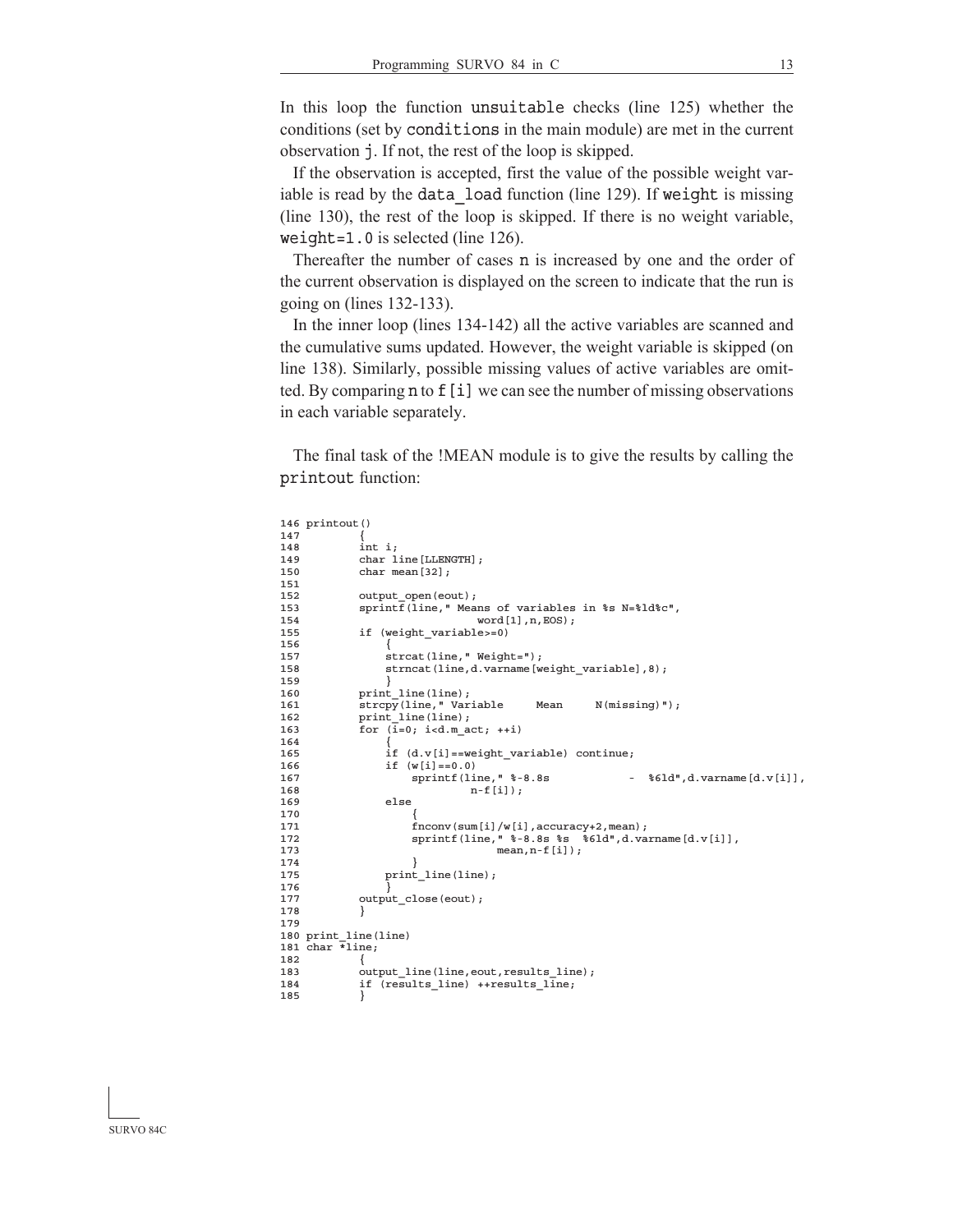In this loop the function unsuitable checks (line  $125$ ) whether the conditions (set by conditions in the main module) are met in the current observation j. If not, the rest of the loop is skipped.

 If the observation is accepted, first the value of the possible weight variable is read by the data load function (line 129). If weight is missing (line 130), the rest of the loop is skipped. If there is no weight variable, weight=1.0 is selected (line  $126$ ).

Thereafter the number of cases **n** is increased by one and the order of the current observation is displayed on the screen to indicate that the run is going on (lines 132-133).

 In the inner loop (lines 134-142) all the active variables are scanned and the cumulative sums updated. However, the weight variable is skipped (on line 138). Similarly, possible missing values of active variables are omitted. By comparing n to f[i] we can see the number of missing observations in each variable separately.

 The final task of the !MEAN module is to give the results by calling the printout function:

```
146 printout()
147<br>148int i;149 char line [LLENGTH];<br>150 char mean [32];
               char mean[32];
151<br>152
152 output_open(eout);<br>153 sprintf(line," Mea
               \text{spring}(\text{line}, \mathbb{I}) Means of variables in %s N=%ld%c",
154 word[1], n, EOS);<br>155 if (weight variable>=0)
               if (weight_variable>=0)
156<br>157
157 strcat(line," Weight=");<br>158 strncat(line,d.varname[w
                    strncat(line,d.varname[weight_variable],8);
159<br>160
               print_line(line);
161 strcpy(line," Variable Mean N(missing)");<br>162 print line(line);
               print_line(line);
163 for (\bar{i}=0; i < d.m_{act}; ++i)164 {
165 if (d.v[i]=weight\_variable) continue;
166 if (w[i] == 0.0)<br>167 sprintf (line, " \frac{1}{8} - 8.8s167 sprintf(line, " \frac{1}{6} - 8.8s - \frac{1}{6} - \frac{1}{6} - \frac{1}{6} - \frac{1}{6} - \frac{1}{6} - \frac{1}{6} - \frac{1}{6} - \frac{1}{6} - \frac{1}{6} - \frac{1}{6} - \frac{1}{6} - \frac{1}{6} - \frac{1}{6} - \frac{1}{6} - \frac{1}{6} - \frac168 n-f[i]);
169 else
170 {
171 fnconv(sum[i]/w[i], accuracy+2, mean);
172 sprintf(line, \sqrt{8}-8.8s \sqrt[3]{8}6ld",d.varname[d.v[i]],<br>173 mean, n-f[i]);
                                          mean, n-f[i];
174<br>175
                    print_line(line);
176<br>177
               output_close(eout);
178 }
179
180 print_line(line)
181 char *line;
\frac{182}{183}output_line(line,eout,results_line);
184 if (results_line) ++results_line;
185 }
```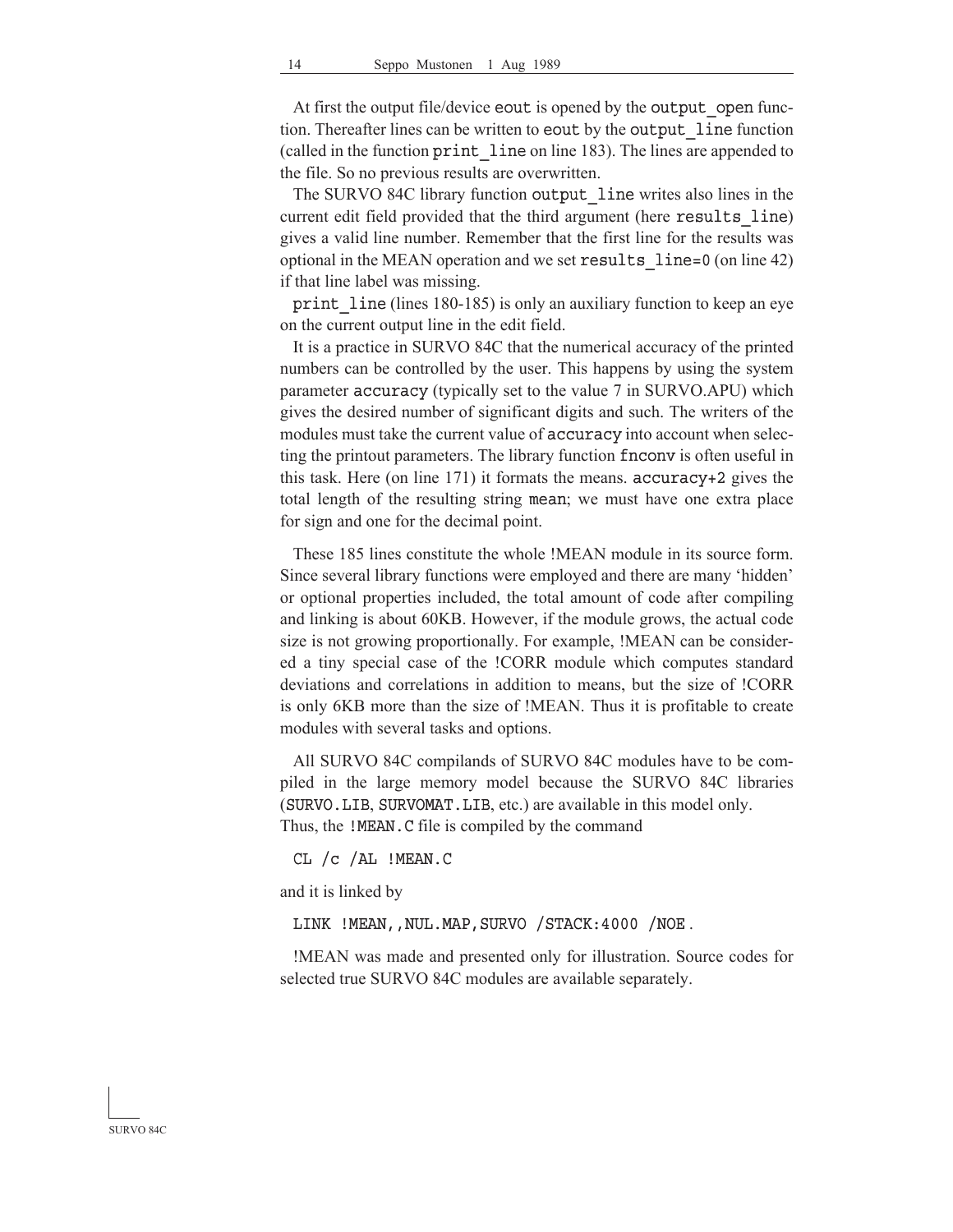At first the output file/device eout is opened by the output open function. Thereafter lines can be written to eout by the output line function (called in the function print line on line 183). The lines are appended to the file. So no previous results are overwritten.

The SURVO 84C library function output line writes also lines in the current edit field provided that the third argument (here results line) gives a valid line number. Remember that the first line for the results was optional in the MEAN operation and we set results  $line=0$  (on line 42) if that line label was missing.

print line (lines 180-185) is only an auxiliary function to keep an eye on the current output line in the edit field.

 It is a practice in SURVO 84C that the numerical accuracy of the printed numbers can be controlled by the user. This happens by using the system parameter accuracy (typically set to the value 7 in SURVO.APU) which gives the desired number of significant digits and such. The writers of the modules must take the current value of accuracy into account when selecting the printout parameters. The library function fnconv is often useful in this task. Here (on line  $171$ ) it formats the means.  $accuracy+2$  gives the total length of the resulting string mean; we must have one extra place for sign and one for the decimal point.

 These 185 lines constitute the whole !MEAN module in its source form. Since several library functions were employed and there are many 'hidden' or optional properties included, the total amount of code after compiling and linking is about 60KB. However, if the module grows, the actual code size is not growing proportionally. For example, !MEAN can be considered a tiny special case of the !CORR module which computes standard deviations and correlations in addition to means, but the size of !CORR is only 6KB more than the size of !MEAN. Thus it is profitable to create modules with several tasks and options.

 All SURVO 84C compilands of SURVO 84C modules have to be compiled in the large memory model because the SURVO 84C libraries (SURVO.LIB, SURVOMAT.LIB, etc.) are available in this model only. Thus, the !MEAN.C file is compiled by the command

CL  $/c$   $/AL$  !MEAN.C

and it is linked by

LINK !MEAN, , NUL.MAP, SURVO / STACK: 4000 / NOE .

 !MEAN was made and presented only for illustration. Source codes for selected true SURVO 84C modules are available separately.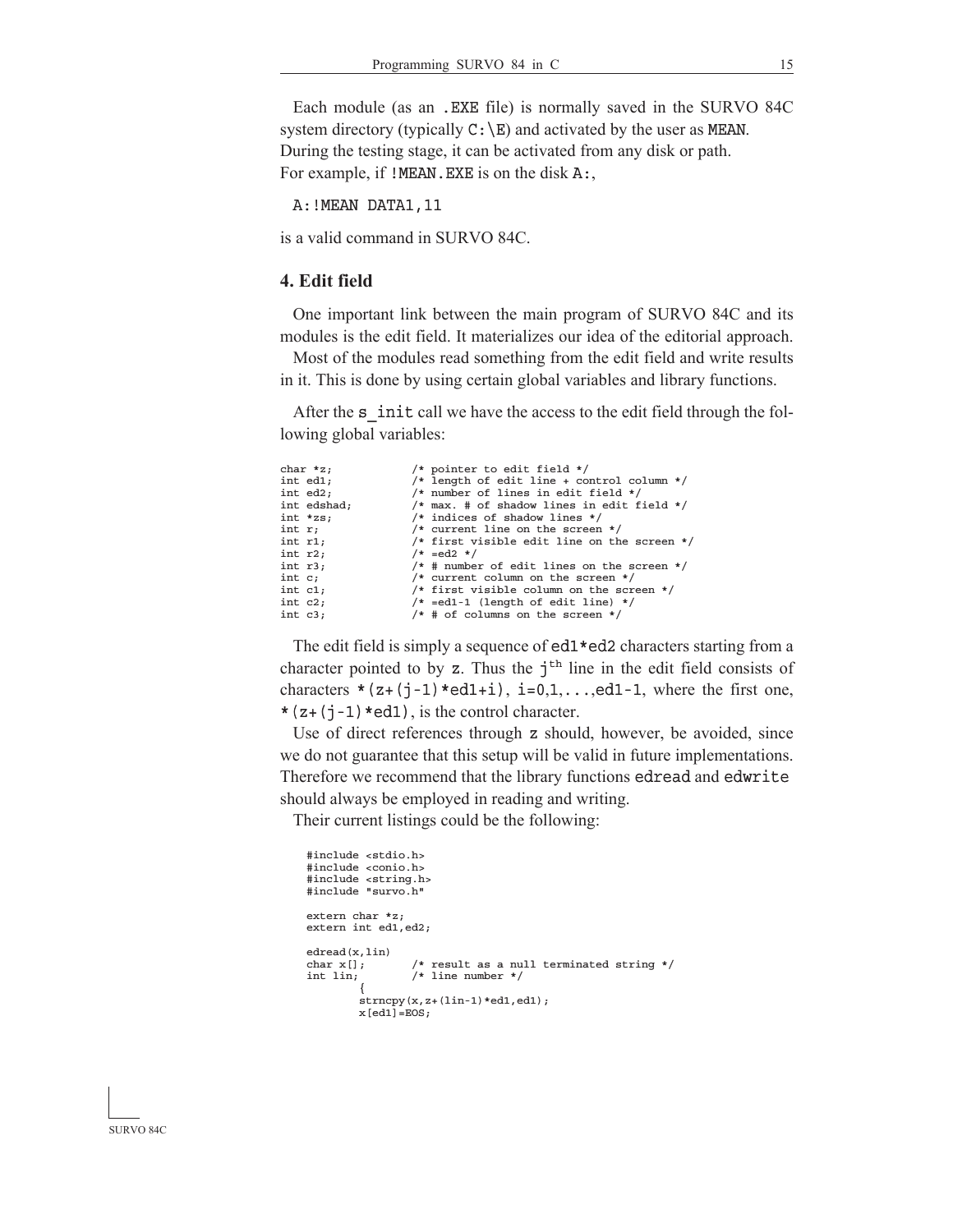Each module (as an .EXE file) is normally saved in the SURVO 84C system directory (typically  $C:\E)$  and activated by the user as MEAN. During the testing stage, it can be activated from any disk or path. For example, if  $!MEAN.EXE$  is on the disk A:,

A: ! MEAN DATA1, 11

is a valid command in SURVO 84C.

### **4. Edit field**

 One important link between the main program of SURVO 84C and its modules is the edit field. It materializes our idea of the editorial approach.

 Most of the modules read something from the edit field and write results in it. This is done by using certain global variables and library functions.

After the s\_init call we have the access to the edit field through the following global variables:

| char $x$ ;  | /* pointer to edit field */                    |
|-------------|------------------------------------------------|
| int ed1;    | /* length of edit line + control column */     |
| int ed2;    | /* number of lines in edit field */            |
| int edshad; | $/*$ max. # of shadow lines in edit field */   |
| $int$ *zs;  | $/*$ indices of shadow lines $*/$              |
| int $r_i$   | $/*$ current line on the screen $*/$           |
| int $r1$ ;  | /* first visible edit line on the screen $*/$  |
| int $r2$ ;  | $/* = ed2 */$                                  |
| int r3;     | $/*$ # number of edit lines on the screen $*/$ |
| int $c_i$   | $/*$ current column on the screen $*/$         |
| int $c1$ ;  | /* first visible column on the screen $*/$     |
| int $c2;$   | $/* = ed1-1$ (length of edit line) */          |
| int $c3$ ;  | $/*$ # of columns on the screen $*/$           |

 The edit field is simply a sequence of ed1\*ed2 characters starting from a character pointed to by z. Thus the  $j<sup>th</sup>$  line in the edit field consists of characters  $*(z+(j-1)*ed1+i), i=0,1,...,ed1-1,$  where the first one,  $*(z+(\iota-1)*ed1)$ , is the control character.

 Use of direct references through z should, however, be avoided, since we do not guarantee that this setup will be valid in future implementations. Therefore we recommend that the library functions edread and edwrite should always be employed in reading and writing.

Their current listings could be the following:

```
 #include <stdio.h>
     #include <conio.h>
 #include <string.h>
 #include "survo.h"
     extern char *z;
     extern int ed1,ed2;
    edread(x, lin)<br>char x[];
    char x[]; \qquad /* result as a null terminated string */ int lin; \qquad /* line number */
                        /* line number */\{strncpy(x,z+(lin-1)*ed1,ed1);
              x[ed1]=EOS;
```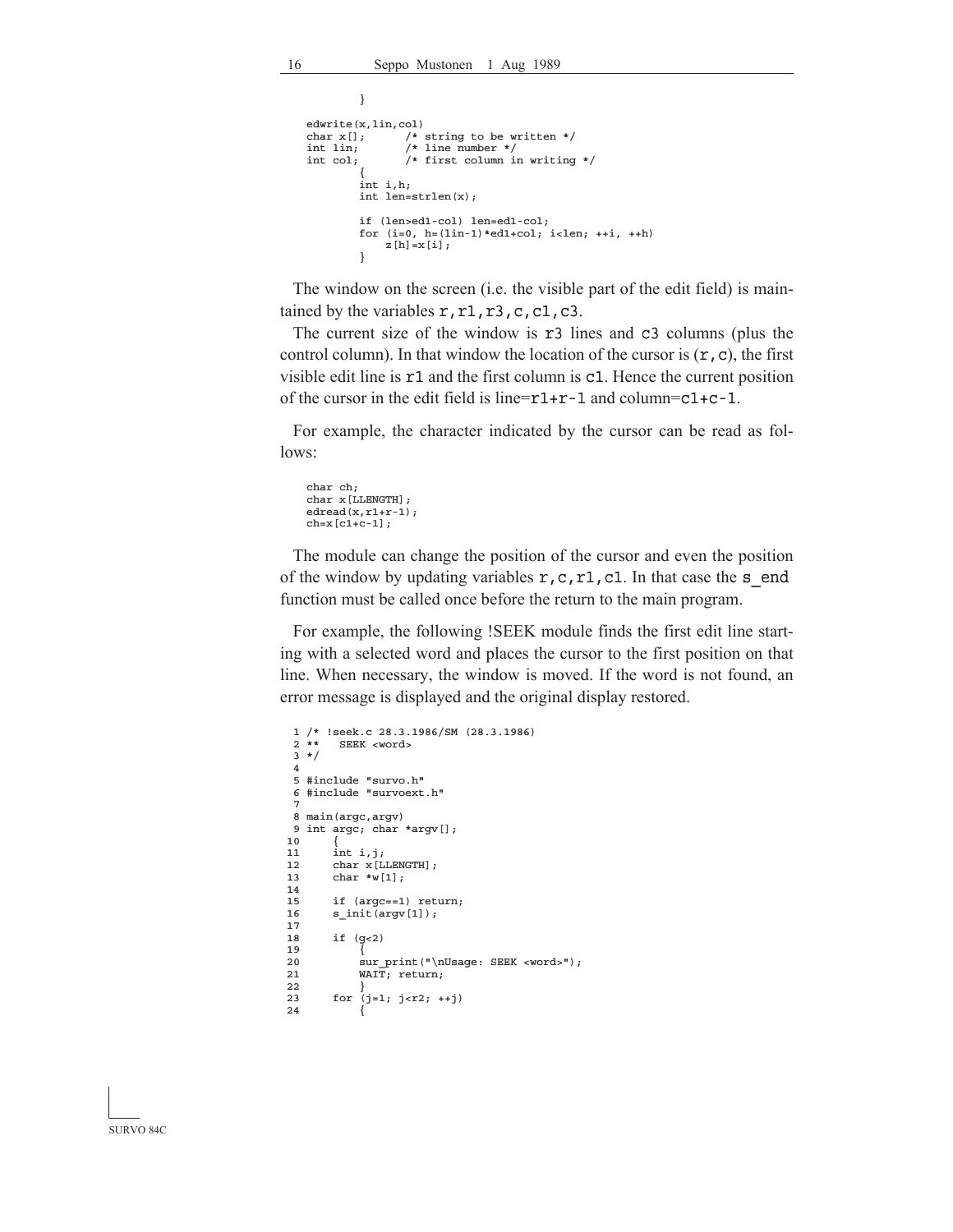```
 }
    edwrite(x, \text{lin}, \text{col})<br>char x[]; /*
    char x[]; \frac{1}{x} string to be written */<br>int lin; \frac{1}{x} line number */
    int lin; /* line number */<br>int col; /* first column i
                      /* first column in writing */
 {
               int i,h;
               int len=strlen(x);
               if (len>ed1-col) len=ed1-col;
              for (i=0, h=(lin-1)*ed1+col; i<len; ++i, ++h)z[h]=x[i]; }
```
 The window on the screen (i.e. the visible part of the edit field) is maintained by the variables  $r, r1, r3, c, c1, c3$ .

The current size of the window is r3 lines and c3 columns (plus the control column). In that window the location of the cursor is  $(\mathbf{r}, \mathbf{c})$ , the first visible edit line is r1 and the first column is c1. Hence the current position of the cursor in the edit field is line= $r1+r-1$  and column= $c1+c-1$ .

 For example, the character indicated by the cursor can be read as follows:

```
 char ch;
 char x[LLENGTH];
edread(x,r1+r-1);
ch=x[cl+c-1];
```
 The module can change the position of the cursor and even the position of the window by updating variables  $r, c, r1, c1$ . In that case the s end function must be called once before the return to the main program.

 For example, the following !SEEK module finds the first edit line starting with a selected word and places the cursor to the first position on that line. When necessary, the window is moved. If the word is not found, an error message is displayed and the original display restored.

```
 1 /* !seek.c 28.3.1986/SM (28.3.1986)
        SEEK <word>
  3 */
 4
  5 #include "survo.h"
  6 #include "survoext.h"
 7
  8 main(argc,argv)
  9 int argc; char *argv[];
10<br>1111 int i, j;<br>12 char x[L]{\tt char} x [LLENGTH] ;
 13 char *w[1];
 14
 15 if (argc==1) return;
 16 s_init(argv[1]);
 17
 18 if (g<2)
 19 {
20 sur_print("\nUsage: SEEK <word>");<br>21 WAIT: return:
             WAIT; return;
\frac{22}{23}for (j=1; j<r2; ++j) 24 {
```
SURVO 84C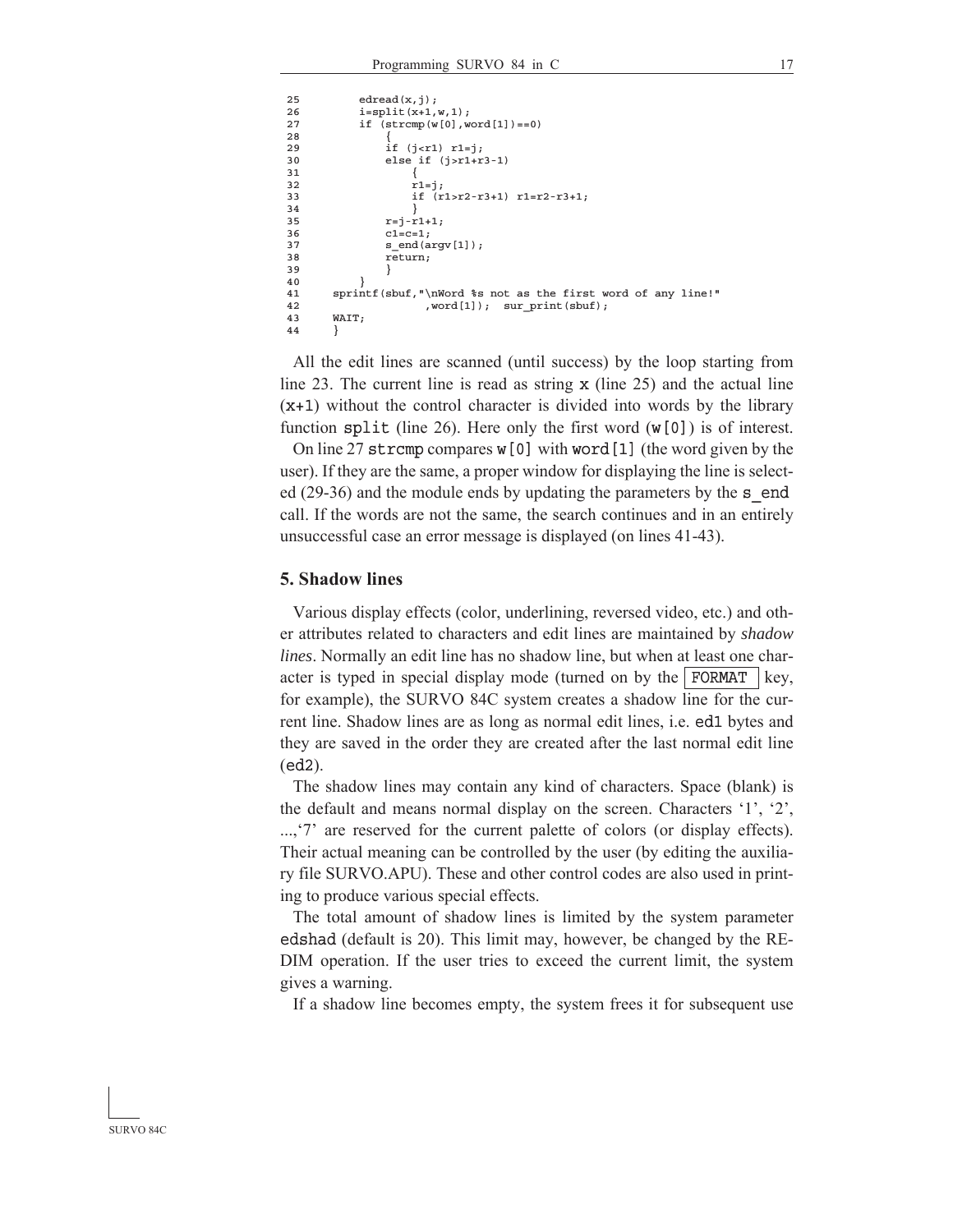```
25 edread(x, j);
26 i=split(x+1,w,1);<br>27 if (strcm0 (w[0].w))if [strcmp(w[0],word[1]) == 0)\frac{28}{29}29 if (j < r1) r1 = j;<br>30 else if (j > r1+r)30 else if (j > r1 + r3 - 1)<br>31 \{ 31 {
32 \quad \text{r1=}j;<br>33 \quad \text{if} \quad (\text{r}) 33 if (r1>r2-r3+1) r1=r2-r3+1;
34 }
35 r=j-r1+1;36 cl=c=1;<br>37 s end (a)
                s end(argv[1]);
 38 return;
 39 }
40 \hspace{1.5cm} \big\} 41 sprintf(sbuf,"\nWord %s not as the first word of any line!"
42 , word[1]); sur_print(sbuf);
 43 WAIT;
 44 }
```
 All the edit lines are scanned (until success) by the loop starting from line 23. The current line is read as string x (line 25) and the actual line  $(x+1)$  without the control character is divided into words by the library function split (line 26). Here only the first word (w[0]) is of interest.

 On line 27 strcmp compares w[0] with word[1] (the word given by the user). If they are the same, a proper window for displaying the line is selected (29-36) and the module ends by updating the parameters by the s end call. If the words are not the same, the search continues and in an entirely unsuccessful case an error message is displayed (on lines 41-43).

#### **5. Shadow lines**

 Various display effects (color, underlining, reversed video, etc.) and other attributes related to characters and edit lines are maintained by *shadow lines*. Normally an edit line has no shadow line, but when at least one character is typed in special display mode (turned on by the FORMAT | key, for example), the SURVO 84C system creates a shadow line for the current line. Shadow lines are as long as normal edit lines, i.e. ed1 bytes and they are saved in the order they are created after the last normal edit line (ed2).

 The shadow lines may contain any kind of characters. Space (blank) is the default and means normal display on the screen. Characters '1', '2', ...,'7' are reserved for the current palette of colors (or display effects). Their actual meaning can be controlled by the user (by editing the auxiliary file SURVO.APU). These and other control codes are also used in printing to produce various special effects.

 The total amount of shadow lines is limited by the system parameter edshad (default is 20). This limit may, however, be changed by the RE-DIM operation. If the user tries to exceed the current limit, the system gives a warning.

If a shadow line becomes empty, the system frees it for subsequent use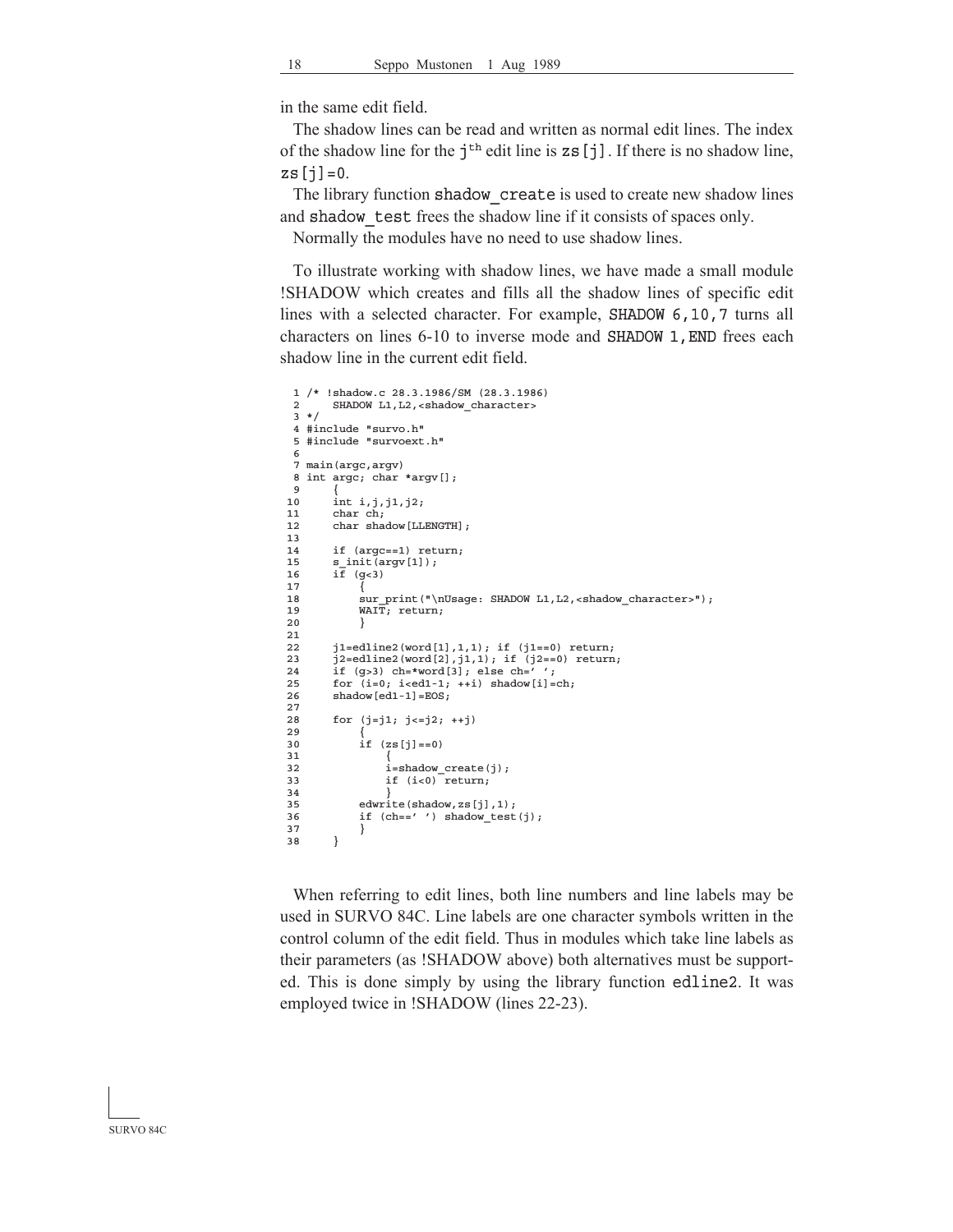in the same edit field.

 The shadow lines can be read and written as normal edit lines. The index of the shadow line for the  $\mathbf{i}^{\text{th}}$  edit line is  $\mathbf{z}$  s [j]. If there is no shadow line,  $zs[j]=0.$ 

The library function shadow create is used to create new shadow lines and shadow test frees the shadow line if it consists of spaces only.

Normally the modules have no need to use shadow lines.

 To illustrate working with shadow lines, we have made a small module !SHADOW which creates and fills all the shadow lines of specific edit lines with a selected character. For example, SHADOW 6,10,7 turns all characters on lines 6-10 to inverse mode and SHADOW 1,END frees each shadow line in the current edit field.

```
 1 /* !shadow.c 28.3.1986/SM (28.3.1986)
  2 SHADOW L1,L2,<shadow_character>
 \frac{1}{3} */
  4 #include "survo.h"
  5 #include "survoext.h"
 6
  7 main(argc,argv)
 8 int argc; char *argv[];
 \overline{9}10 int i, j, j1, j2;<br>11 char ch:
         char ch;
12 char shadow [LLENGTH];
 13
14 if (argc==1) return;<br>15 s init (argy[1]);
         s_init(argv[1]);
16 i\bar{f} (g<3)
17 \overline{\ }18 sur_print("\nUsage: SHADOW L1, L2, <shadow_character>");
 19 WAIT; return;
 20 }
\frac{21}{22}\verb|j1=edline2(word[1],1,1); if (j1==0) return;
23 j2=edline2(word[2],j1,1); if (j2==0) return;<br>24 if (g>3) ch=*word[3]; else ch='';
25 for (i=0; i < i+1; ++i) shadow[i] = ch;26 shadow \text{[ed1-1]} = \text{EOS}; 27
 28 for (j=j1; j<=j2; ++j)
\frac{29}{30}if (zs[j]=0) 31 {
32 i=shadow\_create(j);<br>33 if (i<0) return:if (i<0) return;
 34 }
              edwrite(shadow,zs[j],1);
36 if (ch=='') shadow_test(j);
\begin{array}{cc} 37 & & \text{ } \\ 38 & & \text{ } \end{array} 38 }
```
 When referring to edit lines, both line numbers and line labels may be used in SURVO 84C. Line labels are one character symbols written in the control column of the edit field. Thus in modules which take line labels as their parameters (as !SHADOW above) both alternatives must be supported. This is done simply by using the library function edline2. It was employed twice in !SHADOW (lines 22-23).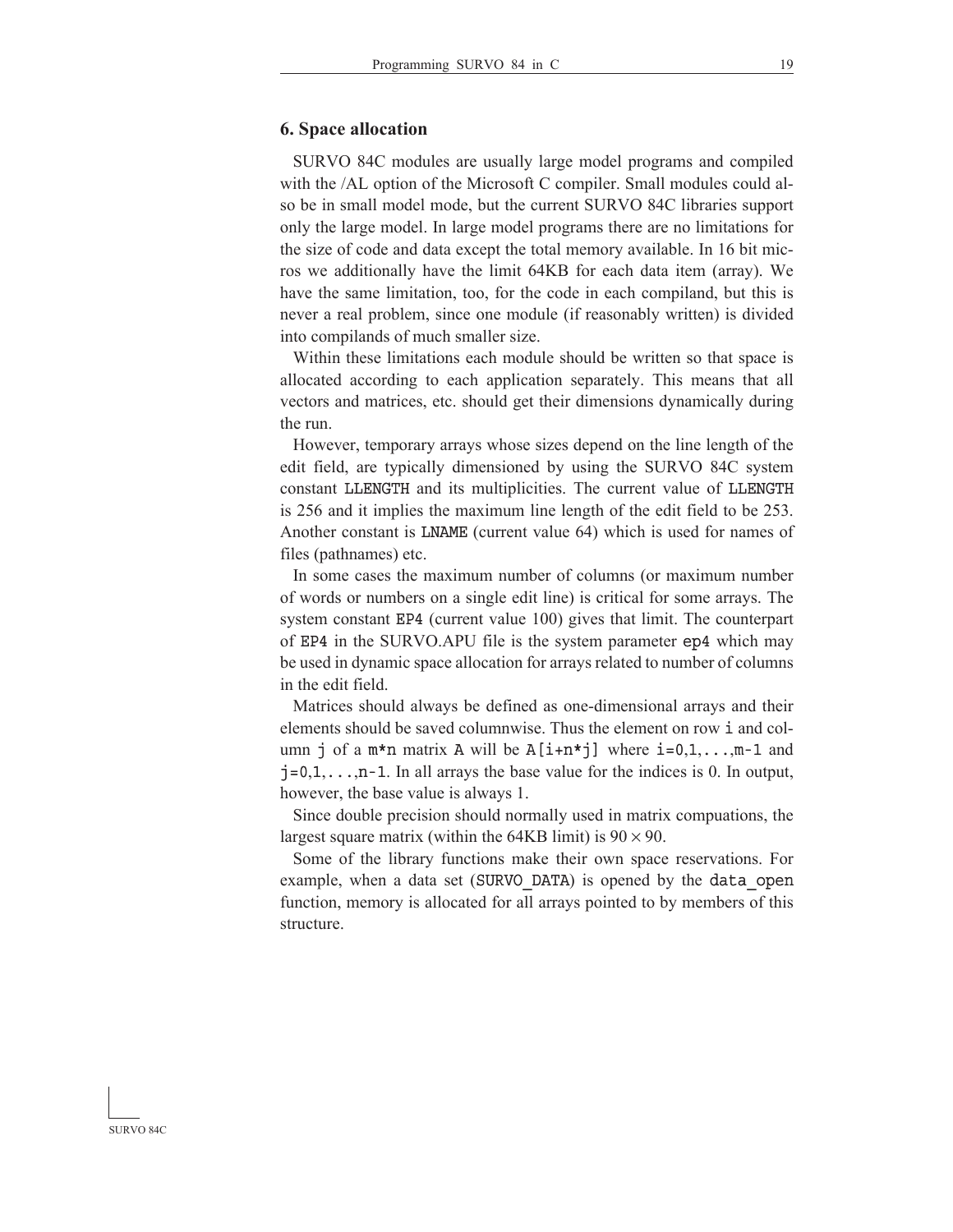### **6. Space allocation**

 SURVO 84C modules are usually large model programs and compiled with the /AL option of the Microsoft C compiler. Small modules could also be in small model mode, but the current SURVO 84C libraries support only the large model. In large model programs there are no limitations for the size of code and data except the total memory available. In 16 bit micros we additionally have the limit 64KB for each data item (array). We have the same limitation, too, for the code in each compiland, but this is never a real problem, since one module (if reasonably written) is divided into compilands of much smaller size.

 Within these limitations each module should be written so that space is allocated according to each application separately. This means that all vectors and matrices, etc. should get their dimensions dynamically during the run.

 However, temporary arrays whose sizes depend on the line length of the edit field, are typically dimensioned by using the SURVO 84C system constant LLENGTH and its multiplicities. The current value of LLENGTH is 256 and it implies the maximum line length of the edit field to be 253. Another constant is LNAME (current value 64) which is used for names of files (pathnames) etc.

 In some cases the maximum number of columns (or maximum number of words or numbers on a single edit line) is critical for some arrays. The system constant EP4 (current value 100) gives that limit. The counterpart of EP4 in the SURVO.APU file is the system parameter ep4 which may be used in dynamic space allocation for arrays related to number of columns in the edit field.

 Matrices should always be defined as one-dimensional arrays and their elements should be saved columnwise. Thus the element on row i and column j of a m<sup>\*</sup>n matrix A will be  $A[i+n*]$  where  $i=0,1,\ldots,m-1$  and  $j=0,1,\ldots,n-1$ . In all arrays the base value for the indices is 0. In output, however, the base value is always 1.

 Since double precision should normally used in matrix compuations, the largest square matrix (within the 64KB limit) is  $90 \times 90$ .

 Some of the library functions make their own space reservations. For example, when a data set (SURVO DATA) is opened by the data open function, memory is allocated for all arrays pointed to by members of this structure.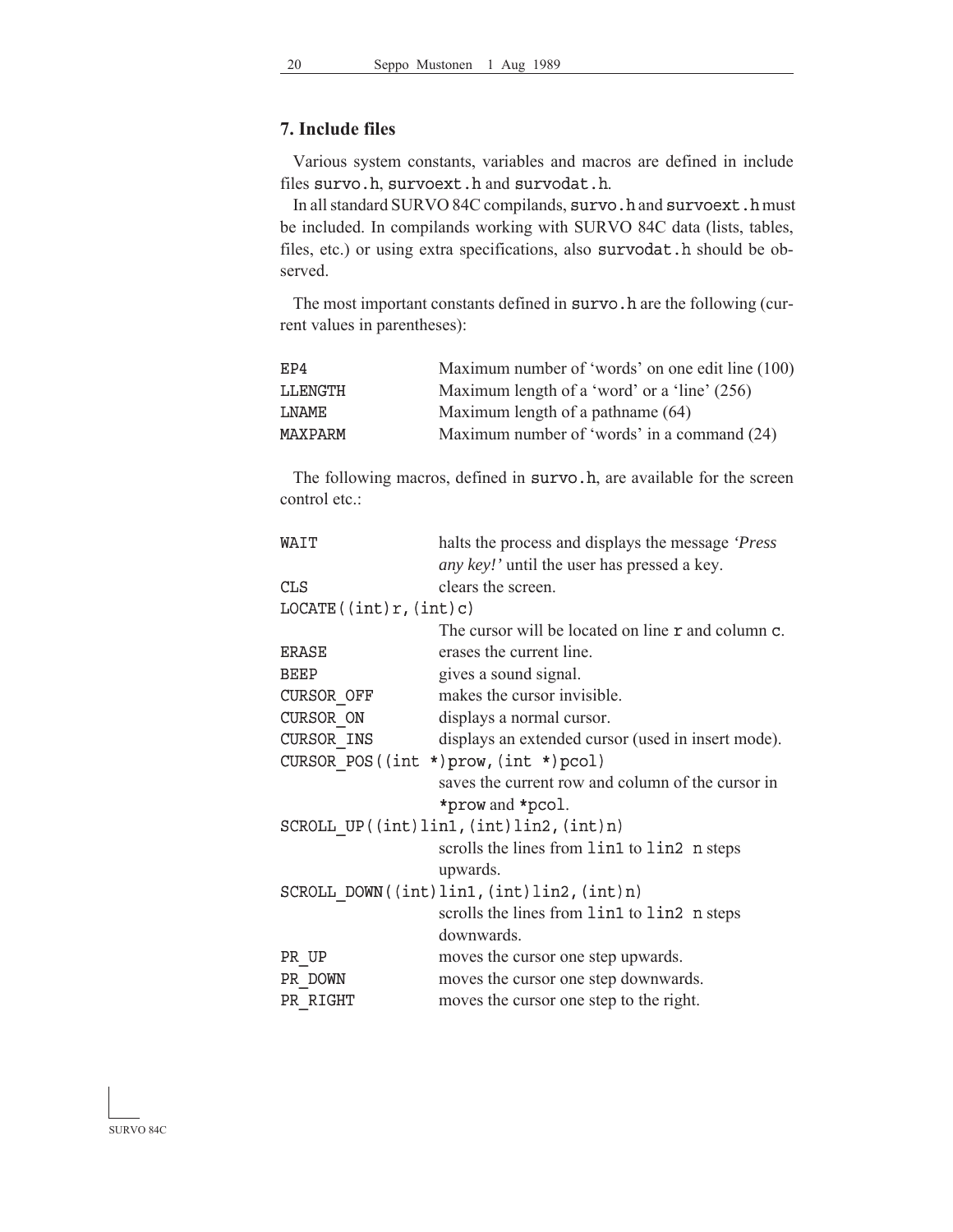### **7. Include files**

 Various system constants, variables and macros are defined in include files survo.h, survoext.h and survodat.h.

In all standard SURVO 84C compilands, survo.h and survoext.h must be included. In compilands working with SURVO 84C data (lists, tables, files, etc.) or using extra specifications, also survodat.h should be observed.

The most important constants defined in survo.h are the following (current values in parentheses):

| EP4            | Maximum number of 'words' on one edit line (100) |
|----------------|--------------------------------------------------|
| LLENGTH        | Maximum length of a 'word' or a 'line' (256)     |
| <b>T.NAMF</b>  | Maximum length of a pathname (64)                |
| <b>MAXPARM</b> | Maximum number of 'words' in a command (24)      |

The following macros, defined in survo.h, are available for the screen control etc.:

| WAIT                   | halts the process and displays the message 'Press'  |
|------------------------|-----------------------------------------------------|
|                        | <i>any key!</i> ' until the user has pressed a key. |
| CLS                    | clears the screen.                                  |
| LOCALE((int)r, (int)c) |                                                     |
|                        | The cursor will be located on line r and column c.  |
| ERASE                  | erases the current line.                            |
| BEEP                   | gives a sound signal.                               |
| CURSOR OFF             | makes the cursor invisible.                         |
| CURSOR ON              | displays a normal cursor.                           |
| CURSOR INS             | displays an extended cursor (used in insert mode).  |
|                        | CURSOR POS((int $*)$ prow, (int $*)$ pcol)          |
|                        | saves the current row and column of the cursor in   |
|                        | *prow and *pcol.                                    |
|                        | $SCROLL UP((int)lin1, (int)lin2, (int) n)$          |
|                        | scrolls the lines from lin1 to lin2 n steps         |
|                        | upwards.                                            |
|                        | SCROLL DOWN((int)lin1,(int)lin2,(int)n)             |
|                        | scrolls the lines from lin1 to lin2 n steps         |
|                        | downwards.                                          |
| PR UP                  | moves the cursor one step upwards.                  |
| PR DOWN                | moves the cursor one step downwards.                |
| PR RIGHT               | moves the cursor one step to the right.             |

SURVO 84C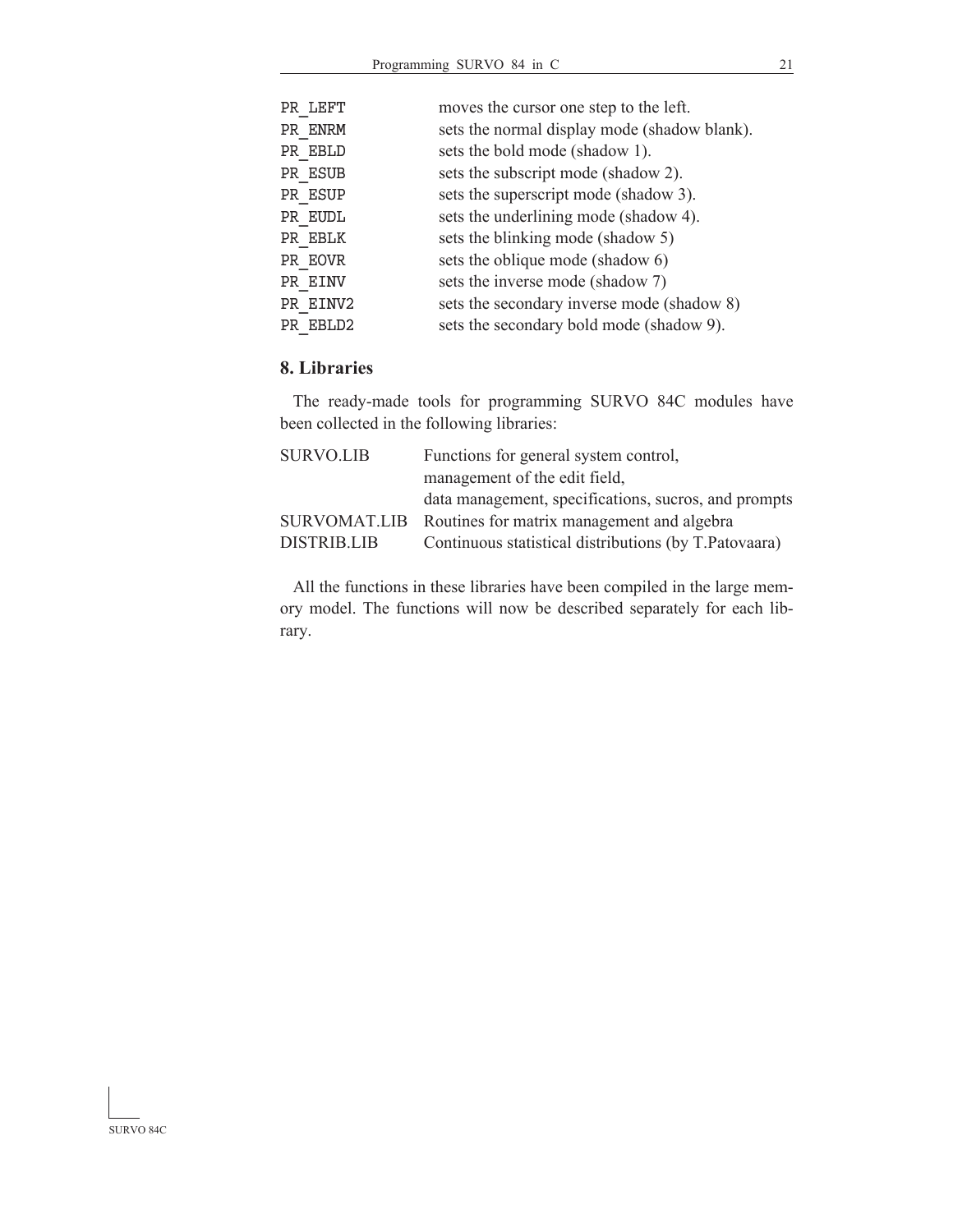| PR LEFT  | moves the cursor one step to the left.       |
|----------|----------------------------------------------|
| PR ENRM  | sets the normal display mode (shadow blank). |
| PR EBLD  | sets the bold mode (shadow 1).               |
| PR ESUB  | sets the subscript mode (shadow 2).          |
| PR ESUP  | sets the superscript mode (shadow 3).        |
| PR EUDL  | sets the underlining mode (shadow 4).        |
| PR EBLK  | sets the blinking mode (shadow 5)            |
| PR EOVR  | sets the oblique mode (shadow 6)             |
| PR EINV  | sets the inverse mode (shadow 7)             |
| PR EINV2 | sets the secondary inverse mode (shadow 8)   |
| PR EBLD2 | sets the secondary bold mode (shadow 9).     |
|          |                                              |

### **8. Libraries**

 The ready-made tools for programming SURVO 84C modules have been collected in the following libraries:

| SURVO.LIB   | Functions for general system control,                   |
|-------------|---------------------------------------------------------|
|             | management of the edit field,                           |
|             | data management, specifications, sucros, and prompts    |
|             | SURVOMAT.LIB Routines for matrix management and algebra |
| DISTRIB.LIB | Continuous statistical distributions (by T.Patovaara)   |

 All the functions in these libraries have been compiled in the large memory model. The functions will now be described separately for each library.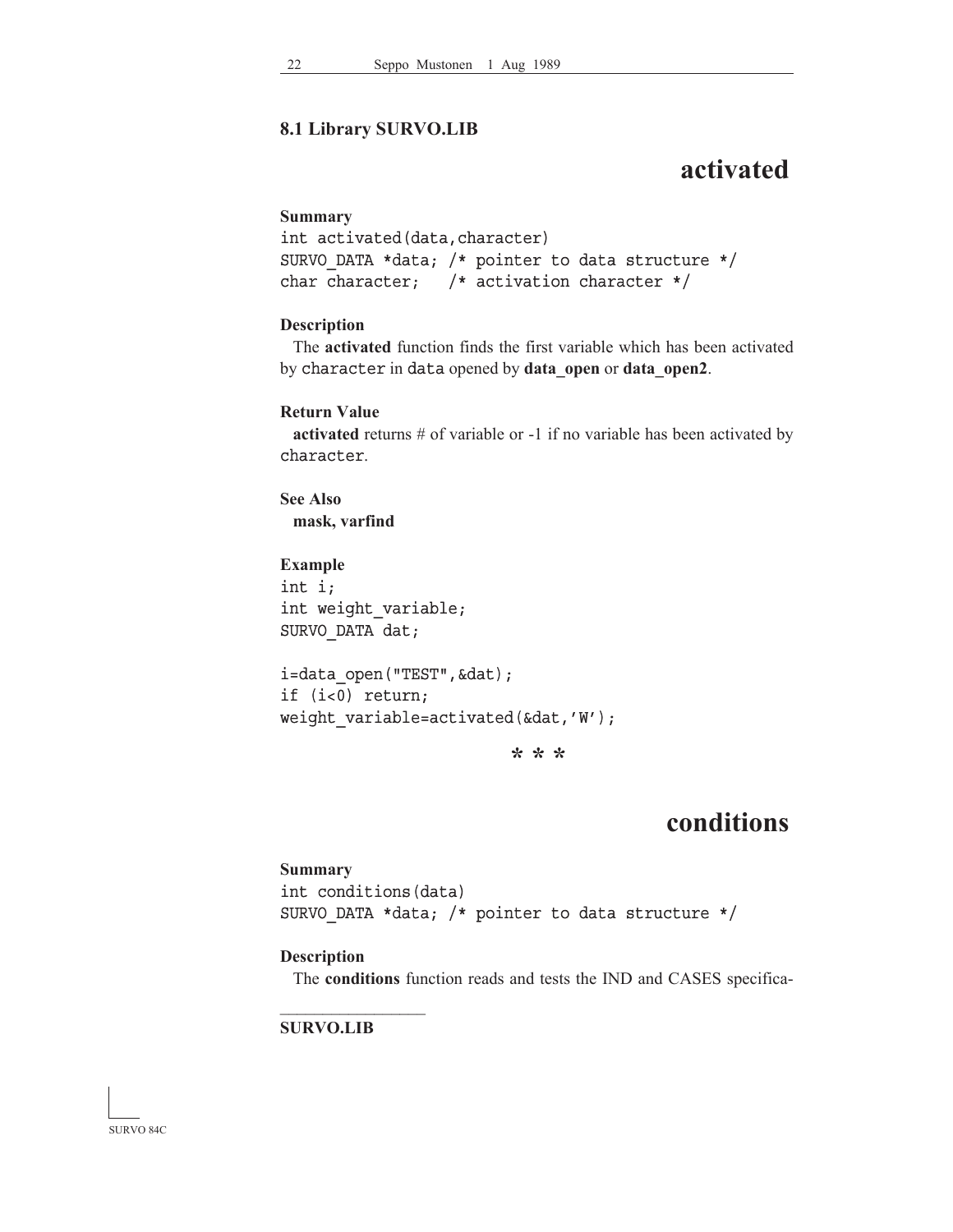### **8.1 Library SURVO.LIB**

# **activated**

#### **Summary**

```
int activated(data,character)
SURVO_DATA *data; /* pointer to data structure */
char character; /* activation character */
```
### **Description**

 The **activated** function finds the first variable which has been activated by character in data opened by data open or data open2.

### **Return Value**

**activated** returns # of variable or -1 if no variable has been activated by character.

**See Also mask, varfind**

**Example** int i; int weight variable; SURVO\_DATA dat;

```
i=data open("TEST", &dat);
if (i<0) return;
weight_variable=activated(&dat,'W');
```
**\* \* \***

# **conditions**

```
Summary
int conditions(data)
SURVO_DATA *data; /* pointer to data structure */
```
### **Description**

The **conditions** function reads and tests the IND and CASES specifica-

### **SURVO.LIB**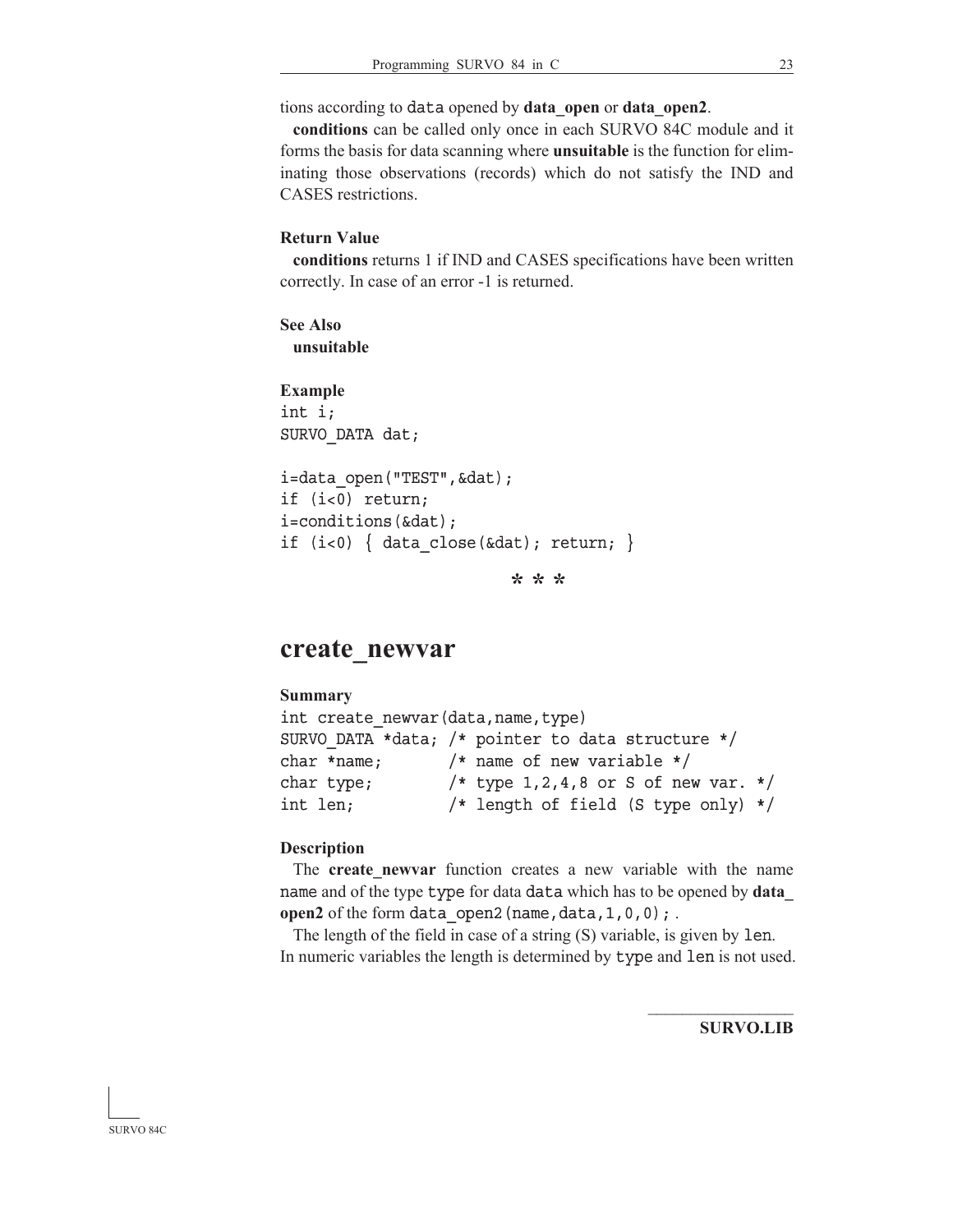tions according to data opened by **data\_open** or **data\_open2**.

**conditions** can be called only once in each SURVO 84C module and it forms the basis for data scanning where **unsuitable** is the function for eliminating those observations (records) which do not satisfy the IND and CASES restrictions.

#### **Return Value**

**conditions** returns 1 if IND and CASES specifications have been written correctly. In case of an error -1 is returned.

**See Also unsuitable**

**Example** int i; SURVO\_DATA dat;

i=data open("TEST", &dat); if (i<0) return; i=conditions(&dat); if (i<0) { data close(&dat); return; }

**\* \* \***

## **create\_newvar**

#### **Summary**

```
int create_newvar(data,name,type)
SURVO_DATA *data; /* pointer to data structure */
char *name; /* name of new variable */
char type; /* type 1,2,4,8 or S of new var. */int len; /* length of field (S type only) */
```
#### **Description**

The **create newvar** function creates a new variable with the name name and of the type type for data data which has to be opened by **data\_ open2** of the form data open2 (name, data, 1, 0, 0); .

 The length of the field in case of a string (S) variable, is given by len. In numeric variables the length is determined by type and len is not used.

**SURVO.LIB**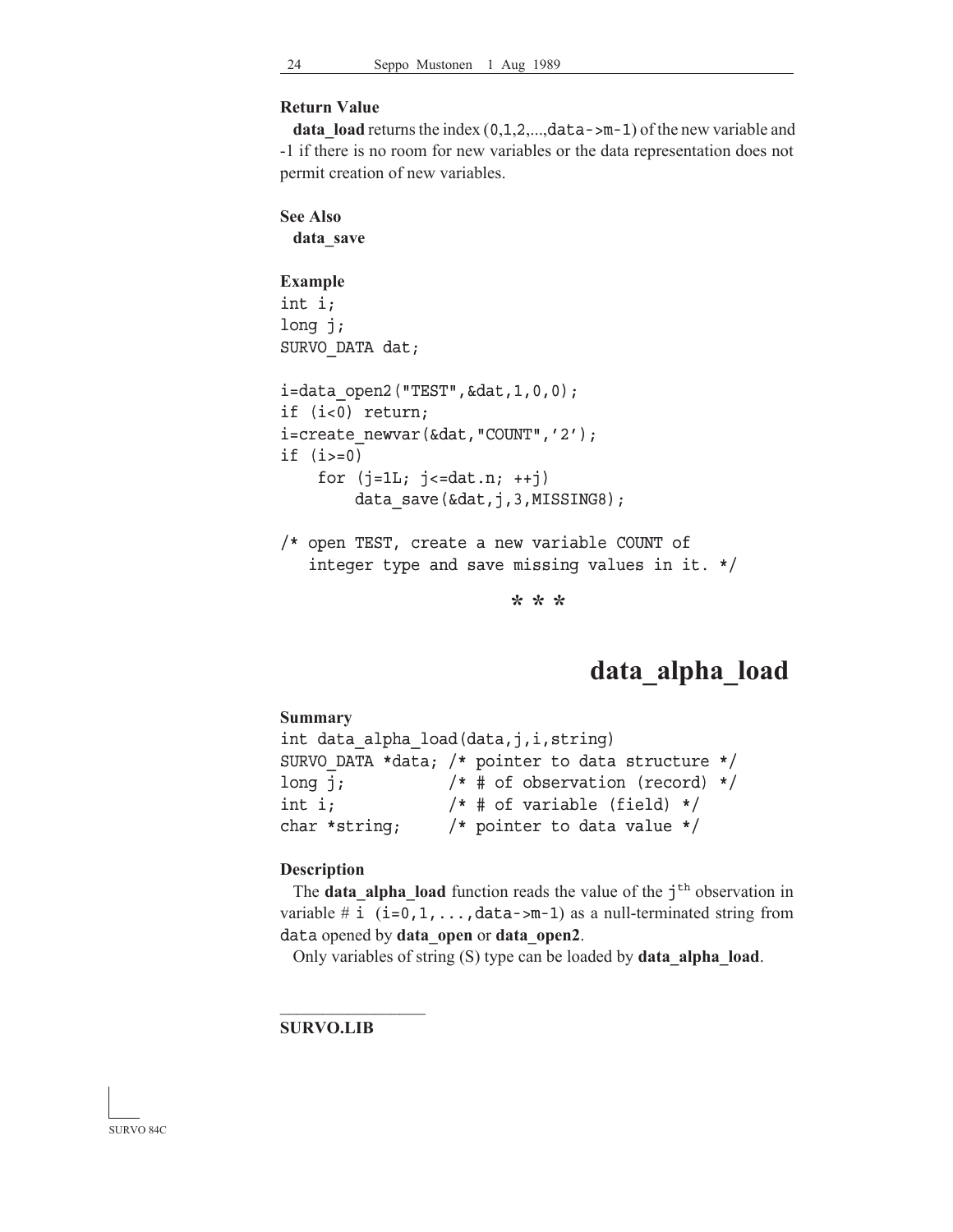### **Return Value**

**data\_load** returns the index  $(0,1,2,...,data-\mu-1)$  of the new variable and -1 if there is no room for new variables or the data representation does not permit creation of new variables.

```
See Also
 data_save
Example
int i;
long j;
SURVO_DATA dat;
i=data_open2("TEST",&dat,1,0,0);
if (i<0) return;
i=create_newvar(&dat,"COUNT",'2');
if (i>=0)for (j=1L; j<=dat.n; ++j)data save(&dat,j,3,MISSING8);
/* open TEST, create a new variable COUNT of
    integer type and save missing values in it. */
```
**\* \* \***

# **data\_alpha\_load**

```
Summary
int data_alpha_load(data,j,i,string)
SURVO_DATA *data; /* pointer to data structure */
long j; /* # of observation (record) */int i; /* # of variable (field) */char *string; /* pointer to data value */
```
#### **Description**

The **data alpha load** function reads the value of the  $j<sup>th</sup>$  observation in variable # i  $(i=0,1,\ldots,d$ ata->m-1) as a null-terminated string from data opened by **data\_open** or **data\_open2**.

Only variables of string (S) type can be loaded by **data\_alpha\_load**.

### **SURVO.LIB**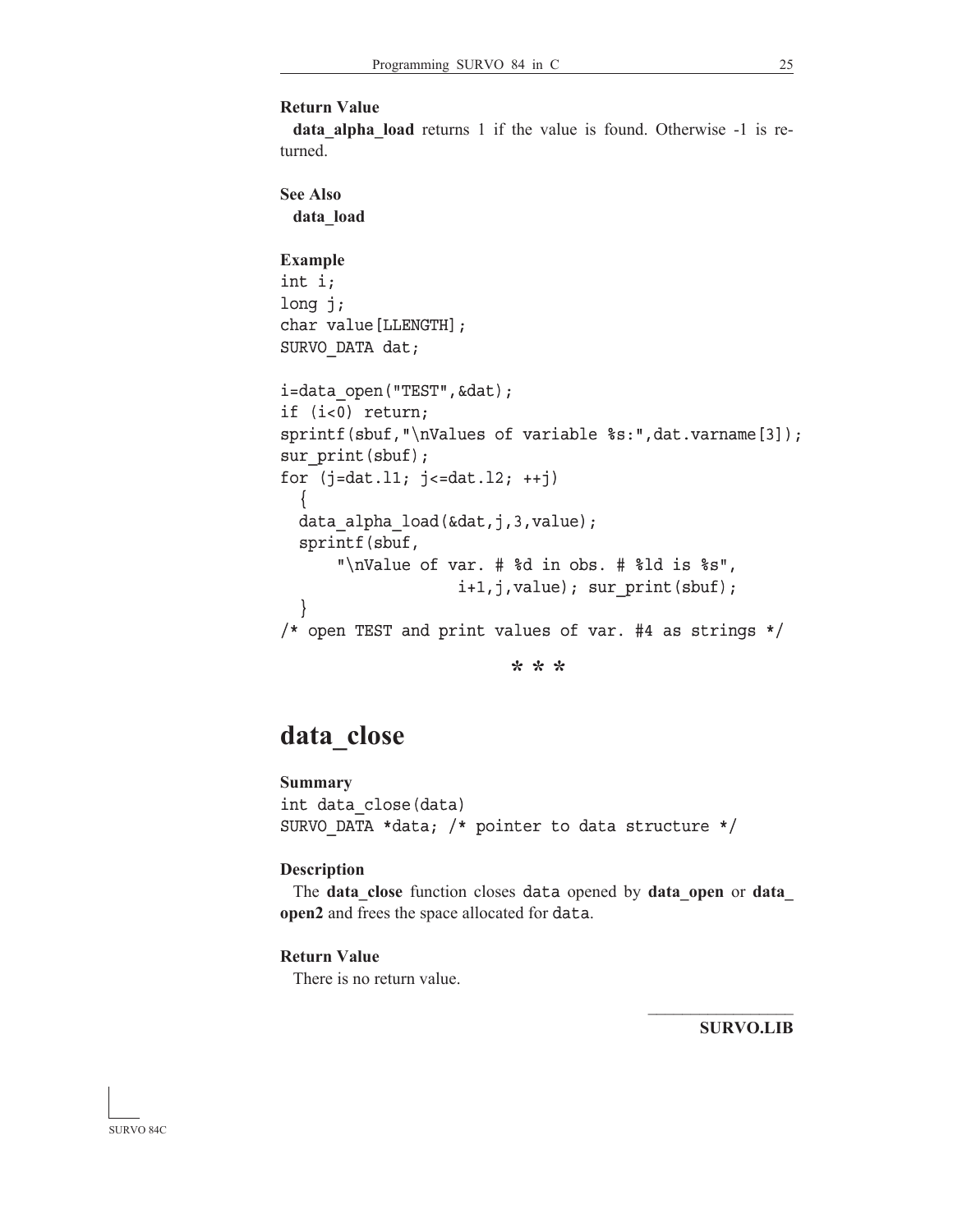```
Return Value
```
**data\_alpha\_load** returns 1 if the value is found. Otherwise -1 is returned.

```
See Also
 data_load
Example
int i;
long j;
char value[LLENGTH];
SURVO_DATA dat;
i=data_open("TEST",&dat);
if (i<0) return;
sprintf(sbuf,"\nValues of variable %s:",dat.varname[3]);
sur print(sbuf);
for (j=dat.11; j<=dat.12; ++j) {
 data alpha load(&dat,j,3,value);
   sprintf(sbuf,
       "\nValue of var. # %d in obs. # %ld is %s",
                    i+1,j,value); sur_print(sbuf);
   }
/* open TEST and print values of var. #4 as strings */
```
**\* \* \***

# **data\_close**

**Summary** int data\_close(data) SURVO\_DATA \*data; /\* pointer to data structure \*/

### **Description**

 The **data\_close** function closes data opened by **data\_open** or **data\_ open2** and frees the space allocated for data.

### **Return Value**

There is no return value.

**SURVO.LIB**

 $\mathcal{L}_\text{max}$ 

SURVO 84C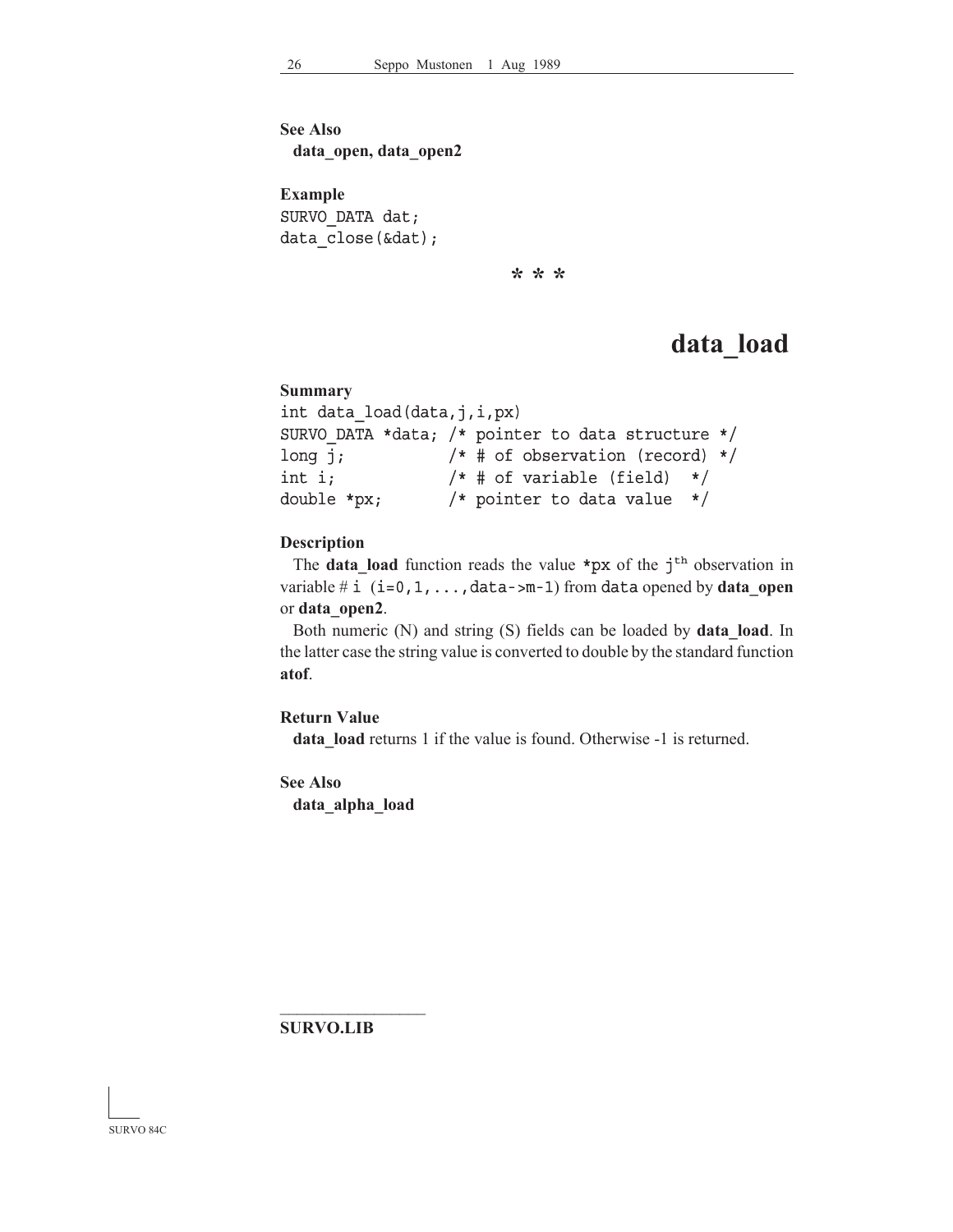**See Also data\_open, data\_open2**

**Example** SURVO\_DATA dat; data close(&dat);

**\* \* \***

# **data\_load**

```
Summary
int data_load(data,j,i,px)
SURVO_DATA *data; /* pointer to data structure */
long j; /* # of observation (record) */
int i; /* # of variable (field) */double *px; /* pointer to data value */
```
### **Description**

The **data** load function reads the value \*px of the  $j<sup>th</sup>$  observation in variable  $\#$  i  $(i=0,1,\ldots,d$ ata->m-1) from data opened by **data\_open** or **data\_open2**.

 Both numeric (N) and string (S) fields can be loaded by **data\_load**. In the latter case the string value is converted to double by the standard function **atof**.

### **Return Value**

data load returns 1 if the value is found. Otherwise -1 is returned.

**See Also data\_alpha\_load**

**SURVO.LIB**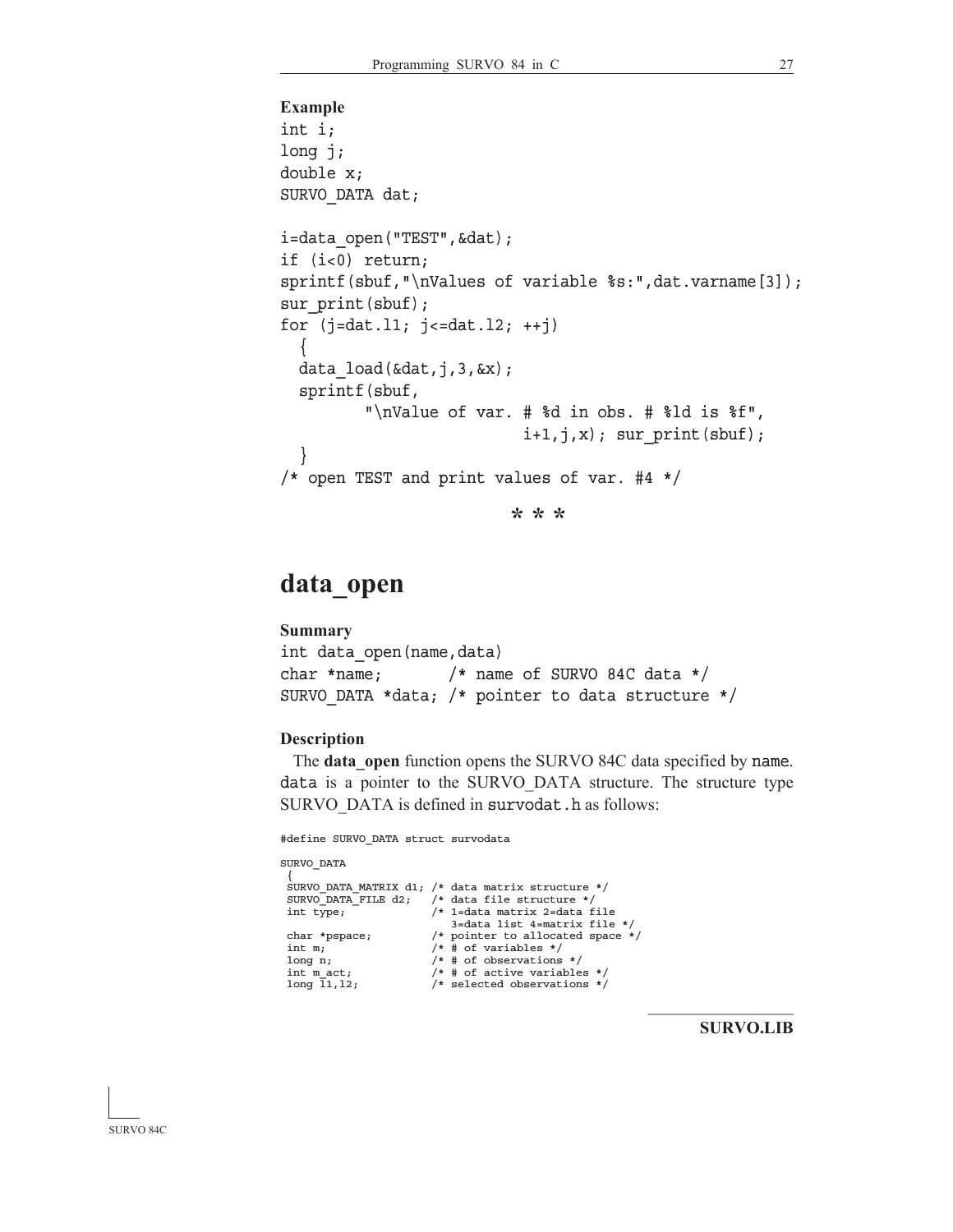```
Example
int i;
long j;
double x;
SURVO_DATA dat;
i=data open("TEST", &dat);
if (i<0) return;
sprintf(sbuf,"\nValues of variable %s:",dat.varname[3]);
sur print(sbuf);
for (j=dat.11; j<=dat.12; ++j)\left\{\right\}data load(\&dat,j,3,\&x); sprintf(sbuf,
          "\nValue of var. # %d in obs. # %ld is %f",
                           i+1,j,x; sur print(sbuf);
 }
/* open TEST and print values of var. #4 */
                          * * *
```
**data\_open**

```
Summary
int data_open(name,data)
char *name; /* name of SURVO 84C data */
SURVO_DATA *data; /* pointer to data structure */
```
### **Description**

The **data** open function opens the SURVO 84C data specified by name. data is a pointer to the SURVO\_DATA structure. The structure type SURVO DATA is defined in survodat.h as follows:

#define SURVO\_DATA struct survodata

```
SURVO_DATA
 {
 SURVO_DATA_MATRIX d1; /* data matrix structure */
 SURVO_DATA_FILE d2; /* data file structure */<br>int type; /* 1=data matrix 2=data f
                                     /* 1=data matrix 2=data file
 3=data list 4=matrix file *<br>char *pspace; \overline{\phantom{a}} /* pointer to allocated space
 char *pspace; <br> /* pointer to allocated space */ <br> int m; <br> /* # of variables */ <br> /
 int m; \begin{array}{ccc} \n\text{int m} \\
\text{long n} \\
\end{array} /* \# \text{ of variables } *//* # of observations */int m_act; \begin{array}{ccc} \n\text{int m act}; \\
\text{long 11,12;} \\
\end{array} /* selected observations */
```
**SURVO.LIB**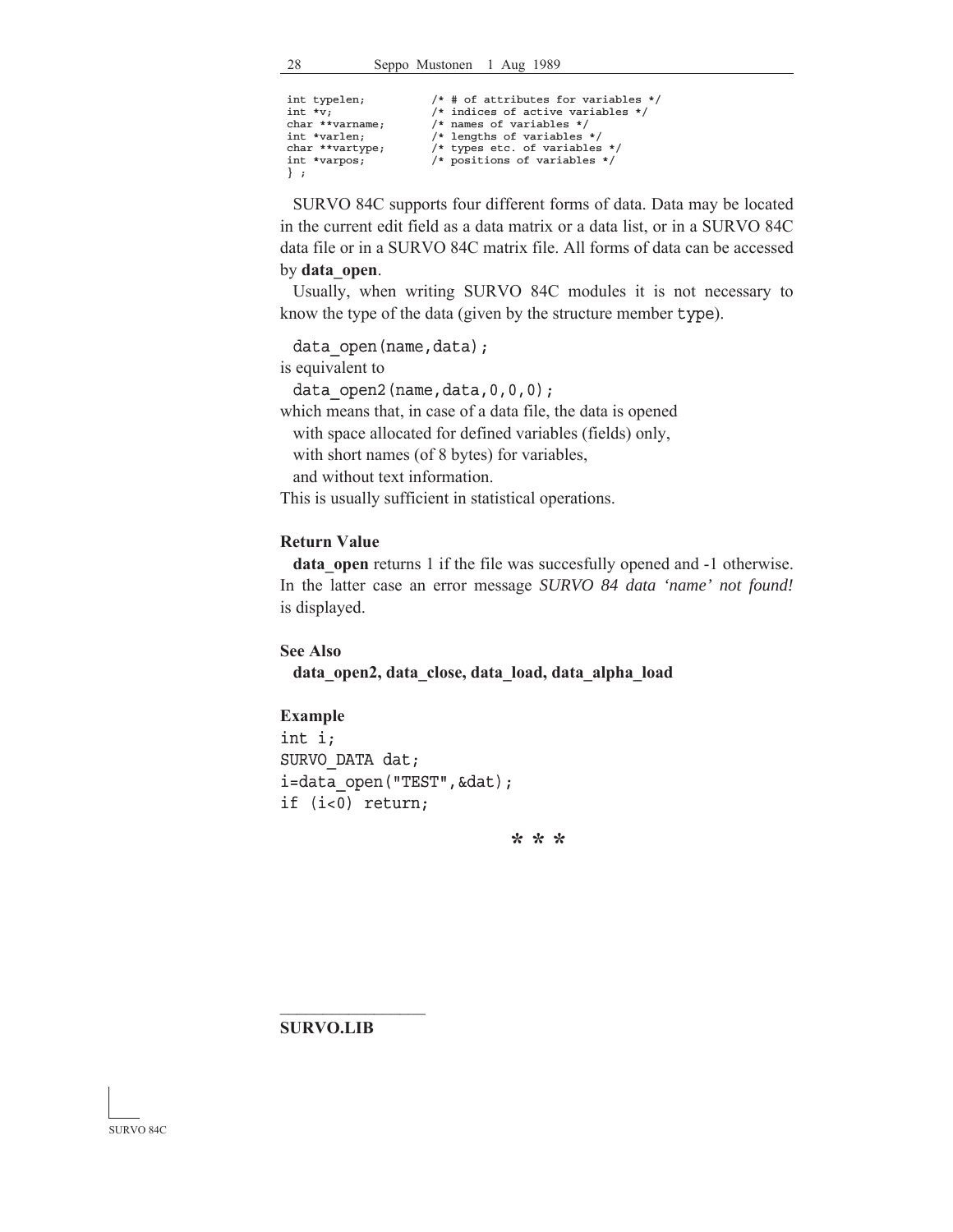```
int typelen; \begin{array}{ll} \n/ * \# \text{ of attributes for variables } */\n\text{int} *v; \n\end{array}<br>
\begin{array}{ll} \n/ * \text{ indices of active variables } */\n\end{array}/* indices of active variables */char **varname; x^2 /* names of variables */<br>int *varlen; x^2 /* lengths of variables
int *varlen; \begin{array}{ccc} \n\text{int} & \text{*valens} & \text{*} \\
\text{char} & \text{*valtype} & \text{*upes} & \text{etc.} & \text{of} & \text{variables}\n\end{array}char **vartype; \overline{\phantom{a}} /* types etc. of variables */<br>int *varpos; \overline{\phantom{a}} /* positions of variables */
                                                      /* positions of variables */
 } ;
```
 SURVO 84C supports four different forms of data. Data may be located in the current edit field as a data matrix or a data list, or in a SURVO 84C data file or in a SURVO 84C matrix file. All forms of data can be accessed by **data\_open**.

 Usually, when writing SURVO 84C modules it is not necessary to know the type of the data (given by the structure member type).

data open(name,data);

is equivalent to

data open2(name,data,0,0,0);

which means that, in case of a data file, the data is opened with space allocated for defined variables (fields) only, with short names (of 8 bytes) for variables,

and without text information.

This is usually sufficient in statistical operations.

### **Return Value**

**data** open returns 1 if the file was succesfully opened and -1 otherwise. In the latter case an error message *SURVO 84 data 'name' not found!* is displayed.

**See Also**

**data\_open2, data\_close, data\_load, data\_alpha\_load**

### **Example**

int i; SURVO\_DATA dat; i=data open("TEST", &dat); if (i<0) return;

**\* \* \***

#### **SURVO.LIB**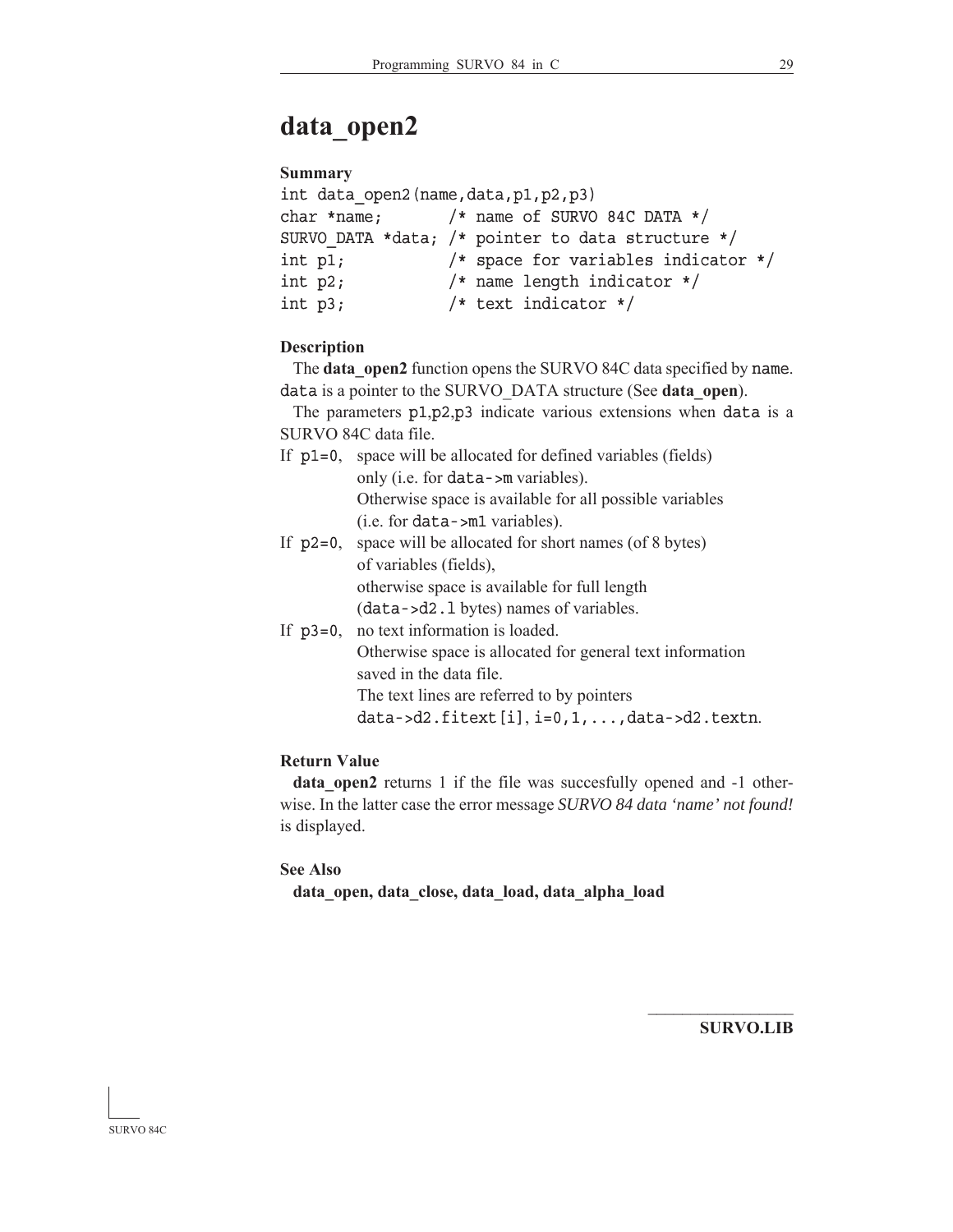# **data\_open2**

### **Summary**

| int data open2 (name, data, p1, p2, p3) |                                                   |  |
|-----------------------------------------|---------------------------------------------------|--|
| char *name;                             | $/*$ name of SURVO 84C DATA $*/$                  |  |
|                                         | SURVO DATA *data; /* pointer to data structure */ |  |
| int $p1$ ;                              | /* space for variables indicator $*/$             |  |
| int $p2;$                               | /* name length indicator $*/$                     |  |
| int $p3;$                               | /* text indicator $*/$                            |  |

### **Description**

The **data** open2 function opens the SURVO 84C data specified by name. data is a pointer to the SURVO\_DATA structure (See **data\_open**).

 The parameters p1,p2,p3 indicate various extensions when data is a SURVO 84C data file.

- If  $p1=0$ , space will be allocated for defined variables (fields) only (i.e. for data->m variables). Otherwise space is available for all possible variables  $(i.e. for data  $\text{min}$  variables).$ If  $p2=0$ , space will be allocated for short names (of 8 bytes)
	- of variables (fields), otherwise space is available for full length  $(data - > d2.1 bytes)$  names of variables.
- If  $p3=0$ , no text information is loaded. Otherwise space is allocated for general text information saved in the data file. The text lines are referred to by pointers data->d2.fitext $[i], i=0,1,\ldots$ ,data->d2.textn.

### **Return Value**

**data\_open2** returns 1 if the file was succesfully opened and -1 otherwise. In the latter case the error message *SURVO 84 data 'name' not found!* is displayed.

### **See Also**

**data\_open, data\_close, data\_load, data\_alpha\_load**

**SURVO.LIB**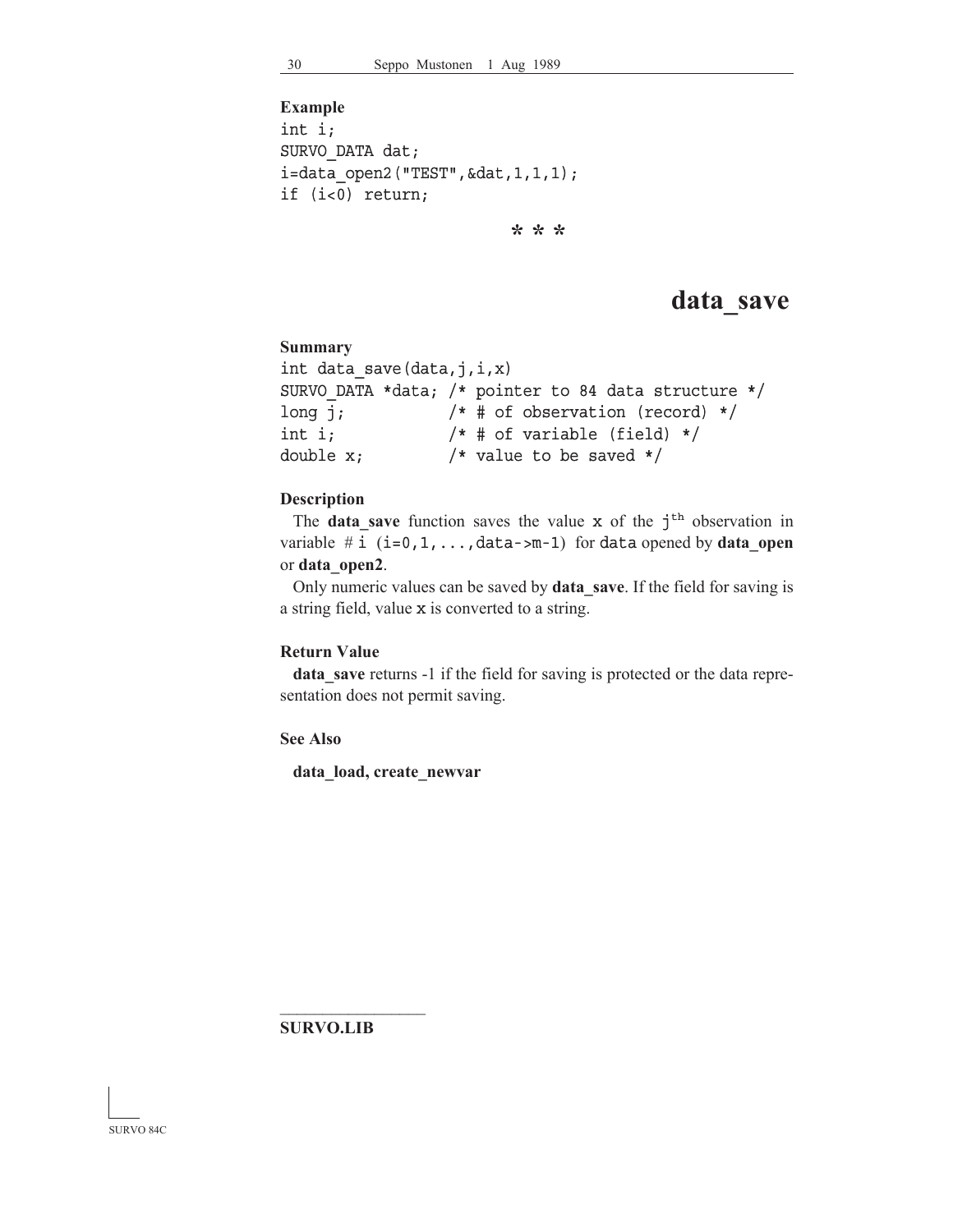```
Example
int i;
SURVO_DATA dat;
i=data_open2("TEST",&dat,1,1,1);
if (i<0) return;
```
**\* \* \***

# **data\_save**

### **Summary**

```
int data_save(data,j,i,x)
SURVO_DATA *data; /* pointer to 84 data structure */
long j; /* # of observation (record) */int i; /* # of variable (field) */double x; /* value to be saved */
```
### **Description**

The **data** save function saves the value x of the j<sup>th</sup> observation in variable  $\#$  i  $(i=0,1,\ldots,d$ ata->m-1) for data opened by **data\_open** or **data\_open2**.

 Only numeric values can be saved by **data\_save**. If the field for saving is a string field, value x is converted to a string.

### **Return Value**

**data\_save** returns -1 if the field for saving is protected or the data representation does not permit saving.

**See Also**

**data\_load, create\_newvar**

**SURVO.LIB**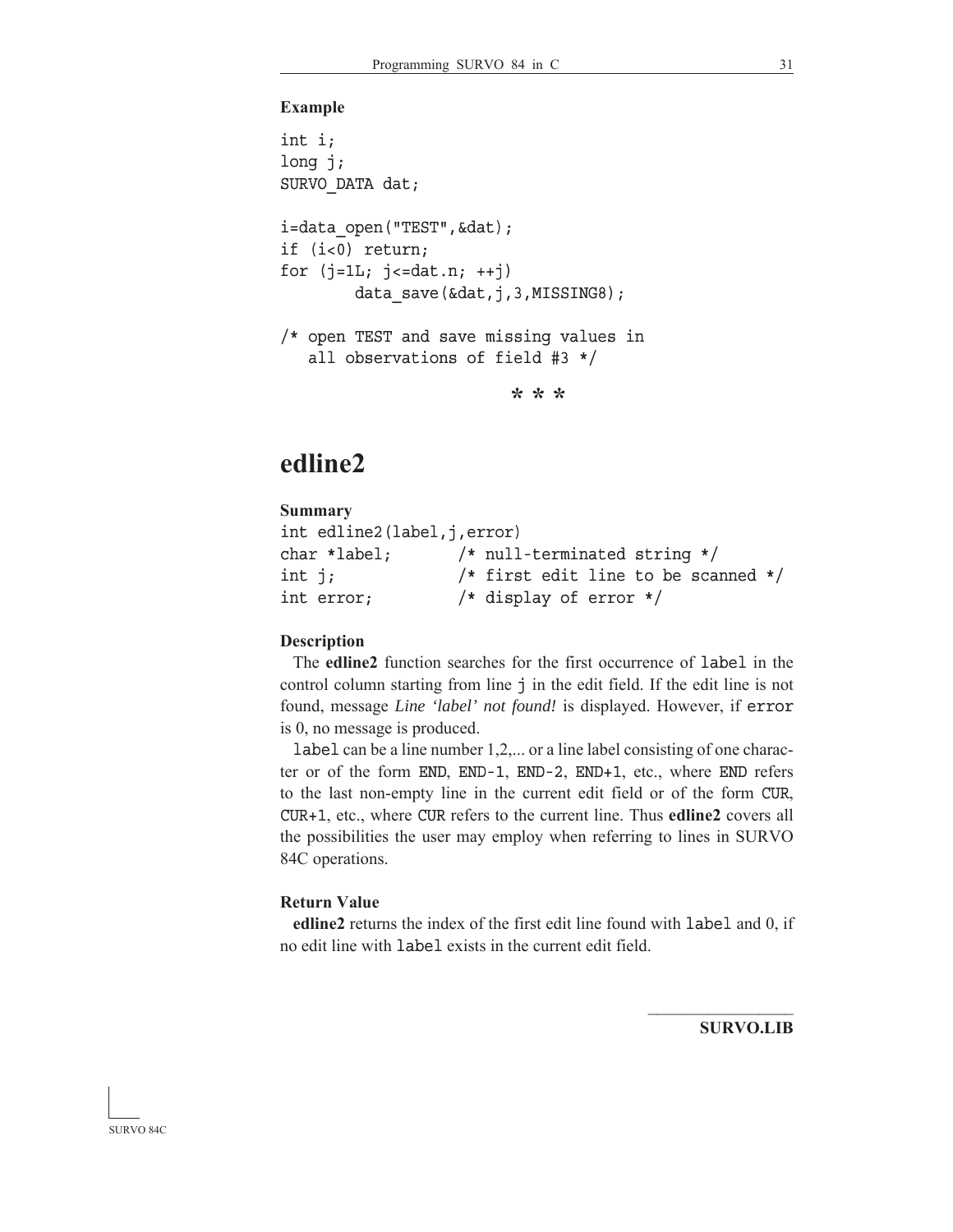### **Example**

```
int i;
long j;
SURVO_DATA dat;
i=data open("TEST", &dat);
if (i<0) return;
for (j=1L; j<=dat.n; ++j)data save(&dat,j,3,MISSING8);
/* open TEST and save missing values in
    all observations of field #3 */
```
**\* \* \***

# **edline2**

### **Summary** int edline2(label,j,error) char \*label; /\* null-terminated string \*/ int j; /\* first edit line to be scanned \*/ int error; /\* display of error \*/

#### **Description**

 The **edline2** function searches for the first occurrence of label in the control column starting from line j in the edit field. If the edit line is not found, message *Line 'label' not found!* is displayed. However, if error is 0, no message is produced.

label can be a line number 1,2,... or a line label consisting of one character or of the form END, END-1, END-2, END+1, etc., where END refers to the last non-empty line in the current edit field or of the form CUR, CUR+1, etc., where CUR refers to the current line. Thus **edline2** covers all the possibilities the user may employ when referring to lines in SURVO 84C operations.

### **Return Value**

**edline2** returns the index of the first edit line found with label and 0, if no edit line with label exists in the current edit field.

**SURVO.LIB**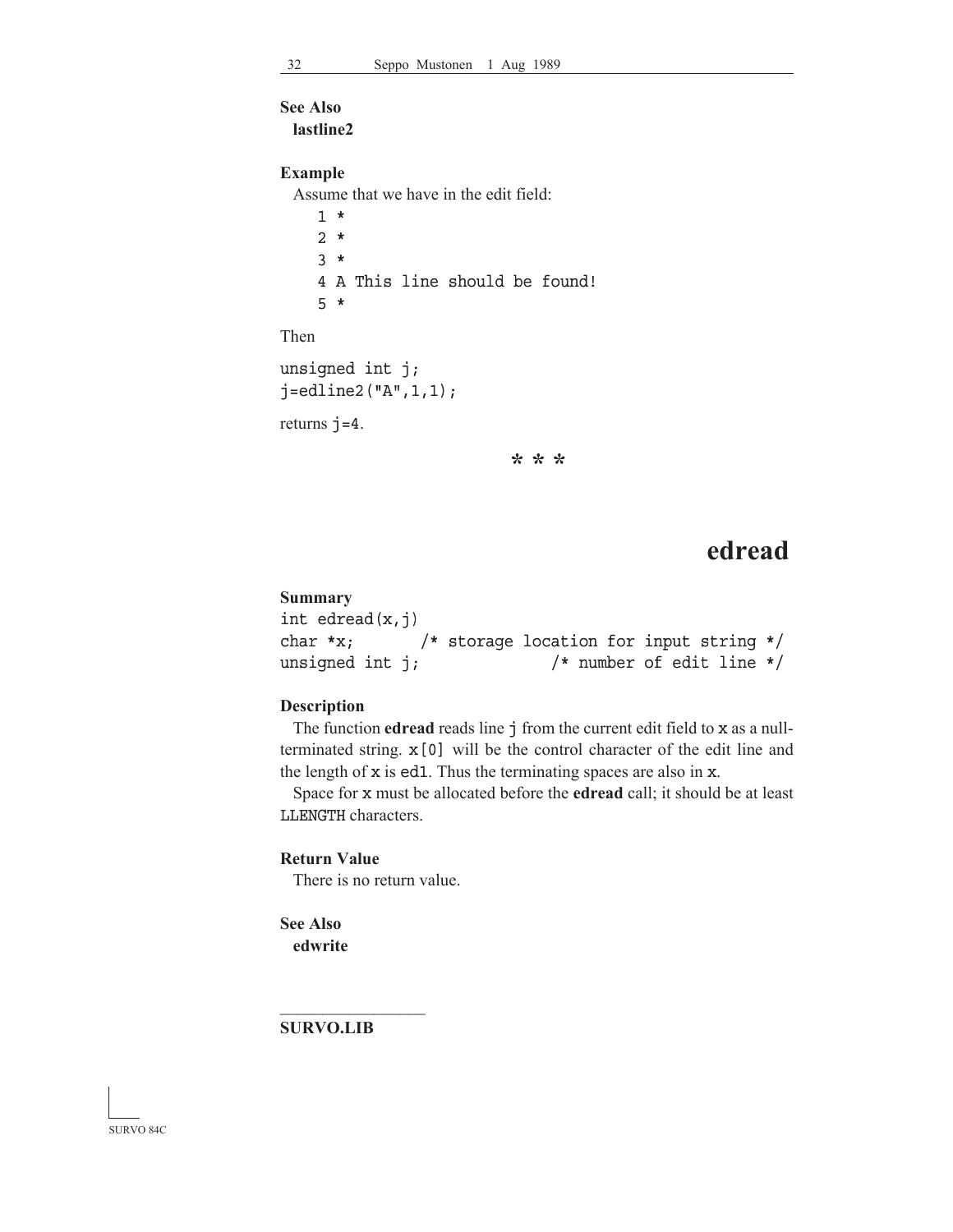### **See Also**

**lastline2**

### **Example**

Assume that we have in the edit field:

 1 \* 2 \* 3 \* 4 A This line should be found! 5 \*

Then

```
unsigned int j;
j =edline2("A", 1, 1);
```
returns  $j=4$ .

**\* \* \***

# **edread**

### **Summary**

```
int edread(x,j)char *x; /* storage location for input string */
unsigned int j; \frac{1}{2} /* number of edit line */
```
### **Description**

 The function **edread** reads line j from the current edit field to x as a nullterminated string. x[0] will be the control character of the edit line and the length of x is ed1. Thus the terminating spaces are also in x.

 Space for x must be allocated before the **edread** call; it should be at least LLENGTH characters.

### **Return Value**

There is no return value.

```
See Also
 edwrite
```
**SURVO.LIB**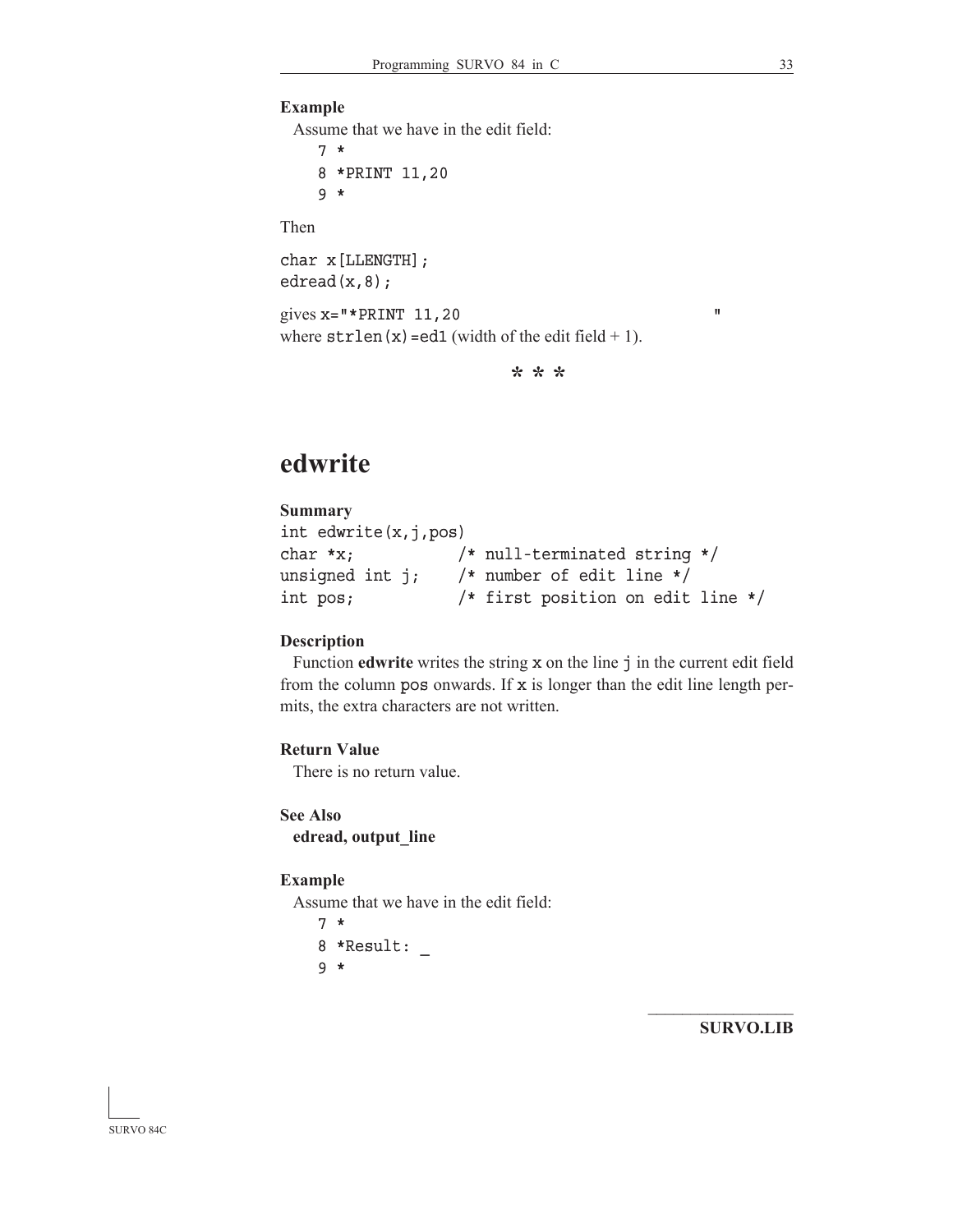## **Example**

Assume that we have in the edit field:

 7 \* 8 \*PRINT 11,20 9 \*

Then

char x[LLENGTH]; edread(x,8);

gives  $x = "*PRINT 11, 20"$ where  $strlen(x)=ed1$  (width of the edit field + 1).

**\* \* \***

# **edwrite**

## **Summary**

```
int edwrite(x,j,pos)
char *x; /* null-terminated string */
unsigned int j; /* number of edit line */int pos; /* first position on edit line */
```
### **Description**

 Function **edwrite** writes the string x on the line j in the current edit field from the column pos onwards. If  $x$  is longer than the edit line length permits, the extra characters are not written.

## **Return Value**

There is no return value.

**See Also edread, output\_line**

#### **Example**

Assume that we have in the edit field:

```
 7 *
 8 *Result: _
 9 *
```
**SURVO.LIB**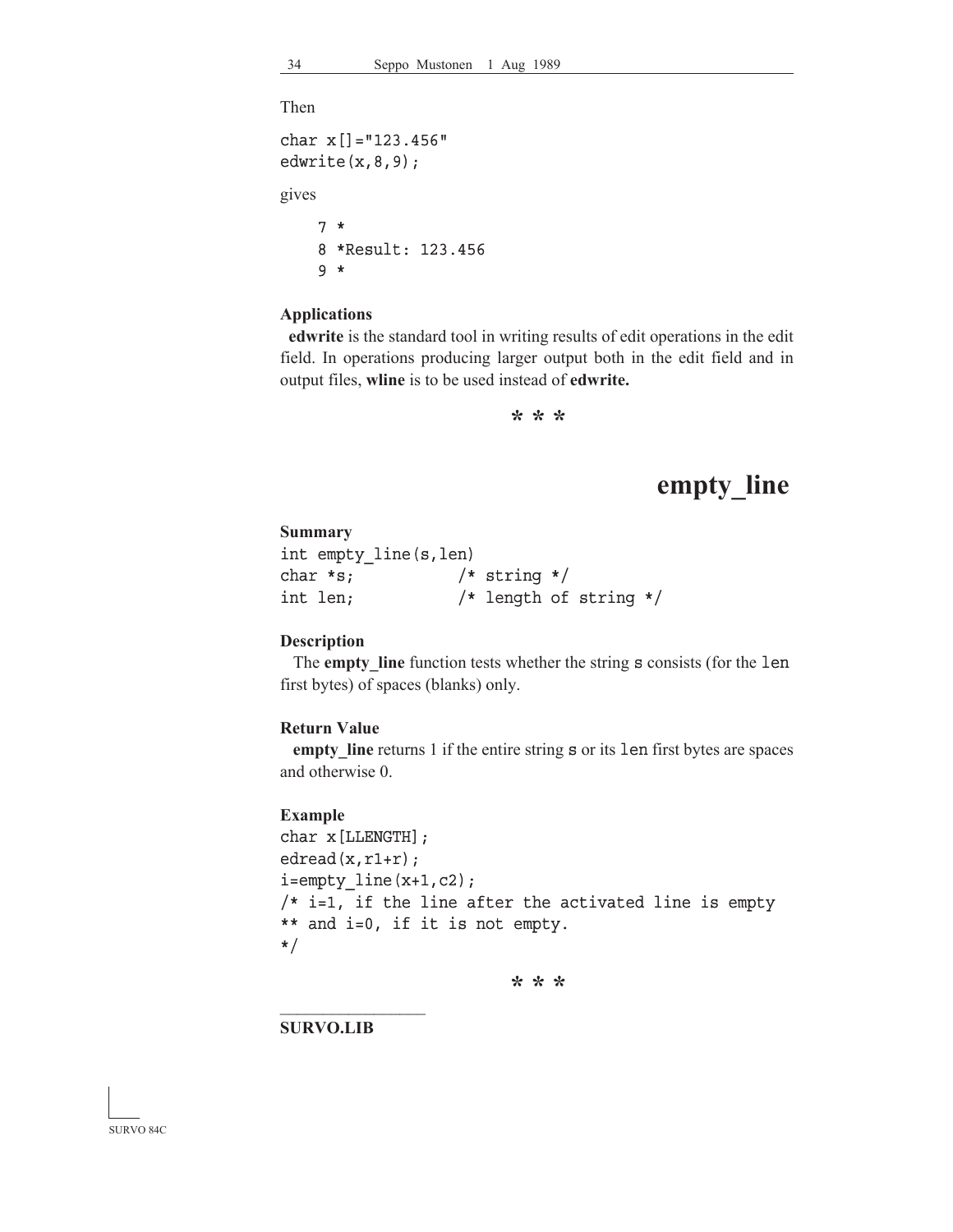Then

```
char x[]="123.456"
edwrite(x, 8, 9);
gives
     7 *
     8 *Result: 123.456
     9 *
```
## **Applications**

**edwrite** is the standard tool in writing results of edit operations in the edit field. In operations producing larger output both in the edit field and in output files, **wline** is to be used instead of **edwrite.**

**\* \* \***

## **empty\_line**

#### **Summary**

| int empty_line(s,len) |                  |                        |  |
|-----------------------|------------------|------------------------|--|
| char *s;              | $/*$ string $*/$ |                        |  |
| int len;              |                  | /* length of string */ |  |

### **Description**

 The **empty\_line** function tests whether the string s consists (for the len first bytes) of spaces (blanks) only.

#### **Return Value**

**empty\_line** returns 1 if the entire string s or its len first bytes are spaces and otherwise 0.

#### **Example**

```
char x[LLENGTH];
edread(x, r1+r);i=empty line(x+1,c2);/* i=1, if the line after the activated line is empty
** and i=0, if it is not empty.
*/
```
**\* \* \***

**SURVO.LIB**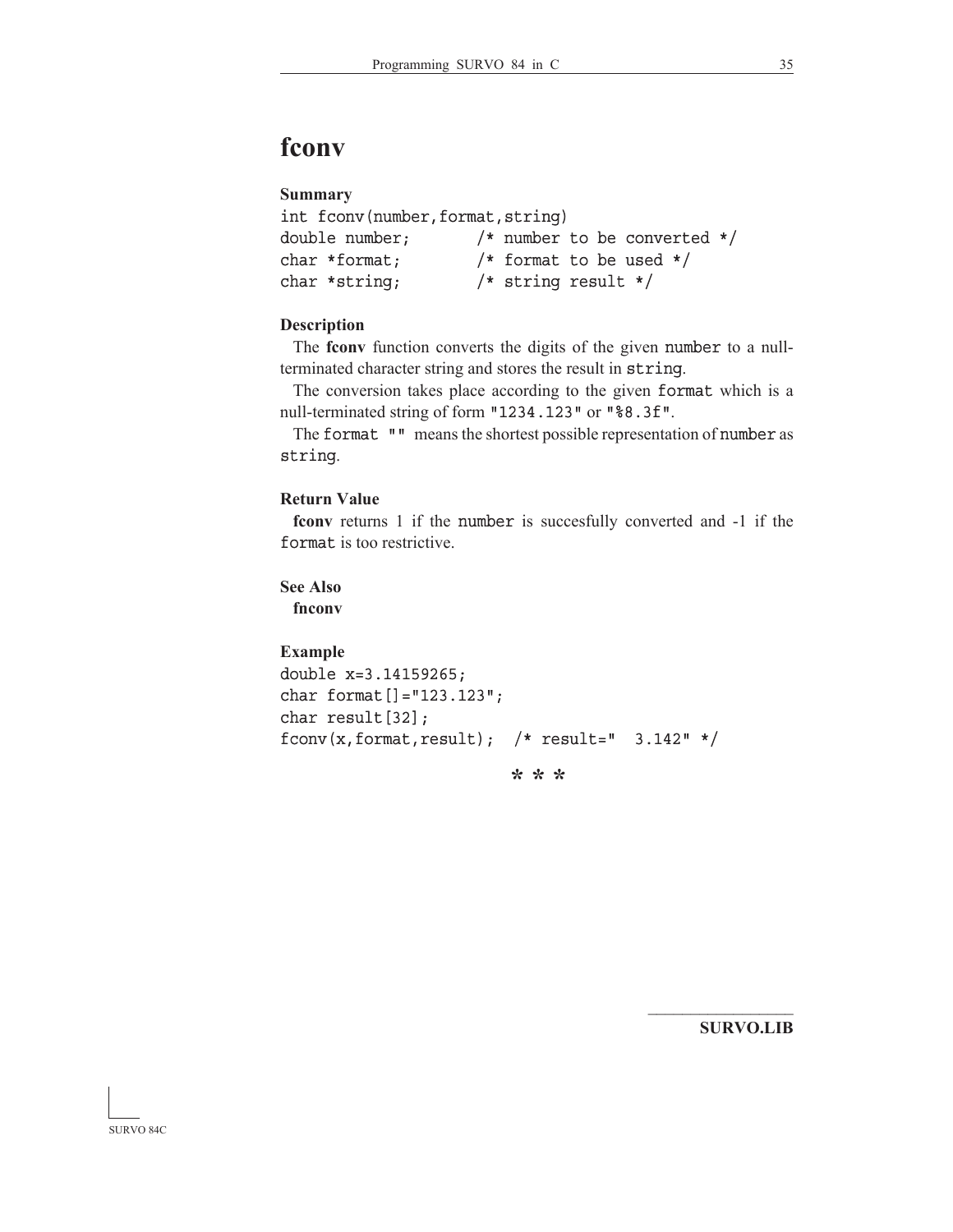# **fconv**

## **Summary**

```
int fconv(number,format,string)
double number; /* number to be converted */
char *format; /* format to be used */
char *string; /* string result */
```
## **Description**

 The **fconv** function converts the digits of the given number to a nullterminated character string and stores the result in string.

 The conversion takes place according to the given format which is a null-terminated string of form "1234.123" or "%8.3f".

The format "" means the shortest possible representation of number as string.

## **Return Value**

**fconv** returns 1 if the number is succesfully converted and -1 if the format is too restrictive.

**See Also fnconv**

### **Example**

```
double x=3.14159265;
char format[]="123.123";
char result[32];
fconv(x,format,result); /* result=" 3.142" */
```
**\* \* \***

**SURVO.LIB**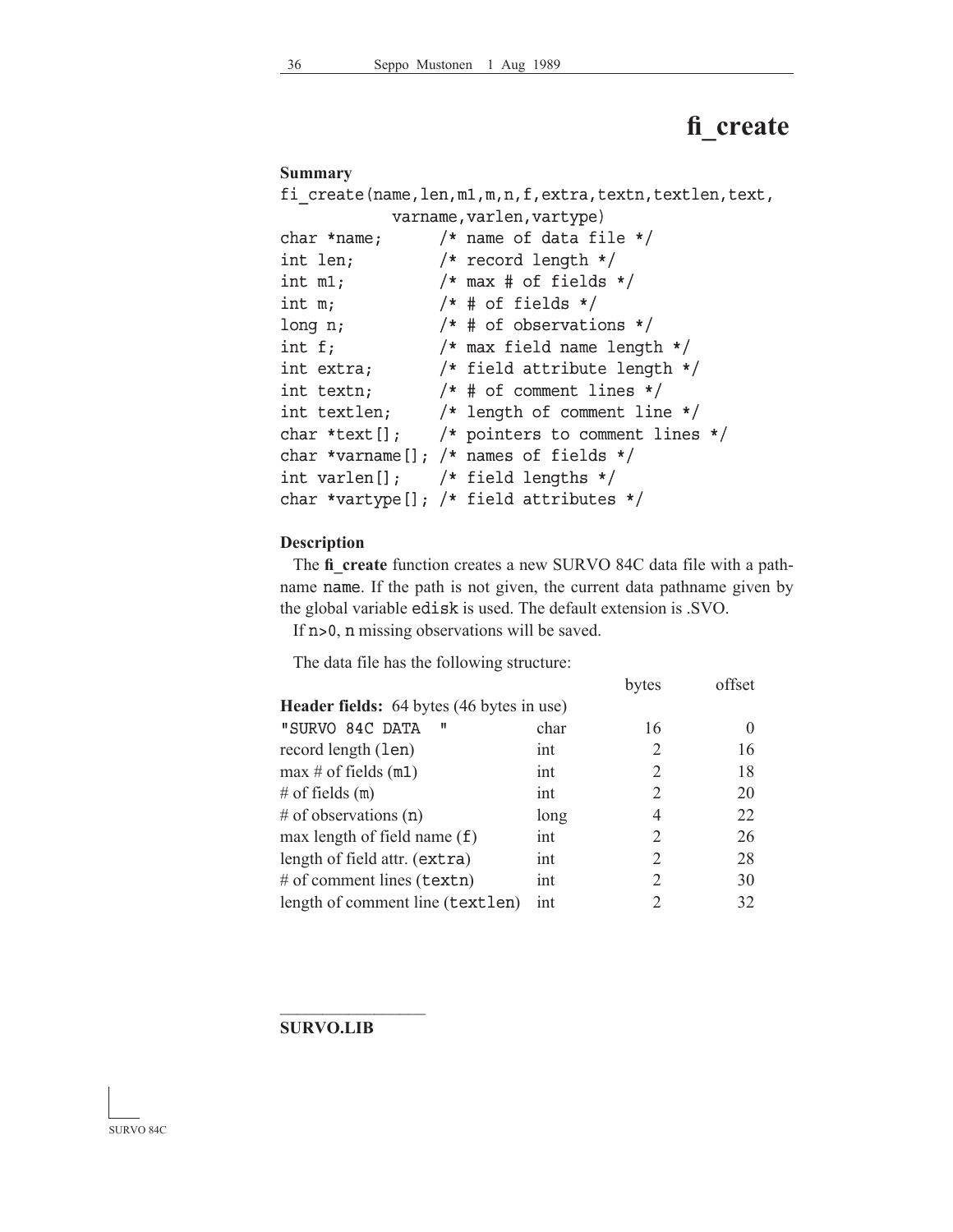# **fi\_create**

## **Summary**

|                                       | fi create(name,len,m1,m,n,f,extra,textn,textlen,text,      |
|---------------------------------------|------------------------------------------------------------|
|                                       | varname, varlen, vartype)                                  |
|                                       | char *name; $/*$ name of data file */                      |
| int len;                              | $/*$ record length $*/$                                    |
|                                       | int $m1$ ; $\qquad$ /* $max$ # of fields */                |
| int m;                                | $/*$ # of fields $*/$                                      |
| long n;                               | $/*$ # of observations $*/$                                |
|                                       | int $f$ ; $\frac{1}{\sqrt{2}}$ /* max field name length */ |
|                                       | int extra; $/*$ field attribute length $*/$                |
|                                       | int textn; $/* # of comment lines */$                      |
|                                       | int textlen; /* length of comment line */                  |
|                                       | char *text[]; $/*$ pointers to comment lines */            |
|                                       | char *varname[]; /* names of fields */                     |
| int varlen[]; $/*$ field lengths $*/$ |                                                            |
|                                       | char *vartype[]; /* field attributes */                    |

## **Description**

 The **fi\_create** function creates a new SURVO 84C data file with a pathname name. If the path is not given, the current data pathname given by the global variable edisk is used. The default extension is .SVO.

If n>0, n missing observations will be saved.

The data file has the following structure:

|                                                  |      | bytes                   | offset |
|--------------------------------------------------|------|-------------------------|--------|
| <b>Header fields:</b> 64 bytes (46 bytes in use) |      |                         |        |
| "SURVO 84C DATA<br>п                             | char | 16                      |        |
| record length (len)                              | int  | 2                       | 16     |
| $\max \# \text{ of fields } (m1)$                | int  | 2                       | 18     |
| # of fields $(m)$                                | int  | 2                       | 20     |
| # of observations $(n)$                          | long | 4                       | 22     |
| max length of field name $(f)$                   | int  | 2                       | 26     |
| length of field attr. (extra)                    | int  | 2                       | 28     |
| # of comment lines (textn)                       | int  | 2                       | 30     |
| length of comment line (textlen)                 | int  | $\mathcal{D}_{1}^{(1)}$ | 32     |

## **SURVO.LIB**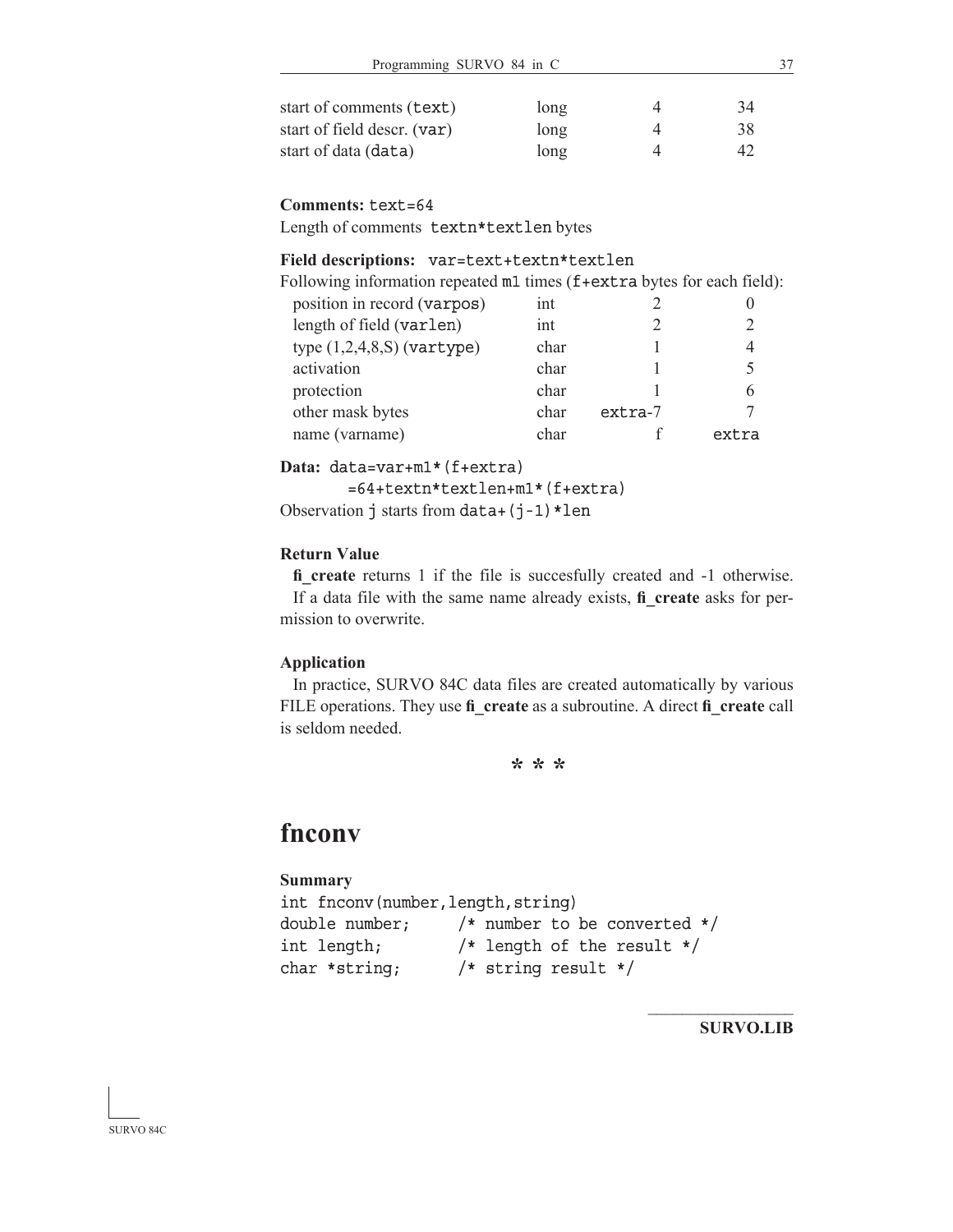| start of comments (text)    | long | 34  |
|-----------------------------|------|-----|
| start of field descr. (var) | long | 38  |
| start of data (data)        | long | 42. |

#### **Comments:** text=64

Length of comments textn\*textlen bytes

## Field descriptions: var=text+textn\*textlen

| Following information repeated m1 times (f+extra bytes for each field): |      |           |       |
|-------------------------------------------------------------------------|------|-----------|-------|
| position in record (varpos)                                             | int  |           |       |
| length of field (varlen)                                                | int  |           |       |
| type $(1,2,4,8,S)$ (vartype)                                            | char |           |       |
| activation                                                              | char |           | 5     |
| protection                                                              | char |           | 6     |
| other mask bytes                                                        | char | $extra-7$ |       |
| name (varname)                                                          | char |           | extra |
|                                                                         |      |           |       |

Data: data=var+m1\*(f+extra)

 $=64+text{tr*textlen+ml*}(f+extra)$ Observation  $\overline{\mathbf{j}}$  starts from data+ $(\overline{\mathbf{j}}-1)$  \*len

### **Return Value**

fi create returns 1 if the file is succesfully created and -1 otherwise. If a data file with the same name already exists, **fi\_create** asks for permission to overwrite.

### **Application**

 In practice, SURVO 84C data files are created automatically by various FILE operations. They use **fi\_create** as a subroutine. A direct **fi\_create** call is seldom needed.

**\* \* \***

## **fnconv**

### **Summary**

int fnconv(number,length,string) double number;  $/*$  number to be converted  $*/$ int length; /\* length of the result \*/ char \*string; /\* string result \*/

**SURVO.LIB**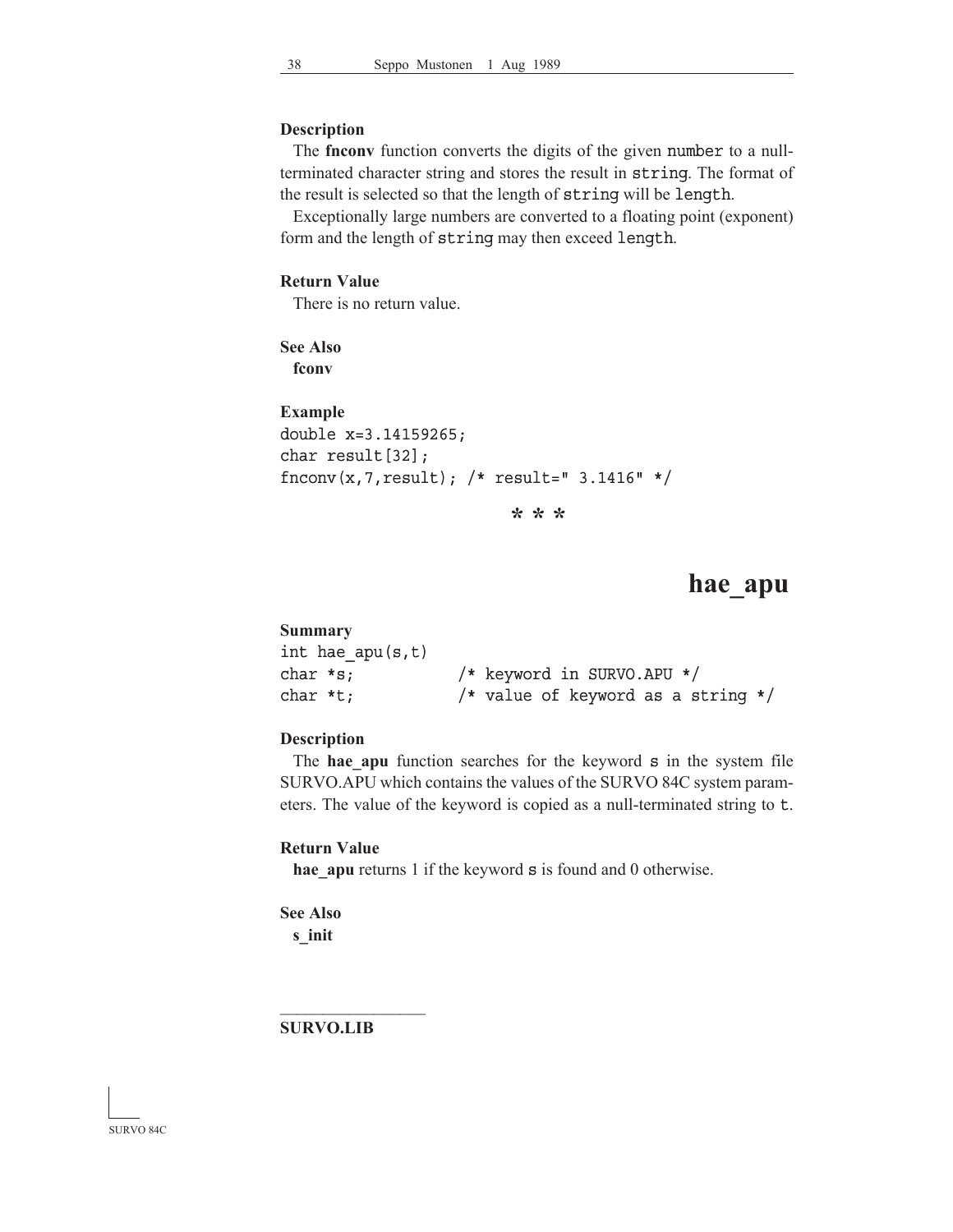#### **Description**

 The **fnconv** function converts the digits of the given number to a nullterminated character string and stores the result in string. The format of the result is selected so that the length of string will be length.

 Exceptionally large numbers are converted to a floating point (exponent) form and the length of string may then exceed length.

## **Return Value**

There is no return value.

**See Also fconv**

```
Example
double x=3.14159265;
char result[32];
fnconv(x,7,result); /* result=" 3.1416" */
```
**\* \* \***

## **hae\_apu**

#### **Summary**

| int hae apu(s,t) |                                      |
|------------------|--------------------------------------|
| char *s;         | /* keyword in SURVO.APU */           |
| char *t;         | /* value of keyword as a string $*/$ |

### **Description**

The **hae apu** function searches for the keyword s in the system file SURVO.APU which contains the values of the SURVO 84C system parameters. The value of the keyword is copied as a null-terminated string to t.

#### **Return Value**

**hae\_apu** returns 1 if the keyword **s** is found and 0 otherwise.

**See Also s\_init**

**SURVO.LIB**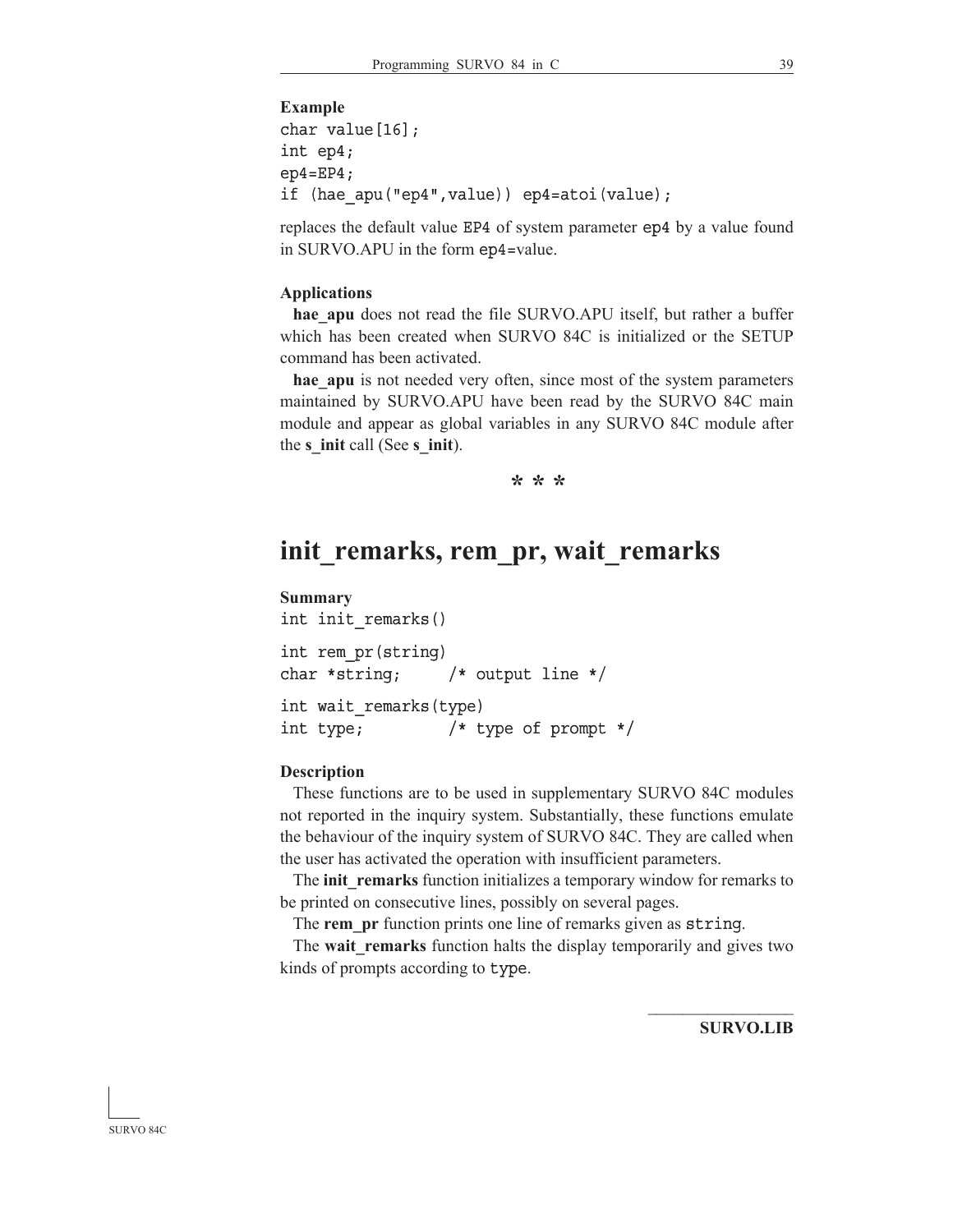#### **Example**

```
char value[16];
int ep4;
ep4=EP4;if (hae_apu("ep4",value)) ep4=atoi(value);
```
replaces the default value EP4 of system parameter ep4 by a value found in SURVO.APU in the form ep4=value.

#### **Applications**

hae apu does not read the file SURVO.APU itself, but rather a buffer which has been created when SURVO 84C is initialized or the SETUP command has been activated.

hae apu is not needed very often, since most of the system parameters maintained by SURVO.APU have been read by the SURVO 84C main module and appear as global variables in any SURVO 84C module after the **s\_init** call (See **s\_init**).

**\* \* \***

## **init\_remarks, rem\_pr, wait\_remarks**

#### **Summary**

```
int init_remarks() 
int rem_pr(string)
char *string; /* output line */ 
int wait_remarks(type)
int type; /* type of prompt */
```
#### **Description**

 These functions are to be used in supplementary SURVO 84C modules not reported in the inquiry system. Substantially, these functions emulate the behaviour of the inquiry system of SURVO 84C. They are called when the user has activated the operation with insufficient parameters.

 The **init\_remarks** function initializes a temporary window for remarks to be printed on consecutive lines, possibly on several pages.

The **rem** pr function prints one line of remarks given as string.

 The **wait\_remarks** function halts the display temporarily and gives two kinds of prompts according to type.

**SURVO.LIB**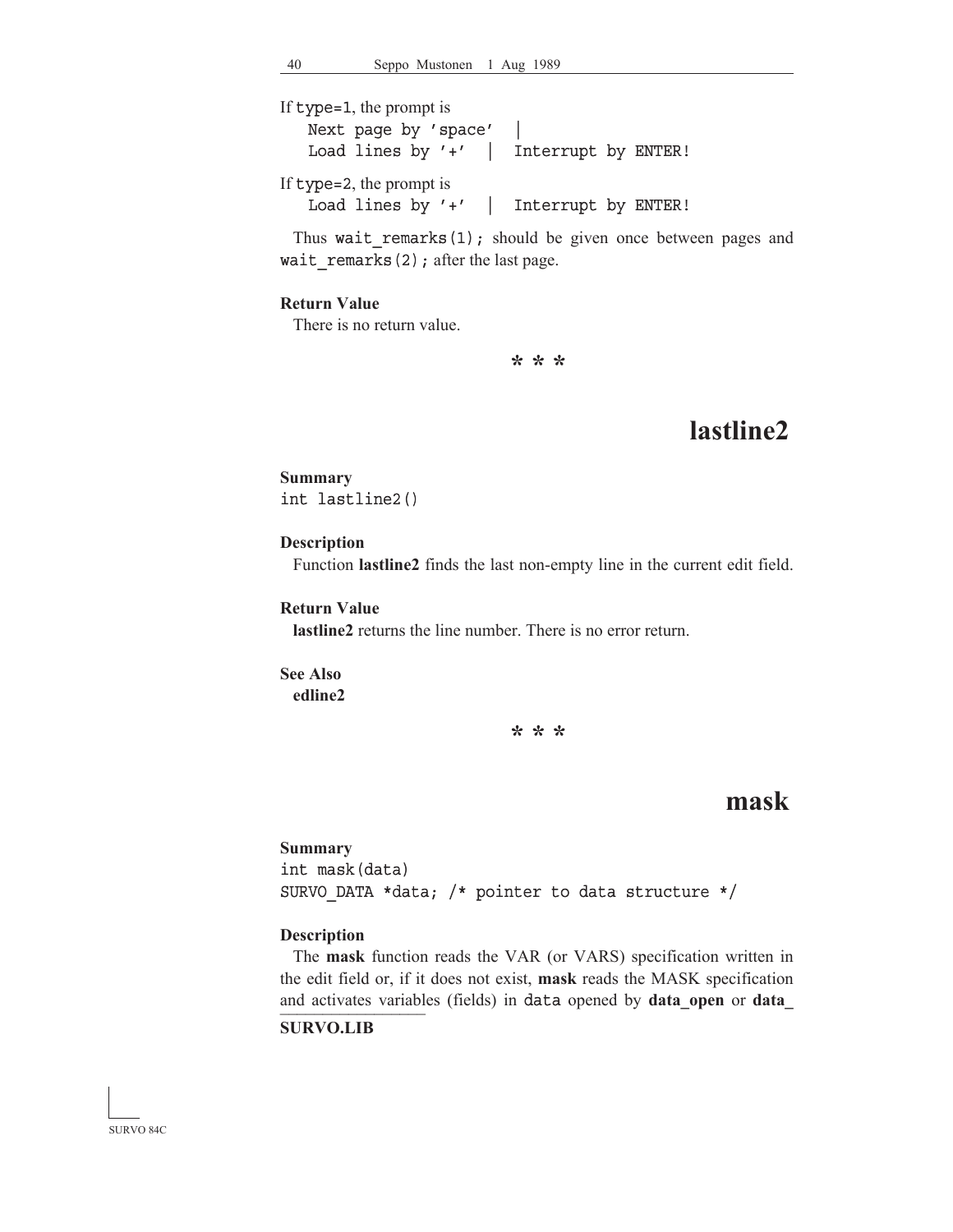If type=1, the prompt is

Next page by 'space' | Load lines by '+' | Interrupt by ENTER! If type=2, the prompt is

Load lines by '+' | Interrupt by ENTER!

Thus wait remarks $(1)$ ; should be given once between pages and wait remarks(2); after the last page.

#### **Return Value**

There is no return value.

**\* \* \***

# **lastline2**

## **Summary** int lastline2()

### **Description**

Function **lastline2** finds the last non-empty line in the current edit field.

## **Return Value**

**lastline2** returns the line number. There is no error return.

### **See Also edline2**

**\* \* \***

## **mask**

#### **Summary**

int mask(data) SURVO\_DATA \*data; /\* pointer to data structure \*/

#### **Description**

\_\_\_\_\_\_\_\_\_\_\_\_\_\_\_\_\_ and activates variables (fields) in data opened by **data\_open** or **data\_** The **mask** function reads the VAR (or VARS) specification written in the edit field or, if it does not exist, **mask** reads the MASK specification

## **SURVO.LIB**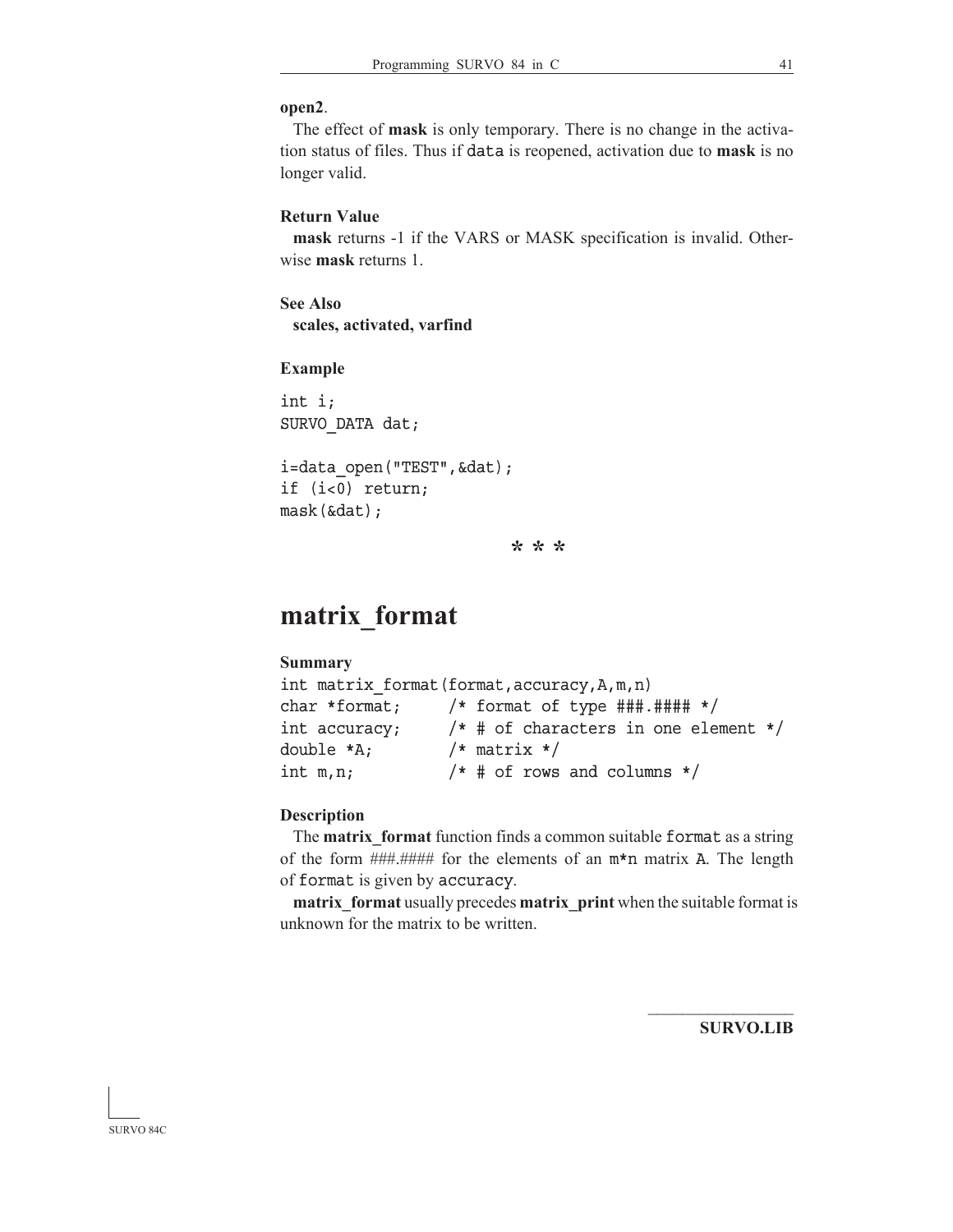#### **open2**.

 The effect of **mask** is only temporary. There is no change in the activation status of files. Thus if data is reopened, activation due to **mask** is no longer valid.

## **Return Value**

**mask** returns -1 if the VARS or MASK specification is invalid. Otherwise **mask** returns 1.

## **See Also scales, activated, varfind**

#### **Example**

int i; SURVO\_DATA dat;

```
i=data open("TEST", &dat);
if (i<0) return;
mask(&dat);
```
**\* \* \***

## **matrix\_format**

#### **Summary**

|               | int matrix format(format,accuracy,A,m,n) |
|---------------|------------------------------------------|
| char *format; | /* format of type $\#$ ##.#### */        |
| int accuracy; | $/*$ # of characters in one element $*/$ |
| double *A;    | $/*$ matrix $*/$                         |
| int m,n;      | $/*$ # of rows and columns $*/$          |

#### **Description**

 The **matrix\_format** function finds a common suitable format as a string of the form  $\# \# \# \# \#$  for the elements of an  $m*n$  matrix A. The length of format is given by accuracy.

**matrix** format usually precedes **matrix** print when the suitable format is unknown for the matrix to be written.

**SURVO.LIB**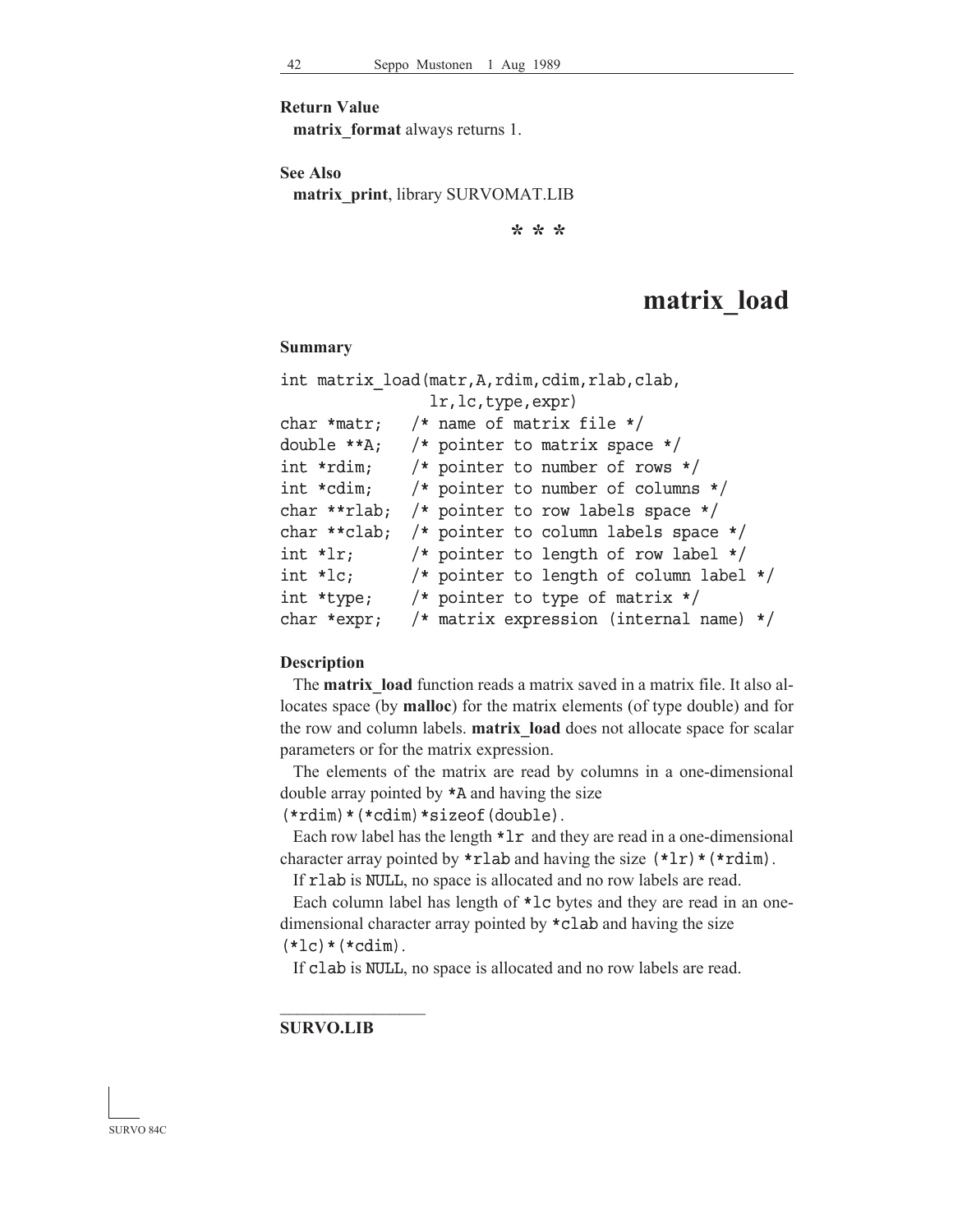**Return Value**

**matrix\_format** always returns 1.

**See Also**

**matrix\_print**, library SURVOMAT.LIB

**\* \* \***

## **matrix\_load**

#### **Summary**

```
int matrix_load(matr,A,rdim,cdim,rlab,clab,
                lr,lc,type,expr)
char *matr; /* name of matrix file */
double **A; /* pointer to matrix space */
int *rdim; /* pointer to number of rows */
int *cdim; /* pointer to number of columns */
char **rlab; /* pointer to row labels space */
char **clab; /* pointer to column labels space */
int *lr; /* pointer to length of row label */
int *lc; /* pointer to length of column label */
int *type; /* pointer to type of matrix */
char *expr; /* matrix expression (internal name) */
```
#### **Description**

 The **matrix\_load** function reads a matrix saved in a matrix file. It also allocates space (by **malloc**) for the matrix elements (of type double) and for the row and column labels. **matrix\_load** does not allocate space for scalar parameters or for the matrix expression.

 The elements of the matrix are read by columns in a one-dimensional double array pointed by \*A and having the size

 $(*rdim)*(*cdim)*sizeof(double).$ 

Each row label has the length  $*lr$  and they are read in a one-dimensional character array pointed by  $\star$ rlab and having the size  $(\star 1r) \star (\star rdim)$ .

If rlab is NULL, no space is allocated and no row labels are read.

 Each column label has length of \*lc bytes and they are read in an onedimensional character array pointed by \*clab and having the size

 $(*lc)*(*cdim).$ 

 $\mathcal{L}_\text{max}$ 

If clab is NULL, no space is allocated and no row labels are read.

#### **SURVO.LIB**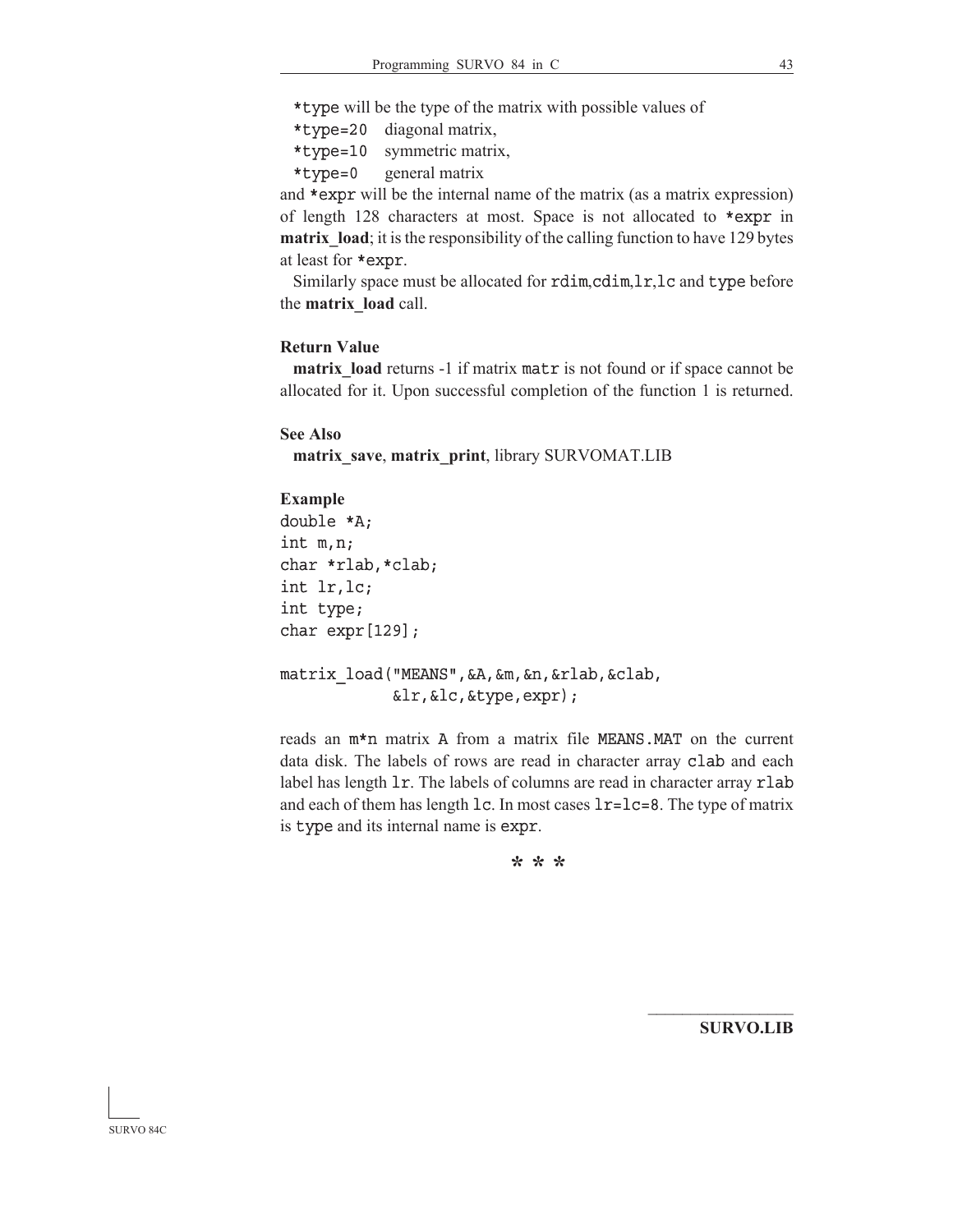\*type will be the type of the matrix with possible values of

 $*$ type=20 diagonal matrix,

\*type=10 symmetric matrix,

\*type=0 general matrix

and \*expr will be the internal name of the matrix (as a matrix expression) of length 128 characters at most. Space is not allocated to \*expr in **matrix\_load**; it is the responsibility of the calling function to have 129 bytes at least for \*expr.

 Similarly space must be allocated for rdim,cdim,lr,lc and type before the **matrix\_load** call.

### **Return Value**

matrix load returns -1 if matrix matr is not found or if space cannot be allocated for it. Upon successful completion of the function 1 is returned.

#### **See Also**

**matrix\_save**, **matrix\_print**, library SURVOMAT.LIB

#### **Example**

```
double *A;
int m,n;
char *rlab,*clab;
int lr,lc;
int type;
char expr[129];
```
matrix\_load("MEANS",&A,&m,&n,&rlab,&clab, &lr,&lc,&type,expr);

reads an  $m*n$  matrix A from a matrix file MEANS.MAT on the current data disk. The labels of rows are read in character array clab and each label has length 1r. The labels of columns are read in character array rlab and each of them has length  $lc$ . In most cases  $lr = lc = 8$ . The type of matrix is type and its internal name is expr.

**\* \* \***

**SURVO.LIB**

 $\mathcal{L}_\text{max}$ 

SURVO 84C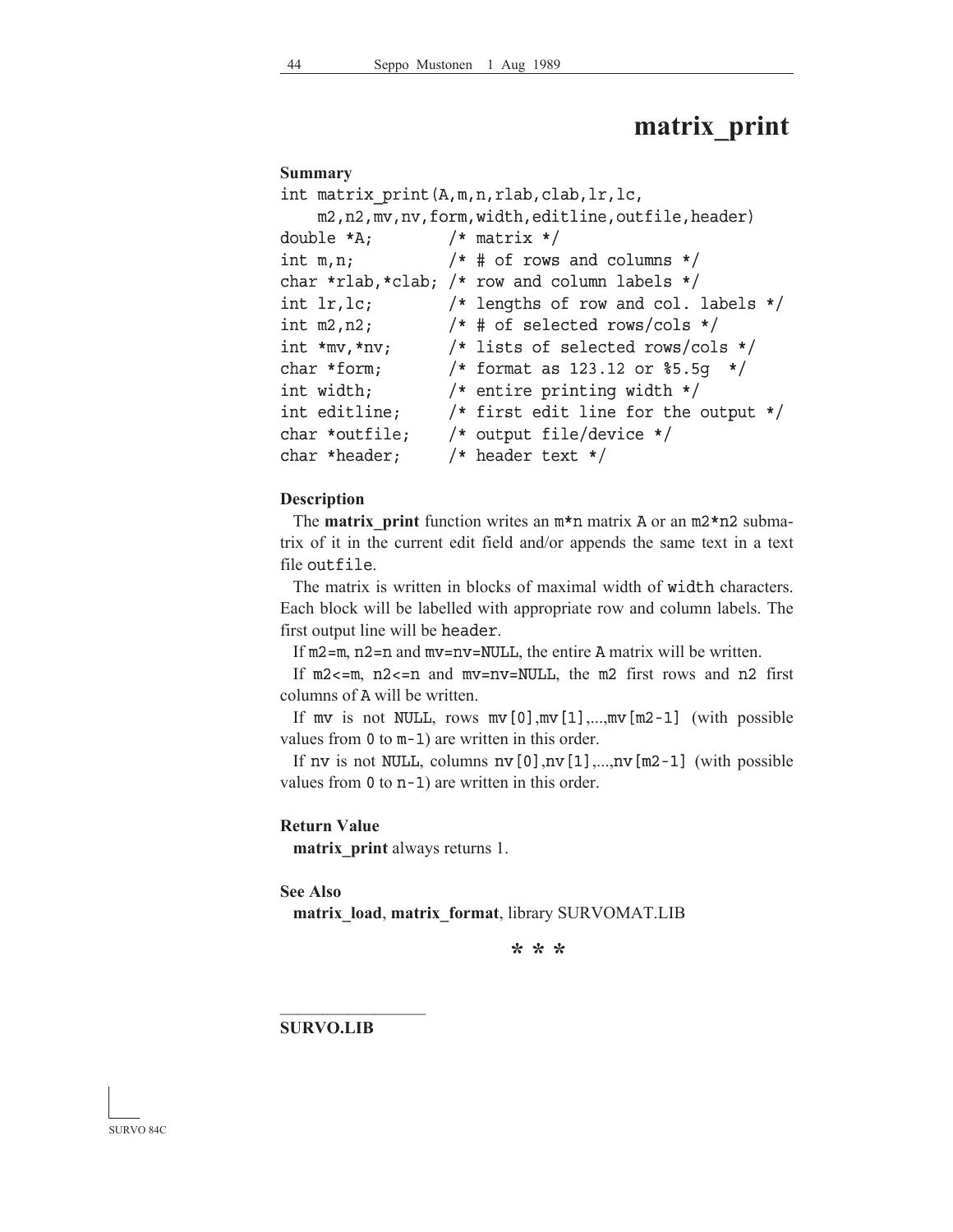## **matrix\_print**

#### **Summary**

```
int matrix_print(A,m,n,rlab,clab,lr,lc,
    m2,n2,mv,nv,form,width,editline,outfile,header)
double *A; /* matrix */int m,n; /* # of rows and columns */char *rlab,*clab; /* row and column labels */
int lr,lc; /* lengths of row and col. labels */
int m2, n2; /* # of selected rows/cols */int *mv,*nv; /* lists of selected rows/cols */
char *form; /* format as 123.12 or §5.5q */
int width; /* entire printing width */
int editline; /* first edit line for the output */
char *outfile; /* output file/device */
char *header; /* header text */
```
#### **Description**

 The **matrix\_print** function writes an m\*n matrix A or an m2\*n2 submatrix of it in the current edit field and/or appends the same text in a text file outfile.

 The matrix is written in blocks of maximal width of width characters. Each block will be labelled with appropriate row and column labels. The first output line will be header.

If  $m2=m$ ,  $n2=n$  and  $mv=nv=NULL$ , the entire A matrix will be written.

If  $m2 < m$ ,  $n2 < m$  and  $mv = nv = NUL$ , the m2 first rows and n2 first columns of A will be written.

If mv is not NULL, rows  $mv[0], mv[1],..., mv[m2-1]$  (with possible values from 0 to m-1) are written in this order.

If nv is not NULL, columns  $nv[0], nv[1],...,nv[m2-1]$  (with possible values from 0 to n-1) are written in this order.

#### **Return Value**

**matrix\_print** always returns 1.

**See Also**

**matrix\_load**, **matrix\_format**, library SURVOMAT.LIB

**\* \* \***

**SURVO.LIB**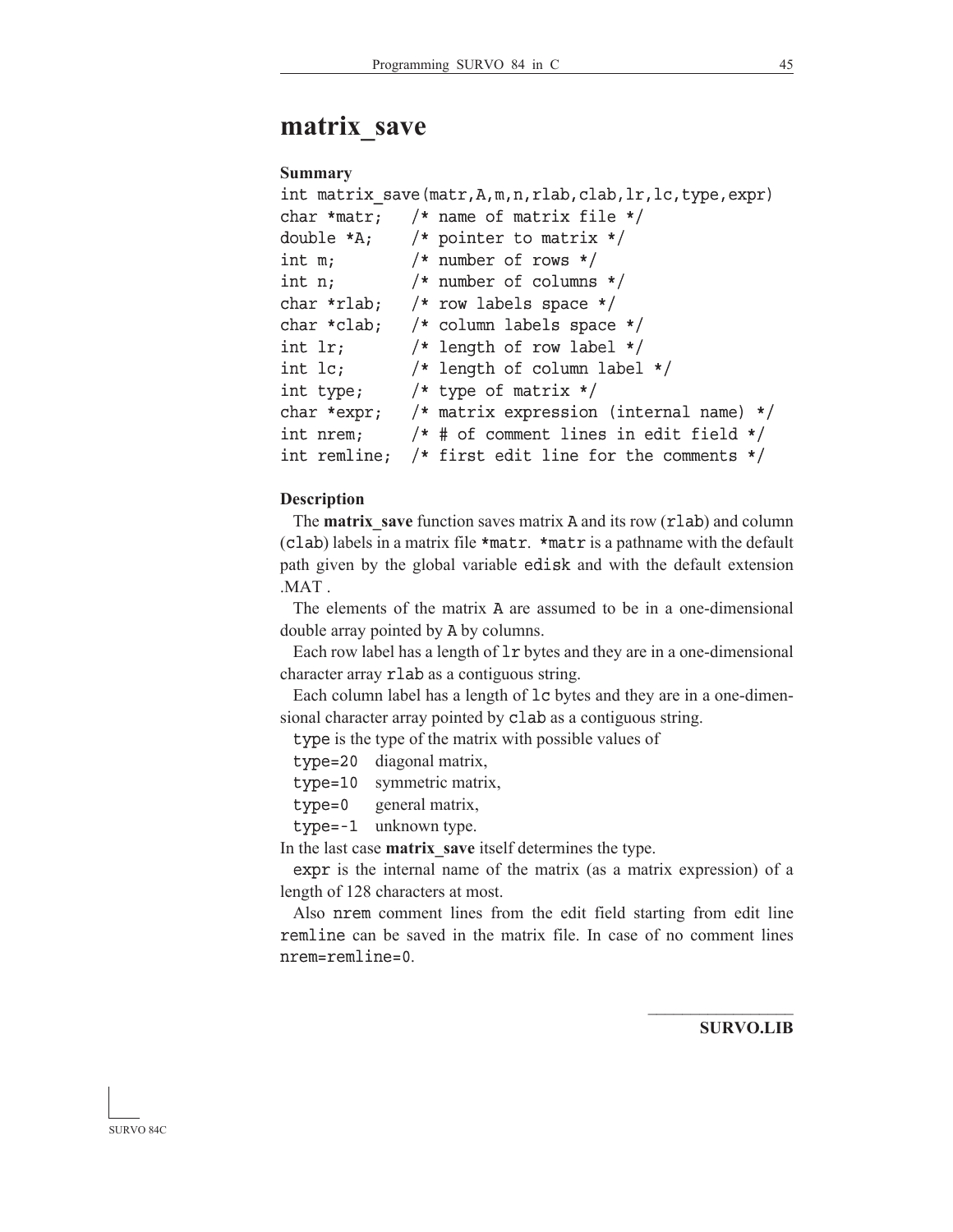## **matrix\_save**

#### **Summary**

```
int matrix save(matr,A,m,n,rlab,clab,lr,lc,type,expr)
char *matr; /* name of matrix file */
double *A; /* pointer to matrix */
int m; /* number of rows */
int n; /* number of columns */
char *rlab; /* row labels space */
char *clab; /* column labels space */
int lr; /* length of row label */
int lc; /* length of column label */
int type; /* type of matrix */
char *expr; /* matrix expression (internal name) */
int nrem; /* # of comment lines in edit field */
int remline; /* first edit line for the comments */
```
#### **Description**

 The **matrix\_save** function saves matrix A and its row (rlab) and column (clab) labels in a matrix file \*matr. \*matr is a pathname with the default path given by the global variable edisk and with the default extension .MAT .

 The elements of the matrix A are assumed to be in a one-dimensional double array pointed by A by columns.

 Each row label has a length of lr bytes and they are in a one-dimensional character array rlab as a contiguous string.

 Each column label has a length of lc bytes and they are in a one-dimensional character array pointed by clab as a contiguous string.

type is the type of the matrix with possible values of

type=20 diagonal matrix,

type=10 symmetric matrix,

type=0 general matrix,

type=-1 unknown type.

In the last case **matrix\_save** itself determines the type.

expr is the internal name of the matrix (as a matrix expression) of a length of 128 characters at most.

 Also nrem comment lines from the edit field starting from edit line remline can be saved in the matrix file. In case of no comment lines nrem=remline=0.

**SURVO.LIB**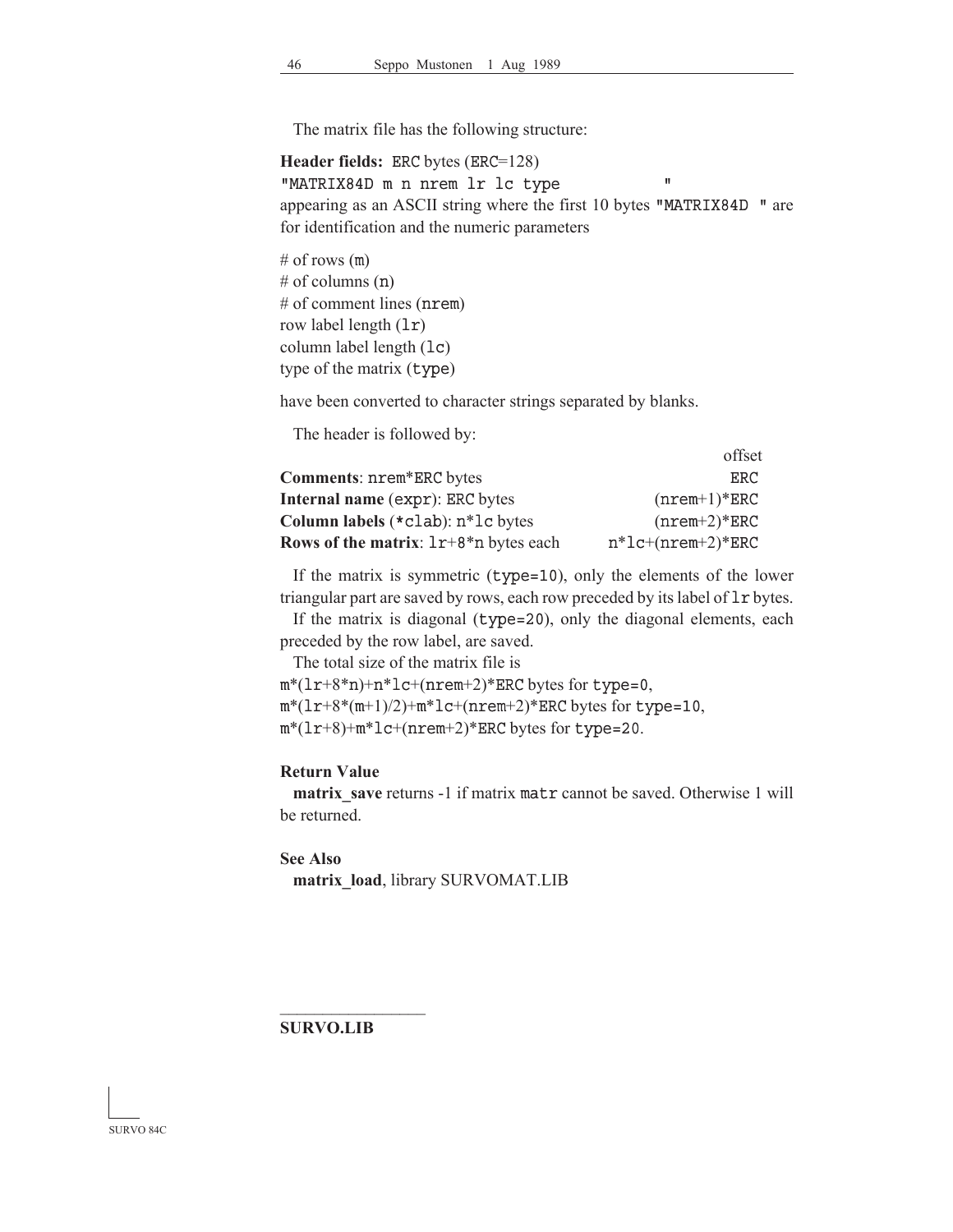The matrix file has the following structure:

**Header fields:** ERC bytes (ERC=128) "MATRIX84D m n nrem lr lc type " appearing as an ASCII string where the first  $10$  bytes "MATRIX84D" are for identification and the numeric parameters

# of rows  $(m)$ # of columns (n) # of comment lines (nrem) row label length (lr) column label length (lc) type of the matrix (type)

have been converted to character strings separated by blanks.

The header is followed by:

|                                         | offset              |
|-----------------------------------------|---------------------|
| Comments: nrem*ERC bytes                | ERC.                |
| <b>Internal name (expr): ERC bytes</b>  | $(nrem+1)*ERC$      |
| Column labels $(*$ clab): $n*$ lc bytes | $(nrem+2)*ERC$      |
| Rows of the matrix: $1r+8*n$ bytes each | $n*lc+(nrem+2)*ERC$ |

 If the matrix is symmetric (type=10), only the elements of the lower triangular part are saved by rows, each row preceded by its label of lr bytes.

 If the matrix is diagonal (type=20), only the diagonal elements, each preceded by the row label, are saved.

The total size of the matrix file is

 $m*(1r+8*n)+n*1c+(nrem+2)*ERC$  bytes for type=0,  $m*(1r+8*(m+1)/2)+m*1c+(nrem+2)*ERC$  bytes for type=10, m\*(lr+8)+m\*lc+(nrem+2)\*ERC bytes for type=20.

#### **Return Value**

**matrix\_save** returns -1 if matrix matr cannot be saved. Otherwise 1 will be returned.

**See Also**

**matrix\_load**, library SURVOMAT.LIB

**SURVO.LIB**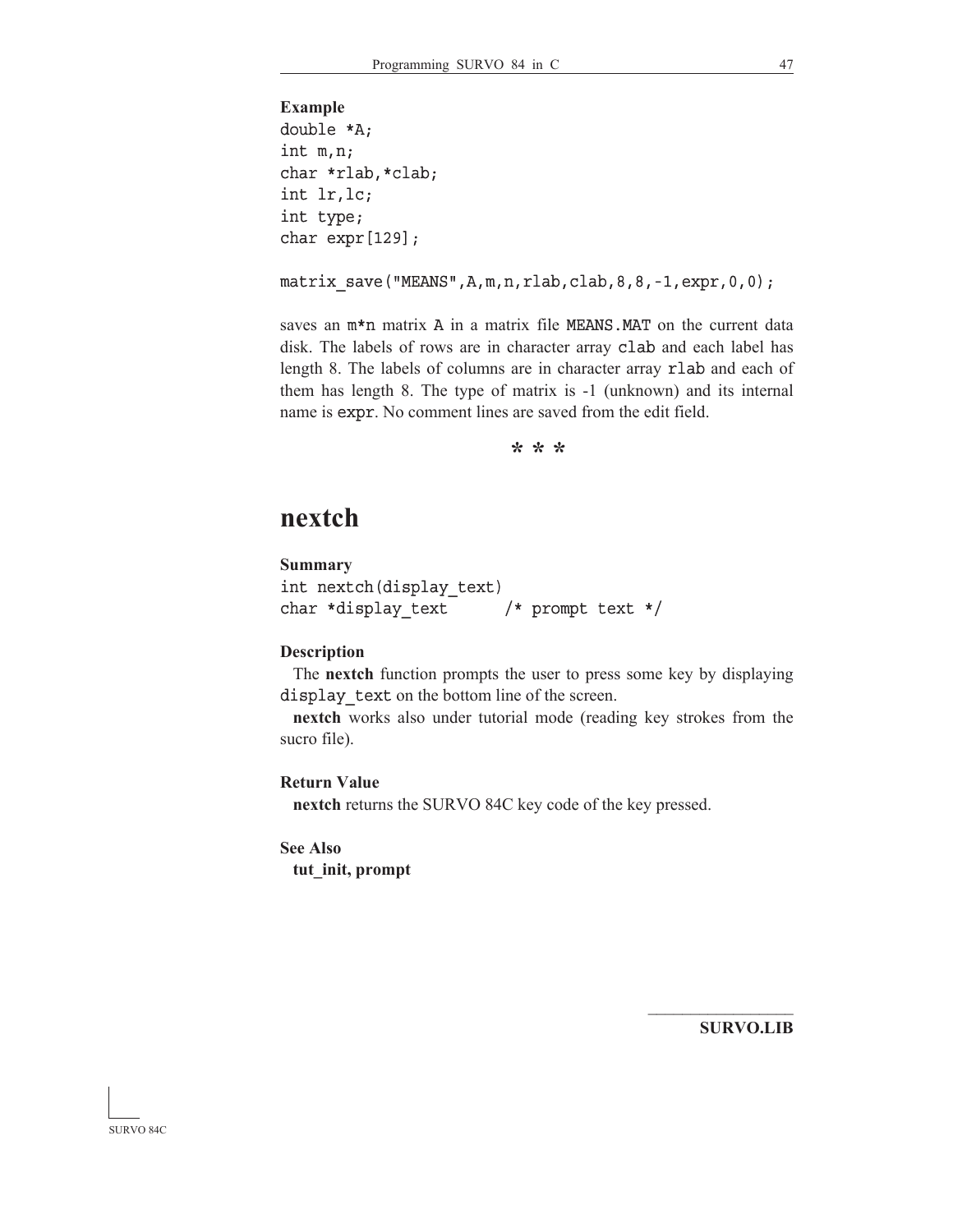```
Example
double *A;
int m,n;
char *rlab,*clab;
int lr,lc;
int type;
char expr[129];
```
matrix save("MEANS",A,m,n,rlab,clab,8,8,-1,expr,0,0);

saves an  $m*n$  matrix A in a matrix file MEANS.MAT on the current data disk. The labels of rows are in character array clab and each label has length 8. The labels of columns are in character array rlab and each of them has length 8. The type of matrix is -1 (unknown) and its internal name is expr. No comment lines are saved from the edit field.

**\* \* \***

## **nextch**

## **Summary**

```
int nextch(display_text)
char *display text /* prompt text */
```
#### **Description**

 The **nextch** function prompts the user to press some key by displaying display text on the bottom line of the screen.

**nextch** works also under tutorial mode (reading key strokes from the sucro file).

#### **Return Value**

**nextch** returns the SURVO 84C key code of the key pressed.

## **See Also**

**tut\_init, prompt**

**SURVO.LIB**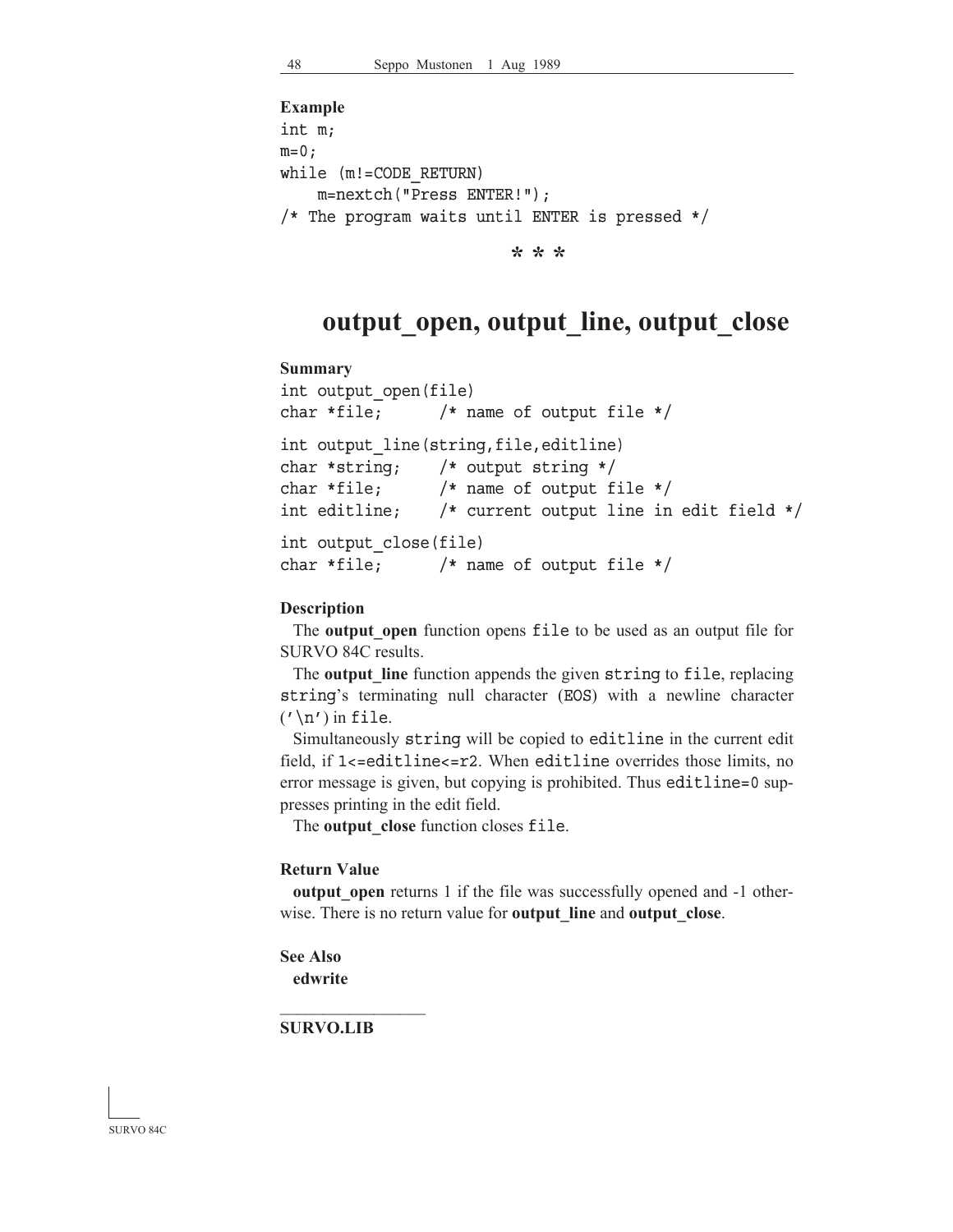```
Example
int m;
m=0;while (m!=CODE_RETURN)
     m=nextch("Press ENTER!");
/* The program waits until ENTER is pressed */
```
**\* \* \***

## **output\_open, output\_line, output\_close**

#### **Summary**

```
int output_open(file)
char *file; /* name of output file */
int output line(string, file, editline)
char *string; /* output string */
char *file; /* name of output file */
int editline; /* current output line in edit field */ 
int output_close(file)
char *file; /* name of output file */
```
### **Description**

The **output** open function opens file to be used as an output file for SURVO 84C results.

 The **output\_line** function appends the given string to file, replacing string's terminating null character (EOS) with a newline character  $('\n'\n')$  in file.

Simultaneously string will be copied to editline in the current edit field, if 1<=editline<=r2. When editline overrides those limits, no error message is given, but copying is prohibited. Thus editline=0 suppresses printing in the edit field.

The **output** close function closes file.

#### **Return Value**

**output** open returns 1 if the file was successfully opened and  $-1$  otherwise. There is no return value for **output\_line** and **output\_close**.

```
See Also
 edwrite
```
**SURVO.LIB**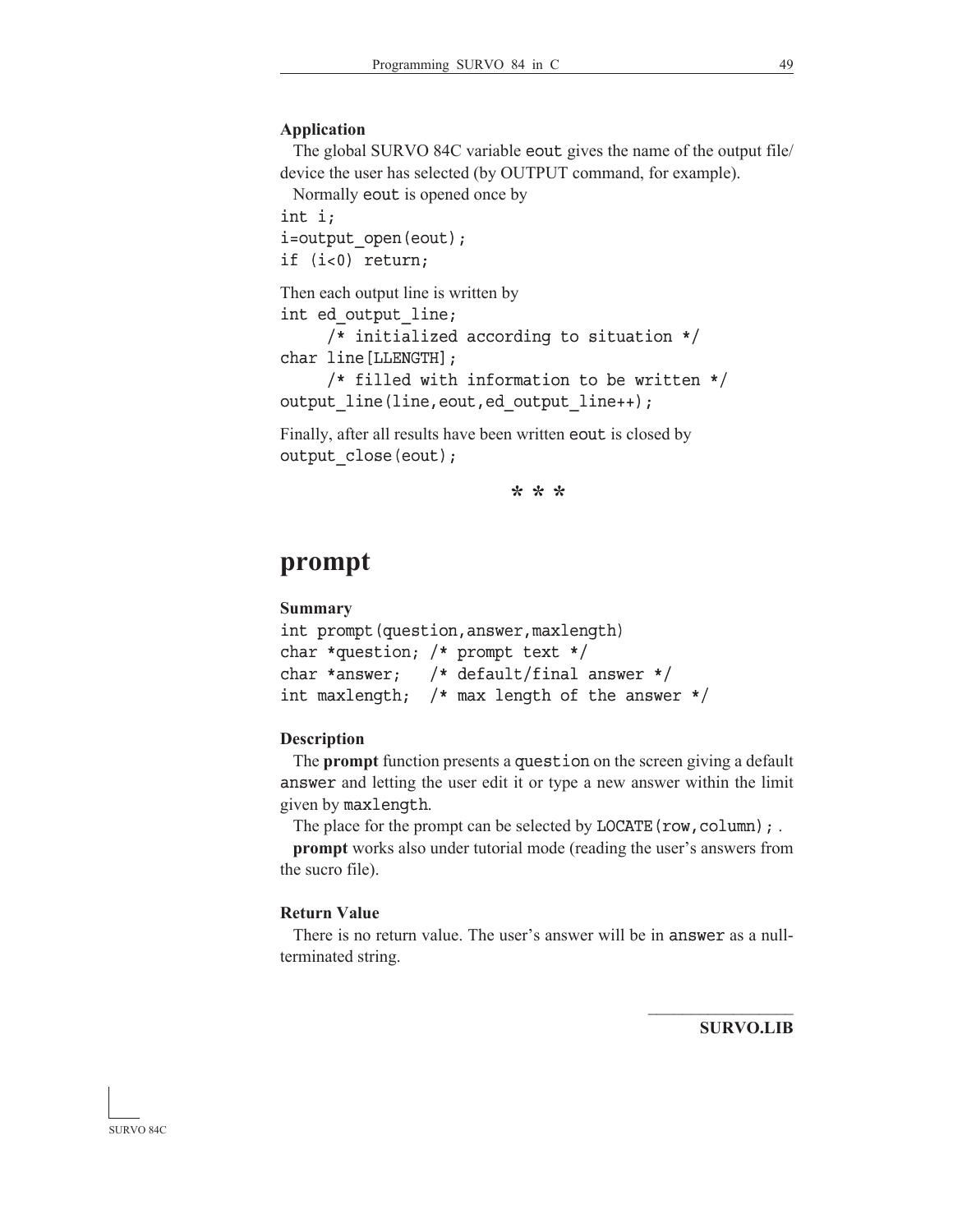#### **Application**

 The global SURVO 84C variable eout gives the name of the output file/ device the user has selected (by OUTPUT command, for example).

Normally eout is opened once by

int i;

i=output\_open(eout); if (i<0) return;

Then each output line is written by

```
int ed_output_line;
```
 /\* initialized according to situation \*/ char line[LLENGTH];

```
 /* filled with information to be written */
output line(line, eout, ed output line++);
```
Finally, after all results have been written eout is closed by output close(eout);

**\* \* \***

## **prompt**

## **Summary**

```
int prompt(question,answer,maxlength)
char *question; /* prompt text */
char *answer; /* default/final answer */
int maxlength; /* max length of the answer */
```
#### **Description**

The **prompt** function presents a question on the screen giving a default answer and letting the user edit it or type a new answer within the limit given by maxlength.

The place for the prompt can be selected by LOCATE (row, column);  $\ldots$ 

**prompt** works also under tutorial mode (reading the user's answers from the sucro file).

## **Return Value**

 There is no return value. The user's answer will be in answer as a nullterminated string.

**SURVO.LIB**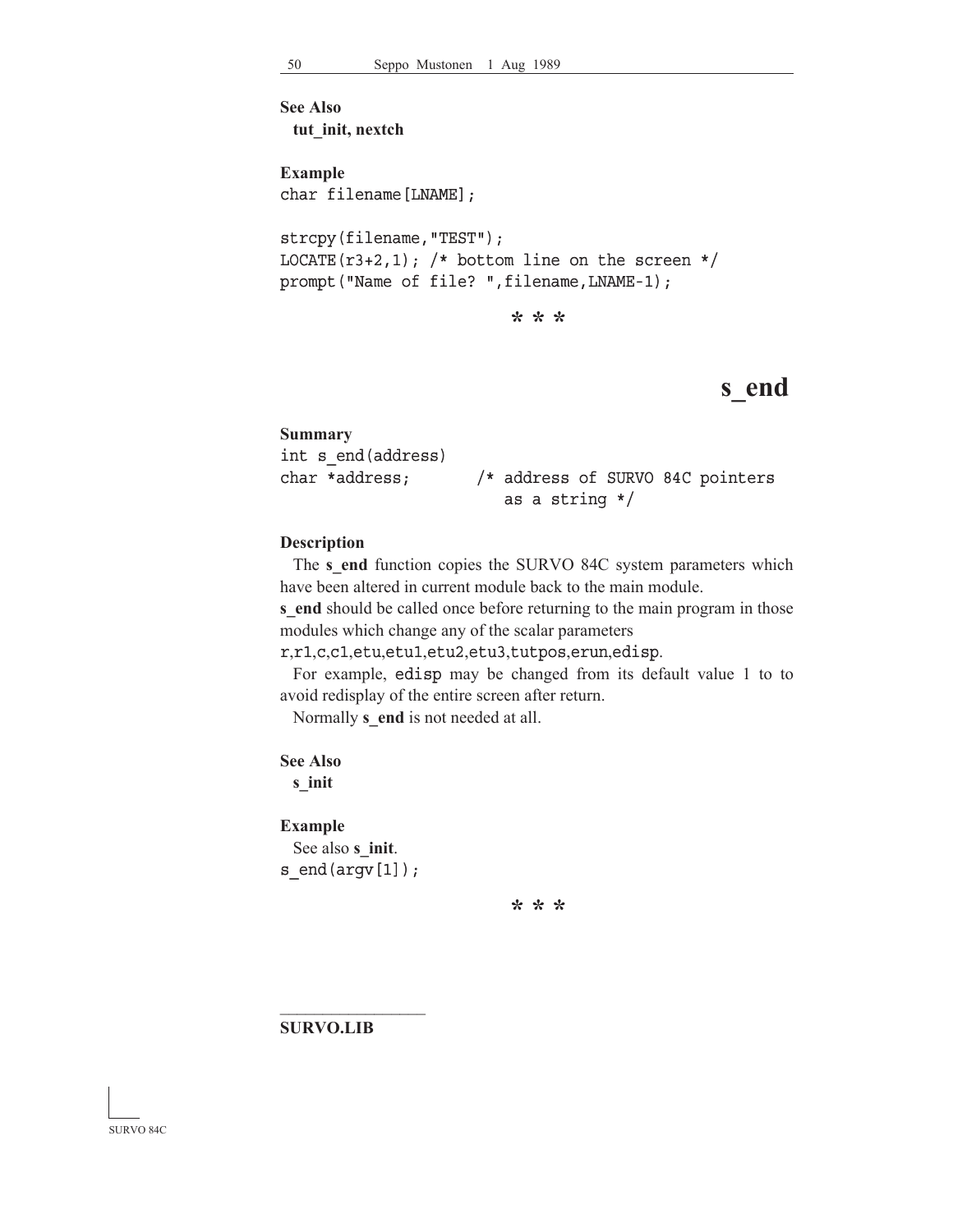```
See Also
 tut_init, nextch
Example
char filename[LNAME];
strcpy(filename,"TEST");
LOCATE(r3+2,1); /* bottom line on the screen */
prompt("Name of file? ", filename, LNAME-1);
                          * * *
```
## **s\_end**

**Summary** int s\_end(address) char \*address; /\* address of SURVO 84C pointers as a string \*/

#### **Description**

The **s** end function copies the SURVO 84C system parameters which have been altered in current module back to the main module.

**s** end should be called once before returning to the main program in those modules which change any of the scalar parameters

r,r1,c,c1,etu,etu1,etu2,etu3,tutpos,erun,edisp.

 For example, edisp may be changed from its default value 1 to to avoid redisplay of the entire screen after return.

Normally **s\_end** is not needed at all.

**See Also**

**s\_init**

#### **Example**

 See also **s\_init**. s\_end(argv[1]);

**\* \* \***

**SURVO.LIB**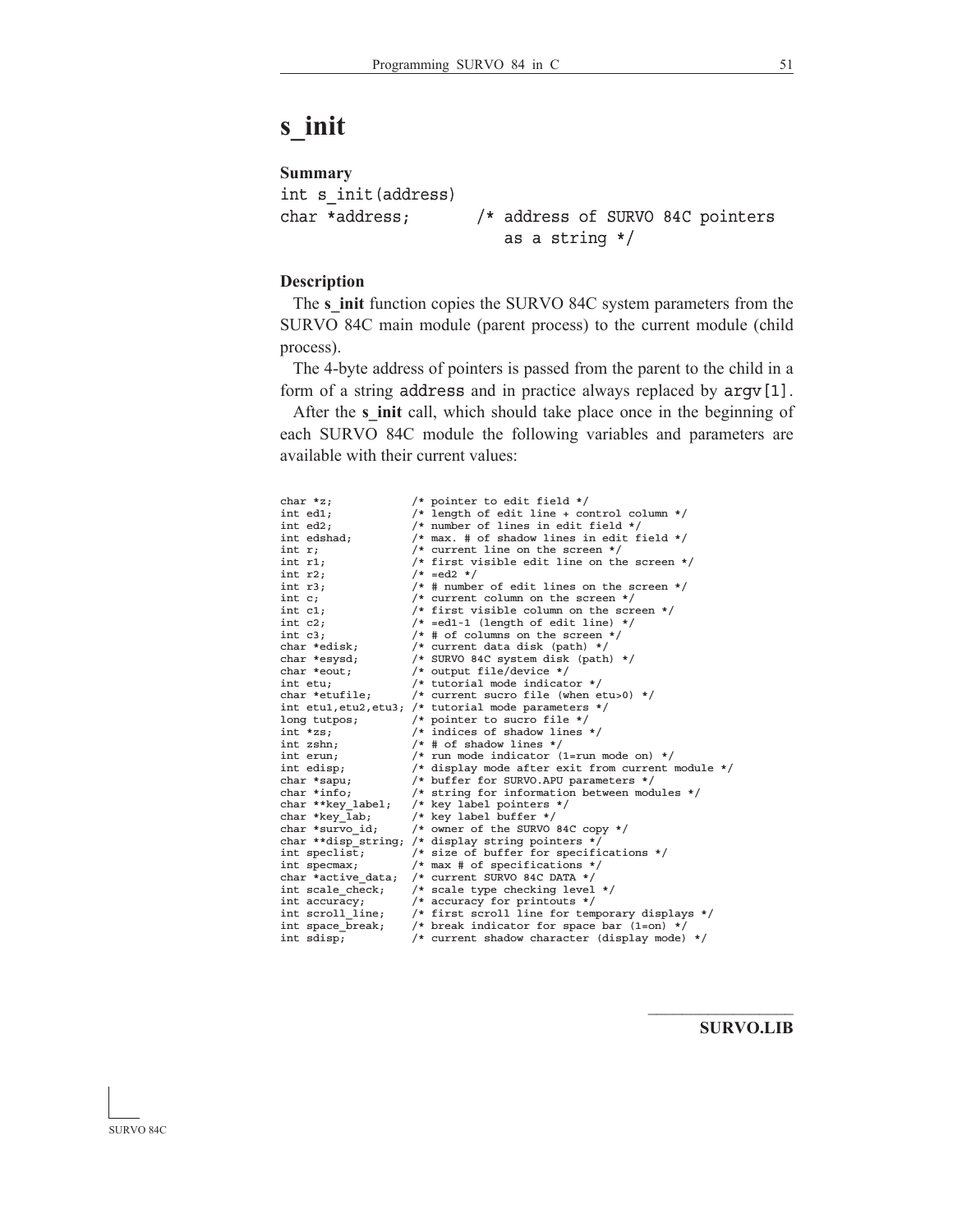# **s\_init**

```
Summary
int s_init(address)
char *address; /* address of SURVO 84C pointers
                        as a string */
```
## **Description**

 The **s\_init** function copies the SURVO 84C system parameters from the SURVO 84C main module (parent process) to the current module (child process).

 The 4-byte address of pointers is passed from the parent to the child in a form of a string address and in practice always replaced by argv[1].

After the *s* init call, which should take place once in the beginning of each SURVO 84C module the following variables and parameters are available with their current values:

| char *z;           | /* pointer to edit field */                          |
|--------------------|------------------------------------------------------|
| int ed1;           | /* length of edit line + control column */           |
| int ed2;           | /* number of lines in edit field */                  |
| int edshad;        | /* max. # of shadow lines in edit field $*/$         |
| int r;             | $/*$ current line on the screen $*/$                 |
| int r1;            | /* first visible edit line on the screen */          |
| int r2;            | $/* = ed2 */$                                        |
| int r3;            | $/*$ # number of edit lines on the screen $*/$       |
| int c;             | $/*$ current column on the screen $*/$               |
| int c1;            | /* first visible column on the screen $*/$           |
| int c2;            | $/*$ =ed1-1 (length of edit line) */                 |
| int c3;            | $/*$ # of columns on the screen $*/$                 |
| char *edisk;       | /* current data disk (path) $*/$                     |
| char *esysd;       | /* SURVO 84C system disk (path) */                   |
| char *eout;        | /* output file/device */                             |
| int etu;           | /* tutorial mode indicator $*/$                      |
| char *etufile;     | /* current sucro file (when etu>0) */                |
|                    | int etul, etu2, etu3; /* tutorial mode parameters */ |
| long tutpos;       | /* pointer to sucro file */                          |
| int *zs;           | $/*$ indices of shadow lines $*/$                    |
| int zshn;          | $/*$ # of shadow lines */                            |
| int erun;          | $/*$ run mode indicator (1=run mode on) */           |
| int edisp;         | /* display mode after exit from current module */    |
| char *sapu;        | /* buffer for SURVO.APU parameters */                |
| char *info;        | /* string for information between modules */         |
| char **key label;  | /* key label pointers $*/$                           |
| char *key lab;     | /* key label buffer */                               |
| char *survo id;    | /* owner of the SURVO 84C copy $*/$                  |
|                    | char **disp string; /* display string pointers */    |
| int speclist;      | /* size of buffer for specifications */              |
| int specmax;       | $/*$ max # of specifications */                      |
| char *active data; | /* current SURVO 84C DATA */                         |
| int scale check;   | /* scale type checking level */                      |
| int accuracy;      | /* accuracy for printouts $*/$                       |
| int scroll line;   | /* first scroll line for temporary displays */       |
| int space break;   | /* break indicator for space bar $(1=on)$ */         |
| int sdisp;         | /* current shadow character (display mode) */        |

**SURVO.LIB**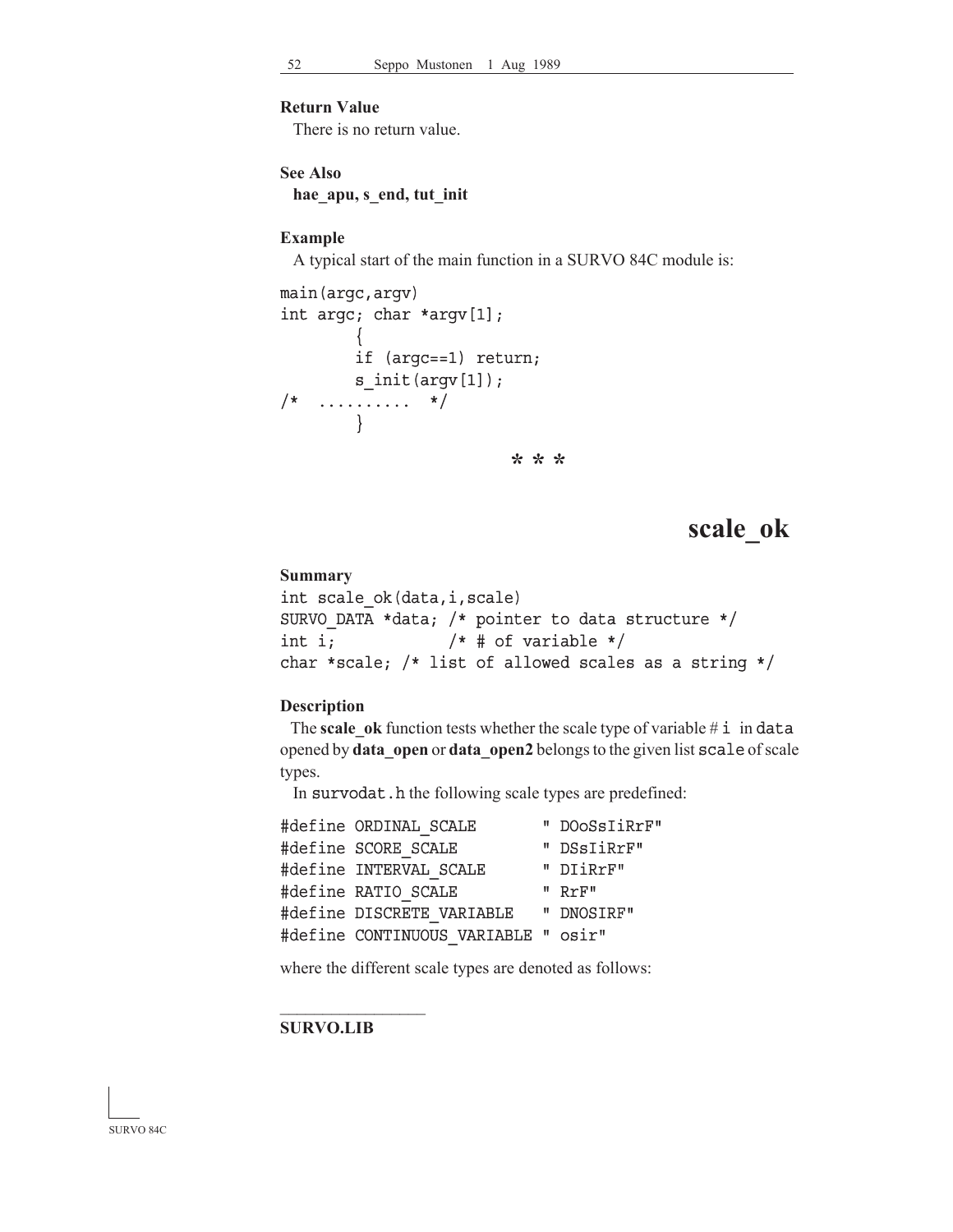## **Return Value**

There is no return value.

```
See Also
```

```
hae_apu, s_end, tut_init
```
#### **Example**

A typical start of the main function in a SURVO 84C module is:

```
main(argc,argv)
int argc; char *argv[1];
        \{ if (argc==1) return;
        s init(argv[1]);
/* .......... */
        }
                         * * *
```
## **scale\_ok**

#### **Summary**

```
int scale_ok(data,i,scale)
SURVO DATA *data; /* pointer to data structure */
int i; /* # of variable */char *scale; /* list of allowed scales as a string */
```
#### **Description**

The **scale** ok function tests whether the scale type of variable  $\#$  i in data opened by **data\_open** or **data\_open2** belongs to the given list scale of scale types.

In survodat.h the following scale types are predefined:

| #define ORDINAL SCALE               | " DOOSSIiRrF" |
|-------------------------------------|---------------|
| #define SCORE SCALE                 | " DSsIiRrF"   |
| #define INTERVAL SCALE              | " DIiRrF"     |
| #define RATIO SCALE                 | " RrF"        |
| #define DISCRETE VARIABLE           | " DNOSIRF"    |
| #define CONTINUOUS VARIABLE " osir" |               |
|                                     |               |

where the different scale types are denoted as follows:

#### **SURVO.LIB**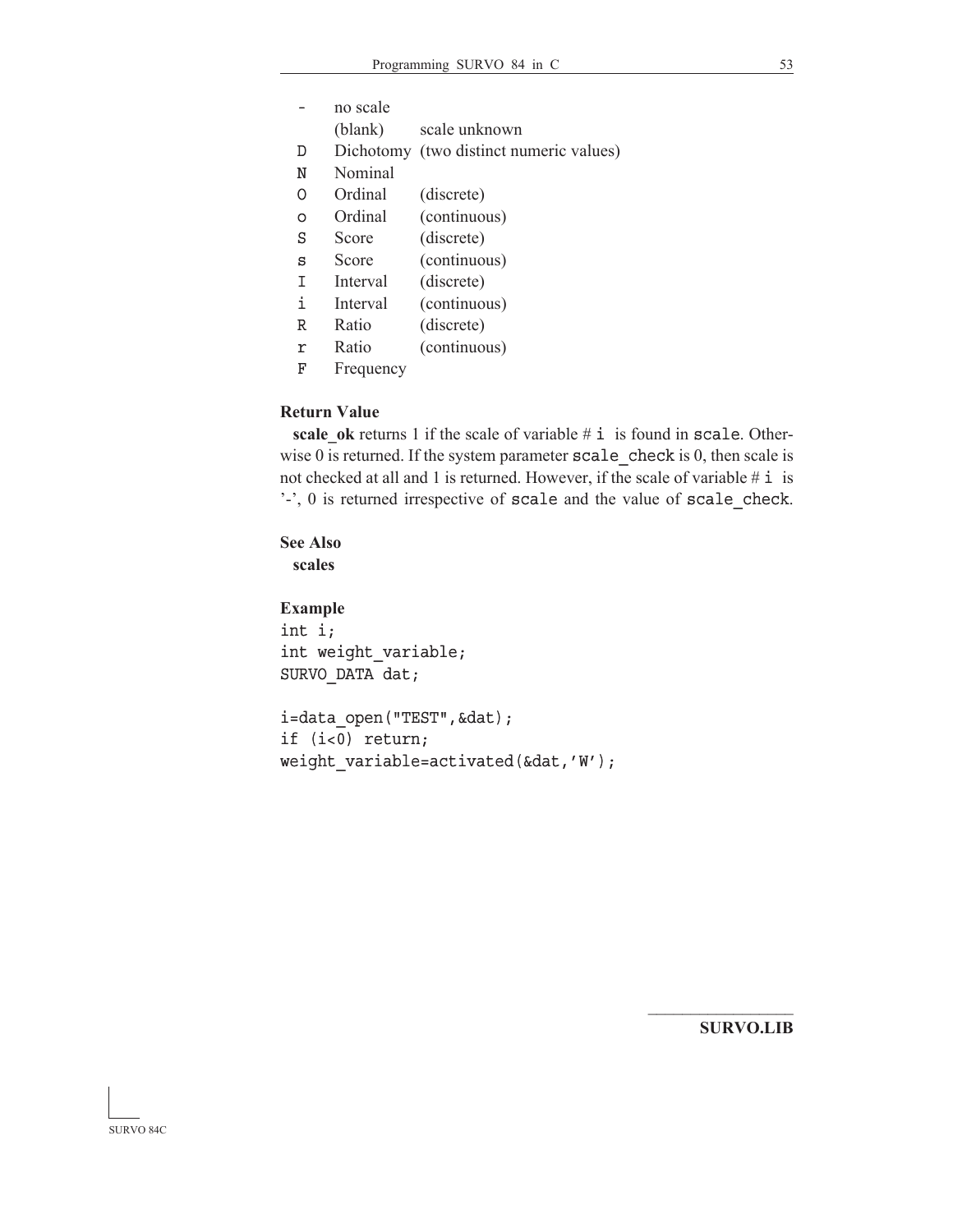- no scale
- (blank) scale unknown
- D Dichotomy (two distinct numeric values)
- N Nominal
- O Ordinal (discrete)
- o Ordinal (continuous)
- S Score (discrete)
- s Score (continuous)
- I Interval (discrete)
- i Interval (continuous)
- R Ratio (discrete)
- r Ratio (continuous)
- F Frequency

## **Return Value**

**scale** ok returns 1 if the scale of variable # i is found in scale. Otherwise 0 is returned. If the system parameter  $\texttt{scale}$  check is 0, then scale is not checked at all and 1 is returned. However, if the scale of variable  $\#$  i is ' $-$ ', 0 is returned irrespective of scale and the value of scale check.

## **See Also**

**scales**

### **Example**

int i; int weight\_variable; SURVO\_DATA dat;

i=data\_open("TEST",&dat); if (i<0) return; weight variable=activated(&dat,'W');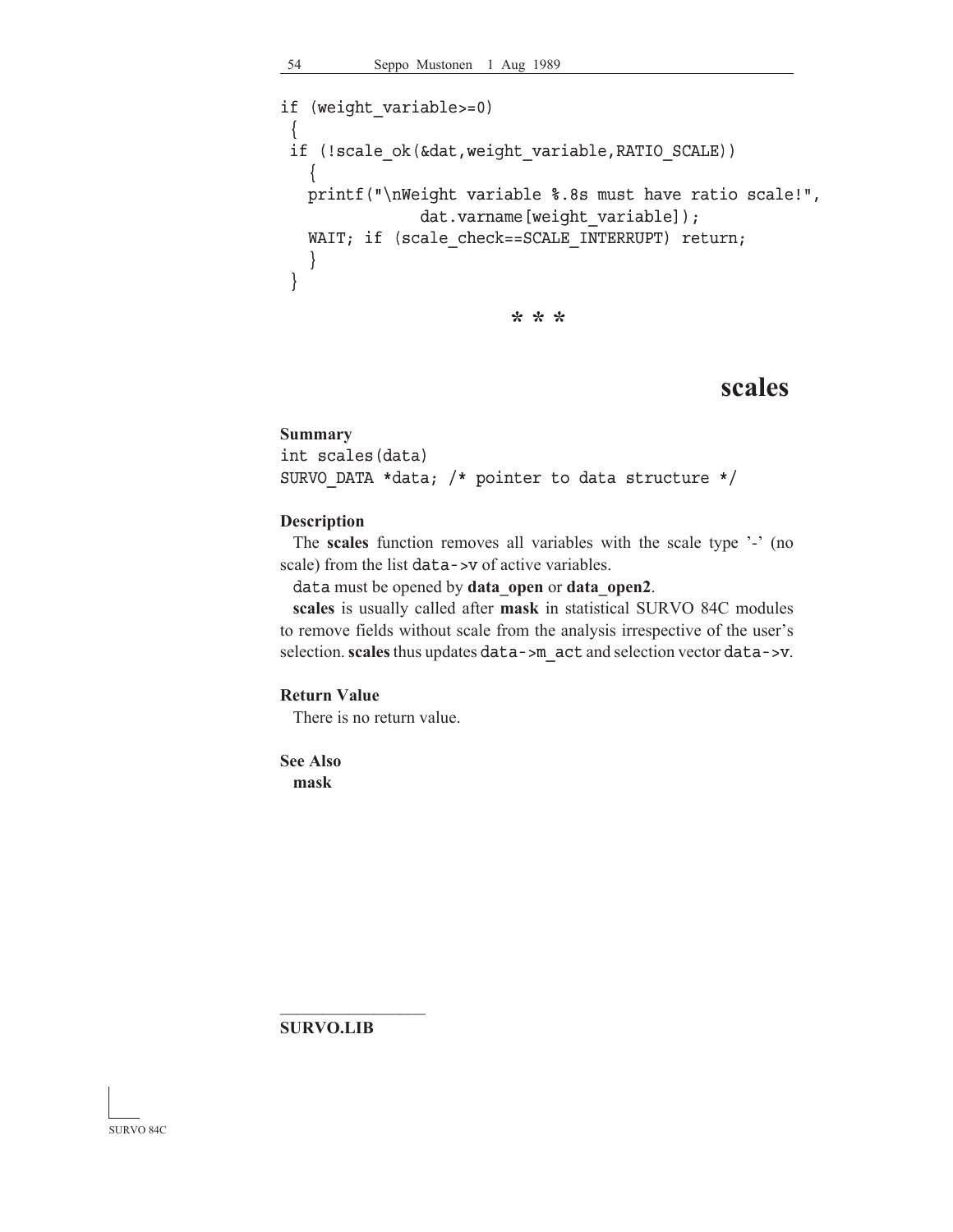```
if (weight_variable>=0)
 {
 if (!scale ok(&dat,weight variable, RATIO SCALE))
    {
    printf("\nWeight variable %.8s must have ratio scale!",
               dat.varname[weight variable]);
   WAIT; if (scale check==SCALE INTERRUPT) return;
    }
  }
                          * * *
```
## **scales**

#### **Summary**

```
int scales(data)
SURVO_DATA *data; /* pointer to data structure */
```
#### **Description**

 The **scales** function removes all variables with the scale type '-' (no scale) from the list data->v of active variables.

data must be opened by **data\_open** or **data\_open2**.

**scales** is usually called after **mask** in statistical SURVO 84C modules to remove fields without scale from the analysis irrespective of the user's selection. scales thus updates data->m\_act and selection vector data->v.

## **Return Value**

There is no return value.

**See Also mask**

**SURVO.LIB**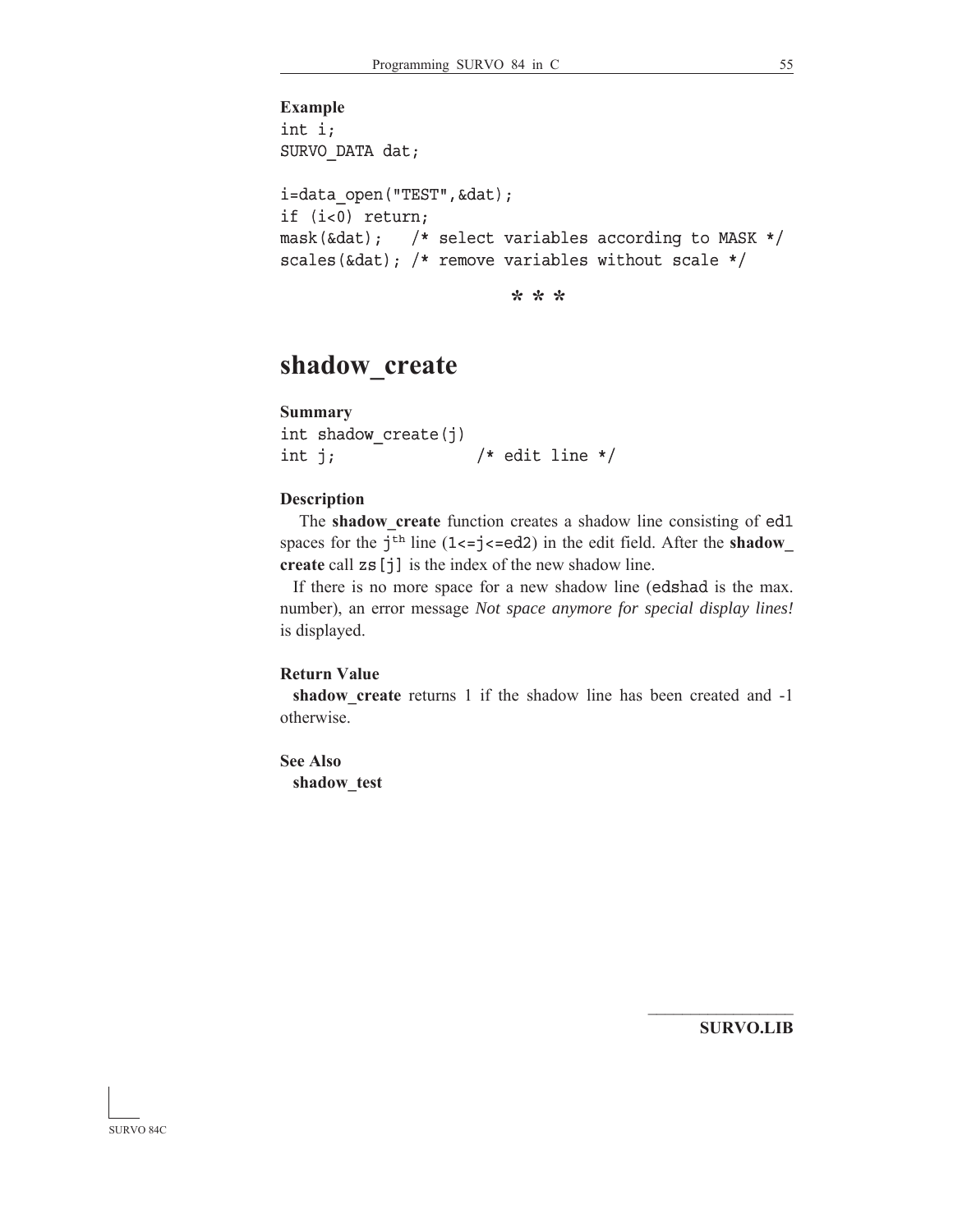```
Example
int i;
SURVO_DATA dat;
i=data_open("TEST",&dat);
if (i<0) return;
mask(&dat); /* select variables according to MASK */
scales(&dat); /* remove variables without scale */
```
**\* \* \***

# **shadow\_create**

```
Summary
```

```
int shadow_create(j)
int j; \frac{1}{x} /* edit line */
```
### **Description**

 The **shadow\_create** function creates a shadow line consisting of ed1 spaces for the  $j<sup>th</sup>$  line (1<=j<=ed2) in the edit field. After the **shadow create** call zs[j] is the index of the new shadow line.

 If there is no more space for a new shadow line (edshad is the max. number), an error message *Not space anymore for special display lines!* is displayed.

#### **Return Value**

shadow create returns 1 if the shadow line has been created and -1 otherwise.

```
See Also
 shadow_test
```
**SURVO.LIB**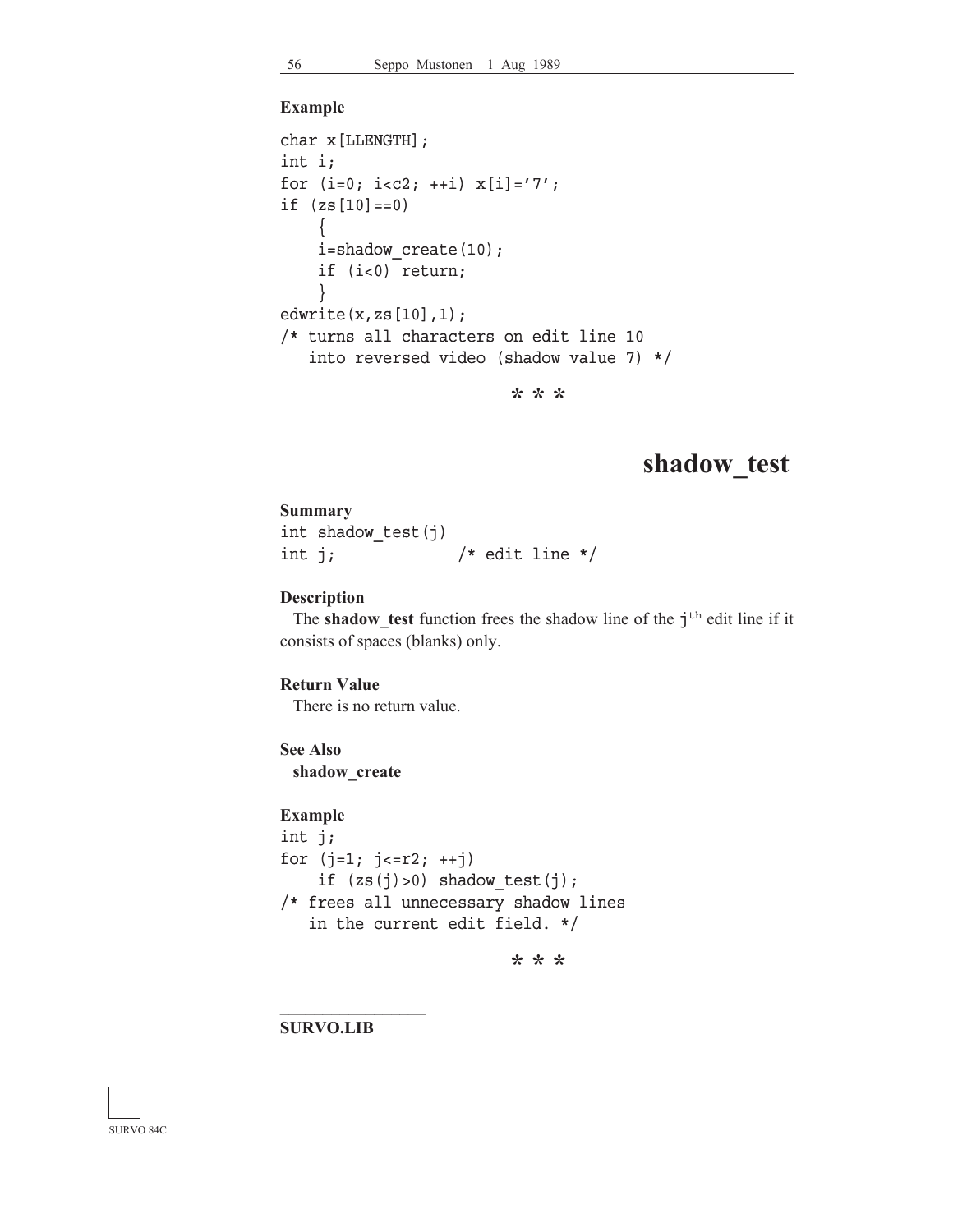#### **Example**

```
char x[LLENGTH];
int i;
for (i=0; i< c2; ++i) x[i]='7';
if (zs[10]=-0) {
     i=shadow_create(10);
     if (i<0) return;
     }
edwrite(x,zs[10],1);
/* turns all characters on edit line 10
    into reversed video (shadow value 7) */
```
**\* \* \***

## **shadow\_test**

**Summary** int shadow\_test(j) int j;  $\frac{1}{x}$  /\* edit line \*/

#### **Description**

The **shadow\_test** function frees the shadow line of the j<sup>th</sup> edit line if it consists of spaces (blanks) only.

#### **Return Value**

There is no return value.

## **See Also shadow\_create**

#### **Example**

```
int j;
for (j=1; j<=r2; ++j)if (zs(j))>0) shadow test(j);
/* frees all unnecessary shadow lines
    in the current edit field. */
```
**\* \* \***

**SURVO.LIB**

 $\mathcal{L}_\text{max}$ 

SURVO 84C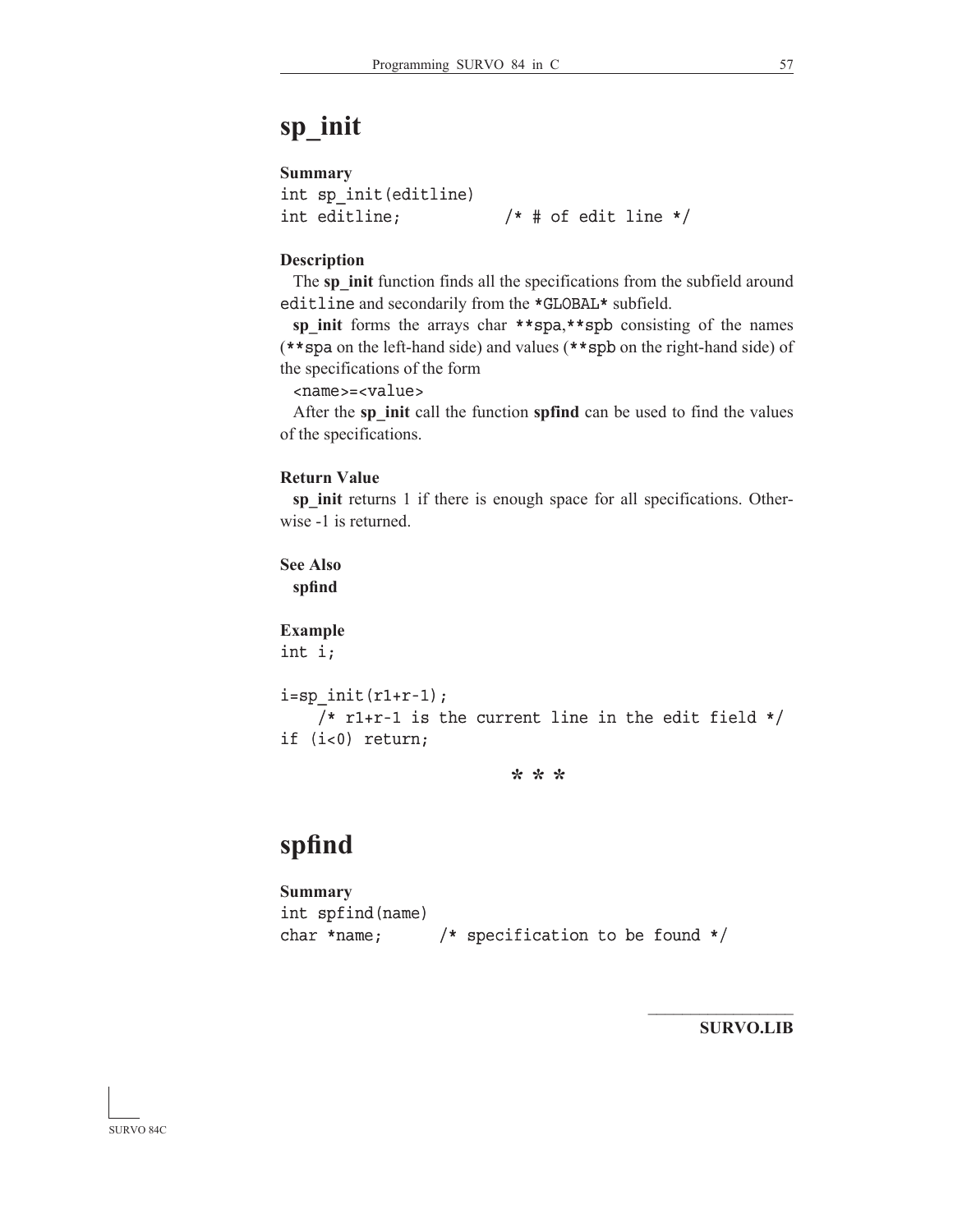## **Summary**

```
int sp_init(editline)
int editline; /* # of edit line */
```
### **Description**

The sp init function finds all the specifications from the subfield around editline and secondarily from the \*GLOBAL\* subfield.

**sp\_init** forms the arrays char \*\*spa,\*\*spb consisting of the names (\*\*spa on the left-hand side) and values (\*\*spb on the right-hand side) of the specifications of the form

### <name>=<value> name>=<value>

 After the **sp\_init** call the function **spfind** can be used to find the values of the specifications.

### **Return Value**

sp init returns 1 if there is enough space for all specifications. Otherwise -1 is returned.

## **See Also spfind**

**Example** int i;

```
i=sp init(r1+r-1);
    /* r1+r-1 is the current line in the edit field */if (i<0) return;
```
**\* \* \***

# **spfind**

```
Summary
int spfind(name)
char *name; /* specification to be found */
```
**SURVO.LIB**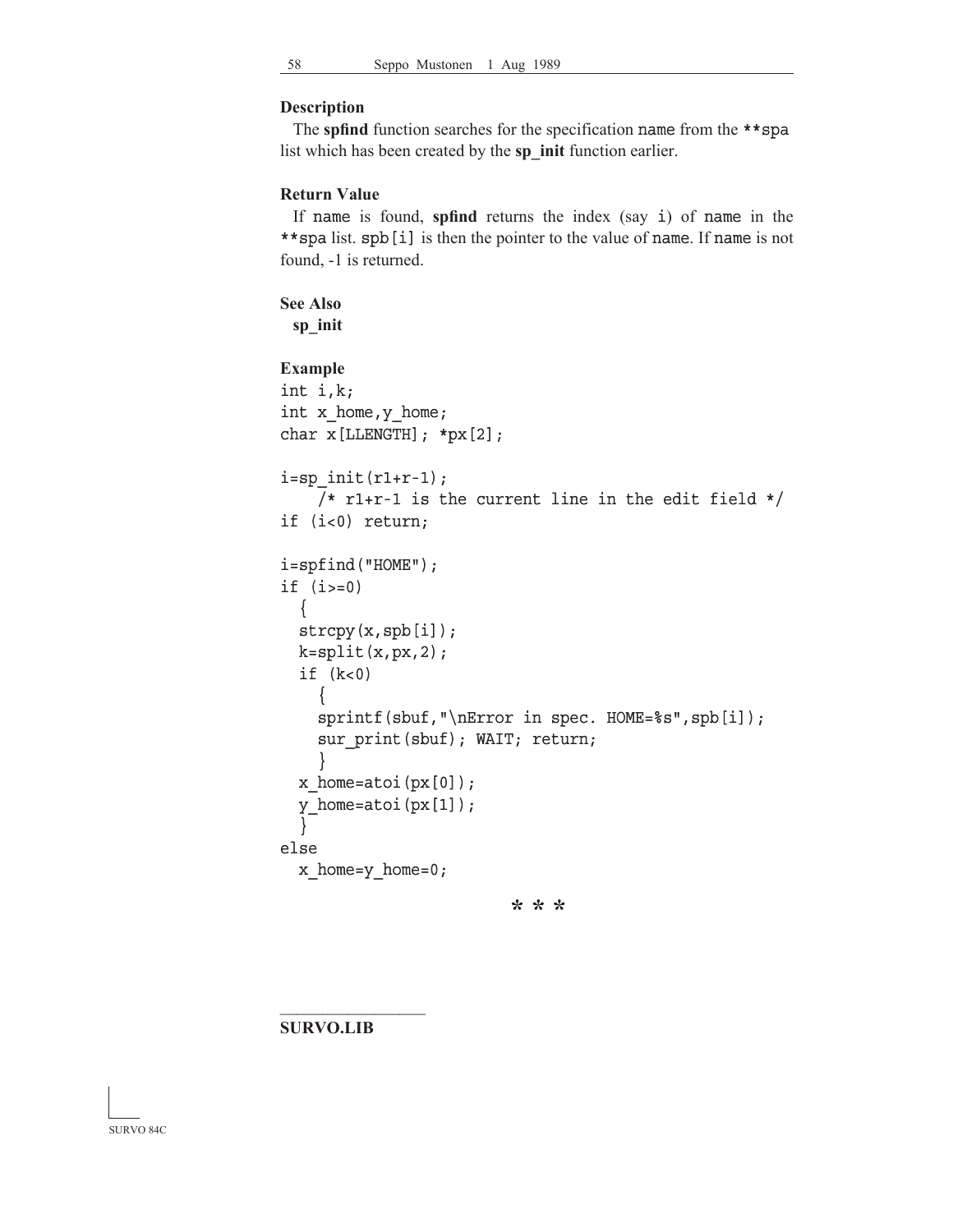### **Description**

 The **spfind** function searches for the specification name from the \*\*spa list which has been created by the **sp\_init** function earlier.

#### **Return Value**

 If name is found, **spfind** returns the index (say i) of name in the \*\*spa list. spb [i] is then the pointer to the value of name. If name is not found, -1 is returned.

## **See Also**

**sp\_init**

## **Example** int i,k; int x home, y home; char x[LLENGTH]; \*px[2];  $i=sp$  init(r1+r-1);  $/*$  r1+r-1 is the current line in the edit field  $*/$ if (i<0) return; i=spfind("HOME"); if  $(i>=0)$  { strcpy(x,spb[i]);  $k=split(x, px, 2);$ if  $(k<0)$  { sprintf(sbuf,"\nError in spec. HOME=%s",spb[i]); sur print(sbuf); WAIT; return; } x\_home=atoi(px[0]); y\_home=atoi(px[1]); } else x\_home=y\_home=0; **\* \* \***

### **SURVO.LIB**

 $\mathcal{L}_\text{max}$ 

SURVO 84C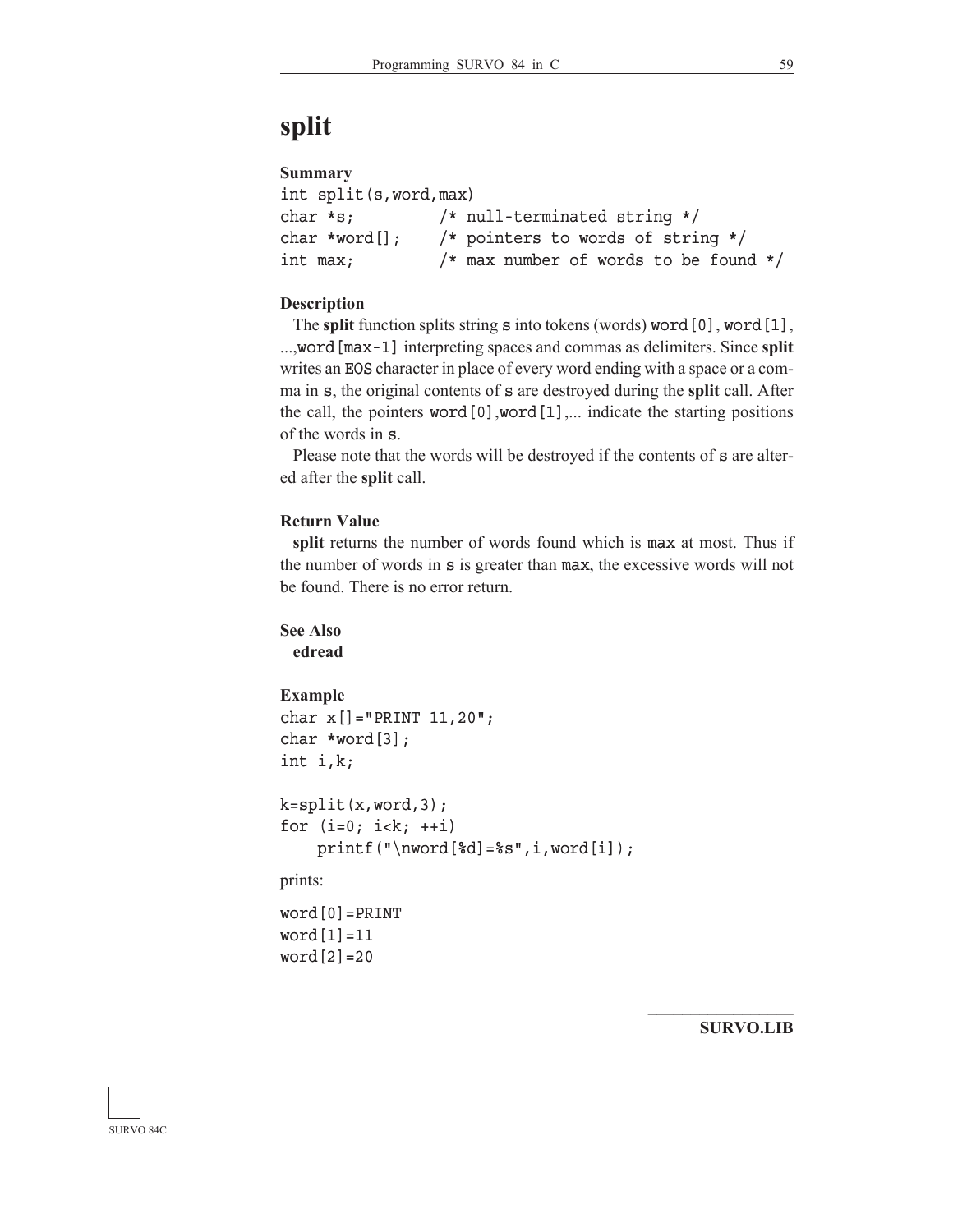# **split**

## **Summary**

```
int split(s,word,max)
char *s; /* null-terminated string */
char *word[]; /* pointers to words of string */
int max; /* max number of words to be found */
```
## **Description**

The **split** function splits string **s** into tokens (words) word [0], word [1], ...,word [max-1] interpreting spaces and commas as delimiters. Since **split** writes an EOS character in place of every word ending with a space or a comma in s, the original contents of s are destroyed during the **split** call. After the call, the pointers word  $[0]$ , word  $[1]$ ,... indicate the starting positions of the words in s.

Please note that the words will be destroyed if the contents of s are altered after the **split** call.

## **Return Value**

**split** returns the number of words found which is max at most. Thus if the number of words in s is greater than max, the excessive words will not be found. There is no error return.

## **See Also**

**edread**

## **Example**

```
char x[]="PRINT 11,20";
char *word[3];
int i,k;
```

```
k=split(x,word,3);for (i=0; i< k; ++i)printf("\nword[d]=s'',i,word[i]);
```
prints:

```
word[0]=PRINT
word[1]=11
word[2]=20
```
**SURVO.LIB**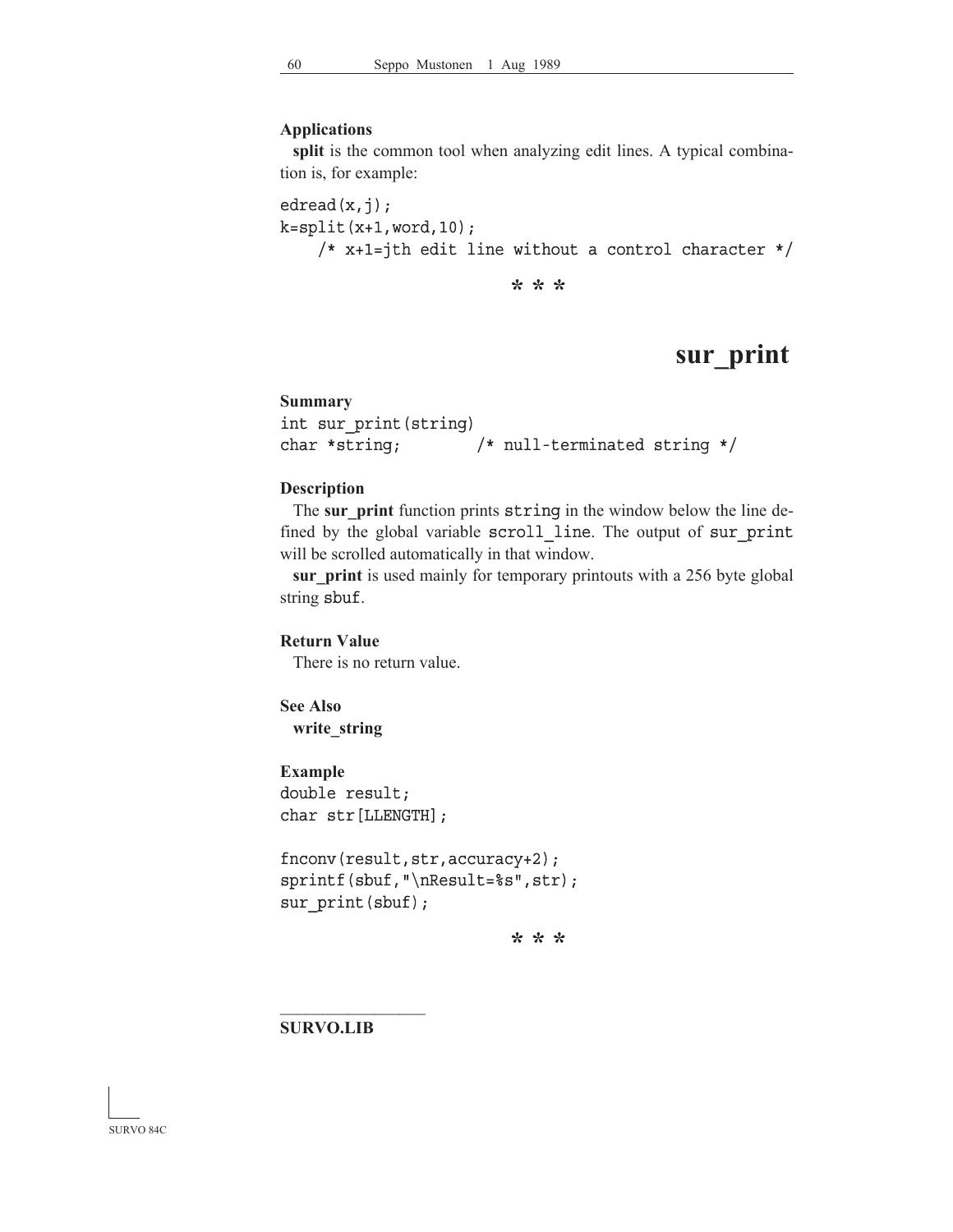#### **Applications**

**split** is the common tool when analyzing edit lines. A typical combination is, for example:

edread $(x, j)$ ;  $k=split(x+1, word,10);$ /\* x+1=jth edit line without a control character \*/

**\* \* \***

## **sur\_print**

### **Summary**

```
int sur print(string)
char *string; /* null-terminated string */
```
#### **Description**

 The **sur\_print** function prints string in the window below the line defined by the global variable scroll line. The output of sur print will be scrolled automatically in that window.

**sur\_print** is used mainly for temporary printouts with a 256 byte global string sbuf.

## **Return Value**

There is no return value.

## **See Also write\_string**

**Example** double result; char str[LLENGTH];

```
fnconv(result,str,accuracy+2);
sprintf(sbuf,"\nResult=%s",str);
sur print(sbuf);
```
**\* \* \***

**SURVO.LIB**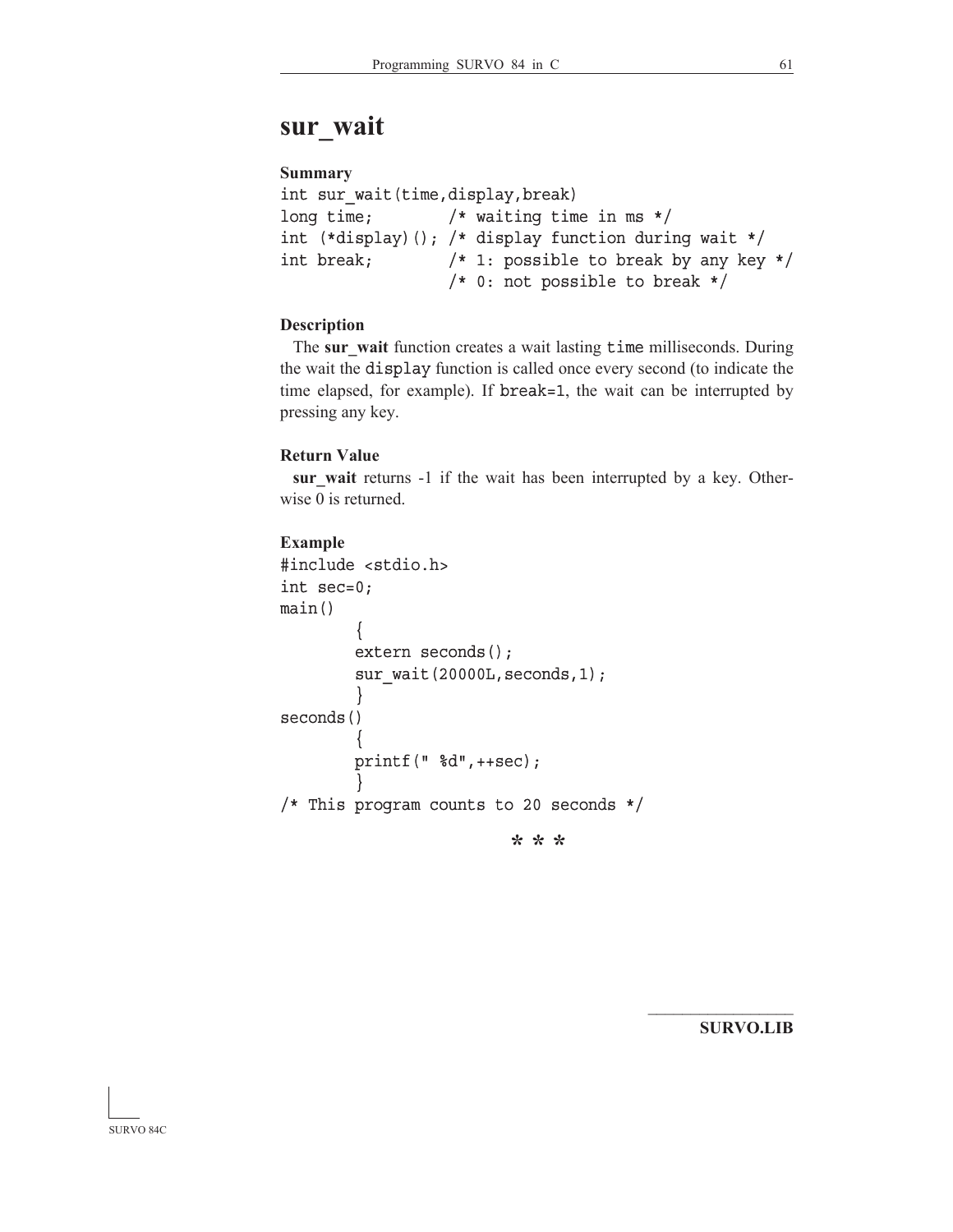## **sur\_wait**

## **Summary**

```
int sur_wait(time,display,break)
long time; /* waiting time in ms */
int (*display)(); /* display function during wait */
int break; /* 1: possible to break by any key */
                  /* 0: not possible to break */
```
## **Description**

The sur wait function creates a wait lasting time milliseconds. During the wait the display function is called once every second (to indicate the time elapsed, for example). If break=1, the wait can be interrupted by pressing any key.

#### **Return Value**

**sur\_wait** returns -1 if the wait has been interrupted by a key. Otherwise 0 is returned.

## **Example**

```
#include <stdio.h>
int sec=0;
main()
\left\{\begin{array}{ccc} \end{array}\right\} extern seconds();
          sur wait(20000L, seconds, 1);
 }
seconds()
\left\{\begin{array}{ccc} \end{array}\right\} printf(" %d",++sec);
 }
/* This program counts to 20 seconds */
                                 * * *
```
**SURVO.LIB**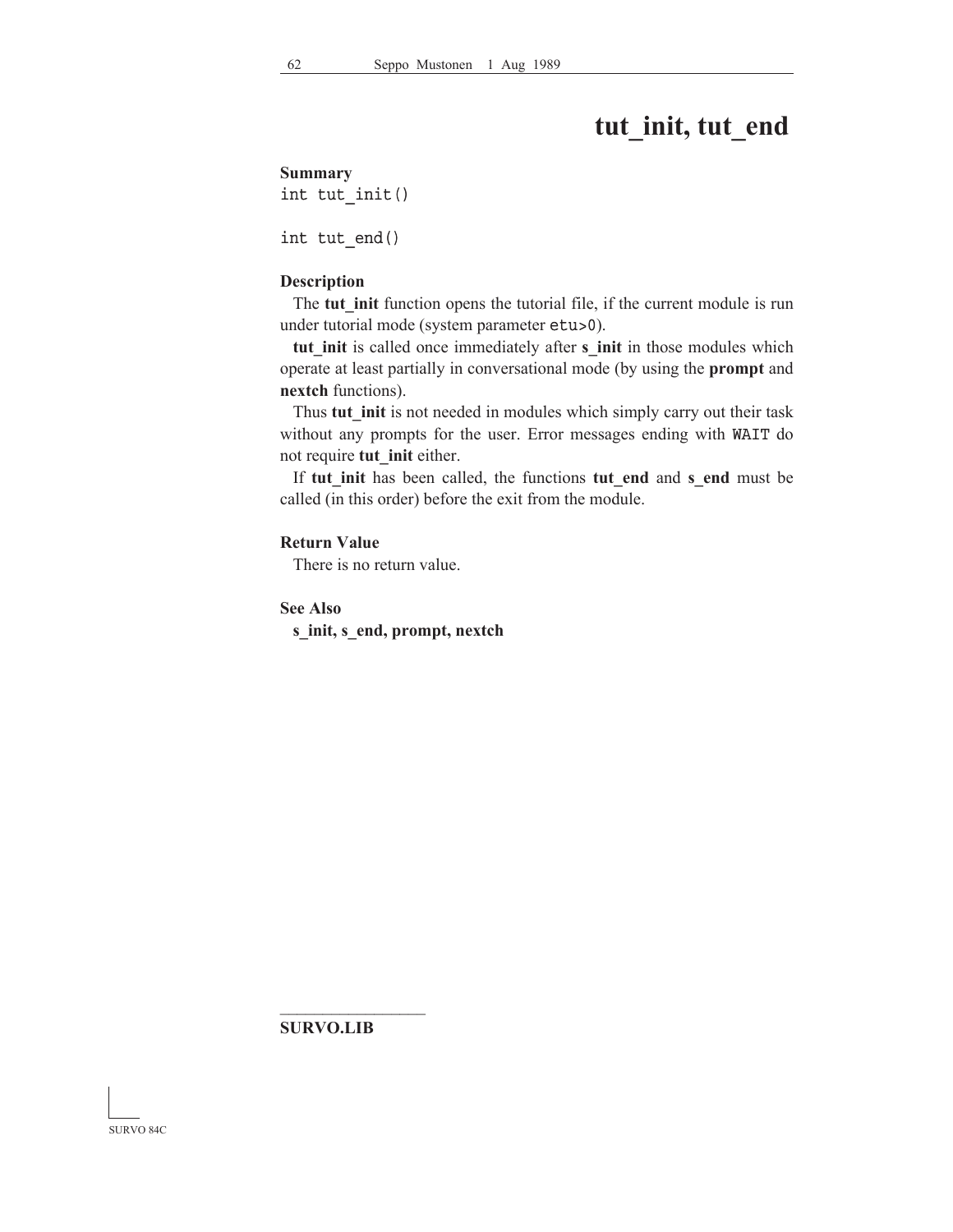# **tut\_init, tut\_end**

#### **Summary**

int tut\_init()

int tut\_end()

#### **Description**

 The **tut\_init** function opens the tutorial file, if the current module is run under tutorial mode (system parameter etu>0).

tut init is called once immediately after **s** init in those modules which operate at least partially in conversational mode (by using the **prompt** and **nextch** functions).

Thus **tut init** is not needed in modules which simply carry out their task without any prompts for the user. Error messages ending with WAIT do not require **tut\_init** either.

 If **tut\_init** has been called, the functions **tut\_end** and **s\_end** must be called (in this order) before the exit from the module.

## **Return Value**

There is no return value.

**See Also**

**s\_init, s\_end, prompt, nextch**

**SURVO.LIB**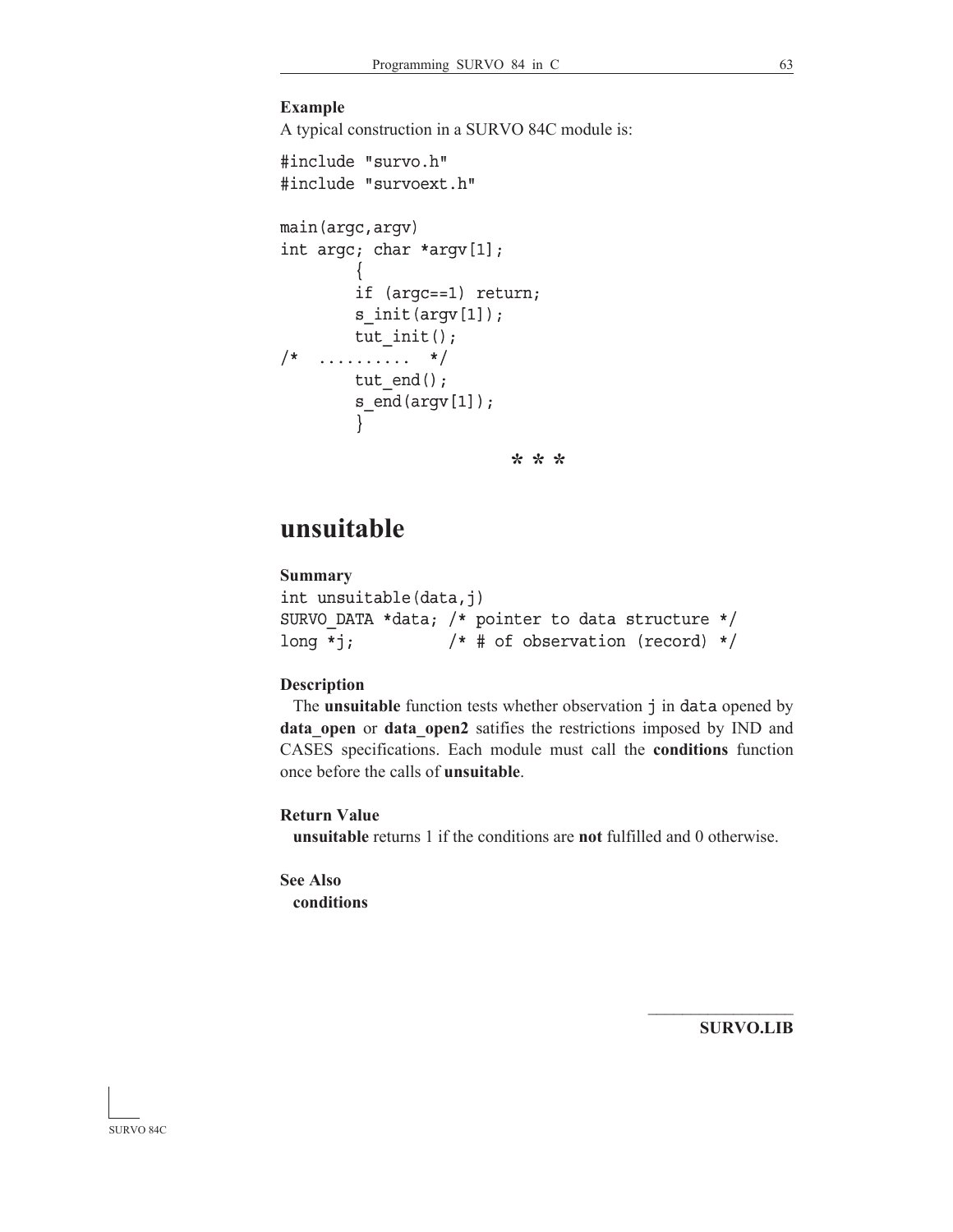## **Example**

A typical construction in a SURVO 84C module is:

```
#include "survo.h"
#include "survoext.h"
main(argc,argv)
int argc; char *argv[1];
         \{ if (argc==1) return;
        s init(argv[1]);
        tut init();
7^* .............. \frac{1}{4}tut end();
         s end(argv[1]);
          }
                           * * *
```
## **unsuitable**

```
Summary
int unsuitable(data,j)
SURVO DATA *data; /* pointer to data structure */
long *j; /* # of observation (record) */
```
### **Description**

The **unsuitable** function tests whether observation  $\vec{\tau}$  in data opened by data open or data open2 satifies the restrictions imposed by IND and CASES specifications. Each module must call the **conditions** function once before the calls of **unsuitable**.

## **Return Value**

**unsuitable** returns 1 if the conditions are **not** fulfilled and 0 otherwise.

**See Also conditions**

**SURVO.LIB**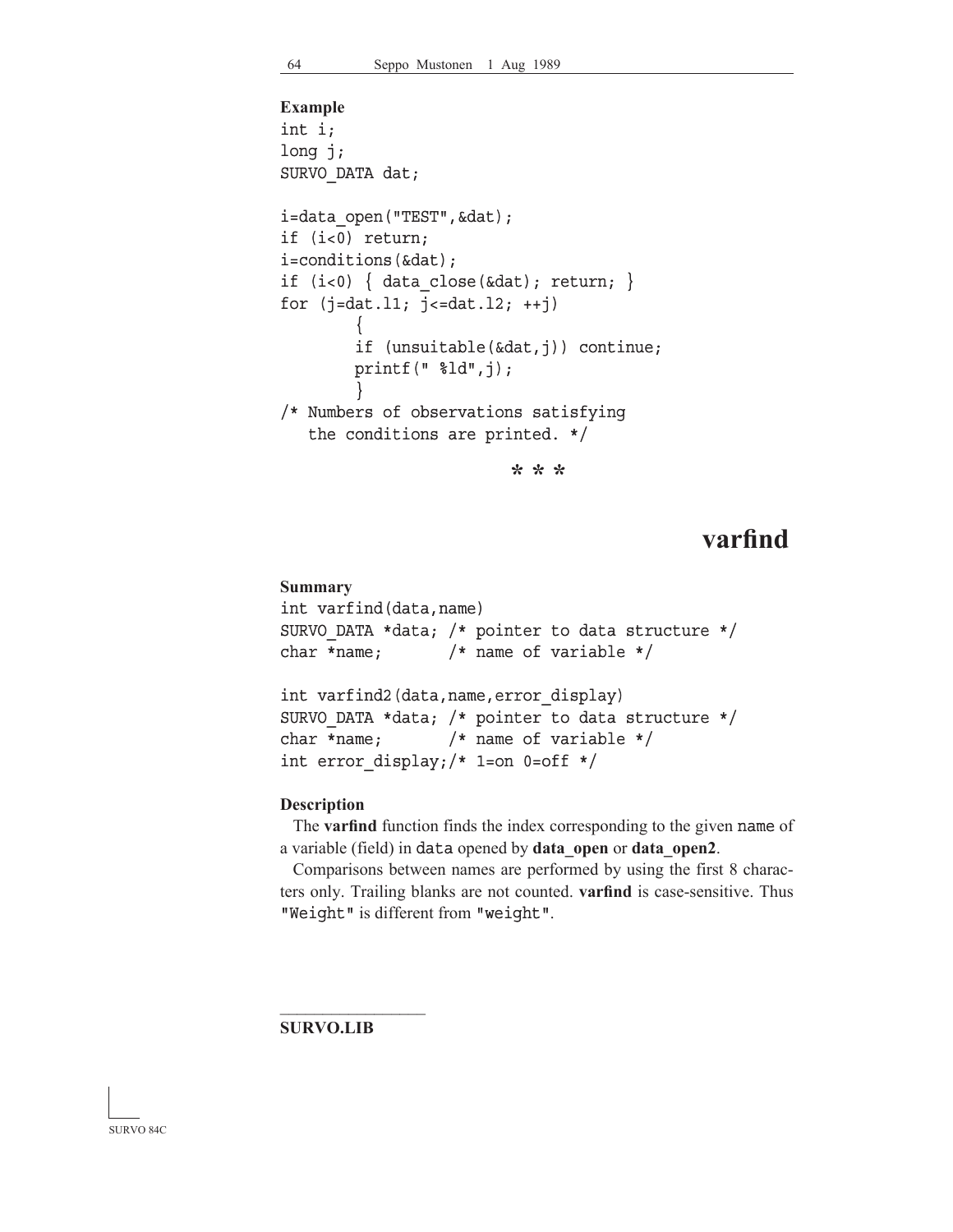```
Example
int i;
long j;
SURVO_DATA dat;
i=data open("TEST", &dat);
if (i<0) return;
i=conditions(&dat);
if (i<0) { data close(&dat); return; }
for (j=dat.11; j<=dat.12; ++j)\left\{\begin{array}{ccc} \end{array}\right\} if (unsuitable(&dat,j)) continue;
         printf(" %ld",j);
 }
/* Numbers of observations satisfying
    the conditions are printed. */
```
**\* \* \***

# **varfind**

## **Summary** int varfind(data,name) SURVO\_DATA \*data; /\* pointer to data structure \*/ char \*name; /\* name of variable \*/ int varfind2(data,name,error\_display) SURVO\_DATA \*data; /\* pointer to data structure \*/ char \*name; /\* name of variable \*/ int error display;/\* 1=on 0=off \*/

### **Description**

 The **varfind** function finds the index corresponding to the given name of a variable (field) in data opened by **data\_open** or **data\_open2**.

 Comparisons between names are performed by using the first 8 characters only. Trailing blanks are not counted. **varfind** is case-sensitive. Thus "Weight" is different from "weight".

**SURVO.LIB**

 $\mathcal{L}_\text{max}$ 

#### SURVO 84C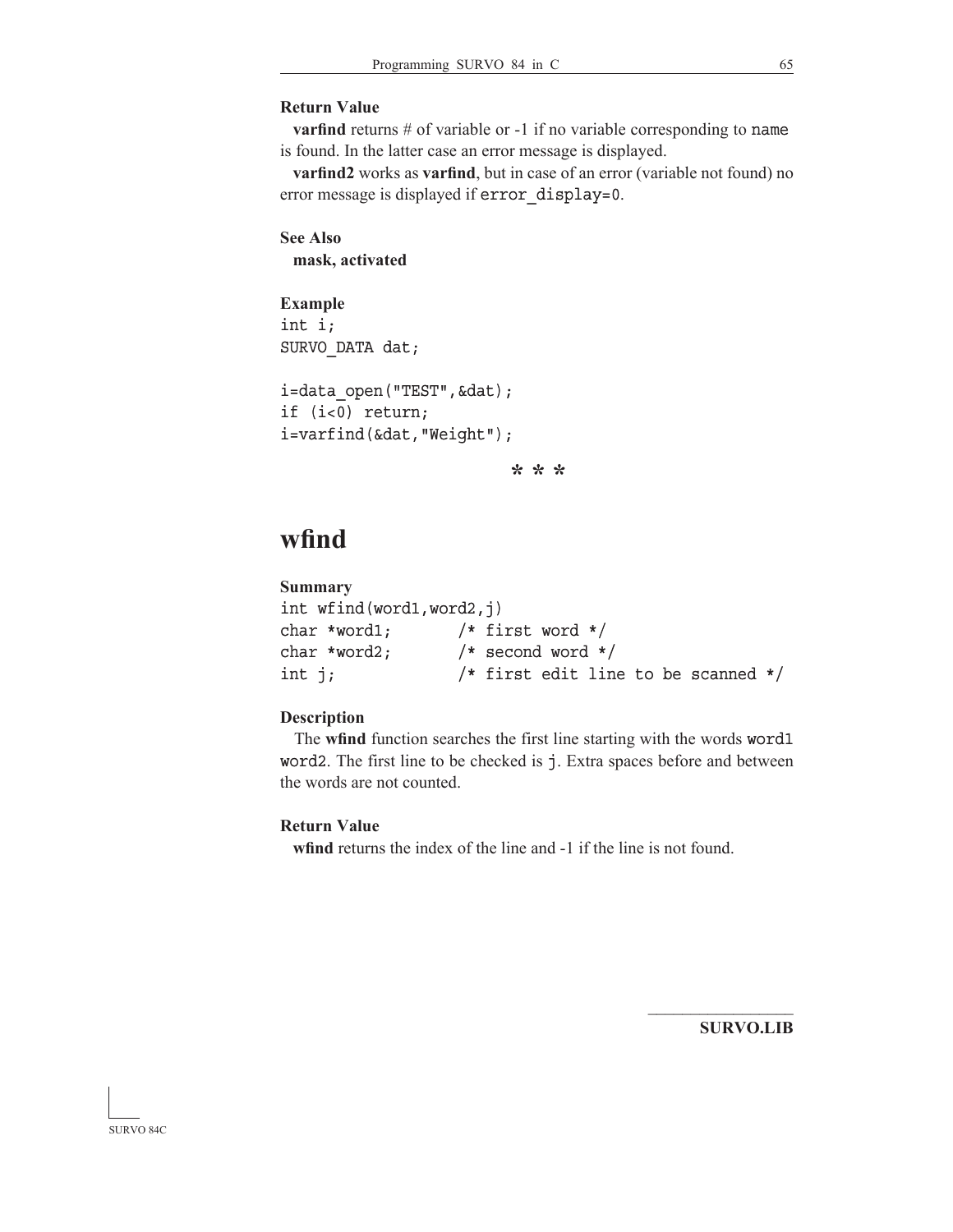### **Return Value**

**varfind** returns # of variable or -1 if no variable corresponding to name is found. In the latter case an error message is displayed.

**varfind2** works as **varfind**, but in case of an error (variable not found) no error message is displayed if error display=0.

```
See Also
 mask, activated
```
**Example** int i; SURVO\_DATA dat;

```
i=data_open("TEST",&dat);
if (i<0) return;
i=varfind(&dat,"Weight");
```
**\* \* \***

# **wfind**

```
Summary
int wfind(word1,word2,j)
char *word1; /* first word */
char *word2; /* second word */
int j; /* first edit line to be scanned */
```
## **Description**

 The **wfind** function searches the first line starting with the words word1 word2. The first line to be checked is j. Extra spaces before and between the words are not counted.

### **Return Value**

**wfind** returns the index of the line and -1 if the line is not found.

**SURVO.LIB**

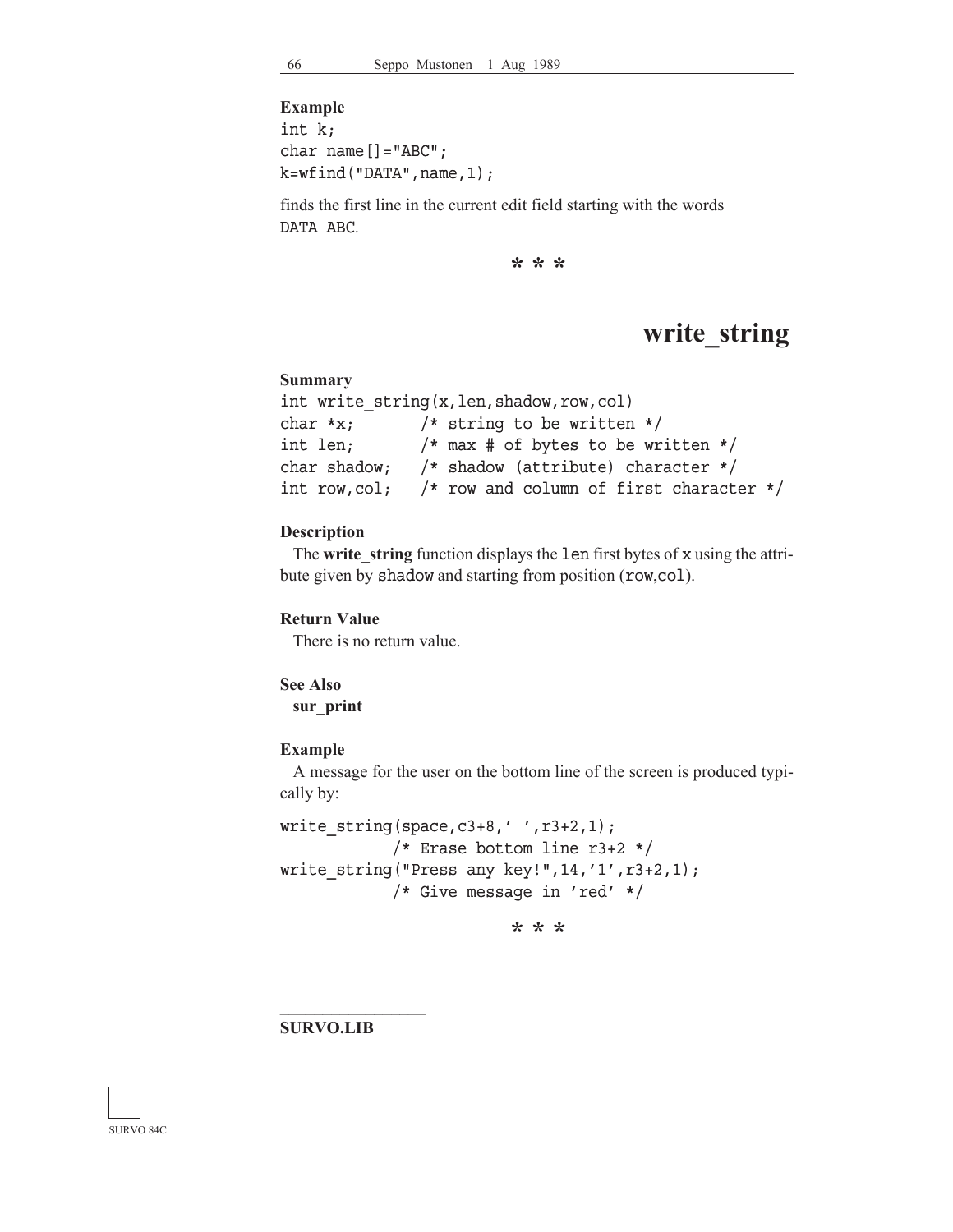**Example** int k; char name  $[] = "ABC"$ ;  $k=wtind("DATA", name, 1);$ 

finds the first line in the current edit field starting with the words DATA ABC.

**\* \* \***

## **write\_string**

#### **Summary**

```
int write string(x,len,shadow,row,col)
char *x; /* string to be written */int len; /* max # of bytes to be written */
char shadow; /* shadow (attribute) character */
int row,col; /* row and column of first character */
```
#### **Description**

 The **write\_string** function displays the len first bytes of x using the attribute given by shadow and starting from position (row,col).

### **Return Value**

There is no return value.

### **See Also**

**sur\_print**

#### **Example**

 A message for the user on the bottom line of the screen is produced typically by:

```
write string(space,c3+8,' ' ' ,r3+2,1);/* Erase bottom line r3+2 */
write string("Press any key!",14,'1',r3+2,1);
            /* Give message in 'red' */
```
**\* \* \***

**SURVO.LIB**

 $\mathcal{L}_\text{max}$ 

SURVO 84C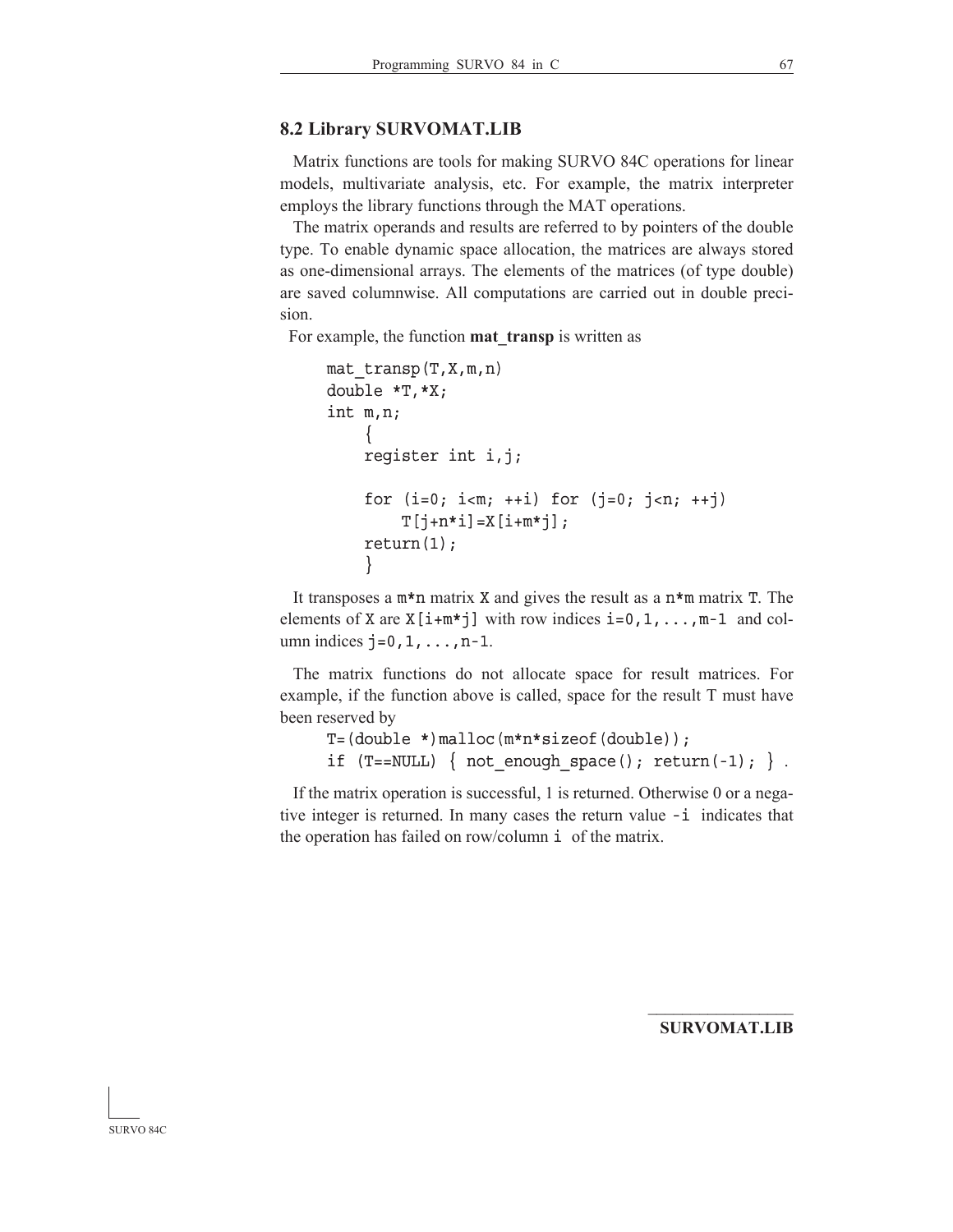#### **8.2 Library SURVOMAT.LIB**

 Matrix functions are tools for making SURVO 84C operations for linear models, multivariate analysis, etc. For example, the matrix interpreter employs the library functions through the MAT operations.

 The matrix operands and results are referred to by pointers of the double type. To enable dynamic space allocation, the matrices are always stored as one-dimensional arrays. The elements of the matrices (of type double) are saved columnwise. All computations are carried out in double precision.

For example, the function **mat\_transp** is written as

```
mat transp(T,X,m,n) double *T,*X;
 int m,n;
    {
    register int i,j;
    for (i=0; i<m; ++i) for (j=0; j<n; ++j)T[j+n*1]=X[i+m*j];return(1);
    }
```
It transposes a  $m*n$  matrix X and gives the result as a  $n*m$  matrix T. The elements of X are  $X[i+m*j]$  with row indices  $i=0,1,\ldots,m-1$  and column indices  $j=0,1,\ldots,n-1$ .

 The matrix functions do not allocate space for result matrices. For example, if the function above is called, space for the result T must have been reserved by

```
 T=(double *)malloc(m*n*sizeof(double));
if (T == NULL) { not_enough space(); return(-1); }.
```
 If the matrix operation is successful, 1 is returned. Otherwise 0 or a negative integer is returned. In many cases the return value -i indicates that the operation has failed on row/column i of the matrix.

 $\mathcal{L}_\text{max}$ **SURVOMAT.LIB**

SURVO 84C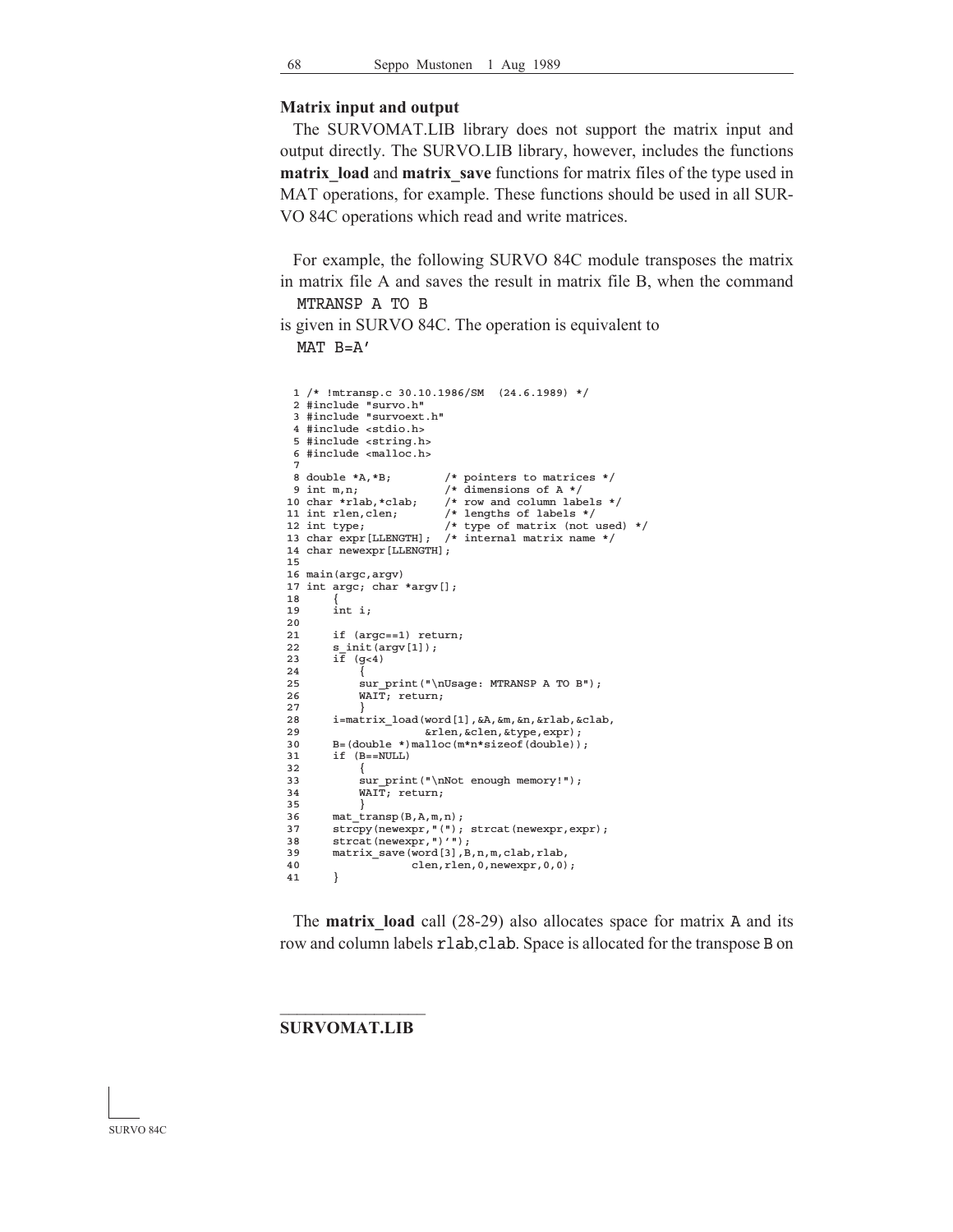#### **Matrix input and output**

 The SURVOMAT.LIB library does not support the matrix input and output directly. The SURVO.LIB library, however, includes the functions **matrix** load and **matrix** save functions for matrix files of the type used in MAT operations, for example. These functions should be used in all SUR-VO 84C operations which read and write matrices.

 For example, the following SURVO 84C module transposes the matrix in matrix file A and saves the result in matrix file B, when the command MTRANSP A TO B

is given in SURVO 84C. The operation is equivalent to  $MAT$   $B=A'$ 

```
 1 /* !mtransp.c 30.10.1986/SM (24.6.1989) */
 2 #include "survo.h"
 3 #include "survoext.h"
   4 #include <stdio.h>
   5 #include <string.h>
  6 #include <malloc.h>
 7
 8 double *A, *B; /* pointers to matrices */<br>9 int m,n; /* dimensions of A */
9 int m,n;<br>
\begin{array}{ccc} \text{9} & \text{int m,n}; \\ \text{10} & \text{char} \cdot \text{rlab}, \text{*clab}; \\ \end{array} /* row and column labe
10 char *rlab,*clab; /* row and column labels */<br>11 int rlen,clen; /* lengths of labels */
11 int rlen, clen; \begin{array}{ccc} \end{array} /* lengths of labels */<br>12 int type; \begin{array}{ccc} \end{array} /* type of matrix (not
                                  /* type of matrix (not used) */
 13 char expr[LLENGTH]; /* internal matrix name */
 14 char newexpr[LLENGTH];
 15
 16 main(argc,argv)
17 int argc; char *argv[];
 18 {
 19 int i;
 20
21 if (\text{argc} == 1) return;<br>22 s init (\text{argc} == 1):
          s_init(argv[1]);
23 i\overline{f} (g<4)
2.425 sur_print("\nUsage: MTRANSP A TO B");
 26 WAIT; return;
 27 }
28 i=matrix_load(word[1], &A, &m, &n, &rlab, &clab,<br>29 	 &rlen, &clen, &type, expr);
                              29 &rlen,&clen,&type,expr);
B=(double *)malloc(m*n*sizeof(double)); 31 if (B==NULL)
 32 {
33 sur_print("\nNot enough memory!");<br>34 WAIT: return:
               WATT; return;
 35 }
36 mat_transp(B, A, m, n);<br>37 strcny(newexnr \sqrt{(n)}.
          strcpy(newexpr, "("); strcat(newexpr, expr);
38 strcat(newexpr,")'");<br>39 matrix save(word[3] B
          matrix_save(word[3],B,n,m,clab,rlab,
 40 clen,rlen,0,newexpr,0,0);
 41 }
```
The **matrix** load call (28-29) also allocates space for matrix A and its row and column labels rlab,clab. Space is allocated for the transpose B on

 $\mathcal{L}_\text{max}$ **SURVOMAT.LIB**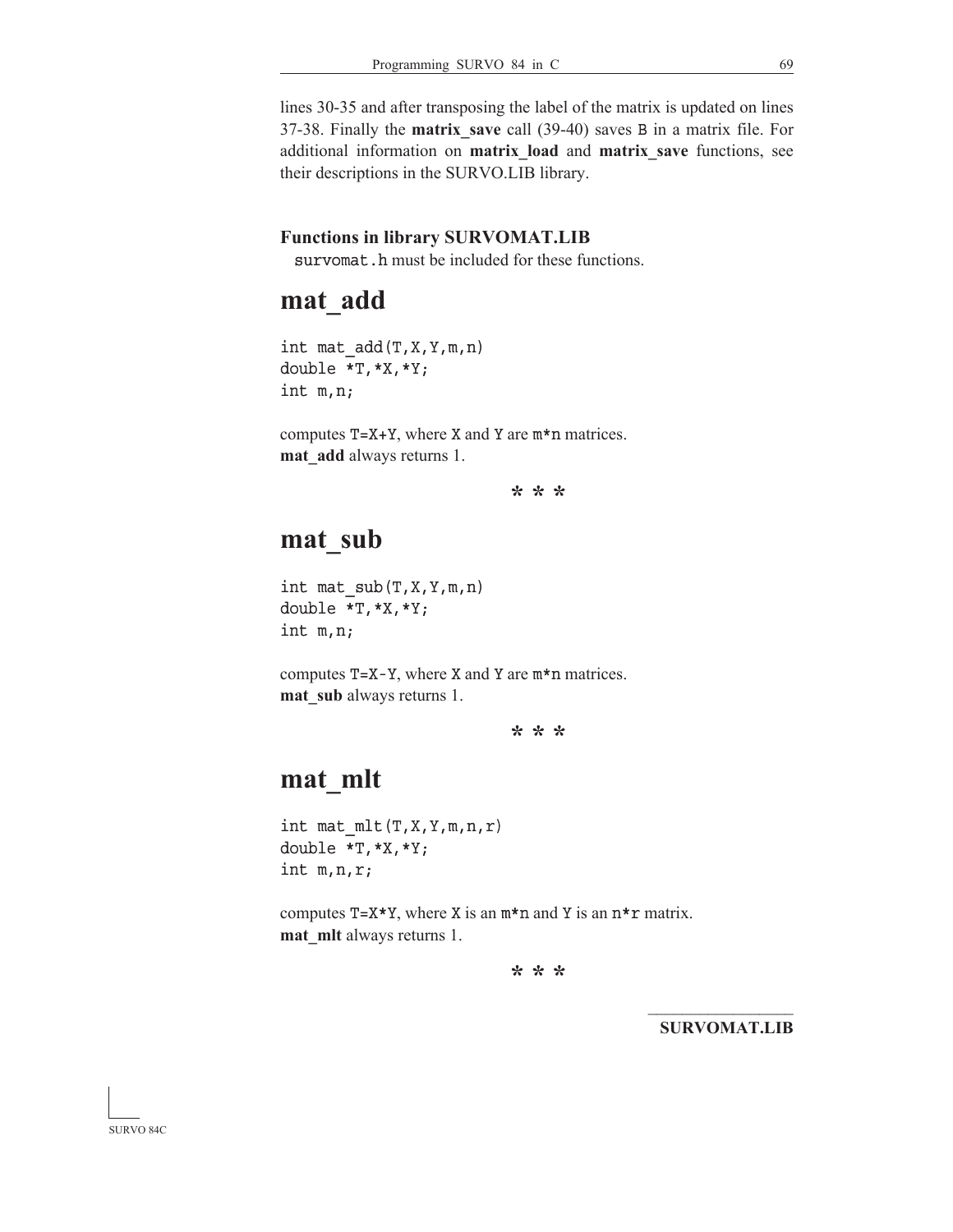lines 30-35 and after transposing the label of the matrix is updated on lines 37-38. Finally the **matrix\_save** call (39-40) saves B in a matrix file. For additional information on **matrix\_load** and **matrix\_save** functions, see their descriptions in the SURVO.LIB library.

#### **Functions in library SURVOMAT.LIB**

survomat.h must be included for these functions.

#### **mat\_add**

int mat  $add(T,X,Y,m,n)$ double \*T,\*X,\*Y; int m,n;

computes  $T=X+Y$ , where X and Y are  $m*n$  matrices. **mat\_add** always returns 1.

**\* \* \***

### **mat\_sub**

int mat  $sub(T,X,Y,m,n)$ double \*T,\*X,\*Y; int m,n;

computes T=X-Y, where X and Y are m\*n matrices. **mat\_sub** always returns 1.

**\* \* \***

## **mat\_mlt**

int mat  $mlt(T,X,Y,m,n,r)$ double \*T,\*X,\*Y; int m,n,r;

computes  $T=X*Y$ , where X is an  $m*n$  and Y is an  $n*r$  matrix. **mat\_mlt** always returns 1.

**\* \* \***

 $\mathcal{L}_\text{max}$ **SURVOMAT.LIB**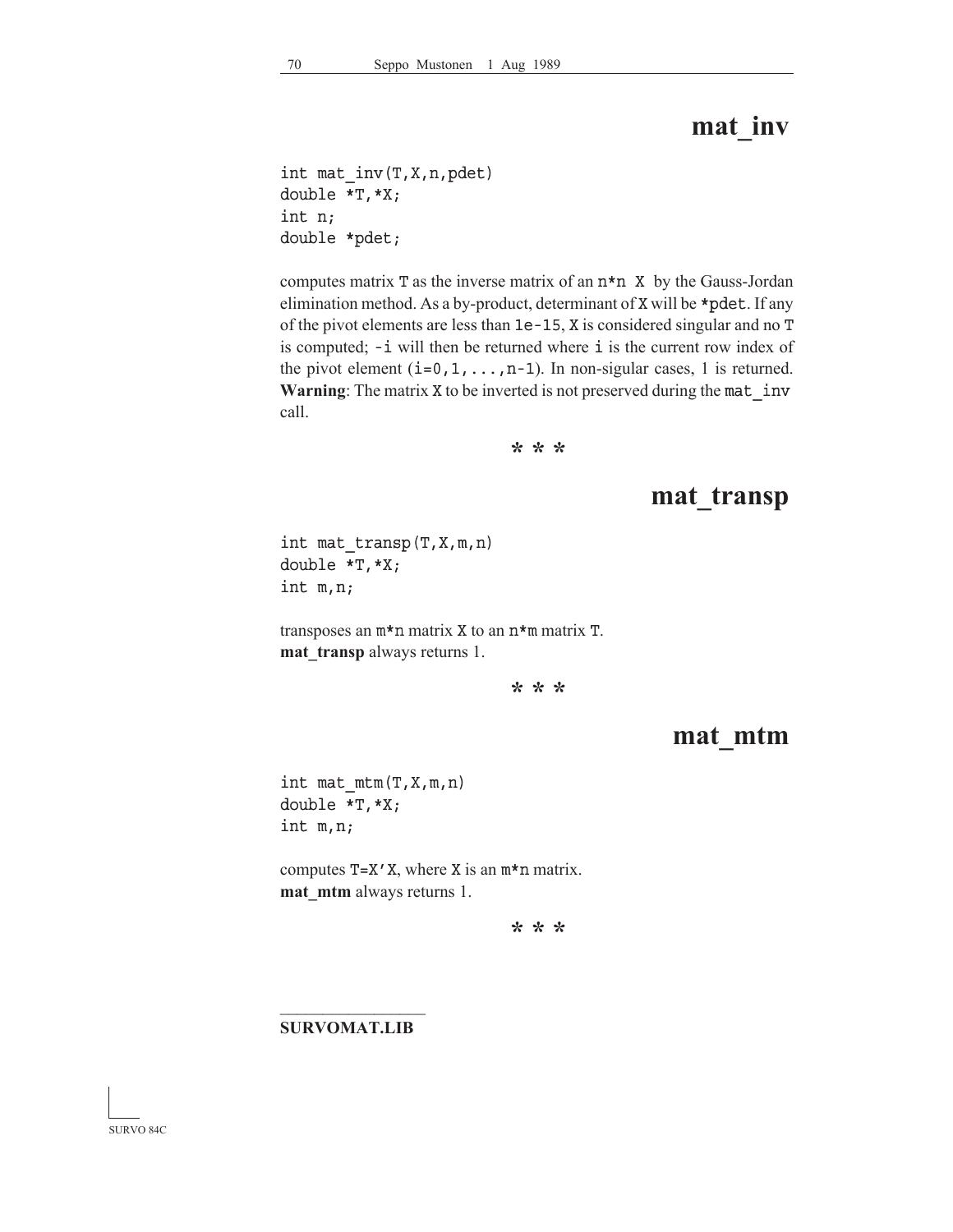### **mat\_inv**

int mat\_inv(T,X,n,pdet) double \*T,\*X; int n; double \*pdet;

computes matrix  $T$  as the inverse matrix of an  $n * n$   $X$  by the Gauss-Jordan elimination method. As a by-product, determinant of X will be \*pdet. If any of the pivot elements are less than 1e-15, X is considered singular and no T is computed; -i will then be returned where i is the current row index of the pivot element  $(i=0,1,\ldots,n-1)$ . In non-sigular cases, 1 is returned. **Warning**: The matrix X to be inverted is not preserved during the mat\_inv call.

**\* \* \***

### **mat\_transp**

int mat\_transp(T,X,m,n) double \*T,\*X; int m,n;

transposes an m\*n matrix X to an n\*m matrix T. **mat\_transp** always returns 1.

**\* \* \***

### **mat\_mtm**

int mat  $mtm(T,X,m,n)$ double \*T,\*X; int m,n;

computes  $T=X'X$ , where X is an  $m*n$  matrix. **mat\_mtm** always returns 1.

**\* \* \***

#### $\mathcal{L}_\text{max}$ **SURVOMAT.LIB**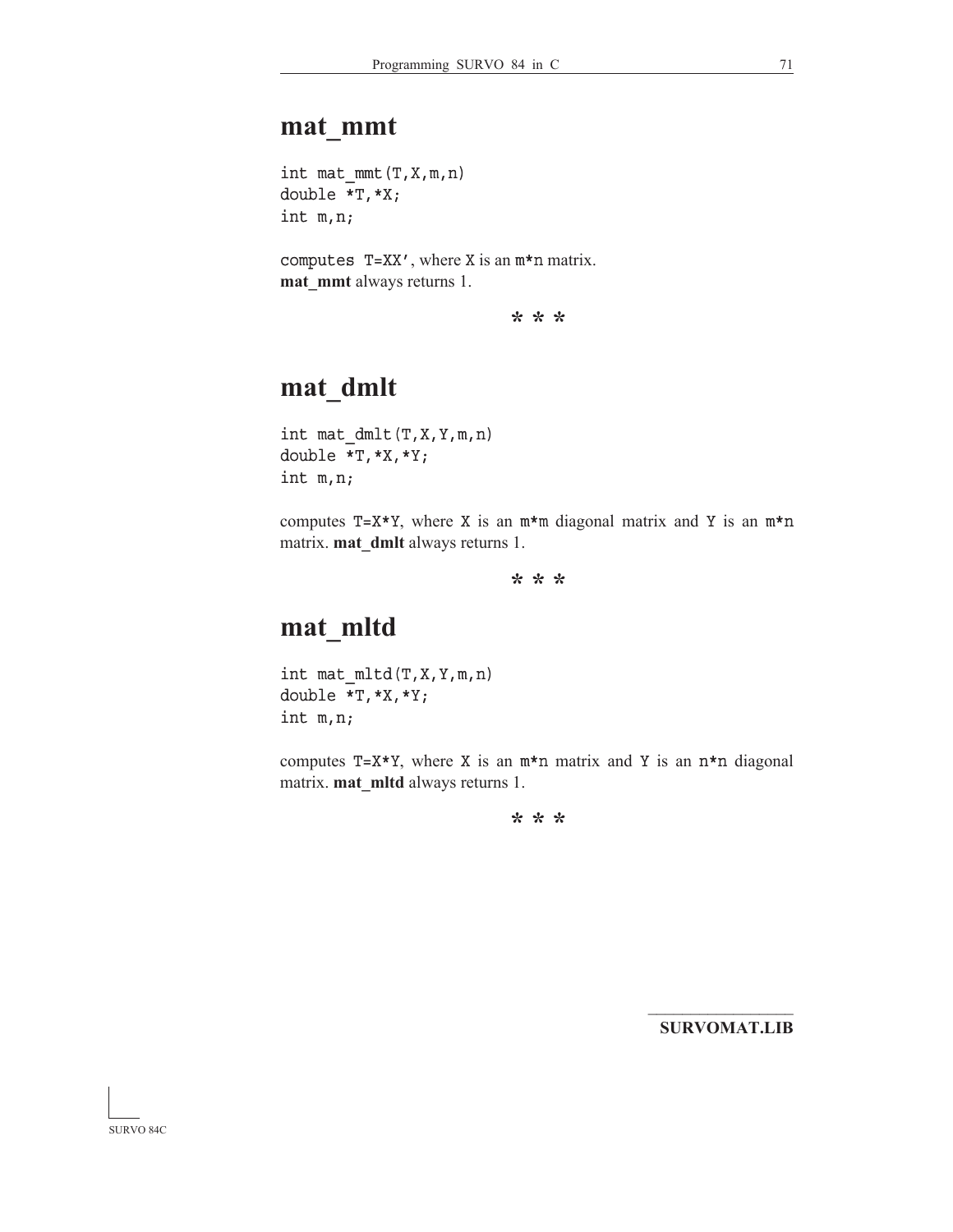### **mat\_mmt**

int mat  $mmt(T,X,m,n)$ double \*T,\*X; int m,n;

computes T=XX', where X is an m\*n matrix. **mat\_mmt** always returns 1.

**\* \* \***

## **mat\_dmlt**

int mat\_dmlt(T,X,Y,m,n) double \*T,\*X,\*Y; int m,n;

computes  $T=X*Y$ , where X is an  $m*m$  diagonal matrix and Y is an  $m*n$ matrix. **mat\_dmlt** always returns 1.

**\* \* \***

## **mat\_mltd**

int mat\_mltd(T,X,Y,m,n) double \*T,\*X,\*Y; int m,n;

computes  $T=X*Y$ , where X is an  $m*n$  matrix and Y is an  $n*n$  diagonal matrix. **mat\_mltd** always returns 1.

**\* \* \***

 $\mathcal{L}_\text{max}$ **SURVOMAT.LIB**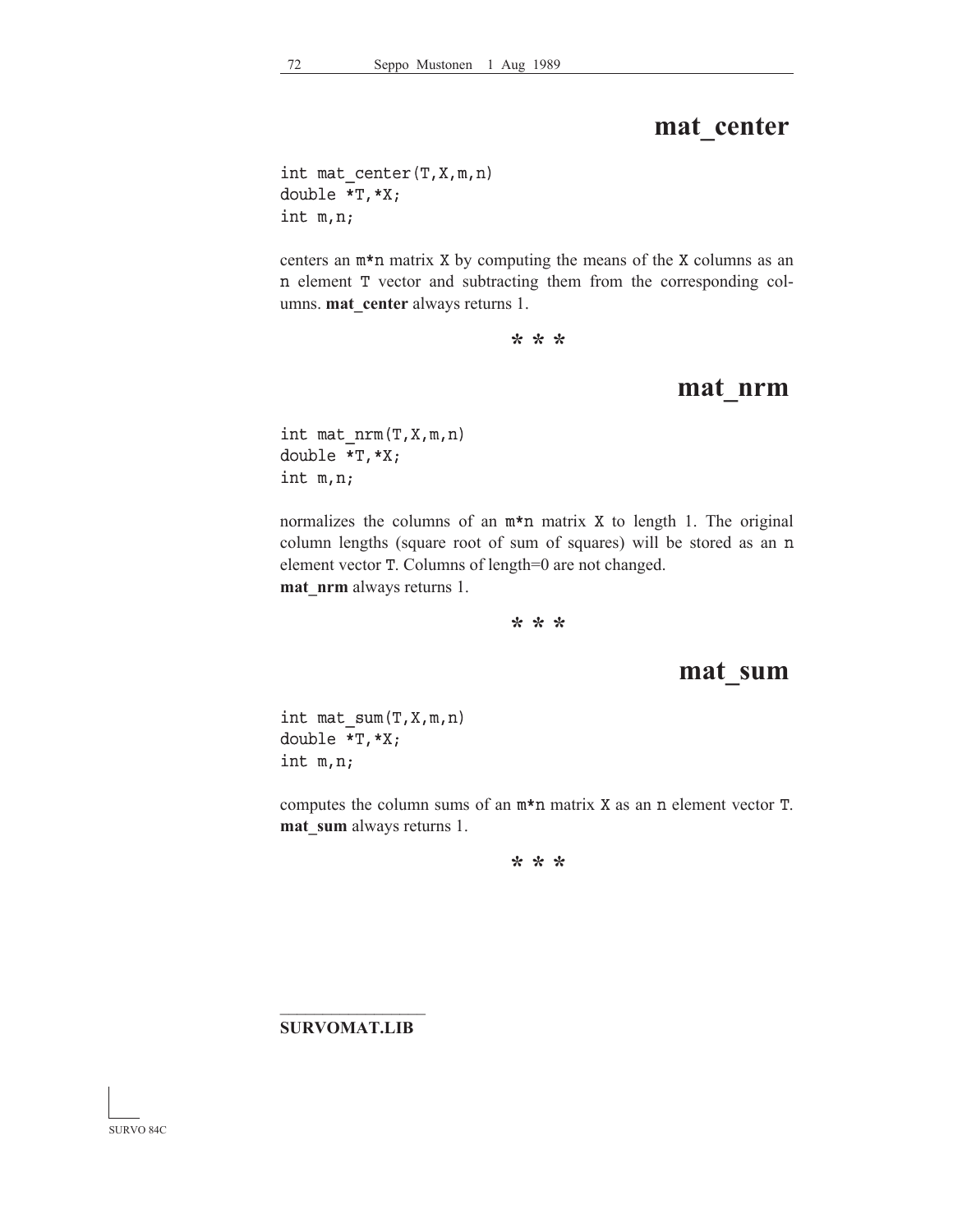### **mat\_center**

int mat\_center(T,X,m,n) double \*T,\*X; int m,n;

centers an m\*n matrix X by computing the means of the X columns as an n element T vector and subtracting them from the corresponding columns. **mat\_center** always returns 1.

**\* \* \***

#### **mat\_nrm**

int mat\_nrm(T,X,m,n) double \*T,\*X; int m,n;

normalizes the columns of an m\*n matrix X to length 1. The original column lengths (square root of sum of squares) will be stored as an n element vector T. Columns of length=0 are not changed. **mat\_nrm** always returns 1.

**\* \* \***

#### **mat\_sum**

int mat\_sum(T,X,m,n) double \*T,\*X; int m,n;

computes the column sums of an m\*n matrix X as an n element vector T. **mat** sum always returns 1.

**\* \* \***

#### $\mathcal{L}_\text{max}$ **SURVOMAT.LIB**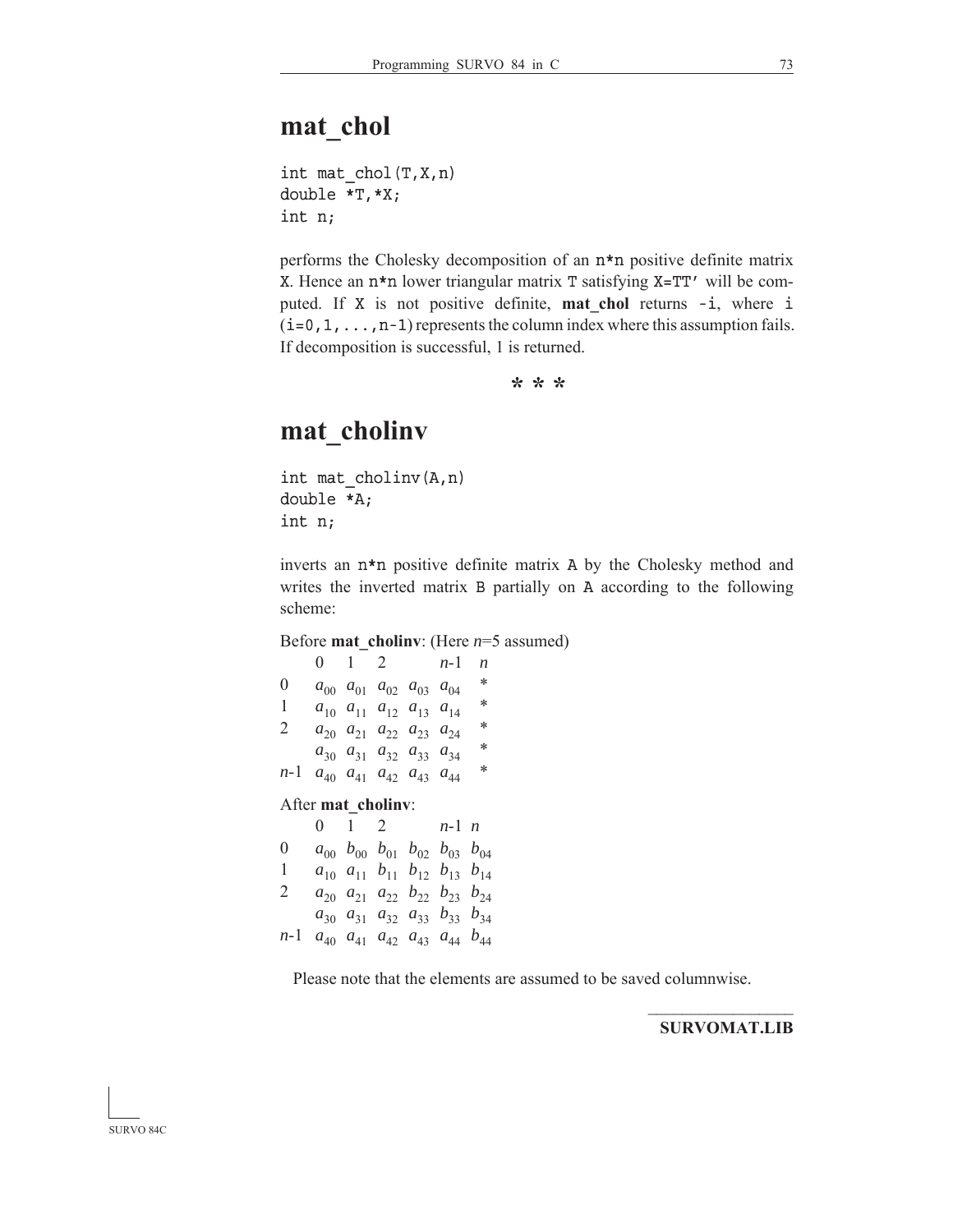int mat  $chol(T,X,n)$ double \*T,\*X; int n;

performs the Cholesky decomposition of an n\*n positive definite matrix X. Hence an n\*n lower triangular matrix T satisfying X=TT' will be computed. If X is not positive definite, **mat\_chol** returns -i, where i  $(i=0,1,\ldots,n-1)$  represents the column index where this assumption fails. If decomposition is successful, 1 is returned.

**\* \* \***

### **mat\_cholinv**

int mat\_cholinv(A,n) double \*A; int n;

inverts an n\*n positive definite matrix A by the Cholesky method and writes the inverted matrix B partially on A according to the following scheme:

Before **mat\_cholinv**: (Here *n*=5 assumed)

|                    | 0 | 1         | 2                                            |  | n-1                                                   | n |
|--------------------|---|-----------|----------------------------------------------|--|-------------------------------------------------------|---|
| $\theta$           |   |           | $a_{00}$ $a_{01}$ $a_{02}$ $a_{03}$ $a_{04}$ |  |                                                       | * |
| 1                  |   |           | $a_{10}$ $a_{11}$ $a_{12}$ $a_{13}$ $a_{14}$ |  |                                                       | * |
| 2                  |   |           | $a_{20}$ $a_{21}$ $a_{22}$ $a_{23}$ $a_{24}$ |  |                                                       | * |
|                    |   |           | $a_{30}$ $a_{31}$ $a_{32}$ $a_{33}$ $a_{34}$ |  |                                                       | ∗ |
| $n-1$              |   |           | $a_{40}$ $a_{41}$ $a_{42}$ $a_{43}$ $a_{44}$ |  |                                                       | ∗ |
| After mat cholinv: |   |           |                                              |  |                                                       |   |
|                    |   |           |                                              |  |                                                       |   |
|                    | 0 | $1 \quad$ | $\overline{2}$                               |  | $n-1$ n                                               |   |
| $\overline{0}$     |   |           |                                              |  | $a_{00}$ $b_{00}$ $b_{01}$ $b_{02}$ $b_{03}$ $b_{04}$ |   |
| 1                  |   |           |                                              |  | $a_{10}$ $a_{11}$ $b_{11}$ $b_{12}$ $b_{13}$ $b_{14}$ |   |
| 2                  |   |           |                                              |  | $a_{20}$ $a_{21}$ $a_{22}$ $b_{22}$ $b_{23}$ $b_{24}$ |   |
|                    |   |           |                                              |  | $a_{30}$ $a_{31}$ $a_{32}$ $a_{33}$ $b_{33}$ $b_{34}$ |   |

Please note that the elements are assumed to be saved columnwise.

 $\mathcal{L}_\text{max}$ **SURVOMAT.LIB**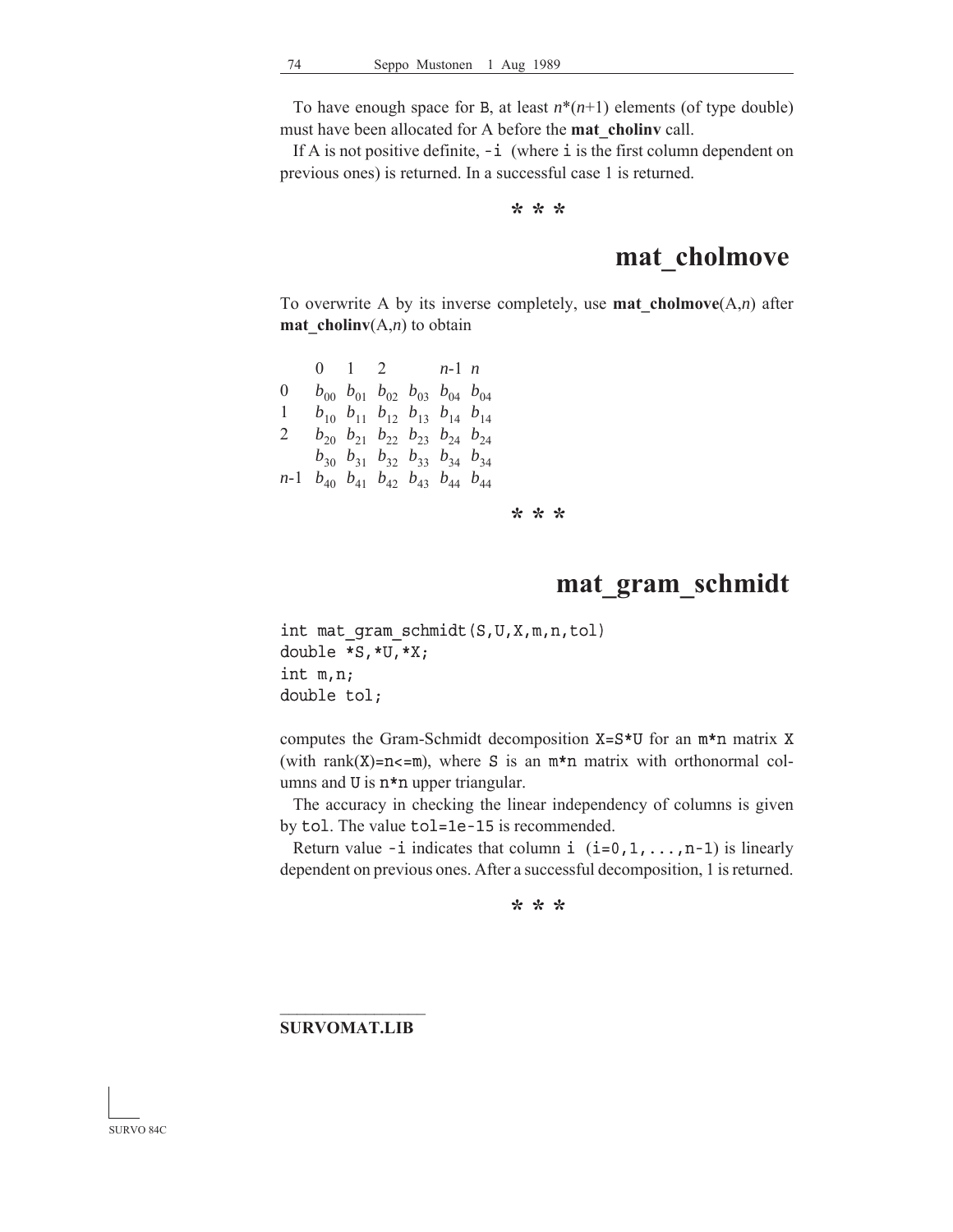To have enough space for B, at least  $n^*(n+1)$  elements (of type double) must have been allocated for A before the **mat\_cholinv** call.

If A is not positive definite,  $-i$  (where  $i$  is the first column dependent on previous ones) is returned. In a successful case 1 is returned.

**\* \* \***

## **mat\_cholmove**

To overwrite A by its inverse completely, use **mat** cholmove $(A,n)$  after **mat\_cholinv**(A,*n*) to obtain

|              |  |  | 0 1 2 $n-1$ n                                                     |  |
|--------------|--|--|-------------------------------------------------------------------|--|
| $\mathbf{0}$ |  |  | $b_{00}$ $b_{01}$ $b_{02}$ $b_{03}$ $b_{04}$ $b_{04}$             |  |
| 1            |  |  | $b_{10}$ $b_{11}$ $b_{12}$ $b_{13}$ $b_{14}$ $b_{14}$             |  |
| 2            |  |  | $b_{20}$ $b_{21}$ $b_{22}$ $b_{23}$ $b_{24}$ $b_{24}$             |  |
|              |  |  | $b_{30}$ $b_{31}$ $b_{32}$ $b_{33}$ $b_{34}$ $b_{34}$             |  |
|              |  |  | <i>n</i> -1 $b_{40}$ $b_{41}$ $b_{42}$ $b_{43}$ $b_{44}$ $b_{44}$ |  |

**\* \* \***

#### **mat\_gram\_schmidt**

int mat\_gram\_schmidt(S,U,X,m,n,tol) double \*S,\*U,\*X; int m,n; double tol;

computes the Gram-Schmidt decomposition X=S\*U for an m\*n matrix X (with rank $(X)=n<=m$ ), where S is an  $m*n$  matrix with orthonormal columns and U is  $n * n$  upper triangular.

 The accuracy in checking the linear independency of columns is given by  $tol.$  The value  $tol=1e-15$  is recommended.

Return value -i indicates that column i  $(i=0,1,\ldots,n-1)$  is linearly dependent on previous ones. After a successful decomposition, 1 is returned.

**\* \* \***

#### $\mathcal{L}_\text{max}$ **SURVOMAT.LIB**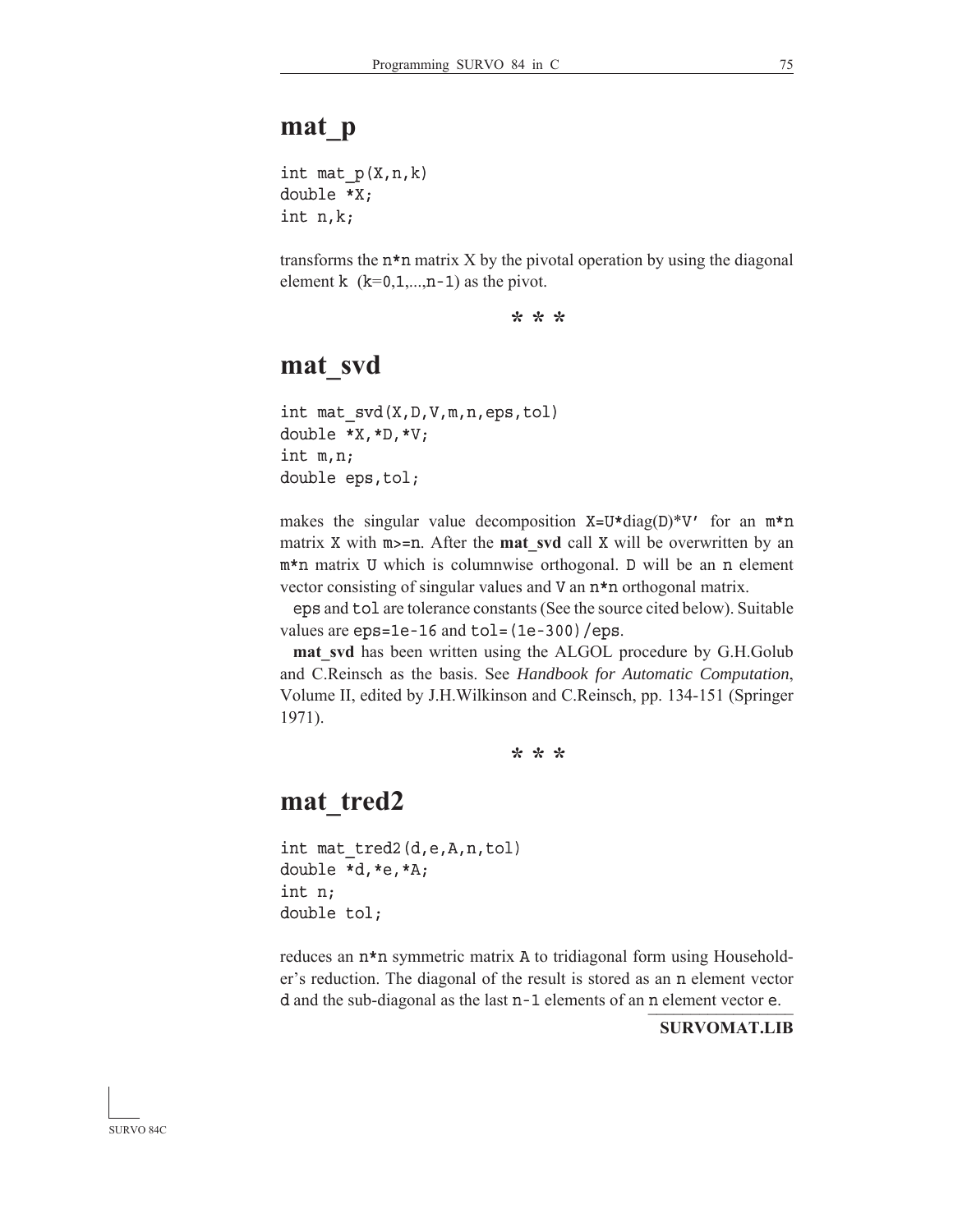### **mat\_p**

int mat  $p(X, n, k)$ double \*X; int n,k;

transforms the  $n * n$  matrix X by the pivotal operation by using the diagonal element k  $(k=0,1,...,n-1)$  as the pivot.

**\* \* \***

#### **mat\_svd**

int mat\_svd(X,D,V,m,n,eps,tol) double \*X,\*D,\*V; int m,n; double eps,tol;

makes the singular value decomposition  $X=U*diag(D)*V'$  for an  $m*n$ matrix X with m>=n. After the **mat** svd call X will be overwritten by an m\*n matrix U which is columnwise orthogonal. D will be an n element vector consisting of singular values and V an n\*n orthogonal matrix.

eps and tol are tolerance constants (See the source cited below). Suitable values are  $eps=1e-16$  and  $tol=(1e-300)/eps$ .

**mat** svd has been written using the ALGOL procedure by G.H.Golub and C.Reinsch as the basis. See *Handbook for Automatic Computation*, Volume II, edited by J.H.Wilkinson and C.Reinsch, pp. 134-151 (Springer 1971).

**\* \* \***

### **mat\_tred2**

```
int mat_tred2(d,e,A,n,tol)
double *d,*e,*A;
int n;
double tol;
```
d and the sub-diagonal as the last n-1 elements of an n element vector e. reduces an n\*n symmetric matrix A to tridiagonal form using Householder's reduction. The diagonal of the result is stored as an n element vector

**SURVOMAT.LIB**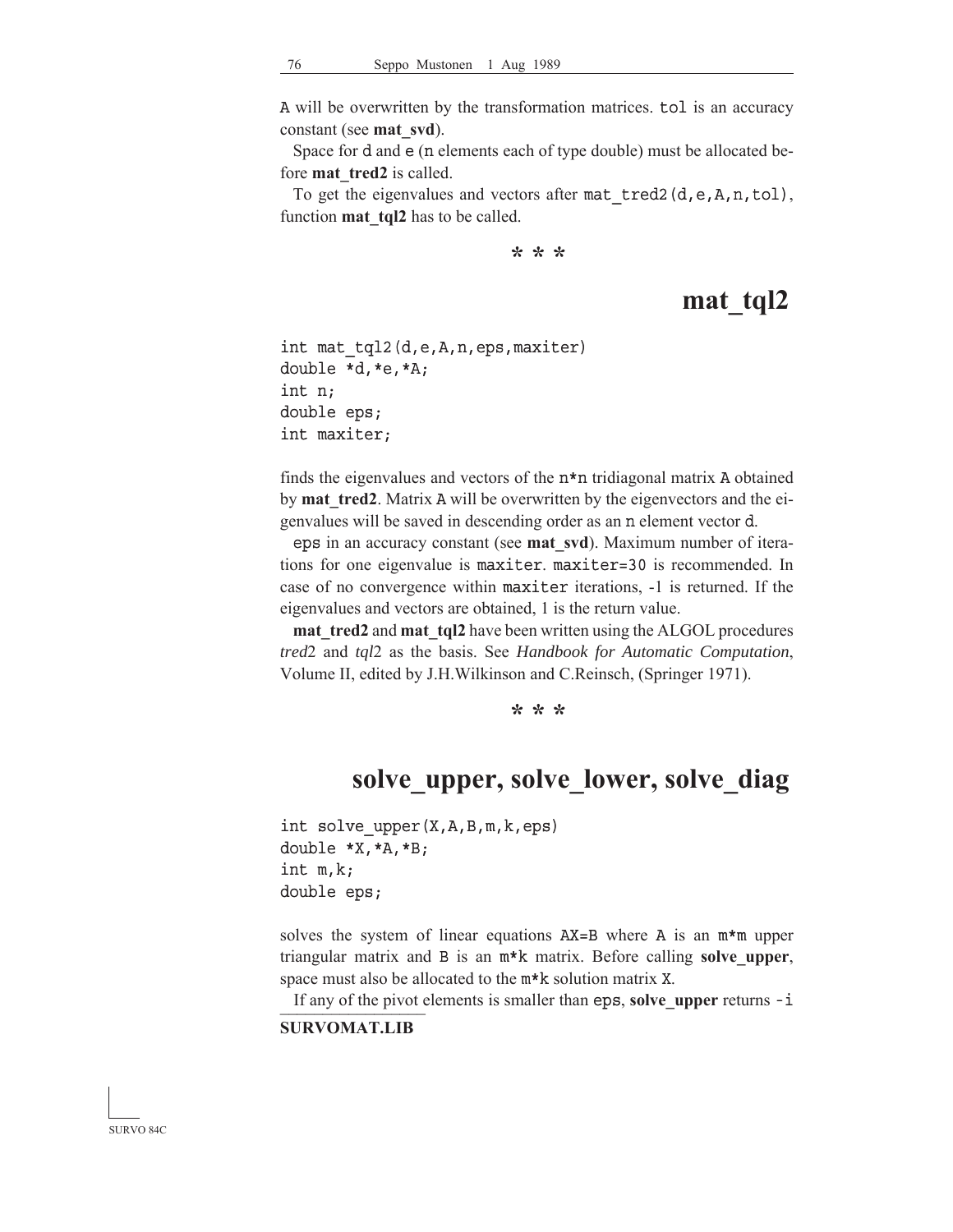A will be overwritten by the transformation matrices. tol is an accuracy constant (see **mat\_svd**).

 Space for d and e (n elements each of type double) must be allocated before **mat** tred2 is called.

To get the eigenvalues and vectors after mat\_tred2(d,e,A,n,tol), function **mat** tql2 has to be called.

**\* \* \***

## **mat\_tql2**

```
int mat_tql2(d,e,A,n,eps,maxiter)
double *d,*e,*A;
int n;
double eps;
int maxiter;
```
finds the eigenvalues and vectors of the n\*n tridiagonal matrix A obtained by **mat** tred2. Matrix A will be overwritten by the eigenvectors and the eigenvalues will be saved in descending order as an n element vector d.

eps in an accuracy constant (see **mat\_svd**). Maximum number of iterations for one eigenvalue is maxiter. maxiter=30 is recommended. In case of no convergence within maxiter iterations, -1 is returned. If the eigenvalues and vectors are obtained, 1 is the return value.

**mat tred2** and **mat tql2** have been written using the ALGOL procedures *tred*2 and *tql*2 as the basis. See *Handbook for Automatic Computation*, Volume II, edited by J.H.Wilkinson and C.Reinsch, (Springer 1971).

**\* \* \***

#### **solve\_upper, solve\_lower, solve\_diag**

int solve\_upper(X,A,B,m,k,eps) double \*X,\*A,\*B; int m,k; double eps;

solves the system of linear equations AX=B where A is an m\*m upper triangular matrix and B is an m\*k matrix. Before calling **solve\_upper**, space must also be allocated to the m\*k solution matrix X.

If any of the pivot elements is smaller than eps, solve\_upper returns -i

#### **SURVOMAT.LIB**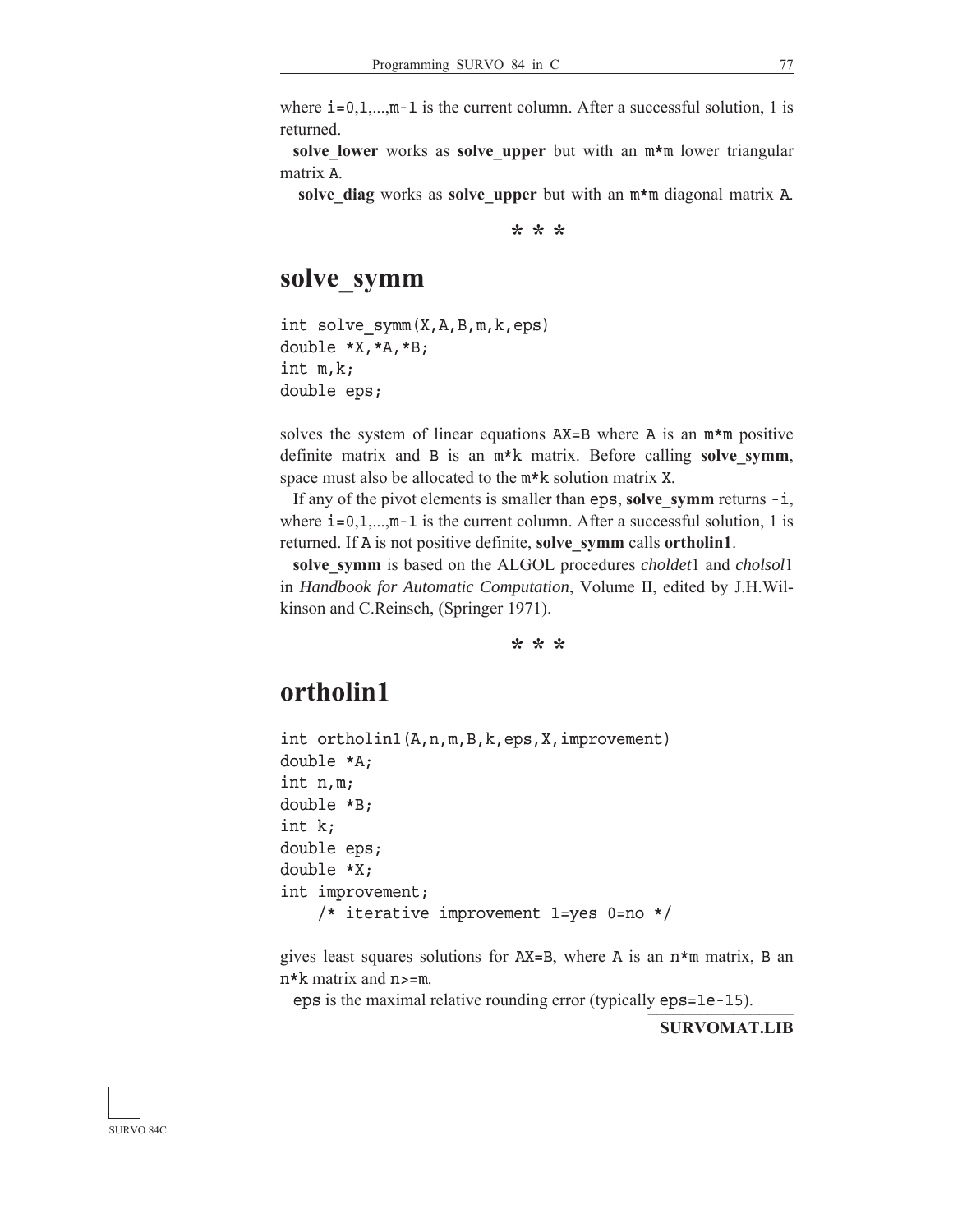where  $i=0,1,...,m-1$  is the current column. After a successful solution, 1 is returned.

**solve lower** works as **solve upper** but with an  $m*m$  lower triangular matrix A.

 **solve\_diag** works as **solve\_upper** but with an m\*m diagonal matrix A.

**\* \* \***

### **solve\_symm**

int solve\_symm(X,A,B,m,k,eps) double \*X,\*A,\*B; int m,k; double eps;

solves the system of linear equations  $AX = B$  where A is an  $m*m$  positive definite matrix and B is an m\*k matrix. Before calling **solve\_symm**, space must also be allocated to the m\*k solution matrix X.

If any of the pivot elements is smaller than eps, solve symm returns  $-i$ , where  $i=0,1,...,m-1$  is the current column. After a successful solution, 1 is returned. If A is not positive definite, **solve\_symm** calls **ortholin1**.

**solve\_symm** is based on the ALGOL procedures *choldet*1 and *cholsol*1 in *Handbook for Automatic Computation*, Volume II, edited by J.H.Wilkinson and C.Reinsch, (Springer 1971).

**\* \* \***

### **ortholin1**

int ortholin1(A,n,m,B,k,eps,X,improvement) double \*A; int n,m; double \*B; int k; double eps; double \*X; int improvement; /\* iterative improvement 1=yes 0=no \*/

gives least squares solutions for  $AX=B$ , where A is an  $n*m$  matrix, B an n\*k matrix and n>=m.

eps is the maximal relative rounding error (typically eps=1e-15).

**SURVOMAT.LIB**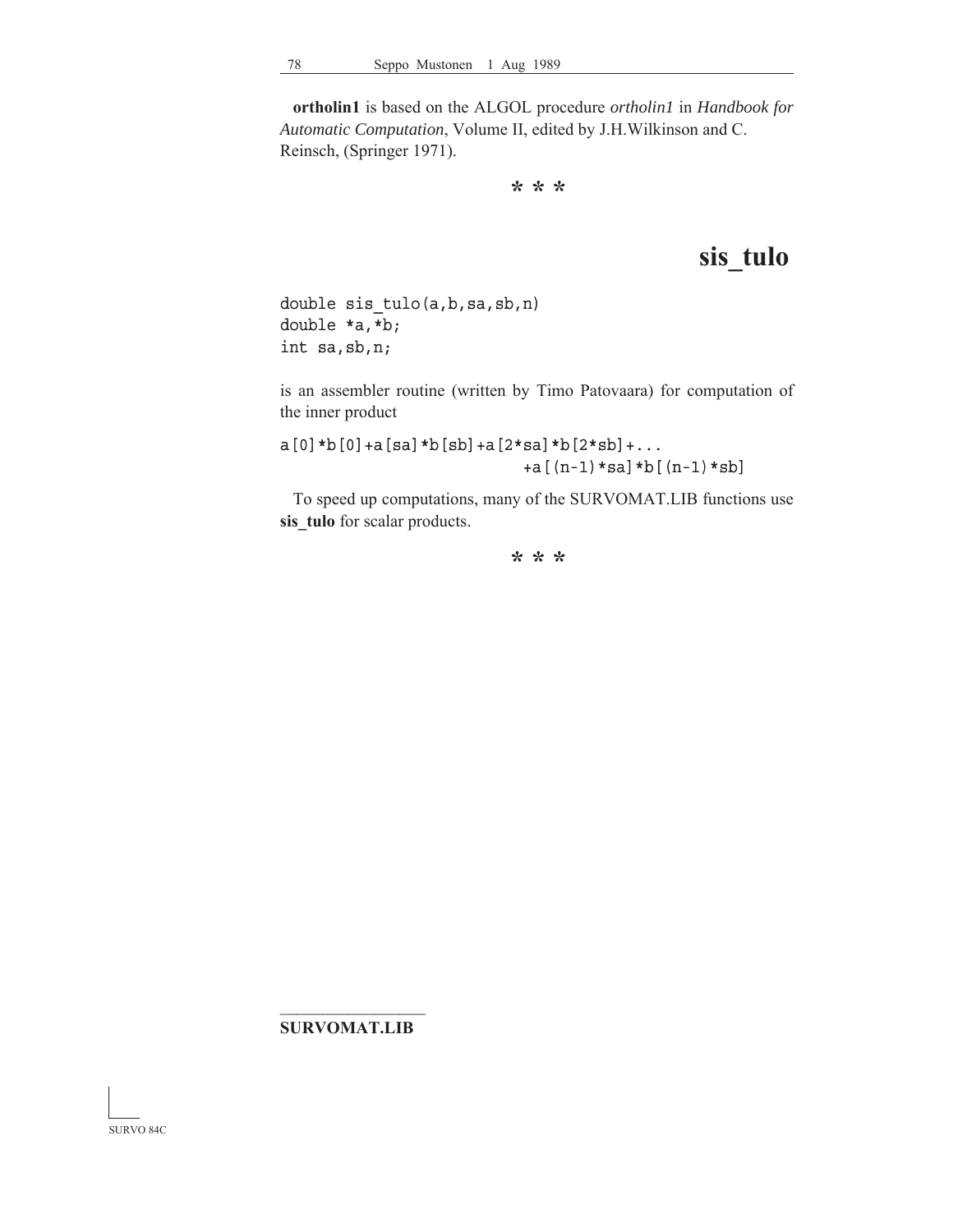**ortholin1** is based on the ALGOL procedure *ortholin1* in *Handbook for Automatic Computation*, Volume II, edited by J.H.Wilkinson and C. Reinsch, (Springer 1971).

**\* \* \***

## **sis\_tulo**

double sis\_tulo(a,b,sa,sb,n) double \*a,\*b; int sa,sb,n;

is an assembler routine (written by Timo Patovaara) for computation of the inner product

 $a[0]*b[0]+a[sa]*b[sb]+a[2*sa]*b[2*sb]+...$ +a[(n-1)\*sa]\*b[(n-1)\*sb]

 To speed up computations, many of the SURVOMAT.LIB functions use **sis\_tulo** for scalar products.

**\* \* \***

#### $\mathcal{L}_\text{max}$ **SURVOMAT.LIB**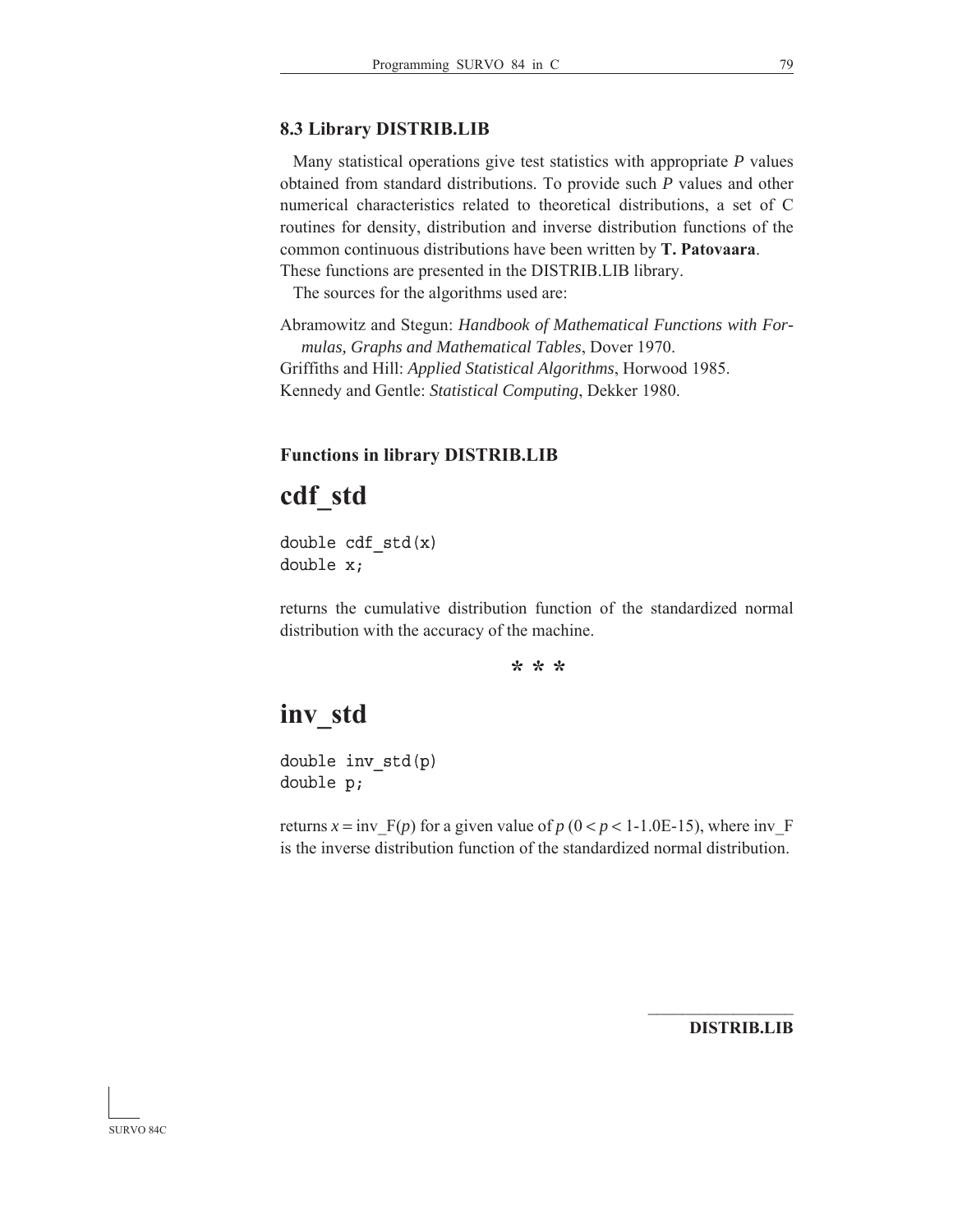#### **8.3 Library DISTRIB.LIB**

 Many statistical operations give test statistics with appropriate *P* values obtained from standard distributions. To provide such *P* values and other numerical characteristics related to theoretical distributions, a set of C routines for density, distribution and inverse distribution functions of the common continuous distributions have been written by **T. Patovaara**. These functions are presented in the DISTRIB.LIB library.

The sources for the algorithms used are:

Abramowitz and Stegun: *Handbook of Mathematical Functions with Formulas, Graphs and Mathematical Tables*, Dover 1970. Griffiths and Hill: *Applied Statistical Algorithms*, Horwood 1985. Kennedy and Gentle: *Statistical Computing*, Dekker 1980.

#### **Functions in library DISTRIB.LIB**

## **cdf\_std**

double  $cdf\_std(x)$ double x;

returns the cumulative distribution function of the standardized normal distribution with the accuracy of the machine.

**\* \* \***

## **inv\_std**

double inv\_std(p) double p;

returns  $x = inv$  F(*p*) for a given value of  $p$  (0 < *p* < 1-1.0E-15), where inv F is the inverse distribution function of the standardized normal distribution.

 $\mathcal{L}_\text{max}$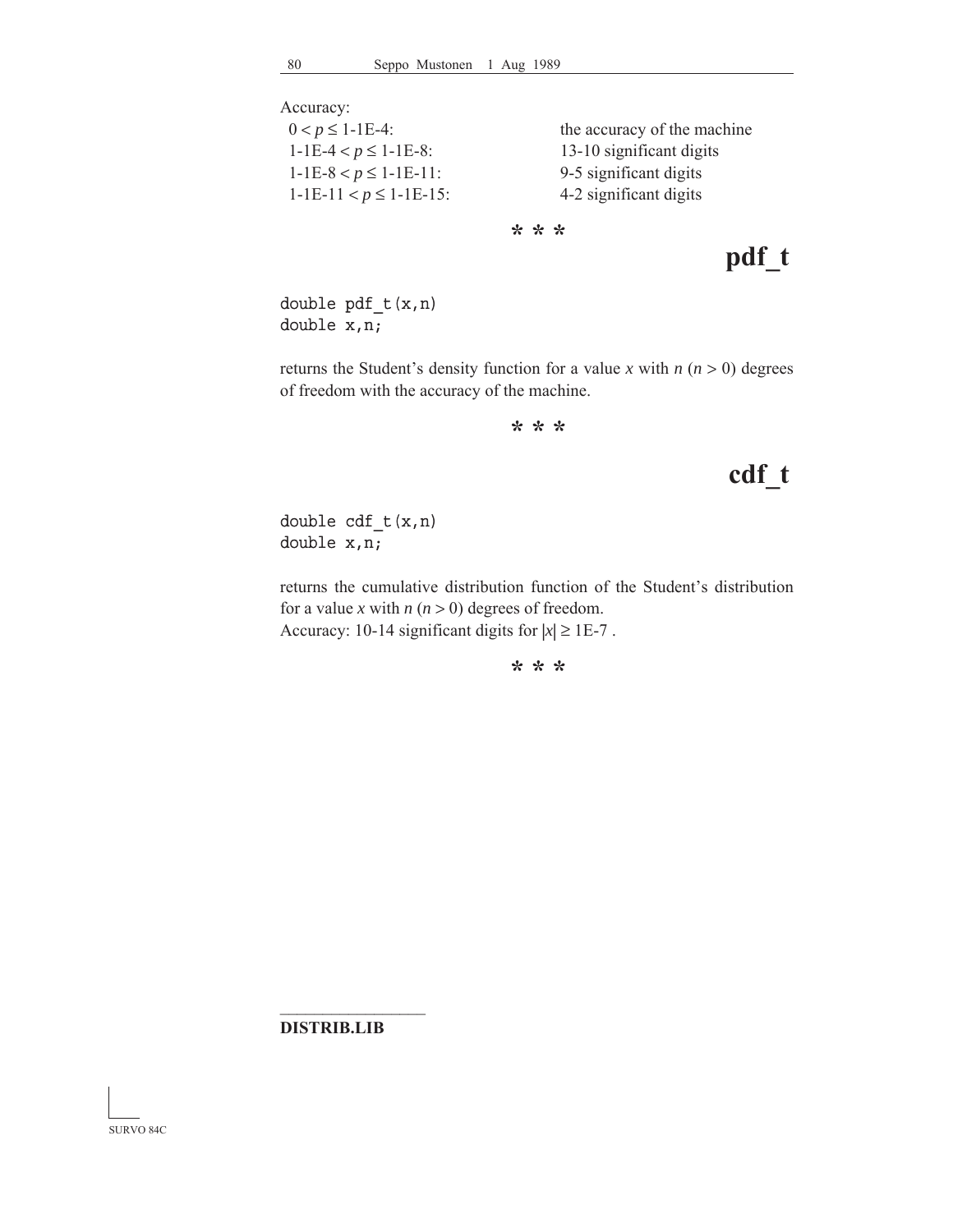Accuracy:

| $0 < p \le 1$ -1E-4:        | the accuracy of the machine |
|-----------------------------|-----------------------------|
| $1-1E-4 < p \le 1-1E-8$ :   | 13-10 significant digits    |
| $1-1E-8 < p \le 1-1E-11$ :  | 9-5 significant digits      |
| $1-1E-11 < p \le 1-1E-15$ : | 4-2 significant digits      |
|                             |                             |

**\* \* \***

**pdf\_t**

double pdf\_t(x,n) double x,n;

returns the Student's density function for a value *x* with  $n (n > 0)$  degrees of freedom with the accuracy of the machine.

**\* \* \***

# **cdf\_t**

double cdf\_t(x,n) double x,n;

returns the cumulative distribution function of the Student's distribution for a value *x* with  $n (n > 0)$  degrees of freedom. Accuracy: 10-14 significant digits for  $|x| \ge 1E-7$ .

**\* \* \***

**DISTRIB.LIB**

 $\mathcal{L}_\text{max}$ 

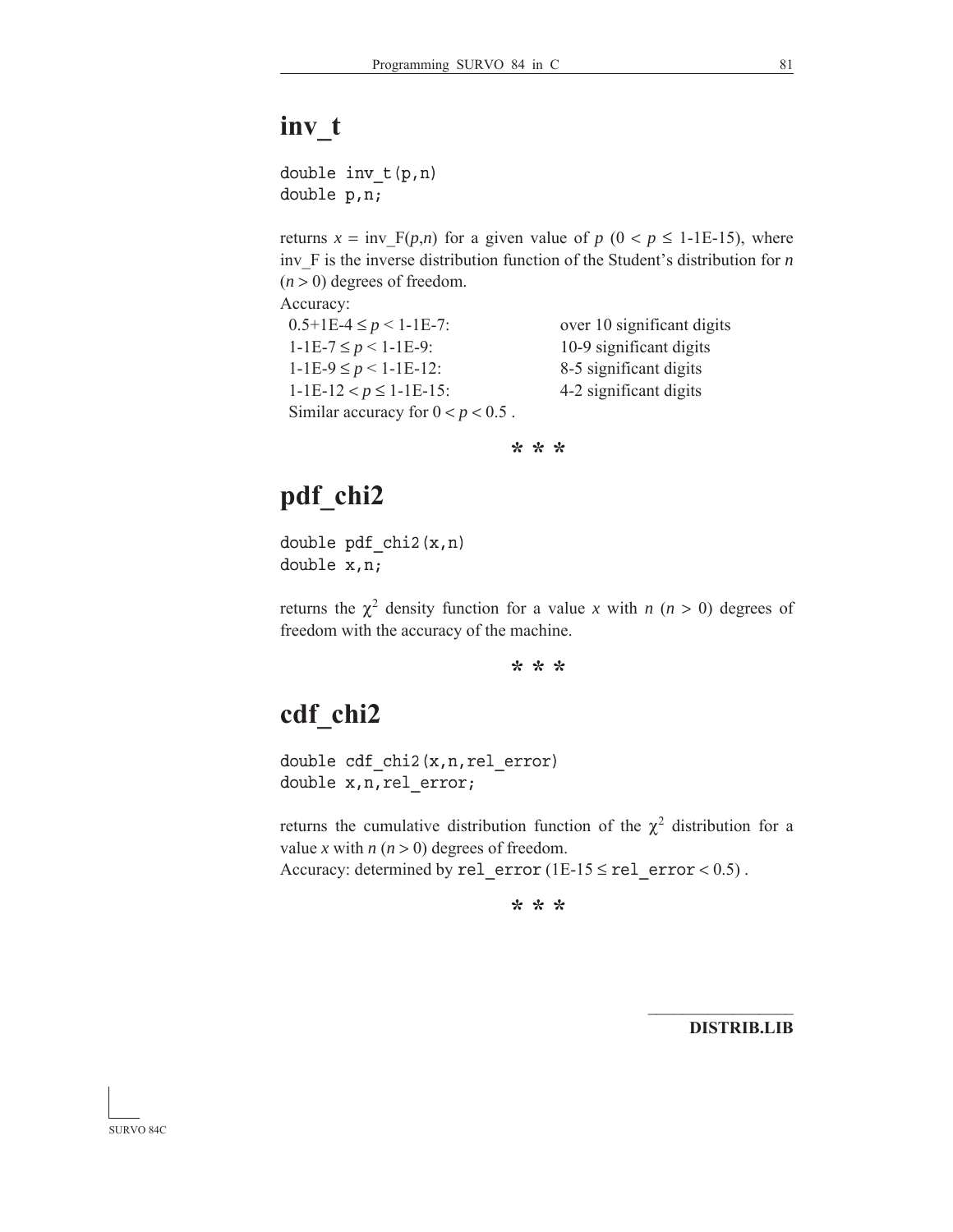## **inv\_t**

double inv\_t(p,n) double p,n;

returns  $x = inv_F(p,n)$  for a given value of  $p (0 < p \le 1$ -1E-15), where inv\_F is the inverse distribution function of the Student's distribution for *n*  $(n > 0)$  degrees of freedom.

Accuracy:

 $0.5+1E-4 \le p < 1-1E-7$ : over 10 significant digits  $1-\text{1E-7} \leq p < 1-\text{1E-9}$ : 10-9 significant digits  $1-\text{1E-9} \le p < 1-\text{1E-12}$ : 8-5 significant digits 1-1E-12 <  $p \le 1$ -1E-15: 4-2 significant digits Similar accuracy for  $0 < p < 0.5$ .

**\* \* \***

## **pdf\_chi2**

double pdf  $chi2(x,n)$ double x,n;

returns the  $\chi^2$  density function for a value *x* with *n* (*n* > 0) degrees of freedom with the accuracy of the machine.

**\* \* \***

# **cdf\_chi2**

double cdf chi2(x,n,rel error) double x,n,rel\_error;

returns the cumulative distribution function of the  $\chi^2$  distribution for a value *x* with  $n (n > 0)$  degrees of freedom. Accuracy: determined by rel\_error (1E-15  $\le$  rel\_error  $< 0.5$ ).

**\* \* \***

**DISTRIB.LIB**

 $\mathcal{L}_\text{max}$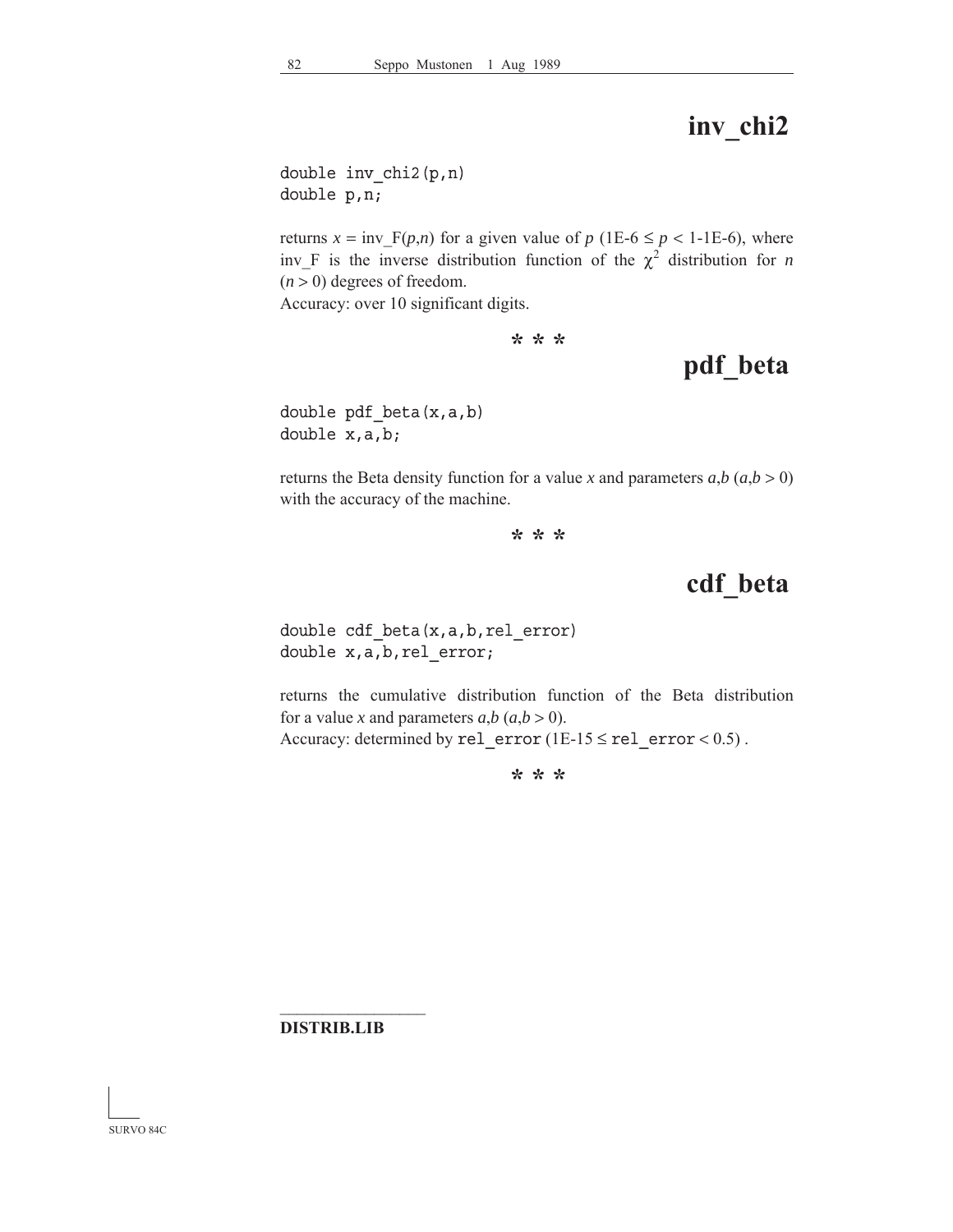# **inv\_chi2**

double inv\_chi2(p,n) double p,n;

returns  $x = inv_F(p,n)$  for a given value of  $p(1E-6 \le p < 1-1E-6)$ , where inv<sub>F</sub> is the inverse distribution function of the  $\chi^2$  distribution for *n*  $(n > 0)$  degrees of freedom.

Accuracy: over 10 significant digits.

**\* \* \***

## **pdf\_beta**

double pdf beta $(x,a,b)$ double x,a,b;

returns the Beta density function for a value *x* and parameters  $a, b$  ( $a, b > 0$ ) with the accuracy of the machine.

**\* \* \***

**cdf\_beta**

double cdf\_beta(x,a,b,rel\_error) double x,a,b,rel\_error;

returns the cumulative distribution function of the Beta distribution for a value *x* and parameters  $a,b$  ( $a,b$  > 0). Accuracy: determined by rel\_error (1E-15  $\le$  rel\_error < 0.5).

**\* \* \***

#### **DISTRIB.LIB**

 $\mathcal{L}_\text{max}$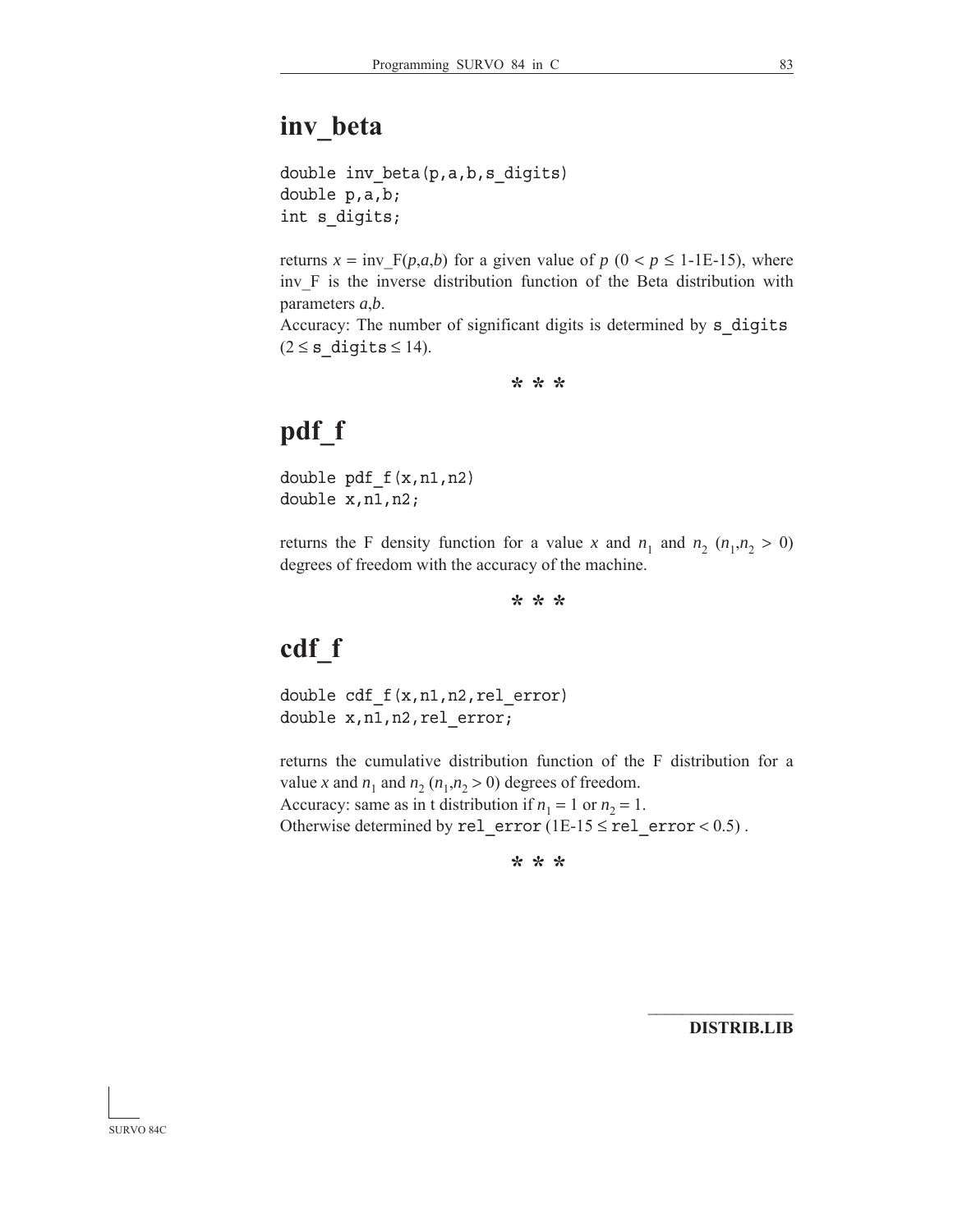## **inv\_beta**

```
double inv beta(p,a,b,s digits)
double p,a,b;
int s_digits;
```
returns  $x = inv$   $F(p,a,b)$  for a given value of  $p$  (0 <  $p \le 1$ -1E-15), where inv F is the inverse distribution function of the Beta distribution with parameters *a*,*b*.

Accuracy: The number of significant digits is determined by s\_digits  $(2 \leq s \text{ digits} \leq 14).$ 

**\* \* \***

# **pdf\_f**

double pdf\_f(x,n1,n2) double x,n1,n2;

returns the F density function for a value *x* and  $n_1$  and  $n_2$  ( $n_1, n_2 > 0$ ) degrees of freedom with the accuracy of the machine.

**\* \* \***

# **cdf\_f**

double cdf  $f(x,n1,n2,rel error)$ double x,n1,n2,rel\_error;

returns the cumulative distribution function of the F distribution for a value *x* and  $n_1$  and  $n_2$  ( $n_1$ , $n_2$  > 0) degrees of freedom. Accuracy: same as in t distribution if  $n_1 = 1$  or  $n_2 = 1$ . Otherwise determined by rel\_error (1E-15  $\le$  rel\_error < 0.5).

**\* \* \***

**DISTRIB.LIB**

 $\mathcal{L}_\text{max}$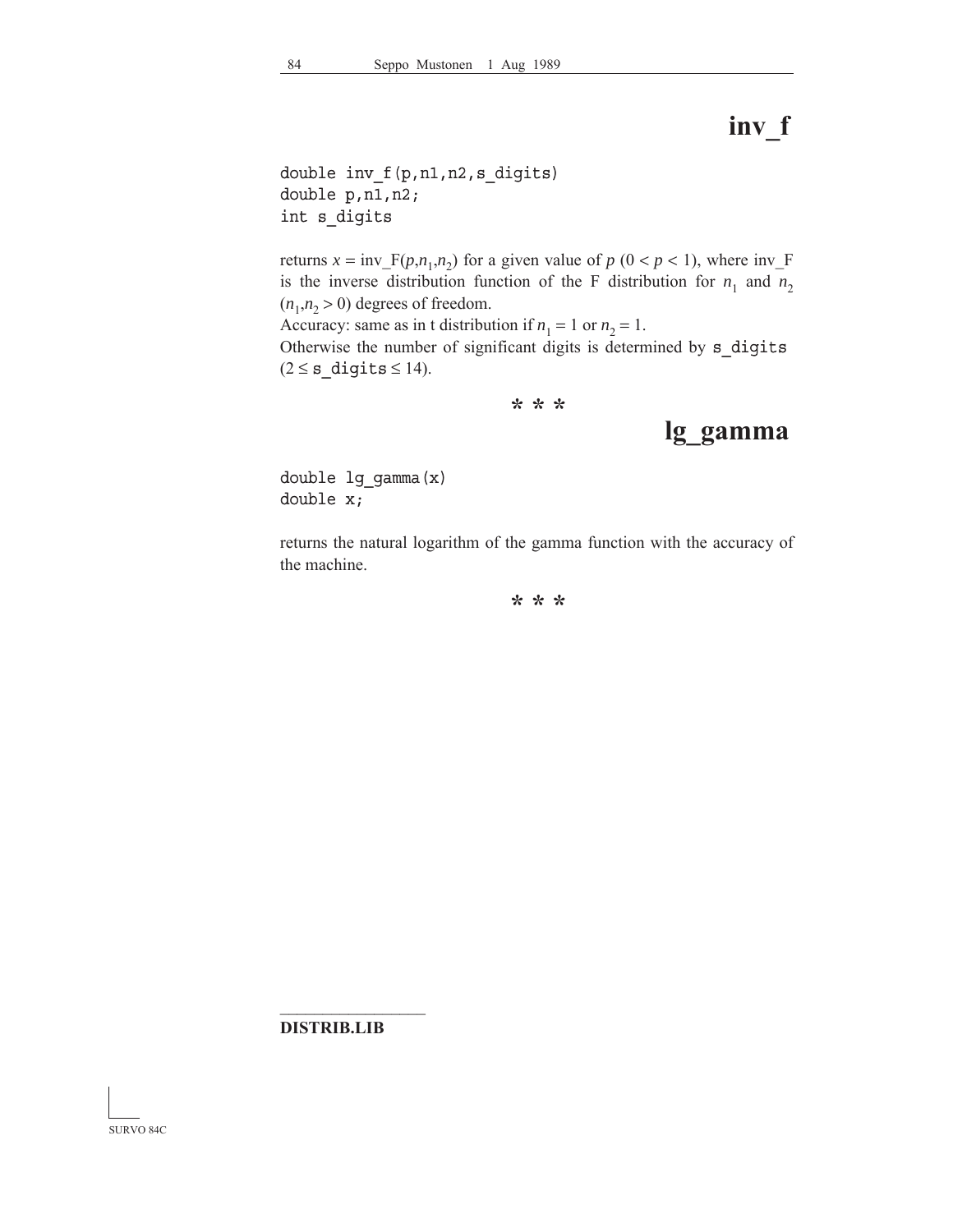# **inv\_f**

```
double inv_f(p,n1,n2,s_digits)
double p,n1,n2;
int s_digits
```
returns  $x = inv_F(p, n_1, n_2)$  for a given value of  $p (0 < p < 1)$ , where inv<sub>\_F</sub> is the inverse distribution function of the F distribution for  $n_1$  and  $n_2$  $(n_1, n_2 > 0)$  degrees of freedom. Accuracy: same as in t distribution if  $n_1 = 1$  or  $n_2 = 1$ .

Otherwise the number of significant digits is determined by s digits  $(2 \leq s\_digits \leq 14).$ 

**\* \* \***

### **lg\_gamma**

double lg\_gamma(x) double x;

returns the natural logarithm of the gamma function with the accuracy of the machine.

**\* \* \***

#### **DISTRIB.LIB**

 $\mathcal{L}_\text{max}$